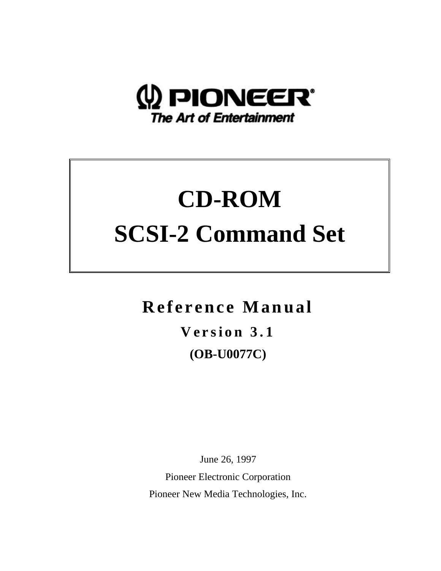

# **CD-ROM SCSI-2 Command Set**

**Reference Manual**

**Version 3.1 (OB-U0077C)**

June 26, 1997

Pioneer Electronic Corporation Pioneer New Media Technologies, Inc.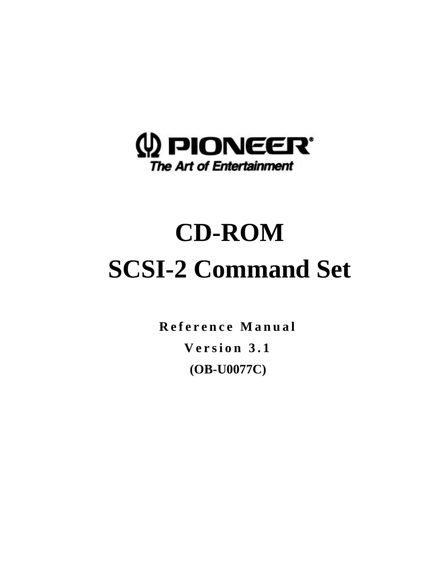

# **CD-ROM SCSI-2 Command Set**

**Reference Manual Version 3.1 (OB-U0077C)**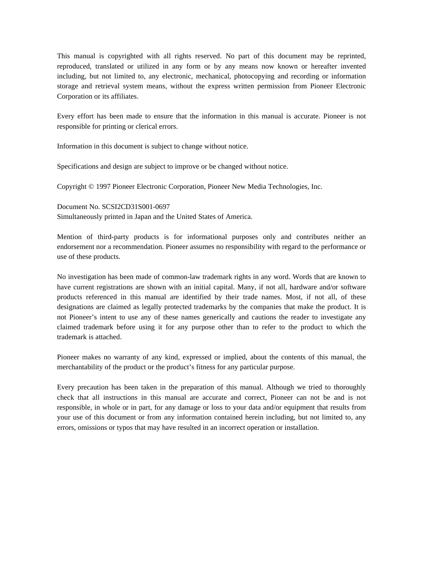This manual is copyrighted with all rights reserved. No part of this document may be reprinted, reproduced, translated or utilized in any form or by any means now known or hereafter invented including, but not limited to, any electronic, mechanical, photocopying and recording or information storage and retrieval system means, without the express written permission from Pioneer Electronic Corporation or its affiliates.

Every effort has been made to ensure that the information in this manual is accurate. Pioneer is not responsible for printing or clerical errors.

Information in this document is subject to change without notice.

Specifications and design are subject to improve or be changed without notice.

Copyright © 1997 Pioneer Electronic Corporation, Pioneer New Media Technologies, Inc.

Document No. SCSI2CD31S001-0697

Simultaneously printed in Japan and the United States of America.

Mention of third-party products is for informational purposes only and contributes neither an endorsement nor a recommendation. Pioneer assumes no responsibility with regard to the performance or use of these products.

No investigation has been made of common-law trademark rights in any word. Words that are known to have current registrations are shown with an initial capital. Many, if not all, hardware and/or software products referenced in this manual are identified by their trade names. Most, if not all, of these designations are claimed as legally protected trademarks by the companies that make the product. It is not Pioneer's intent to use any of these names generically and cautions the reader to investigate any claimed trademark before using it for any purpose other than to refer to the product to which the trademark is attached.

Pioneer makes no warranty of any kind, expressed or implied, about the contents of this manual, the merchantability of the product or the product's fitness for any particular purpose.

Every precaution has been taken in the preparation of this manual. Although we tried to thoroughly check that all instructions in this manual are accurate and correct, Pioneer can not be and is not responsible, in whole or in part, for any damage or loss to your data and/or equipment that results from your use of this document or from any information contained herein including, but not limited to, any errors, omissions or typos that may have resulted in an incorrect operation or installation.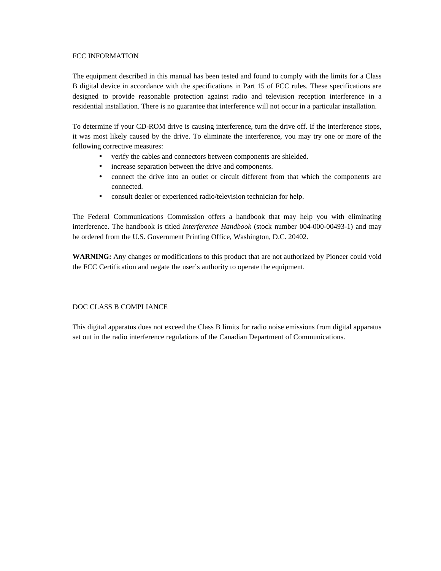#### FCC INFORMATION

The equipment described in this manual has been tested and found to comply with the limits for a Class B digital device in accordance with the specifications in Part 15 of FCC rules. These specifications are designed to provide reasonable protection against radio and television reception interference in a residential installation. There is no guarantee that interference will not occur in a particular installation.

To determine if your CD-ROM drive is causing interference, turn the drive off. If the interference stops, it was most likely caused by the drive. To eliminate the interference, you may try one or more of the following corrective measures:

- verify the cables and connectors between components are shielded.
- increase separation between the drive and components.
- connect the drive into an outlet or circuit different from that which the components are connected.
- consult dealer or experienced radio/television technician for help.

The Federal Communications Commission offers a handbook that may help you with eliminating interference. The handbook is titled *Interference Handbook* (stock number 004-000-00493-1) and may be ordered from the U.S. Government Printing Office, Washington, D.C. 20402.

**WARNING:** Any changes or modifications to this product that are not authorized by Pioneer could void the FCC Certification and negate the user's authority to operate the equipment.

#### DOC CLASS B COMPLIANCE

This digital apparatus does not exceed the Class B limits for radio noise emissions from digital apparatus set out in the radio interference regulations of the Canadian Department of Communications.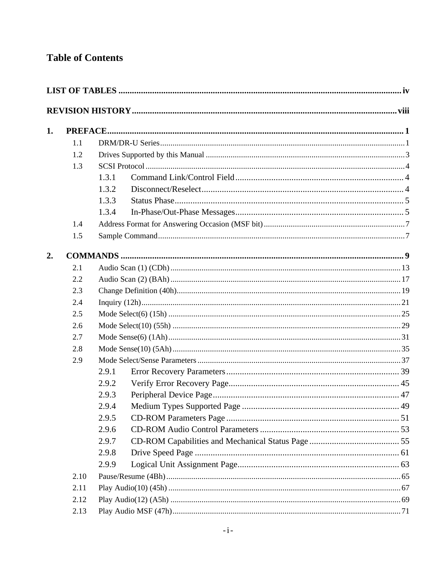# **Table of Contents**

| 1. |      |       |                             |  |  |
|----|------|-------|-----------------------------|--|--|
|    | 1.1  |       |                             |  |  |
|    | 1.2  |       |                             |  |  |
|    | 1.3  |       |                             |  |  |
|    |      | 1.3.1 |                             |  |  |
|    |      | 1.3.2 |                             |  |  |
|    |      | 1.3.3 |                             |  |  |
|    |      | 1.3.4 |                             |  |  |
|    | 1.4  |       |                             |  |  |
|    | 1.5  |       |                             |  |  |
| 2. |      |       |                             |  |  |
|    | 2.1  |       |                             |  |  |
|    | 2.2  |       |                             |  |  |
|    | 2.3  |       |                             |  |  |
|    | 2.4  |       |                             |  |  |
|    | 2.5  |       |                             |  |  |
|    | 2.6  |       |                             |  |  |
|    | 2.7  |       |                             |  |  |
|    | 2.8  |       |                             |  |  |
|    | 2.9  |       |                             |  |  |
|    |      | 2.9.1 |                             |  |  |
|    |      | 2.9.2 |                             |  |  |
|    |      | 2.9.3 |                             |  |  |
|    |      | 2.9.4 | Medium Types Supported Page |  |  |
|    |      | 2.9.5 |                             |  |  |
|    |      | 2.9.6 |                             |  |  |
|    |      | 2.9.7 |                             |  |  |
|    |      | 2.9.8 |                             |  |  |
|    |      | 2.9.9 |                             |  |  |
|    | 2.10 |       |                             |  |  |
|    | 2.11 |       |                             |  |  |
|    | 2.12 |       |                             |  |  |
|    | 2.13 |       |                             |  |  |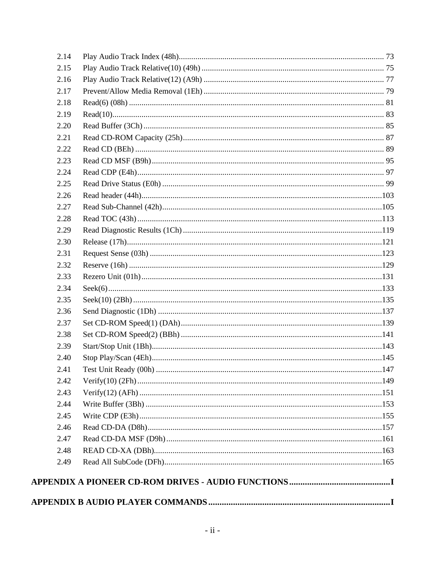| 2.15<br>2.16<br>2.17<br>2.18<br>2.19<br>2.20<br>2.21<br>2.22<br>2.23<br>2.24<br>2.25<br>2.26<br>2.27<br>2.28<br>2.29<br>2.30<br>2.31<br>2.32<br>2.33<br>2.34<br>2.35<br>2.36<br>2.37<br>2.38<br>2.39<br>2.40<br>2.41<br>2.42<br>2.43<br>2.44<br>2.45<br>2.46<br>2.47<br>2.48<br>2.49 | 2.14 |  |
|--------------------------------------------------------------------------------------------------------------------------------------------------------------------------------------------------------------------------------------------------------------------------------------|------|--|
|                                                                                                                                                                                                                                                                                      |      |  |
|                                                                                                                                                                                                                                                                                      |      |  |
|                                                                                                                                                                                                                                                                                      |      |  |
|                                                                                                                                                                                                                                                                                      |      |  |
|                                                                                                                                                                                                                                                                                      |      |  |
|                                                                                                                                                                                                                                                                                      |      |  |
|                                                                                                                                                                                                                                                                                      |      |  |
|                                                                                                                                                                                                                                                                                      |      |  |
|                                                                                                                                                                                                                                                                                      |      |  |
|                                                                                                                                                                                                                                                                                      |      |  |
|                                                                                                                                                                                                                                                                                      |      |  |
|                                                                                                                                                                                                                                                                                      |      |  |
|                                                                                                                                                                                                                                                                                      |      |  |
|                                                                                                                                                                                                                                                                                      |      |  |
|                                                                                                                                                                                                                                                                                      |      |  |
|                                                                                                                                                                                                                                                                                      |      |  |
|                                                                                                                                                                                                                                                                                      |      |  |
|                                                                                                                                                                                                                                                                                      |      |  |
|                                                                                                                                                                                                                                                                                      |      |  |
|                                                                                                                                                                                                                                                                                      |      |  |
|                                                                                                                                                                                                                                                                                      |      |  |
|                                                                                                                                                                                                                                                                                      |      |  |
|                                                                                                                                                                                                                                                                                      |      |  |
|                                                                                                                                                                                                                                                                                      |      |  |
|                                                                                                                                                                                                                                                                                      |      |  |
|                                                                                                                                                                                                                                                                                      |      |  |
|                                                                                                                                                                                                                                                                                      |      |  |
|                                                                                                                                                                                                                                                                                      |      |  |
|                                                                                                                                                                                                                                                                                      |      |  |
|                                                                                                                                                                                                                                                                                      |      |  |
|                                                                                                                                                                                                                                                                                      |      |  |
|                                                                                                                                                                                                                                                                                      |      |  |
|                                                                                                                                                                                                                                                                                      |      |  |
|                                                                                                                                                                                                                                                                                      |      |  |
|                                                                                                                                                                                                                                                                                      |      |  |
|                                                                                                                                                                                                                                                                                      |      |  |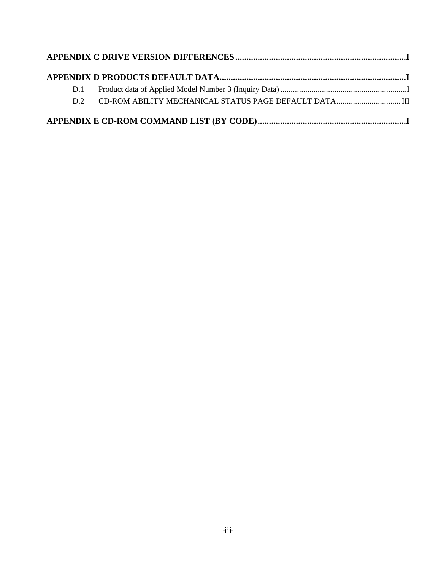| D.1 |
|-----|
|     |
|     |
|     |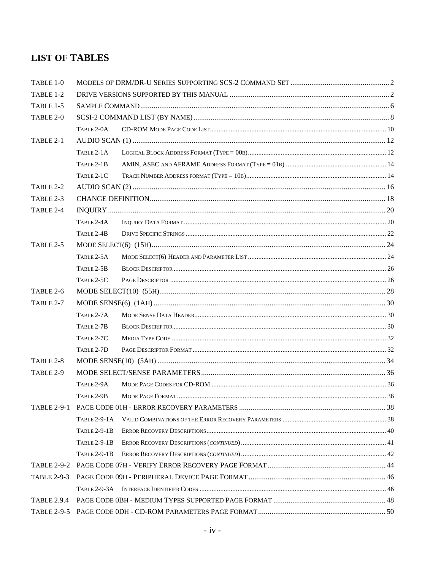# **LIST OF TABLES**

| TABLE 1-0          |                     |  |  |  |  |
|--------------------|---------------------|--|--|--|--|
| TABLE 1-2          |                     |  |  |  |  |
| TABLE 1-5          |                     |  |  |  |  |
| TABLE 2-0          |                     |  |  |  |  |
|                    | TABLE 2-0A          |  |  |  |  |
| TABLE 2-1          |                     |  |  |  |  |
|                    | TABLE 2-1A          |  |  |  |  |
|                    | TABLE 2-1B          |  |  |  |  |
|                    | TABLE 2-1C          |  |  |  |  |
| TABLE 2-2          |                     |  |  |  |  |
| TABLE 2-3          |                     |  |  |  |  |
| TABLE 2-4          |                     |  |  |  |  |
|                    | TABLE 2-4A          |  |  |  |  |
|                    | TABLE 2-4B          |  |  |  |  |
| TABLE 2-5          |                     |  |  |  |  |
|                    | TABLE 2-5A          |  |  |  |  |
|                    | TABLE 2-5B          |  |  |  |  |
|                    | TABLE 2-5C          |  |  |  |  |
| TABLE 2-6          |                     |  |  |  |  |
| TABLE 2-7          |                     |  |  |  |  |
|                    | TABLE 2-7A          |  |  |  |  |
|                    | TABLE 2-7B          |  |  |  |  |
|                    | TABLE 2-7C          |  |  |  |  |
|                    | TABLE 2-7D          |  |  |  |  |
| TABLE 2-8          |                     |  |  |  |  |
| TABLE 2-9          |                     |  |  |  |  |
|                    | TABLE 2-9A          |  |  |  |  |
|                    | TABLE 2-9B          |  |  |  |  |
|                    |                     |  |  |  |  |
|                    | <b>TABLE 2-9-1A</b> |  |  |  |  |
|                    | <b>TABLE 2-9-1B</b> |  |  |  |  |
|                    | <b>TABLE 2-9-1B</b> |  |  |  |  |
|                    | <b>TABLE 2-9-1B</b> |  |  |  |  |
| <b>TABLE 2-9-2</b> |                     |  |  |  |  |
| <b>TABLE 2-9-3</b> |                     |  |  |  |  |
|                    |                     |  |  |  |  |
| <b>TABLE 2.9.4</b> |                     |  |  |  |  |
| <b>TABLE 2-9-5</b> |                     |  |  |  |  |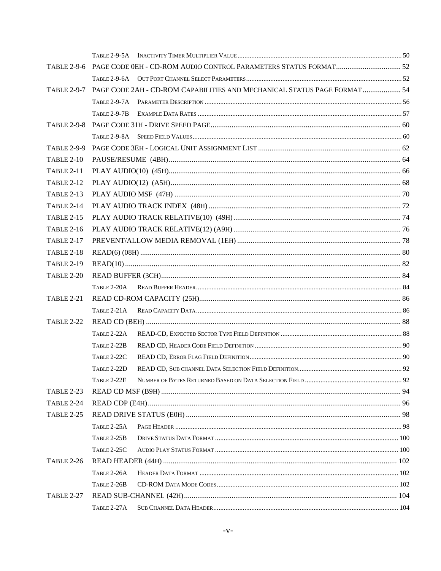|                    | TABLE 2-9-7 PAGE CODE 2AH - CD-ROM CAPABILITIES AND MECHANICAL STATUS PAGE FORMAT  54 |  |
|--------------------|---------------------------------------------------------------------------------------|--|
|                    |                                                                                       |  |
|                    | <b>TABLE 2-9-7B</b>                                                                   |  |
|                    |                                                                                       |  |
|                    |                                                                                       |  |
| <b>TABLE 2-9-9</b> |                                                                                       |  |
| TABLE 2-10         |                                                                                       |  |
| <b>TABLE 2-11</b>  |                                                                                       |  |
| TABLE 2-12         |                                                                                       |  |
| <b>TABLE 2-13</b>  |                                                                                       |  |
| <b>TABLE 2-14</b>  |                                                                                       |  |
| <b>TABLE 2-15</b>  |                                                                                       |  |
| TABLE 2-16         |                                                                                       |  |
| <b>TABLE 2-17</b>  |                                                                                       |  |
| TABLE 2-18         |                                                                                       |  |
| <b>TABLE 2-19</b>  |                                                                                       |  |
| <b>TABLE 2-20</b>  |                                                                                       |  |
|                    | TABLE 2-20A                                                                           |  |
| TABLE 2-21         |                                                                                       |  |
|                    | TABLE 2-21A                                                                           |  |
| <b>TABLE 2-22</b>  |                                                                                       |  |
|                    | <b>TABLE 2-22A</b>                                                                    |  |
|                    | <b>TABLE 2-22B</b>                                                                    |  |
|                    | TABLE 2-22C                                                                           |  |
|                    | TABLE 2-22D                                                                           |  |
|                    | <b>TABLE 2-22E</b>                                                                    |  |
| TABLE 2-23         |                                                                                       |  |
| TABLE 2-24         |                                                                                       |  |
| TABLE 2-25         |                                                                                       |  |
|                    | TABLE 2-25A                                                                           |  |
|                    | TABLE 2-25B                                                                           |  |
|                    | <b>TABLE 2-25C</b>                                                                    |  |
| TABLE 2-26         |                                                                                       |  |
|                    | TABLE 2-26A                                                                           |  |
|                    | TABLE 2-26B                                                                           |  |
| TABLE 2-27         |                                                                                       |  |
|                    | TABLE 2-27A                                                                           |  |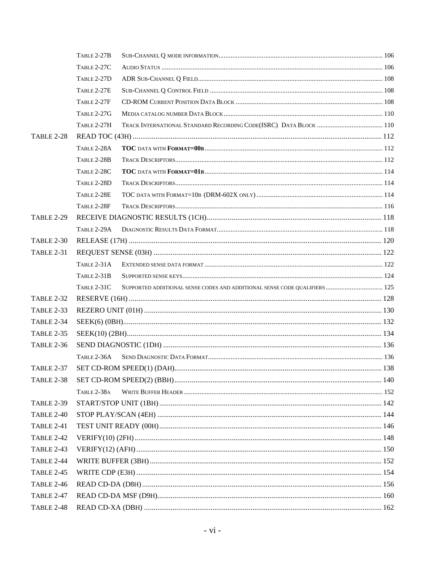|                   | TABLE 2-27B                                                                               |  |
|-------------------|-------------------------------------------------------------------------------------------|--|
|                   | <b>TABLE 2-27C</b>                                                                        |  |
|                   | <b>TABLE 2-27D</b>                                                                        |  |
|                   | TABLE 2-27E                                                                               |  |
|                   | <b>TABLE 2-27F</b>                                                                        |  |
|                   | TABLE 2-27G                                                                               |  |
|                   | <b>TABLE 2-27H</b>                                                                        |  |
| <b>TABLE 2-28</b> |                                                                                           |  |
|                   | TABLE 2-28A                                                                               |  |
|                   | TABLE 2-28B                                                                               |  |
|                   | TABLE 2-28C                                                                               |  |
|                   | TABLE 2-28D                                                                               |  |
|                   | TABLE 2-28E                                                                               |  |
|                   | TABLE 2-28F                                                                               |  |
| <b>TABLE 2-29</b> |                                                                                           |  |
|                   | TABLE 2-29A                                                                               |  |
| <b>TABLE 2-30</b> |                                                                                           |  |
| TABLE 2-31        |                                                                                           |  |
|                   | TABLE 2-31A                                                                               |  |
|                   | TABLE 2-31B                                                                               |  |
|                   | SUPPORTED ADDITIONAL SENSE CODES AND ADDITIONAL SENSE CODE QUALIFIERS  125<br>TABLE 2-31C |  |
| <b>TABLE 2-32</b> |                                                                                           |  |
| <b>TABLE 2-33</b> |                                                                                           |  |
| TABLE 2-34        |                                                                                           |  |
| TABLE 2-35        |                                                                                           |  |
| <b>TABLE 2-36</b> |                                                                                           |  |
|                   | TABLE 2-36A                                                                               |  |
| TABLE 2-37        |                                                                                           |  |
| TABLE 2-38        |                                                                                           |  |
|                   | <b>TABLE 2-38A</b>                                                                        |  |
| <b>TABLE 2-39</b> |                                                                                           |  |
| TABLE 2-40        |                                                                                           |  |
| TABLE 2-41        |                                                                                           |  |
| TABLE 2-42        |                                                                                           |  |
| TABLE 2-43        |                                                                                           |  |
| TABLE 2-44        |                                                                                           |  |
| <b>TABLE 2-45</b> |                                                                                           |  |
| TABLE 2-46        |                                                                                           |  |
| TABLE 2-47        |                                                                                           |  |
| TABLE 2-48        |                                                                                           |  |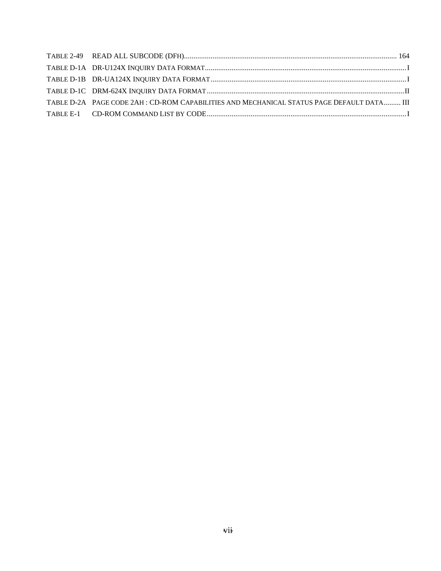| TABLE D-2A PAGE CODE 2AH : CD-ROM CAPABILITIES AND MECHANICAL STATUS PAGE DEFAULT DATA III |  |
|--------------------------------------------------------------------------------------------|--|
|                                                                                            |  |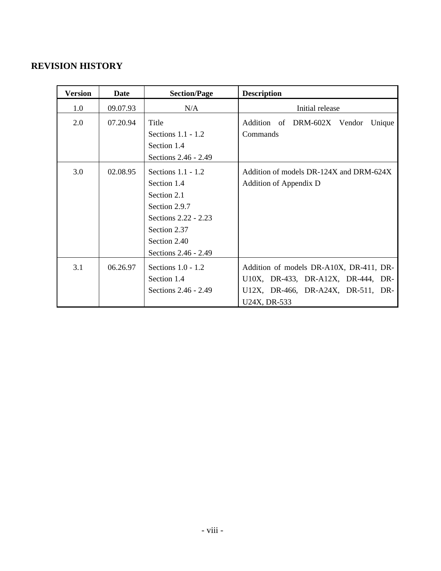# **REVISION HISTORY**

| <b>Version</b> | <b>Date</b> | <b>Section/Page</b>  | <b>Description</b>                      |
|----------------|-------------|----------------------|-----------------------------------------|
| 1.0            | 09.07.93    | N/A                  | Initial release                         |
| 2.0            | 07.20.94    | Title                | Addition of DRM-602X Vendor<br>Unique   |
|                |             | Sections 1.1 - 1.2   | Commands                                |
|                |             | Section 1.4          |                                         |
|                |             | Sections 2.46 - 2.49 |                                         |
| 3.0            | 02.08.95    | Sections 1.1 - 1.2   | Addition of models DR-124X and DRM-624X |
|                |             | Section 1.4          | Addition of Appendix D                  |
|                |             | Section 2.1          |                                         |
|                |             | Section 2.9.7        |                                         |
|                |             | Sections 2.22 - 2.23 |                                         |
|                |             | Section 2.37         |                                         |
|                |             | Section 2.40         |                                         |
|                |             | Sections 2.46 - 2.49 |                                         |
| 3.1            | 06.26.97    | Sections $1.0 - 1.2$ | Addition of models DR-A10X, DR-411, DR- |
|                |             | Section 1.4          | U10X, DR-433, DR-A12X, DR-444, DR-      |
|                |             | Sections 2.46 - 2.49 | U12X, DR-466, DR-A24X, DR-511, DR-      |
|                |             |                      | U24X, DR-533                            |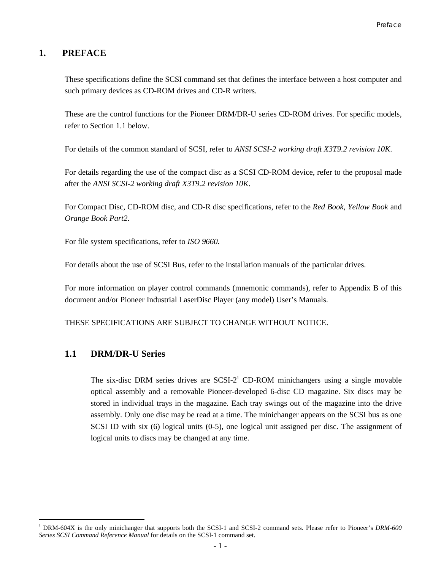## **1. PREFACE**

These specifications define the SCSI command set that defines the interface between a host computer and such primary devices as CD-ROM drives and CD-R writers.

These are the control functions for the Pioneer DRM/DR-U series CD-ROM drives. For specific models, refer to Section 1.1 below.

For details of the common standard of SCSI, refer to *ANSI SCSI-2 working draft X3T9.2 revision 10K*.

For details regarding the use of the compact disc as a SCSI CD-ROM device, refer to the proposal made after the *ANSI SCSI-2 working draft X3T9.2 revision 10K*.

For Compact Disc, CD-ROM disc, and CD-R disc specifications, refer to the *Red Book*, *Yellow Book* and *Orange Book Part2*.

For file system specifications, refer to *ISO 9660*.

For details about the use of SCSI Bus, refer to the installation manuals of the particular drives.

For more information on player control commands (mnemonic commands), refer to Appendix B of this document and/or Pioneer Industrial LaserDisc Player (any model) User's Manuals.

THESE SPECIFICATIONS ARE SUBJECT TO CHANGE WITHOUT NOTICE.

## **1.1 DRM/DR-U Series**

j

The six-disc DRM series drives are  $SCSI-2<sup>1</sup>$  CD-ROM minichangers using a single movable optical assembly and a removable Pioneer-developed 6-disc CD magazine. Six discs may be stored in individual trays in the magazine. Each tray swings out of the magazine into the drive assembly. Only one disc may be read at a time. The minichanger appears on the SCSI bus as one SCSI ID with six (6) logical units (0-5), one logical unit assigned per disc. The assignment of logical units to discs may be changed at any time.

<sup>1</sup> DRM-604X is the only minichanger that supports both the SCSI-1 and SCSI-2 command sets. Please refer to Pioneer's *DRM-600 Series SCSI Command Reference Manual* for details on the SCSI-1 command set.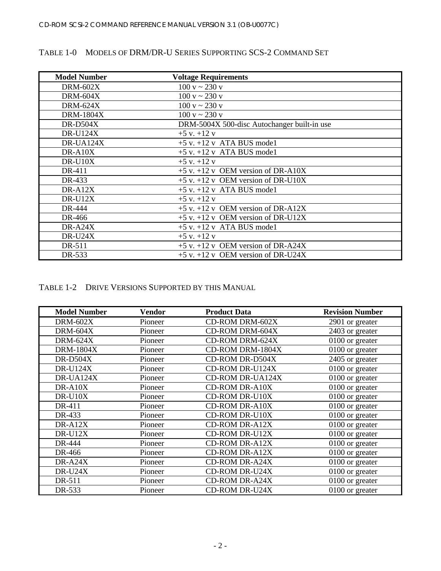| <b>Model Number</b> | <b>Voltage Requirements</b>                 |
|---------------------|---------------------------------------------|
| <b>DRM-602X</b>     | $100 v - 230 v$                             |
| <b>DRM-604X</b>     | $100 v - 230 v$                             |
| <b>DRM-624X</b>     | $100 v \sim 230 v$                          |
| <b>DRM-1804X</b>    | $100 v \sim 230 v$                          |
| $DR-D504X$          | DRM-5004X 500-disc Autochanger built-in use |
| $DR-U124X$          | $+5$ v. $+12$ v                             |
| $DR-UA124X$         | $+5$ v. $+12$ v ATA BUS model               |
| $DR-A10X$           | $+5$ v. $+12$ v ATA BUS model               |
| $DR-U10X$           | $+5$ v. $+12$ v                             |
| DR-411              | $+5$ v, $+12$ v OEM version of DR-A10X      |
| DR-433              | $+5$ v. $+12$ v OEM version of DR-U10X      |
| $DR-A12X$           | $+5$ v. $+12$ v ATA BUS model               |
| $DR-U12X$           | $+5$ v. $+12$ v                             |
| DR-444              | $+5$ v. $+12$ v OEM version of DR-A12X      |
| DR-466              | $+5$ v. $+12$ v OEM version of DR-U12X      |
| $DR-A24X$           | $+5$ v. $+12$ v ATA BUS model               |
| $DR-U24X$           | $+5$ v. $+12$ v                             |
| DR-511              | $+5$ v. $+12$ v OEM version of DR-A24X      |
| DR-533              | $+5$ v. $+12$ v OEM version of DR-U24X      |

## TABLE 1-0 MODELS OF DRM/DR-U SERIES SUPPORTING SCS-2 COMMAND SET

TABLE 1-2 DRIVE VERSIONS SUPPORTED BY THIS MANUAL

| <b>Model Number</b> | <b>Vendor</b> | <b>Product Data</b>     | <b>Revision Number</b> |
|---------------------|---------------|-------------------------|------------------------|
| <b>DRM-602X</b>     | Pioneer       | CD-ROM DRM-602X         | 2901 or greater        |
| <b>DRM-604X</b>     | Pioneer       | CD-ROM DRM-604X         | 2403 or greater        |
| <b>DRM-624X</b>     | Pioneer       | CD-ROM DRM-624X         | 0100 or greater        |
| <b>DRM-1804X</b>    | Pioneer       | CD-ROM DRM-1804X        | 0100 or greater        |
| $DR-D504X$          | Pioneer       | CD-ROM DR-D504X         | 2405 or greater        |
| <b>DR-U124X</b>     | Pioneer       | CD-ROM DR-U124X         | 0100 or greater        |
| DR-UA124X           | Pioneer       | <b>CD-ROM DR-UA124X</b> | 0100 or greater        |
| DR-A10X             | Pioneer       | <b>CD-ROM DR-A10X</b>   | 0100 or greater        |
| DR-U10X             | Pioneer       | <b>CD-ROM DR-U10X</b>   | 0100 or greater        |
| DR-411              | Pioneer       | <b>CD-ROM DR-A10X</b>   | 0100 or greater        |
| DR-433              | Pioneer       | <b>CD-ROM DR-U10X</b>   | 0100 or greater        |
| DR-A12X             | Pioneer       | <b>CD-ROM DR-A12X</b>   | 0100 or greater        |
| DR-U12X             | Pioneer       | <b>CD-ROM DR-U12X</b>   | 0100 or greater        |
| DR-444              | Pioneer       | <b>CD-ROM DR-A12X</b>   | 0100 or greater        |
| DR-466              | Pioneer       | <b>CD-ROM DR-A12X</b>   | 0100 or greater        |
| DR-A24X             | Pioneer       | <b>CD-ROM DR-A24X</b>   | 0100 or greater        |
| DR-U24X             | Pioneer       | <b>CD-ROM DR-U24X</b>   | 0100 or greater        |
| DR-511              | Pioneer       | <b>CD-ROM DR-A24X</b>   | 0100 or greater        |
| DR-533              | Pioneer       | <b>CD-ROM DR-U24X</b>   | 0100 or greater        |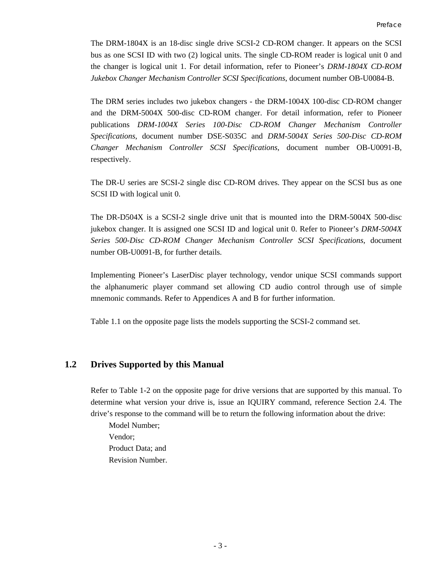The DRM-1804X is an 18-disc single drive SCSI-2 CD-ROM changer. It appears on the SCSI bus as one SCSI ID with two (2) logical units. The single CD-ROM reader is logical unit 0 and the changer is logical unit 1. For detail information, refer to Pioneer's *DRM-1804X CD-ROM Jukebox Changer Mechanism Controller SCSI Specifications*, document number OB-U0084-B.

The DRM series includes two jukebox changers - the DRM-1004X 100-disc CD-ROM changer and the DRM-5004X 500-disc CD-ROM changer. For detail information, refer to Pioneer publications *DRM-1004X Series 100-Disc CD-ROM Changer Mechanism Controller Specifications*, document number DSE-S035C and *DRM-5004X Series 500-Disc CD-ROM Changer Mechanism Controller SCSI Specifications*, document number OB-U0091-B, respectively.

The DR-U series are SCSI-2 single disc CD-ROM drives. They appear on the SCSI bus as one SCSI ID with logical unit 0.

The DR-D504X is a SCSI-2 single drive unit that is mounted into the DRM-5004X 500-disc jukebox changer. It is assigned one SCSI ID and logical unit 0. Refer to Pioneer's *DRM-5004X Series 500-Disc CD-ROM Changer Mechanism Controller SCSI Specifications*, document number OB-U0091-B, for further details.

Implementing Pioneer's LaserDisc player technology, vendor unique SCSI commands support the alphanumeric player command set allowing CD audio control through use of simple mnemonic commands. Refer to Appendices A and B for further information.

Table 1.1 on the opposite page lists the models supporting the SCSI-2 command set.

## **1.2 Drives Supported by this Manual**

Refer to Table 1-2 on the opposite page for drive versions that are supported by this manual. To determine what version your drive is, issue an IQUIRY command, reference Section 2.4. The drive's response to the command will be to return the following information about the drive:

Model Number;

Vendor;

Product Data; and

Revision Number.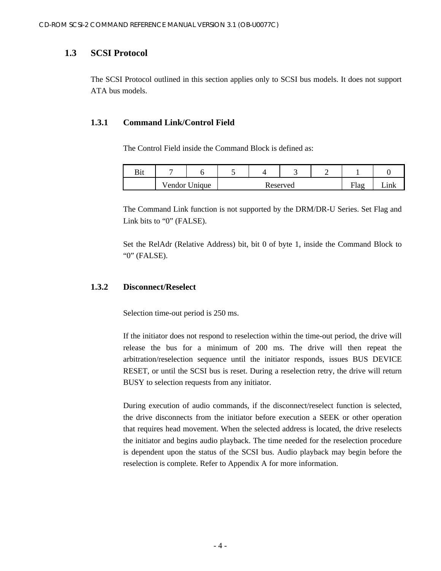## **1.3 SCSI Protocol**

The SCSI Protocol outlined in this section applies only to SCSI bus models. It does not support ATA bus models.

## **1.3.1 Command Link/Control Field**

The Control Field inside the Command Block is defined as:

| ¬ ∙ .<br>OIt |               |  |          |                                  |      |
|--------------|---------------|--|----------|----------------------------------|------|
|              | Vendor Unique |  | Reserved | $\overline{\phantom{0}}$<br>'lag | .1nk |

The Command Link function is not supported by the DRM/DR-U Series. Set Flag and Link bits to "0" (FALSE).

Set the RelAdr (Relative Address) bit, bit 0 of byte 1, inside the Command Block to "0" (FALSE).

## **1.3.2 Disconnect/Reselect**

Selection time-out period is 250 ms.

If the initiator does not respond to reselection within the time-out period, the drive will release the bus for a minimum of 200 ms. The drive will then repeat the arbitration/reselection sequence until the initiator responds, issues BUS DEVICE RESET, or until the SCSI bus is reset. During a reselection retry, the drive will return BUSY to selection requests from any initiator.

During execution of audio commands, if the disconnect/reselect function is selected, the drive disconnects from the initiator before execution a SEEK or other operation that requires head movement. When the selected address is located, the drive reselects the initiator and begins audio playback. The time needed for the reselection procedure is dependent upon the status of the SCSI bus. Audio playback may begin before the reselection is complete. Refer to Appendix A for more information.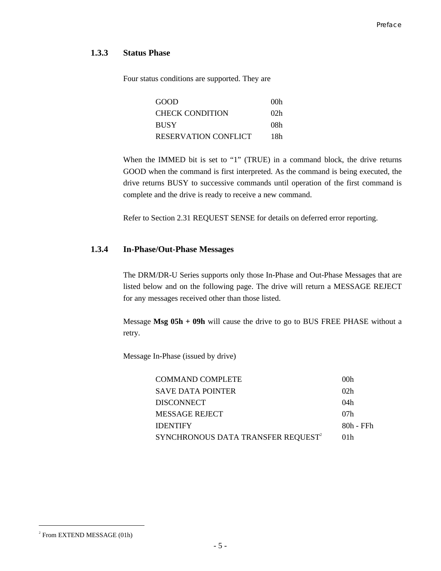## **1.3.3 Status Phase**

Four status conditions are supported. They are

| GOOD                 | (10)h |
|----------------------|-------|
| CHECK CONDITION      | 02h   |
| BUSY                 | 08h   |
| RESERVATION CONFLICT | 18h   |

When the IMMED bit is set to "1" (TRUE) in a command block, the drive returns GOOD when the command is first interpreted. As the command is being executed, the drive returns BUSY to successive commands until operation of the first command is complete and the drive is ready to receive a new command.

Refer to Section 2.31 REQUEST SENSE for details on deferred error reporting.

## **1.3.4 In-Phase/Out-Phase Messages**

The DRM/DR-U Series supports only those In-Phase and Out-Phase Messages that are listed below and on the following page. The drive will return a MESSAGE REJECT for any messages received other than those listed.

Message **Msg 05h + 09h** will cause the drive to go to BUS FREE PHASE without a retry.

Message In-Phase (issued by drive)

| <b>COMMAND COMPLETE</b>                        | 00 <sub>h</sub> |
|------------------------------------------------|-----------------|
| SAVE DATA POINTER                              | 02 <sub>h</sub> |
| <b>DISCONNECT</b>                              | 04h             |
| <b>MESSAGE REJECT</b>                          | 07h             |
| <b>IDENTIFY</b>                                | 80h - FFh       |
| SYNCHRONOUS DATA TRANSFER REQUEST <sup>2</sup> | 01 <sub>h</sub> |

 $\overline{a}$ 

<sup>2</sup> From EXTEND MESSAGE (01h)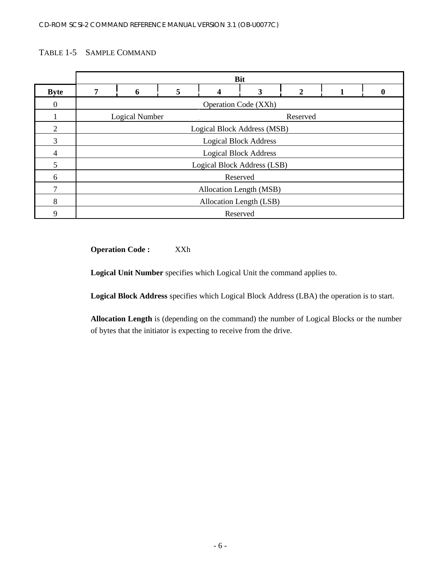## TABLE 1-5 SAMPLE COMMAND

|                |   | <b>Bit</b>                   |   |                             |                              |          |  |  |  |
|----------------|---|------------------------------|---|-----------------------------|------------------------------|----------|--|--|--|
| <b>Byte</b>    | 7 | 6                            | 5 |                             | 3                            | 2        |  |  |  |
| $\Omega$       |   |                              |   |                             | <b>Operation Code (XXh)</b>  |          |  |  |  |
|                |   | Logical Number               |   |                             |                              | Reserved |  |  |  |
| 2              |   | Logical Block Address (MSB)  |   |                             |                              |          |  |  |  |
| 3              |   | <b>Logical Block Address</b> |   |                             |                              |          |  |  |  |
| $\overline{4}$ |   |                              |   |                             | <b>Logical Block Address</b> |          |  |  |  |
| 5              |   |                              |   | Logical Block Address (LSB) |                              |          |  |  |  |
| 6              |   |                              |   |                             | Reserved                     |          |  |  |  |
| 7              |   | Allocation Length (MSB)      |   |                             |                              |          |  |  |  |
| 8              |   | Allocation Length (LSB)      |   |                             |                              |          |  |  |  |
| 9              |   | Reserved                     |   |                             |                              |          |  |  |  |

**Operation Code :** XXh

**Logical Unit Number** specifies which Logical Unit the command applies to.

**Logical Block Address** specifies which Logical Block Address (LBA) the operation is to start.

**Allocation Length** is (depending on the command) the number of Logical Blocks or the number of bytes that the initiator is expecting to receive from the drive.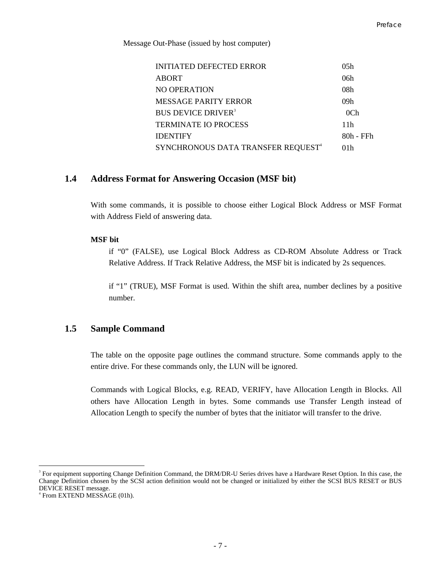Message Out-Phase (issued by host computer)

| INITIATED DEFECTED ERROR                       | 0.5h            |
|------------------------------------------------|-----------------|
| <b>ABORT</b>                                   | 06h             |
| NO OPERATION                                   | 08h             |
| <b>MESSAGE PARITY ERROR</b>                    | 09h             |
| <b>BUS DEVICE DRIVER<sup>3</sup></b>           | 0 <sub>Ch</sub> |
| <b>TERMINATE IO PROCESS</b>                    | 11h             |
| <b>IDENTIFY</b>                                | $80h - FFh$     |
| SYNCHRONOUS DATA TRANSFER REQUEST <sup>4</sup> | 01 h            |

## **1.4 Address Format for Answering Occasion (MSF bit)**

With some commands, it is possible to choose either Logical Block Address or MSF Format with Address Field of answering data.

#### **MSF bit**

if "0" (FALSE), use Logical Block Address as CD-ROM Absolute Address or Track Relative Address. If Track Relative Address, the MSF bit is indicated by 2s sequences.

if "1" (TRUE), MSF Format is used. Within the shift area, number declines by a positive number.

## **1.5 Sample Command**

The table on the opposite page outlines the command structure. Some commands apply to the entire drive. For these commands only, the LUN will be ignored.

Commands with Logical Blocks, e.g. READ, VERIFY, have Allocation Length in Blocks. All others have Allocation Length in bytes. Some commands use Transfer Length instead of Allocation Length to specify the number of bytes that the initiator will transfer to the drive.

 $\overline{a}$ <sup>3</sup> For equipment supporting Change Definition Command, the DRM/DR-U Series drives have a Hardware Reset Option. In this case, the Change Definition chosen by the SCSI action definition would not be changed or initialized by either the SCSI BUS RESET or BUS DEVICE RESET message.

<sup>4</sup> From EXTEND MESSAGE (01h).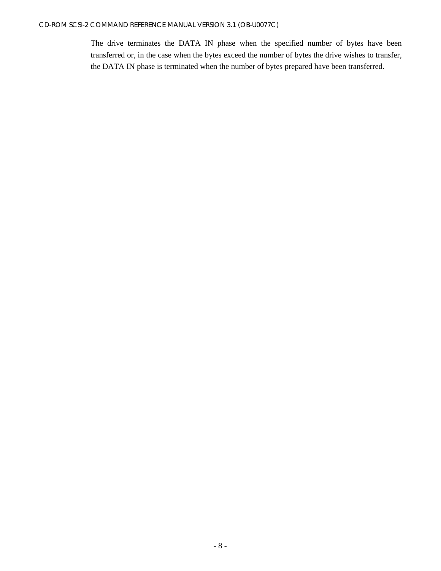The drive terminates the DATA IN phase when the specified number of bytes have been transferred or, in the case when the bytes exceed the number of bytes the drive wishes to transfer, the DATA IN phase is terminated when the number of bytes prepared have been transferred.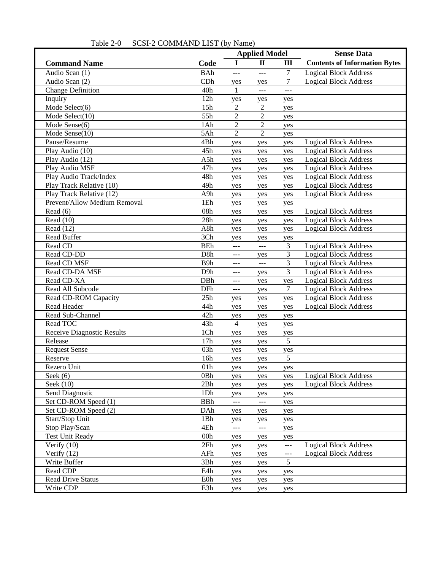|                                   |                 | <b>Applied Model</b> |                         |                         | <b>Sense Data</b>                    |
|-----------------------------------|-----------------|----------------------|-------------------------|-------------------------|--------------------------------------|
| <b>Command Name</b>               | Code            | I                    | $\mathbf{I}$            | III                     | <b>Contents of Information Bytes</b> |
| Audio Scan (1)                    | <b>BAh</b>      | ---                  | $ -$                    | $\overline{7}$          | <b>Logical Block Address</b>         |
| Audio Scan (2)                    | CDh             | yes                  | yes                     | $\overline{7}$          | <b>Logical Block Address</b>         |
| <b>Change Definition</b>          | 40h             | 1                    | ---                     | ---                     |                                      |
| Inquiry                           | 12h             | yes                  | yes                     | yes                     |                                      |
| Mode Select(6)                    | 15h             | $\overline{c}$       | $\overline{\mathbf{c}}$ | yes                     |                                      |
| Mode Select(10)                   | 55h             | $\overline{2}$       | $\overline{2}$          | yes                     |                                      |
| Mode Sense(6)                     | 1Ah             | $\overline{2}$       | $\overline{2}$          | yes                     |                                      |
| Mode Sense(10)                    | 5Ah             | $\overline{2}$       | $\overline{2}$          | yes                     |                                      |
| Pause/Resume                      | 4Bh             | yes                  | yes                     | yes                     | <b>Logical Block Address</b>         |
| Play Audio (10)                   | 45h             | yes                  | yes                     | yes                     | <b>Logical Block Address</b>         |
| Play Audio (12)                   | A5h             | yes                  | yes                     | yes                     | <b>Logical Block Address</b>         |
| Play Audio MSF                    | 47h             | yes                  | yes                     | yes                     | <b>Logical Block Address</b>         |
| Play Audio Track/Index            | 48h             | yes                  | yes                     | yes                     | <b>Logical Block Address</b>         |
| Play Track Relative (10)          | 49h             | yes                  | yes                     | yes                     | <b>Logical Block Address</b>         |
| Play Track Relative (12)          | A9h             | yes                  | yes                     | yes                     | <b>Logical Block Address</b>         |
| Prevent/Allow Medium Removal      | 1Eh             | yes                  | yes                     | yes                     |                                      |
| Read (6)                          | 08h             | yes                  | yes                     | yes                     | <b>Logical Block Address</b>         |
| Read $(10)$                       | 28h             | yes                  | yes                     | yes                     | <b>Logical Block Address</b>         |
| Read $(12)$                       | A8h             | yes                  | yes                     | yes                     | <b>Logical Block Address</b>         |
| Read Buffer                       | 3Ch             | yes                  | yes                     | yes                     |                                      |
| Read CD                           | <b>BEh</b>      | ---                  |                         | 3                       | <b>Logical Block Address</b>         |
| Read CD-DD                        | D8h             | ---                  | yes                     | $\overline{\mathbf{3}}$ | <b>Logical Block Address</b>         |
| Read CD MSF                       | B <sub>9h</sub> | $---$                | ---                     | $\overline{\mathbf{3}}$ | <b>Logical Block Address</b>         |
| Read CD-DA MSF                    | D9h             | $---$                | yes                     | $\overline{3}$          | <b>Logical Block Address</b>         |
| Read CD-XA                        | DBh             | ---                  | yes                     | yes                     | <b>Logical Block Address</b>         |
| Read All Subcode                  | DFh             | $---$                | yes                     | $\overline{7}$          | <b>Logical Block Address</b>         |
| Read CD-ROM Capacity              | 25h             | yes                  | yes                     | yes                     | <b>Logical Block Address</b>         |
| Read Header                       | 44h             | yes                  | yes                     | yes                     | <b>Logical Block Address</b>         |
| Read Sub-Channel                  | 42h             | yes                  | yes                     | yes                     |                                      |
| Read TOC                          | 43h             | $\overline{4}$       | yes                     | yes                     |                                      |
| <b>Receive Diagnostic Results</b> | 1Ch             | yes                  | yes                     | yes                     |                                      |
| Release                           | 17h             | yes                  | yes                     | 5                       |                                      |
| <b>Request Sense</b>              | 03h             | yes                  | yes                     | yes                     |                                      |
| Reserve                           | 16h             | yes                  | yes                     | 5                       |                                      |
| Rezero Unit                       | 01h             | yes                  | yes                     | yes                     |                                      |
| Seek $(6)$                        | 0Bh             | yes                  | yes                     | yes                     | <b>Logical Block Address</b>         |
| Seek (10)                         | 2Bh             | yes                  | yes                     | yes                     | <b>Logical Block Address</b>         |
| Send Diagnostic                   | 1Dh             | yes                  | yes                     | yes                     |                                      |
| Set CD-ROM Speed (1)              | <b>BBh</b>      | ---                  | ---                     | yes                     |                                      |
| Set CD-ROM Speed (2)              | DAh             | yes                  | yes                     | yes                     |                                      |
| Start/Stop Unit                   | 1Bh             | yes                  | yes                     | yes                     |                                      |
| Stop Play/Scan                    | 4Eh             | ---                  | ---                     | yes                     |                                      |
| <b>Test Unit Ready</b>            | 00h             | yes                  | yes                     | yes                     |                                      |
| Verify $(10)$                     | 2Fh             | yes                  | yes                     | ---                     | <b>Logical Block Address</b>         |
| Verify $(12)$                     | AFh             | yes                  | yes                     | $---$                   | <b>Logical Block Address</b>         |
| Write Buffer                      | 3Bh             | yes                  | yes                     | $\overline{5}$          |                                      |
| Read CDP                          | E4h             | yes                  | yes                     | yes                     |                                      |
| <b>Read Drive Status</b>          | <b>E0h</b>      | yes                  | yes                     | yes                     |                                      |
| Write CDP                         | E3h             | yes                  | yes                     | yes                     |                                      |

## Table 2-0 SCSI-2 COMMAND LIST (by Name)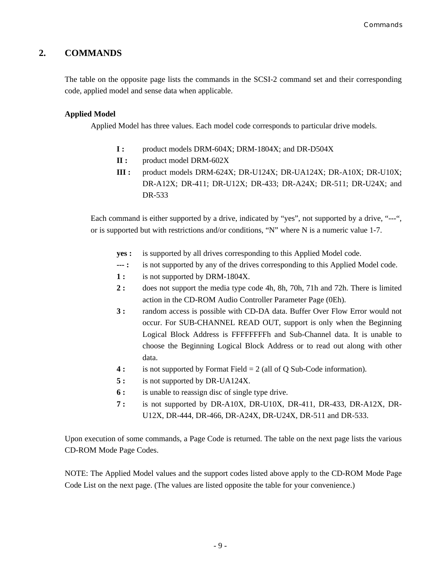## **2. COMMANDS**

The table on the opposite page lists the commands in the SCSI-2 command set and their corresponding code, applied model and sense data when applicable.

## **Applied Model**

Applied Model has three values. Each model code corresponds to particular drive models.

- **I :** product models DRM-604X; DRM-1804X; and DR-D504X
- **II :** product model DRM-602X
- **III :** product models DRM-624X; DR-U124X; DR-UA124X; DR-A10X; DR-U10X; DR-A12X; DR-411; DR-U12X; DR-433; DR-A24X; DR-511; DR-U24X; and DR-533

Each command is either supported by a drive, indicated by "yes", not supported by a drive, "---", or is supported but with restrictions and/or conditions, "N" where N is a numeric value 1-7.

- **yes :** is supported by all drives corresponding to this Applied Model code.
- **--- :** is not supported by any of the drives corresponding to this Applied Model code.
- **1 :** is not supported by DRM-1804X.
- **2 :** does not support the media type code 4h, 8h, 70h, 71h and 72h. There is limited action in the CD-ROM Audio Controller Parameter Page (0Eh).
- **3 :** random access is possible with CD-DA data. Buffer Over Flow Error would not occur. For SUB-CHANNEL READ OUT, support is only when the Beginning Logical Block Address is FFFFFFFFh and Sub-Channel data. It is unable to choose the Beginning Logical Block Address or to read out along with other data.
- **4 :** is not supported by Format Field = 2 (all of Q Sub-Code information).
- **5 :** is not supported by DR-UA124X.
- **6 :** is unable to reassign disc of single type drive.
- **7 :** is not supported by DR-A10X, DR-U10X, DR-411, DR-433, DR-A12X, DR-U12X, DR-444, DR-466, DR-A24X, DR-U24X, DR-511 and DR-533.

Upon execution of some commands, a Page Code is returned. The table on the next page lists the various CD-ROM Mode Page Codes.

NOTE: The Applied Model values and the support codes listed above apply to the CD-ROM Mode Page Code List on the next page. (The values are listed opposite the table for your convenience.)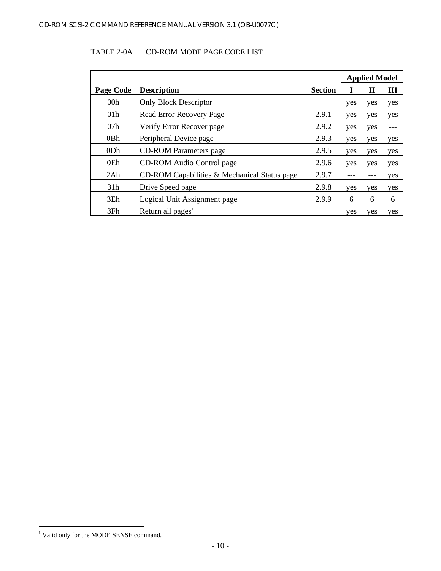|                 |                                              |                |     | <b>Applied Model</b> |     |
|-----------------|----------------------------------------------|----------------|-----|----------------------|-----|
| Page Code       | <b>Description</b>                           | <b>Section</b> |     | П                    | Ш   |
| 00 <sub>h</sub> | <b>Only Block Descriptor</b>                 |                | yes | yes                  | yes |
| 01 <sub>h</sub> | Read Error Recovery Page                     | 2.9.1          | yes | yes                  | yes |
| 07h             | Verify Error Recover page                    | 2.9.2          | yes | yes                  |     |
| 0 <sub>Bh</sub> | Peripheral Device page                       | 2.9.3          | yes | yes                  | yes |
| 0 <sub>Dh</sub> | <b>CD-ROM Parameters page</b>                | 2.9.5          | yes | yes                  | yes |
| 0Eh             | <b>CD-ROM</b> Audio Control page             | 2.9.6          | yes | yes                  | yes |
| 2Ah             | CD-ROM Capabilities & Mechanical Status page | 2.9.7          |     |                      | yes |
| 31h             | Drive Speed page                             | 2.9.8          | yes | yes                  | yes |
| 3Eh             | Logical Unit Assignment page                 | 2.9.9          | 6   | 6                    | 6   |
| 3Fh             | Return all pages <sup>3</sup>                |                | yes | yes                  | yes |

## TABLE 2-0A CD-ROM MODE PAGE CODE LIST

 5 Valid only for the MODE SENSE command.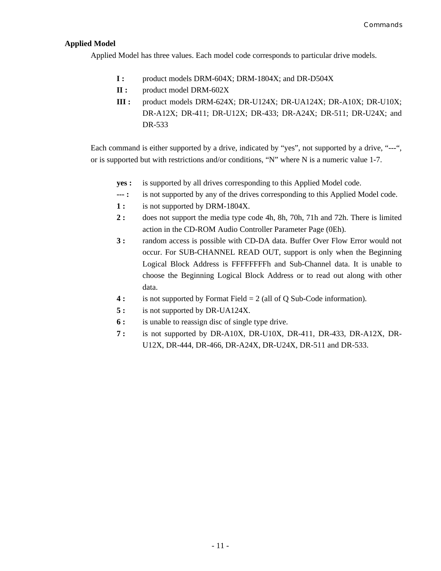## **Applied Model**

Applied Model has three values. Each model code corresponds to particular drive models.

- **I :** product models DRM-604X; DRM-1804X; and DR-D504X
- **II :** product model DRM-602X
- **III :** product models DRM-624X; DR-U124X; DR-UA124X; DR-A10X; DR-U10X; DR-A12X; DR-411; DR-U12X; DR-433; DR-A24X; DR-511; DR-U24X; and DR-533

Each command is either supported by a drive, indicated by "yes", not supported by a drive, "---", or is supported but with restrictions and/or conditions, "N" where N is a numeric value 1-7.

- **yes :** is supported by all drives corresponding to this Applied Model code.
- **--- :** is not supported by any of the drives corresponding to this Applied Model code.
- **1 :** is not supported by DRM-1804X.
- **2 :** does not support the media type code 4h, 8h, 70h, 71h and 72h. There is limited action in the CD-ROM Audio Controller Parameter Page (0Eh).
- **3 :** random access is possible with CD-DA data. Buffer Over Flow Error would not occur. For SUB-CHANNEL READ OUT, support is only when the Beginning Logical Block Address is FFFFFFFFh and Sub-Channel data. It is unable to choose the Beginning Logical Block Address or to read out along with other data.
- **4 :** is not supported by Format Field = 2 (all of Q Sub-Code information).
- **5 :** is not supported by DR-UA124X.
- **6 :** is unable to reassign disc of single type drive.
- **7 :** is not supported by DR-A10X, DR-U10X, DR-411, DR-433, DR-A12X, DR-U12X, DR-444, DR-466, DR-A24X, DR-U24X, DR-511 and DR-533.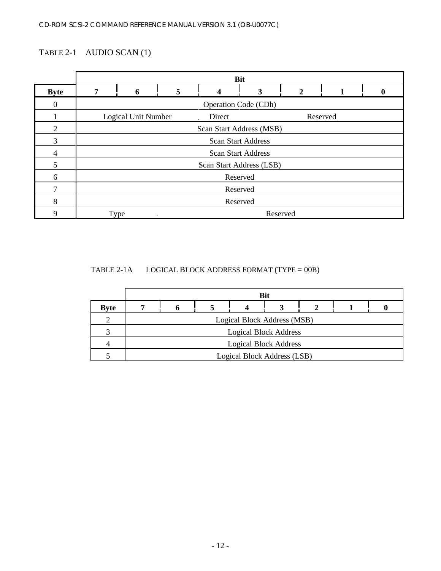# TABLE 2-1 AUDIO SCAN (1)

|             |   | <b>Bit</b>                |   |                             |   |   |          |   |  |  |
|-------------|---|---------------------------|---|-----------------------------|---|---|----------|---|--|--|
| <b>Byte</b> | 7 | 6                         | 5 | 4                           | 3 | 2 |          | o |  |  |
| $\Omega$    |   |                           |   | <b>Operation Code (CDh)</b> |   |   |          |   |  |  |
|             |   | Logical Unit Number       |   | Direct                      |   |   | Reserved |   |  |  |
| 2           |   | Scan Start Address (MSB)  |   |                             |   |   |          |   |  |  |
| 3           |   | <b>Scan Start Address</b> |   |                             |   |   |          |   |  |  |
| 4           |   |                           |   | <b>Scan Start Address</b>   |   |   |          |   |  |  |
| 5           |   |                           |   | Scan Start Address (LSB)    |   |   |          |   |  |  |
| 6           |   |                           |   | Reserved                    |   |   |          |   |  |  |
| 7           |   | Reserved                  |   |                             |   |   |          |   |  |  |
| 8           |   | Reserved                  |   |                             |   |   |          |   |  |  |
| 9           |   | Reserved<br>Type          |   |                             |   |   |          |   |  |  |

## TABLE 2-1A LOGICAL BLOCK ADDRESS FORMAT (TYPE = 00B)

| <b>Bit</b>                  |   |  |  |  |  |                                                              |  |  |
|-----------------------------|---|--|--|--|--|--------------------------------------------------------------|--|--|
|                             | n |  |  |  |  |                                                              |  |  |
| Logical Block Address (MSB) |   |  |  |  |  |                                                              |  |  |
|                             |   |  |  |  |  |                                                              |  |  |
|                             |   |  |  |  |  |                                                              |  |  |
| Logical Block Address (LSB) |   |  |  |  |  |                                                              |  |  |
|                             |   |  |  |  |  | <b>Logical Block Address</b><br><b>Logical Block Address</b> |  |  |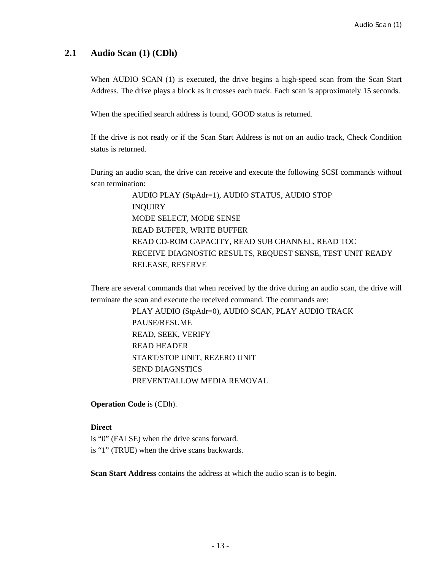## **2.1 Audio Scan (1) (CDh)**

When AUDIO SCAN (1) is executed, the drive begins a high-speed scan from the Scan Start Address. The drive plays a block as it crosses each track. Each scan is approximately 15 seconds.

When the specified search address is found, GOOD status is returned.

If the drive is not ready or if the Scan Start Address is not on an audio track, Check Condition status is returned.

During an audio scan, the drive can receive and execute the following SCSI commands without scan termination:

> AUDIO PLAY (StpAdr=1), AUDIO STATUS, AUDIO STOP INQUIRY MODE SELECT, MODE SENSE READ BUFFER, WRITE BUFFER READ CD-ROM CAPACITY, READ SUB CHANNEL, READ TOC RECEIVE DIAGNOSTIC RESULTS, REQUEST SENSE, TEST UNIT READY RELEASE, RESERVE

There are several commands that when received by the drive during an audio scan, the drive will terminate the scan and execute the received command. The commands are:

> PLAY AUDIO (StpAdr=0), AUDIO SCAN, PLAY AUDIO TRACK PAUSE/RESUME READ, SEEK, VERIFY READ HEADER START/STOP UNIT, REZERO UNIT SEND DIAGNSTICS PREVENT/ALLOW MEDIA REMOVAL

**Operation Code** is (CDh).

#### **Direct**

is "0" (FALSE) when the drive scans forward. is "1" (TRUE) when the drive scans backwards.

**Scan Start Address** contains the address at which the audio scan is to begin.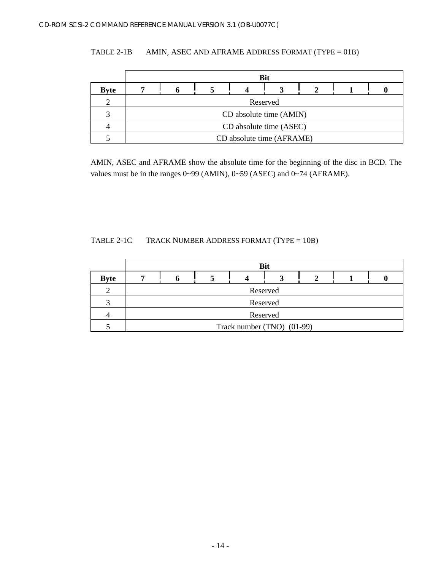## TABLE 2-1B AMIN, ASEC AND AFRAME ADDRESS FORMAT (TYPE = 01B)

|             | <b>Bit</b>              |  |                         |          |  |  |                           |  |  |  |  |  |  |  |  |
|-------------|-------------------------|--|-------------------------|----------|--|--|---------------------------|--|--|--|--|--|--|--|--|
| <b>Byte</b> |                         |  |                         |          |  |  |                           |  |  |  |  |  |  |  |  |
| ി           |                         |  |                         | Reserved |  |  |                           |  |  |  |  |  |  |  |  |
| 2           |                         |  | CD absolute time (AMIN) |          |  |  |                           |  |  |  |  |  |  |  |  |
| 4           | CD absolute time (ASEC) |  |                         |          |  |  |                           |  |  |  |  |  |  |  |  |
|             |                         |  |                         |          |  |  | CD absolute time (AFRAME) |  |  |  |  |  |  |  |  |

AMIN, ASEC and AFRAME show the absolute time for the beginning of the disc in BCD. The values must be in the ranges 0~99 (AMIN), 0~59 (ASEC) and 0~74 (AFRAME).

TABLE 2-1C TRACK NUMBER ADDRESS FORMAT (TYPE = 10B)

|             | <b>Bit</b> |                            |  |  |          |  |  |  |  |  |
|-------------|------------|----------------------------|--|--|----------|--|--|--|--|--|
| <b>Byte</b> |            |                            |  |  |          |  |  |  |  |  |
|             |            | Reserved                   |  |  |          |  |  |  |  |  |
|             |            |                            |  |  | Reserved |  |  |  |  |  |
|             |            | Reserved                   |  |  |          |  |  |  |  |  |
|             |            | Track number (TNO) (01-99) |  |  |          |  |  |  |  |  |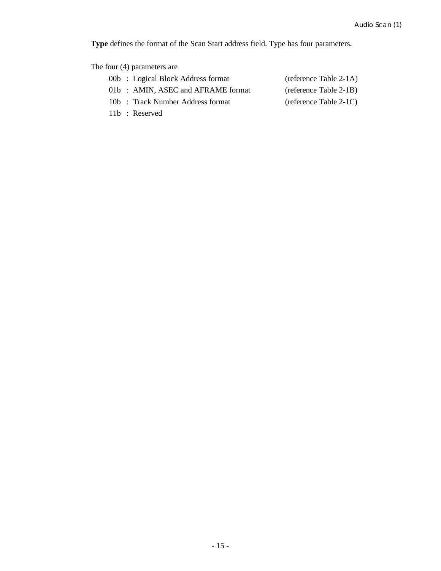**Type** defines the format of the Scan Start address field. Type has four parameters.

The four (4) parameters are

|  | 00b : Logical Block Address format | (reference Table 2-1A) |
|--|------------------------------------|------------------------|
|  | 01b : AMIN, ASEC and AFRAME format | (reference Table 2-1B) |
|  | 10b : Track Number Address format  | (reference Table 2-1C) |
|  | 11b : Reserved                     |                        |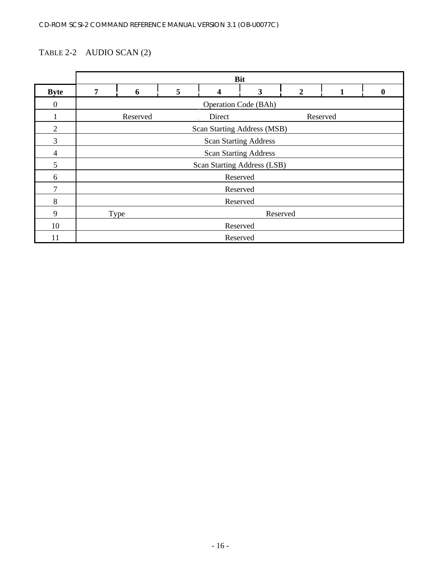# TABLE 2-2 AUDIO SCAN (2)

|                |   | <b>Bit</b>              |   |                             |                              |                |          |          |  |
|----------------|---|-------------------------|---|-----------------------------|------------------------------|----------------|----------|----------|--|
| <b>Byte</b>    | 7 | 6                       | 5 | 4                           | 3                            | $\overline{2}$ | 1        | $\bf{0}$ |  |
| $\mathbf{0}$   |   |                         |   |                             | <b>Operation Code (BAh)</b>  |                |          |          |  |
|                |   | Reserved                |   | Direct                      |                              |                | Reserved |          |  |
| $\overline{2}$ |   |                         |   | Scan Starting Address (MSB) |                              |                |          |          |  |
| $\overline{3}$ |   |                         |   |                             | <b>Scan Starting Address</b> |                |          |          |  |
| $\overline{4}$ |   |                         |   |                             | <b>Scan Starting Address</b> |                |          |          |  |
| 5              |   |                         |   | Scan Starting Address (LSB) |                              |                |          |          |  |
| 6              |   |                         |   |                             | Reserved                     |                |          |          |  |
| 7              |   |                         |   |                             | Reserved                     |                |          |          |  |
| 8              |   |                         |   |                             | Reserved                     |                |          |          |  |
| 9              |   | Reserved<br><b>Type</b> |   |                             |                              |                |          |          |  |
| 10             |   | Reserved                |   |                             |                              |                |          |          |  |
| 11             |   |                         |   |                             | Reserved                     |                |          |          |  |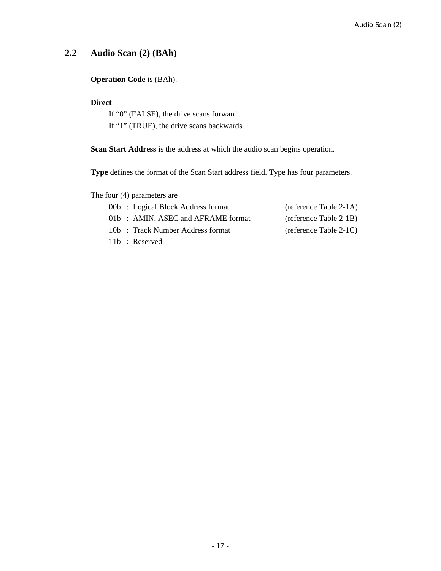# **2.2 Audio Scan (2) (BAh)**

## **Operation Code** is (BAh).

## **Direct**

If "0" (FALSE), the drive scans forward. If "1" (TRUE), the drive scans backwards.

**Scan Start Address** is the address at which the audio scan begins operation.

**Type** defines the format of the Scan Start address field. Type has four parameters.

The four (4) parameters are

|  | 00b : Logical Block Address format | (reference Table 2-1A)    |
|--|------------------------------------|---------------------------|
|  | 01b : AMIN, ASEC and AFRAME format | (reference Table 2-1B)    |
|  | 10b: Track Number Address format   | (reference Table $2-1C$ ) |
|  | $11h + R$ eserved                  |                           |

11b : Reserved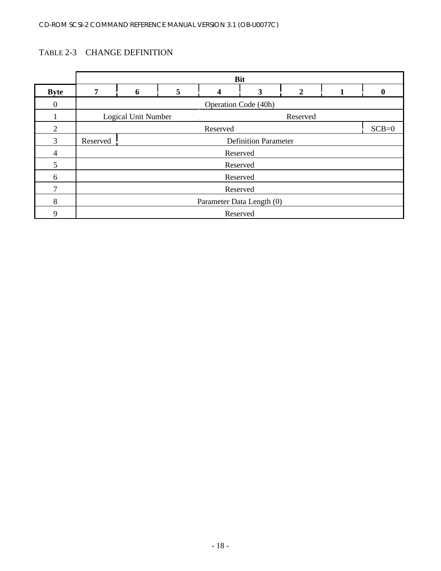|                | <b>Bit</b>                      |                             |   |  |   |   |         |  |
|----------------|---------------------------------|-----------------------------|---|--|---|---|---------|--|
| <b>Byte</b>    | 7                               | 6                           | 5 |  | 3 | 2 |         |  |
| 0              |                                 | Operation Code (40h)        |   |  |   |   |         |  |
|                | Logical Unit Number<br>Reserved |                             |   |  |   |   |         |  |
| $\overline{2}$ | Reserved                        |                             |   |  |   |   | $SCB=0$ |  |
| 3              | Reserved                        | <b>Definition Parameter</b> |   |  |   |   |         |  |
| 4              | Reserved                        |                             |   |  |   |   |         |  |
| 5              | Reserved                        |                             |   |  |   |   |         |  |
| 6              | Reserved                        |                             |   |  |   |   |         |  |
| 7              | Reserved                        |                             |   |  |   |   |         |  |
| 8              | Parameter Data Length (0)       |                             |   |  |   |   |         |  |
| 9              | Reserved                        |                             |   |  |   |   |         |  |

# TABLE 2-3 CHANGE DEFINITION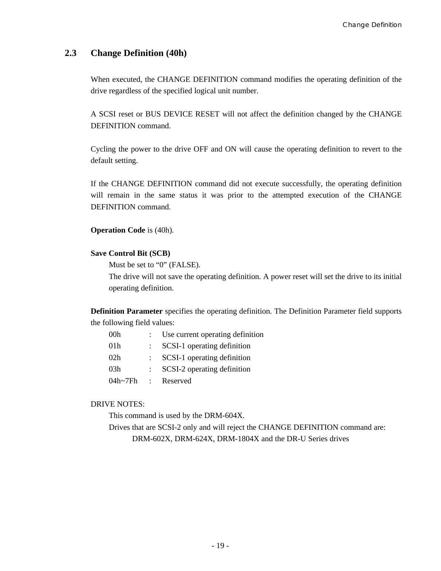## **2.3 Change Definition (40h)**

When executed, the CHANGE DEFINITION command modifies the operating definition of the drive regardless of the specified logical unit number.

A SCSI reset or BUS DEVICE RESET will not affect the definition changed by the CHANGE DEFINITION command.

Cycling the power to the drive OFF and ON will cause the operating definition to revert to the default setting.

If the CHANGE DEFINITION command did not execute successfully, the operating definition will remain in the same status it was prior to the attempted execution of the CHANGE DEFINITION command.

**Operation Code** is (40h).

#### **Save Control Bit (SCB)**

Must be set to "0" (FALSE).

The drive will not save the operating definition. A power reset will set the drive to its initial operating definition.

**Definition Parameter** specifies the operating definition. The Definition Parameter field supports the following field values:

| 00h             |               | Use current operating definition |
|-----------------|---------------|----------------------------------|
| 01h             |               | SCSI-1 operating definition      |
| 02 <sub>h</sub> |               | SCSI-1 operating definition      |
| 03h             |               | SCSI-2 operating definition      |
| $04h - 7Fh$     | $\mathcal{L}$ | Reserved                         |

#### DRIVE NOTES:

This command is used by the DRM-604X.

Drives that are SCSI-2 only and will reject the CHANGE DEFINITION command are: DRM-602X, DRM-624X, DRM-1804X and the DR-U Series drives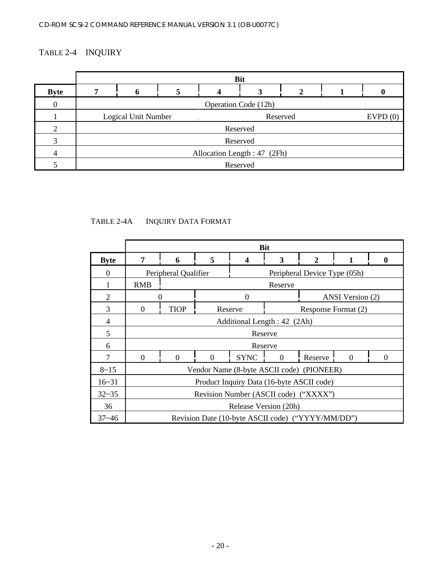## TABLE 2-4 INQUIRY

|             | <b>Bit</b>                  |                     |  |  |                     |  |  |  |  |
|-------------|-----------------------------|---------------------|--|--|---------------------|--|--|--|--|
| <b>Byte</b> |                             |                     |  |  |                     |  |  |  |  |
| 0           | Operation Code (12h)        |                     |  |  |                     |  |  |  |  |
|             |                             | Logical Unit Number |  |  | EVPD(0)<br>Reserved |  |  |  |  |
| 2           | Reserved                    |                     |  |  |                     |  |  |  |  |
|             | Reserved                    |                     |  |  |                     |  |  |  |  |
|             | Allocation Length: 47 (2Fh) |                     |  |  |                     |  |  |  |  |
|             | Reserved                    |                     |  |  |                     |  |  |  |  |

## TABLE 2-4A INQUIRY DATA FORMAT

|             | <b>Bit</b>                                        |               |                         |                  |                              |                     |          |              |  |
|-------------|---------------------------------------------------|---------------|-------------------------|------------------|------------------------------|---------------------|----------|--------------|--|
| <b>Byte</b> | 7                                                 | 6             | 5                       | $\boldsymbol{4}$ | 3                            | $\overline{2}$      | 1        | $\mathbf{0}$ |  |
| 0           | Peripheral Qualifier                              |               |                         |                  | Peripheral Device Type (05h) |                     |          |              |  |
|             | <b>RMB</b><br>Reserve                             |               |                         |                  |                              |                     |          |              |  |
| 2           |                                                   | $\Omega$<br>0 |                         |                  |                              | ANSI Version (2)    |          |              |  |
| 3           | $\Omega$                                          | <b>TIOP</b>   | Reserve                 |                  |                              | Response Format (2) |          |              |  |
| 4           | Additional Length: 42 (2Ah)                       |               |                         |                  |                              |                     |          |              |  |
| 5           | Reserve                                           |               |                         |                  |                              |                     |          |              |  |
| 6           | Reserve                                           |               |                         |                  |                              |                     |          |              |  |
| 7           | $\Omega$                                          | $\Omega$      | <b>SYNC</b><br>$\Omega$ |                  | $\Omega$                     | Reserve             | $\Omega$ | $\Omega$     |  |
| $8 - 15$    | Vendor Name (8-byte ASCII code) (PIONEER)         |               |                         |                  |                              |                     |          |              |  |
| $16 - 31$   | Product Inquiry Data (16-byte ASCII code)         |               |                         |                  |                              |                     |          |              |  |
| $32 - 35$   | Revision Number (ASCII code) ("XXXX")             |               |                         |                  |                              |                     |          |              |  |
| 36          | Release Version (20h)                             |               |                         |                  |                              |                     |          |              |  |
| $37 - 46$   | Revision Date (10-byte ASCII code) ("YYYY/MM/DD") |               |                         |                  |                              |                     |          |              |  |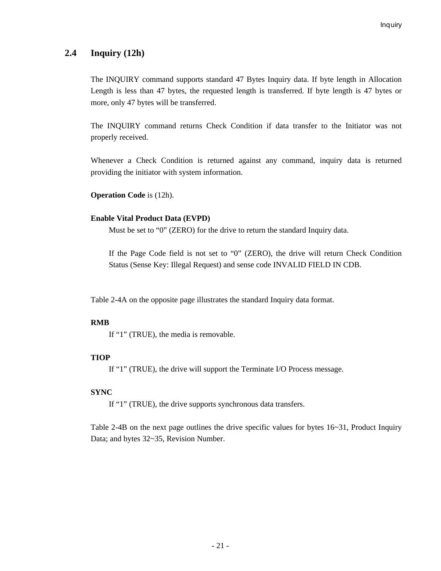## **2.4 Inquiry (12h)**

The INQUIRY command supports standard 47 Bytes Inquiry data. If byte length in Allocation Length is less than 47 bytes, the requested length is transferred. If byte length is 47 bytes or more, only 47 bytes will be transferred.

The INQUIRY command returns Check Condition if data transfer to the Initiator was not properly received.

Whenever a Check Condition is returned against any command, inquiry data is returned providing the initiator with system information.

**Operation Code** is (12h).

#### **Enable Vital Product Data (EVPD)**

Must be set to "0" (ZERO) for the drive to return the standard Inquiry data.

If the Page Code field is not set to "0" (ZERO), the drive will return Check Condition Status (Sense Key: Illegal Request) and sense code INVALID FIELD IN CDB.

Table 2-4A on the opposite page illustrates the standard Inquiry data format.

#### **RMB**

If "1" (TRUE), the media is removable.

## **TIOP**

If "1" (TRUE), the drive will support the Terminate I/O Process message.

#### **SYNC**

If "1" (TRUE), the drive supports synchronous data transfers.

Table 2-4B on the next page outlines the drive specific values for bytes  $16~31$ , Product Inquiry Data; and bytes 32~35, Revision Number.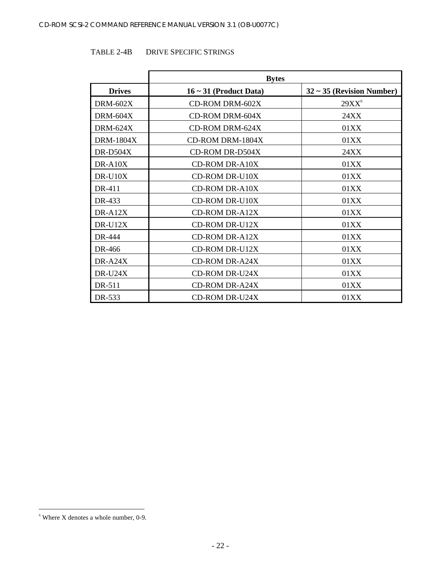## TABLE 2-4B DRIVE SPECIFIC STRINGS

|                  | <b>Bytes</b>                |                                |  |  |  |  |
|------------------|-----------------------------|--------------------------------|--|--|--|--|
| <b>Drives</b>    | $16 \sim 31$ (Product Data) | $32 \sim 35$ (Revision Number) |  |  |  |  |
| <b>DRM-602X</b>  | CD-ROM DRM-602X             | $29XX^6$                       |  |  |  |  |
| $DRM-604X$       | CD-ROM DRM-604X             | 24XX                           |  |  |  |  |
| <b>DRM-624X</b>  | CD-ROM DRM-624X             | 01XX                           |  |  |  |  |
| <b>DRM-1804X</b> | CD-ROM DRM-1804X            | 01XX                           |  |  |  |  |
| $DR-D504X$       | CD-ROM DR-D504X             | 24XX                           |  |  |  |  |
| $DR-A10X$        | <b>CD-ROM DR-A10X</b>       | 01XX                           |  |  |  |  |
| $DR-U10X$        | <b>CD-ROM DR-U10X</b>       | 01XX                           |  |  |  |  |
| DR-411           | <b>CD-ROM DR-A10X</b>       | 01XX                           |  |  |  |  |
| DR-433           | <b>CD-ROM DR-U10X</b>       | 01XX                           |  |  |  |  |
| $DR-A12X$        | <b>CD-ROM DR-A12X</b>       | 01XX                           |  |  |  |  |
| $DR-U12X$        | <b>CD-ROM DR-U12X</b>       | 01XX                           |  |  |  |  |
| DR-444           | CD-ROM DR-A12X              | 01XX                           |  |  |  |  |
| DR-466           | <b>CD-ROM DR-U12X</b>       | 01XX                           |  |  |  |  |
| $DR-A24X$        | <b>CD-ROM DR-A24X</b>       | 01XX                           |  |  |  |  |
| DR-U24X          | <b>CD-ROM DR-U24X</b>       | 01XX                           |  |  |  |  |
| DR-511           | CD-ROM DR-A24X              | 01XX                           |  |  |  |  |
| DR-533           | CD-ROM DR-U24X              | 01XX                           |  |  |  |  |

 6 Where X denotes a whole number, 0-9.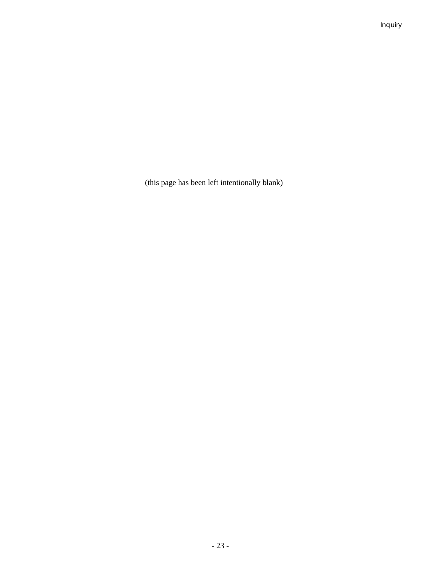(this page has been left intentionally blank)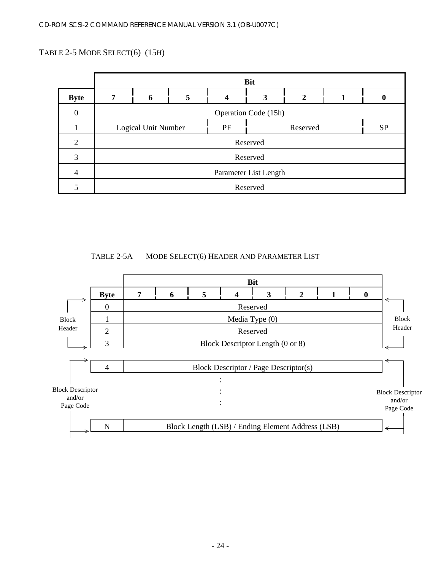# TABLE 2-5 MODE SELECT(6) (15H)

|             |   |                       |   |    | <b>Bit</b> |          |  |  |  |  |  |
|-------------|---|-----------------------|---|----|------------|----------|--|--|--|--|--|
| <b>Byte</b> | 7 | 6                     | 5 | 4  | 3          |          |  |  |  |  |  |
| 0           |   | Operation Code (15h)  |   |    |            |          |  |  |  |  |  |
|             |   | Logical Unit Number   |   | PF |            | Reserved |  |  |  |  |  |
| 2           |   |                       |   |    | Reserved   |          |  |  |  |  |  |
| 3           |   |                       |   |    | Reserved   |          |  |  |  |  |  |
| 4           |   | Parameter List Length |   |    |            |          |  |  |  |  |  |
|             |   |                       |   |    | Reserved   |          |  |  |  |  |  |

## TABLE 2-5A MODE SELECT(6) HEADER AND PARAMETER LIST

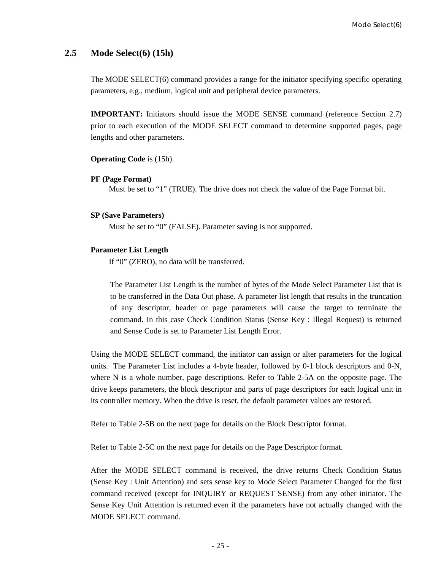## **2.5 Mode Select(6) (15h)**

The MODE SELECT(6) command provides a range for the initiator specifying specific operating parameters, e.g., medium, logical unit and peripheral device parameters.

**IMPORTANT:** Initiators should issue the MODE SENSE command (reference Section 2.7) prior to each execution of the MODE SELECT command to determine supported pages, page lengths and other parameters.

**Operating Code** is (15h).

#### **PF (Page Format)**

Must be set to "1" (TRUE). The drive does not check the value of the Page Format bit.

#### **SP (Save Parameters)**

Must be set to "0" (FALSE). Parameter saving is not supported.

#### **Parameter List Length**

If "0" (ZERO), no data will be transferred.

The Parameter List Length is the number of bytes of the Mode Select Parameter List that is to be transferred in the Data Out phase. A parameter list length that results in the truncation of any descriptor, header or page parameters will cause the target to terminate the command. In this case Check Condition Status (Sense Key : Illegal Request) is returned and Sense Code is set to Parameter List Length Error.

Using the MODE SELECT command, the initiator can assign or alter parameters for the logical units. The Parameter List includes a 4-byte header, followed by 0-1 block descriptors and 0-N, where N is a whole number, page descriptions. Refer to Table 2-5A on the opposite page. The drive keeps parameters, the block descriptor and parts of page descriptors for each logical unit in its controller memory. When the drive is reset, the default parameter values are restored.

Refer to Table 2-5B on the next page for details on the Block Descriptor format.

Refer to Table 2-5C on the next page for details on the Page Descriptor format.

After the MODE SELECT command is received, the drive returns Check Condition Status (Sense Key : Unit Attention) and sets sense key to Mode Select Parameter Changed for the first command received (except for INQUIRY or REQUEST SENSE) from any other initiator. The Sense Key Unit Attention is returned even if the parameters have not actually changed with the MODE SELECT command.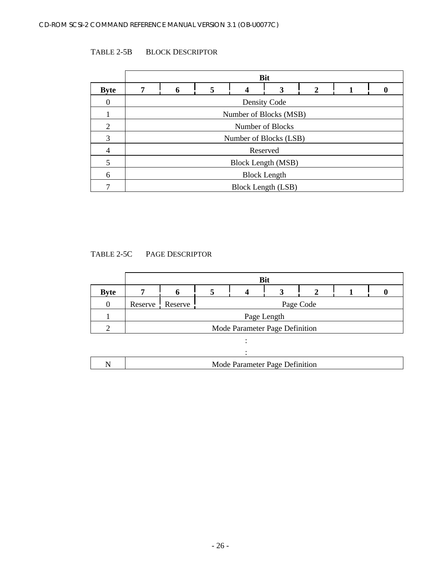# TABLE 2-5B BLOCK DESCRIPTOR

|             |   |                           |   |          | <b>Bit</b>                |   |  |  |  |  |  |
|-------------|---|---------------------------|---|----------|---------------------------|---|--|--|--|--|--|
| <b>Byte</b> | 7 | 6                         | 5 | Δ        | 3                         | 2 |  |  |  |  |  |
| 0           |   | Density Code              |   |          |                           |   |  |  |  |  |  |
|             |   | Number of Blocks (MSB)    |   |          |                           |   |  |  |  |  |  |
| 2           |   | Number of Blocks          |   |          |                           |   |  |  |  |  |  |
| 3           |   | Number of Blocks (LSB)    |   |          |                           |   |  |  |  |  |  |
| 4           |   |                           |   | Reserved |                           |   |  |  |  |  |  |
| 5           |   | <b>Block Length (MSB)</b> |   |          |                           |   |  |  |  |  |  |
| 6           |   | <b>Block Length</b>       |   |          |                           |   |  |  |  |  |  |
| ┑           |   |                           |   |          | <b>Block Length (LSB)</b> |   |  |  |  |  |  |

## TABLE 2-5C PAGE DESCRIPTOR

|             | <b>Bit</b>                      |                                |  |  |  |  |  |  |  |  |
|-------------|---------------------------------|--------------------------------|--|--|--|--|--|--|--|--|
| <b>Byte</b> |                                 |                                |  |  |  |  |  |  |  |  |
|             | Page Code<br>Reserve<br>Reserve |                                |  |  |  |  |  |  |  |  |
|             |                                 | Page Length                    |  |  |  |  |  |  |  |  |
|             |                                 | Mode Parameter Page Definition |  |  |  |  |  |  |  |  |
|             |                                 |                                |  |  |  |  |  |  |  |  |

| Mode Parameter Page Definition |
|--------------------------------|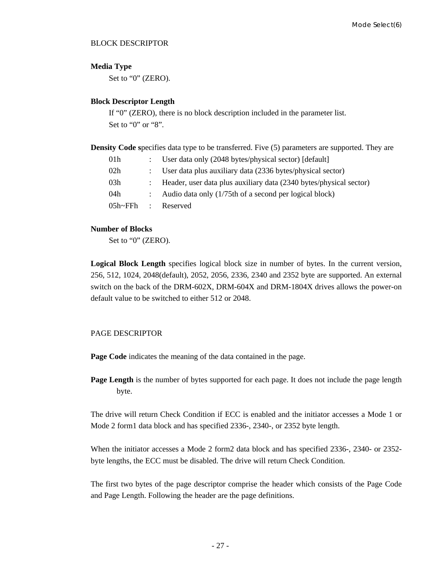### BLOCK DESCRIPTOR

### **Media Type**

Set to "0" (ZERO).

### **Block Descriptor Length**

If "0" (ZERO), there is no block description included in the parameter list. Set to "0" or "8".

**Density Code s**pecifies data type to be transferred. Five (5) parameters are supported. They are

| 01h            |                      | User data only (2048 bytes/physical sector) [default]                |
|----------------|----------------------|----------------------------------------------------------------------|
| 02h            |                      | User data plus auxiliary data (2336 bytes/physical sector)           |
| 03h            |                      | : Header, user data plus auxiliary data (2340 bytes/physical sector) |
| 04h            |                      | Audio data only (1/75th of a second per logical block)               |
| $0.5h\sim$ FFh | $\ddot{\phantom{a}}$ | Reserved                                                             |

### **Number of Blocks**

Set to "0" (ZERO).

**Logical Block Length** specifies logical block size in number of bytes. In the current version, 256, 512, 1024, 2048(default), 2052, 2056, 2336, 2340 and 2352 byte are supported. An external switch on the back of the DRM-602X, DRM-604X and DRM-1804X drives allows the power-on default value to be switched to either 512 or 2048.

## PAGE DESCRIPTOR

**Page Code** indicates the meaning of the data contained in the page.

**Page Length** is the number of bytes supported for each page. It does not include the page length byte.

The drive will return Check Condition if ECC is enabled and the initiator accesses a Mode 1 or Mode 2 form1 data block and has specified 2336-, 2340-, or 2352 byte length.

When the initiator accesses a Mode 2 form2 data block and has specified 2336-, 2340- or 2352 byte lengths, the ECC must be disabled. The drive will return Check Condition.

The first two bytes of the page descriptor comprise the header which consists of the Page Code and Page Length. Following the header are the page definitions.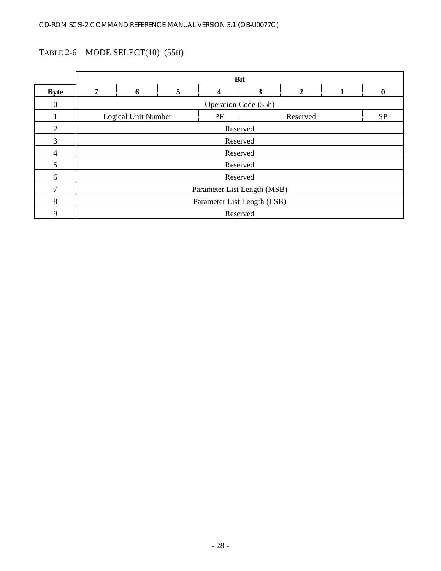# TABLE 2-6 MODE SELECT(10) (55H)

|                |   |                                                    |   |   | <b>Bit</b> |   |  |  |  |  |  |  |
|----------------|---|----------------------------------------------------|---|---|------------|---|--|--|--|--|--|--|
| <b>Byte</b>    | 7 | 6                                                  | 5 | 4 | 3          | 2 |  |  |  |  |  |  |
| 0              |   | Operation Code (55h)                               |   |   |            |   |  |  |  |  |  |  |
|                |   | <b>SP</b><br>Logical Unit Number<br>PF<br>Reserved |   |   |            |   |  |  |  |  |  |  |
| 2              |   | Reserved                                           |   |   |            |   |  |  |  |  |  |  |
| 3              |   | Reserved                                           |   |   |            |   |  |  |  |  |  |  |
| $\overline{4}$ |   | Reserved                                           |   |   |            |   |  |  |  |  |  |  |
| 5              |   |                                                    |   |   | Reserved   |   |  |  |  |  |  |  |
| 6              |   |                                                    |   |   | Reserved   |   |  |  |  |  |  |  |
| 7              |   | Parameter List Length (MSB)                        |   |   |            |   |  |  |  |  |  |  |
| 8              |   | Parameter List Length (LSB)                        |   |   |            |   |  |  |  |  |  |  |
| 9              |   |                                                    |   |   | Reserved   |   |  |  |  |  |  |  |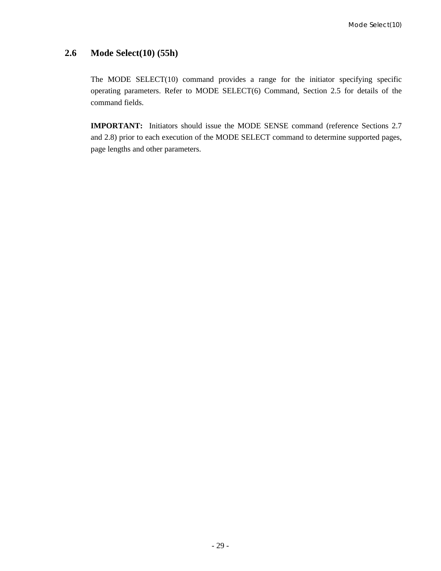# **2.6 Mode Select(10) (55h)**

The MODE SELECT(10) command provides a range for the initiator specifying specific operating parameters. Refer to MODE SELECT(6) Command, Section 2.5 for details of the command fields.

**IMPORTANT:** Initiators should issue the MODE SENSE command (reference Sections 2.7 and 2.8) prior to each execution of the MODE SELECT command to determine supported pages, page lengths and other parameters.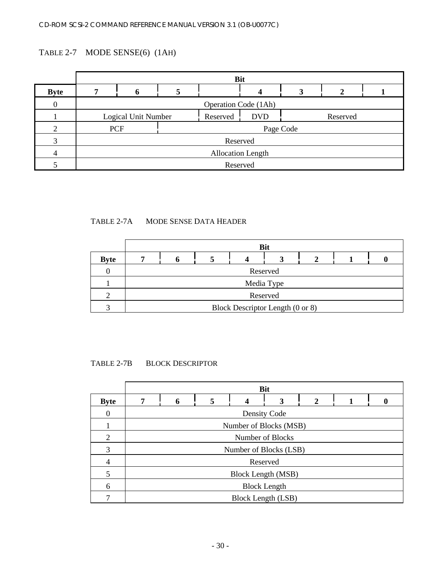# TABLE 2-7 MODE SENSE(6) (1AH)

|             |                     | <b>Bit</b>               |  |          |            |          |  |  |  |  |  |  |
|-------------|---------------------|--------------------------|--|----------|------------|----------|--|--|--|--|--|--|
| <b>Byte</b> |                     |                          |  |          |            |          |  |  |  |  |  |  |
| 0           |                     | Operation Code (1Ah)     |  |          |            |          |  |  |  |  |  |  |
|             | Logical Unit Number |                          |  | Reserved | <b>DVD</b> | Reserved |  |  |  |  |  |  |
| 2           | <b>PCF</b>          |                          |  |          | Page Code  |          |  |  |  |  |  |  |
| 3           |                     |                          |  | Reserved |            |          |  |  |  |  |  |  |
|             |                     | <b>Allocation Length</b> |  |          |            |          |  |  |  |  |  |  |
|             |                     |                          |  | Reserved |            |          |  |  |  |  |  |  |

TABLE 2-7A MODE SENSE DATA HEADER

|             | <b>Bit</b> |  |                                  |  |  |  |  |  |  |  |  |
|-------------|------------|--|----------------------------------|--|--|--|--|--|--|--|--|
| <b>Byte</b> |            |  |                                  |  |  |  |  |  |  |  |  |
|             | Reserved   |  |                                  |  |  |  |  |  |  |  |  |
|             | Media Type |  |                                  |  |  |  |  |  |  |  |  |
|             | Reserved   |  |                                  |  |  |  |  |  |  |  |  |
|             |            |  | Block Descriptor Length (0 or 8) |  |  |  |  |  |  |  |  |

# TABLE 2-7B BLOCK DESCRIPTOR

|                |   | <b>Bit</b>             |   |  |                           |   |  |  |  |  |  |
|----------------|---|------------------------|---|--|---------------------------|---|--|--|--|--|--|
| <b>Byte</b>    | 7 | 6                      | 5 |  | 3                         | 2 |  |  |  |  |  |
| $\overline{0}$ |   | Density Code           |   |  |                           |   |  |  |  |  |  |
|                |   | Number of Blocks (MSB) |   |  |                           |   |  |  |  |  |  |
| 2              |   | Number of Blocks       |   |  |                           |   |  |  |  |  |  |
| 3              |   | Number of Blocks (LSB) |   |  |                           |   |  |  |  |  |  |
| 4              |   | Reserved               |   |  |                           |   |  |  |  |  |  |
| 5              |   | Block Length (MSB)     |   |  |                           |   |  |  |  |  |  |
| 6              |   | <b>Block Length</b>    |   |  |                           |   |  |  |  |  |  |
|                |   |                        |   |  | <b>Block Length (LSB)</b> |   |  |  |  |  |  |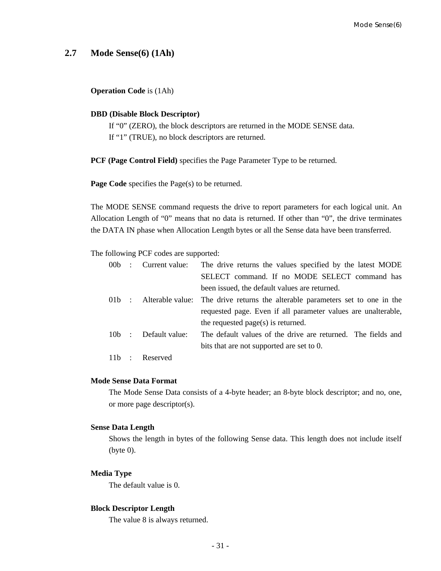# **2.7 Mode Sense(6) (1Ah)**

**Operation Code** is (1Ah)

#### **DBD (Disable Block Descriptor)**

If "0" (ZERO), the block descriptors are returned in the MODE SENSE data.

If "1" (TRUE), no block descriptors are returned.

**PCF (Page Control Field)** specifies the Page Parameter Type to be returned.

**Page Code** specifies the Page(s) to be returned.

The MODE SENSE command requests the drive to report parameters for each logical unit. An Allocation Length of "0" means that no data is returned. If other than "0", the drive terminates the DATA IN phase when Allocation Length bytes or all the Sense data have been transferred.

The following PCF codes are supported:

|                 | 00b : Current value: | The drive returns the values specified by the latest MODE                           |
|-----------------|----------------------|-------------------------------------------------------------------------------------|
|                 |                      | SELECT command. If no MODE SELECT command has                                       |
|                 |                      | been issued, the default values are returned.                                       |
|                 |                      | 01b : Alterable value: The drive returns the alterable parameters set to one in the |
|                 |                      | requested page. Even if all parameter values are unalterable,                       |
|                 |                      | the requested page(s) is returned.                                                  |
| 10 <sub>b</sub> | : Default value:     | The default values of the drive are returned. The fields and                        |
|                 |                      | bits that are not supported are set to 0.                                           |
|                 | 11b : Reserved       |                                                                                     |

#### **Mode Sense Data Format**

The Mode Sense Data consists of a 4-byte header; an 8-byte block descriptor; and no, one, or more page descriptor(s).

#### **Sense Data Length**

Shows the length in bytes of the following Sense data. This length does not include itself (byte 0).

#### **Media Type**

The default value is 0.

#### **Block Descriptor Length**

The value 8 is always returned.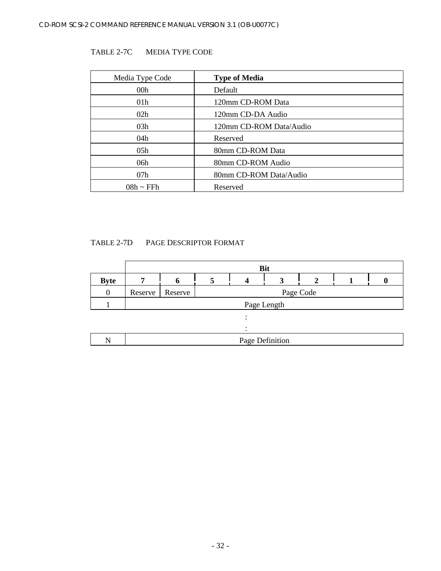## TABLE 2-7C MEDIA TYPE CODE

| Media Type Code | <b>Type of Media</b>    |
|-----------------|-------------------------|
| 00h             | Default                 |
| 01 <sub>h</sub> | 120mm CD-ROM Data       |
| 02 <sub>h</sub> | 120mm CD-DA Audio       |
| 03h             | 120mm CD-ROM Data/Audio |
| 04h             | Reserved                |
| 05h             | 80mm CD-ROM Data        |
| 06h             | 80mm CD-ROM Audio       |
| 07h             | 80mm CD-ROM Data/Audio  |
| $08h \sim FFh$  | Reserved                |

## TABLE 2-7D PAGE DESCRIPTOR FORMAT

|                |         | <b>Bit</b>           |  |  |  |  |  |  |  |  |  |
|----------------|---------|----------------------|--|--|--|--|--|--|--|--|--|
| <b>Byte</b>    |         | 6                    |  |  |  |  |  |  |  |  |  |
| $\overline{0}$ | Reserve | Page Code<br>Reserve |  |  |  |  |  |  |  |  |  |
|                |         | Page Length          |  |  |  |  |  |  |  |  |  |
|                |         |                      |  |  |  |  |  |  |  |  |  |
|                |         |                      |  |  |  |  |  |  |  |  |  |
| N              |         | Page Definition      |  |  |  |  |  |  |  |  |  |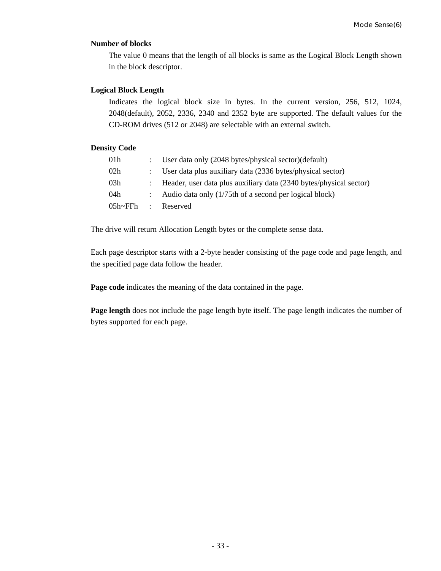### **Number of blocks**

The value 0 means that the length of all blocks is same as the Logical Block Length shown in the block descriptor.

### **Logical Block Length**

Indicates the logical block size in bytes. In the current version, 256, 512, 1024, 2048(default), 2052, 2336, 2340 and 2352 byte are supported. The default values for the CD-ROM drives (512 or 2048) are selectable with an external switch.

### **Density Code**

| 01 <sub>h</sub>  |    | User data only (2048 bytes/physical sector) (default)              |
|------------------|----|--------------------------------------------------------------------|
| 02h              |    | User data plus auxiliary data (2336 bytes/physical sector)         |
| 03h              |    | Header, user data plus auxiliary data (2340 bytes/physical sector) |
| 04h              |    | Audio data only (1/75th of a second per logical block)             |
| $05h\text{-}FFh$ | ٠. | Reserved                                                           |

The drive will return Allocation Length bytes or the complete sense data.

Each page descriptor starts with a 2-byte header consisting of the page code and page length, and the specified page data follow the header.

**Page code** indicates the meaning of the data contained in the page.

Page length does not include the page length byte itself. The page length indicates the number of bytes supported for each page.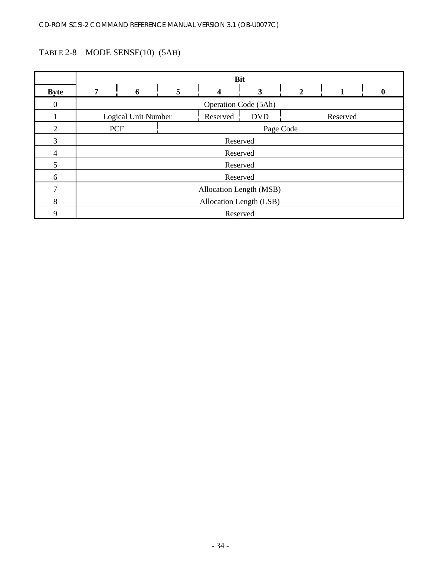|  | TABLE 2-8 MODE SENSE(10) (5AH) |  |
|--|--------------------------------|--|
|--|--------------------------------|--|

|                |   |                         |  | <b>Bit</b>                  |            |  |          |  |
|----------------|---|-------------------------|--|-----------------------------|------------|--|----------|--|
| <b>Byte</b>    | 7 | 5<br>3<br>2<br>6<br>0   |  |                             |            |  |          |  |
| $\overline{0}$ |   |                         |  | <b>Operation Code</b> (5Ah) |            |  |          |  |
|                |   | Logical Unit Number     |  | Reserved                    | <b>DVD</b> |  | Reserved |  |
| 2              |   | PCF<br>Page Code        |  |                             |            |  |          |  |
| 3              |   | Reserved                |  |                             |            |  |          |  |
| $\overline{4}$ |   | Reserved                |  |                             |            |  |          |  |
| 5              |   | Reserved                |  |                             |            |  |          |  |
| 6              |   | Reserved                |  |                             |            |  |          |  |
| 7              |   | Allocation Length (MSB) |  |                             |            |  |          |  |
| 8              |   | Allocation Length (LSB) |  |                             |            |  |          |  |
| 9              |   |                         |  | Reserved                    |            |  |          |  |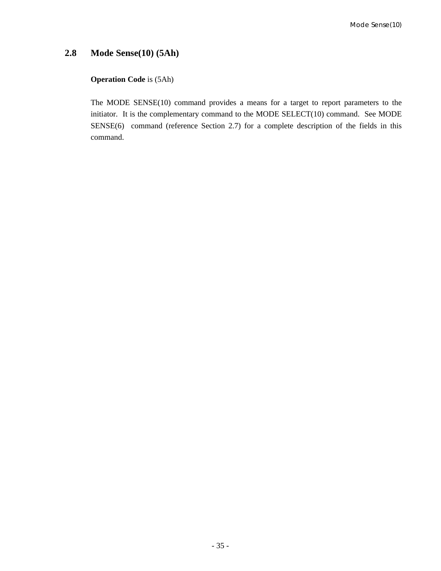# **2.8 Mode Sense(10) (5Ah)**

### **Operation Code** is (5Ah)

The MODE SENSE(10) command provides a means for a target to report parameters to the initiator. It is the complementary command to the MODE SELECT(10) command. See MODE SENSE(6) command (reference Section 2.7) for a complete description of the fields in this command.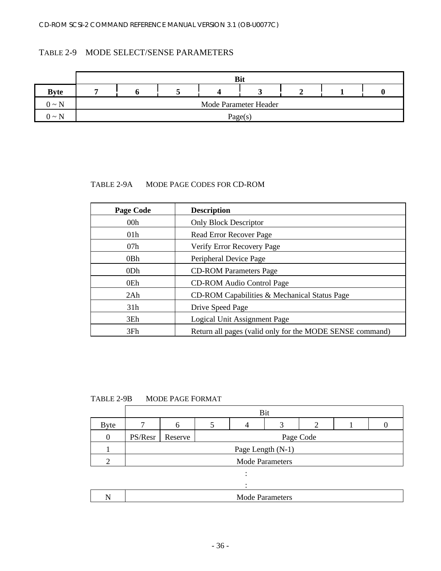# TABLE 2-9 MODE SELECT/SENSE PARAMETERS

|             |                       |  | <b>Bit</b> |  |  |  |  |
|-------------|-----------------------|--|------------|--|--|--|--|
| <b>Byte</b> |                       |  |            |  |  |  |  |
| $0 \sim N$  | Mode Parameter Header |  |            |  |  |  |  |
| $0 \sim N$  |                       |  | Page(s)    |  |  |  |  |

### TABLE 2-9A MODE PAGE CODES FOR CD-ROM

| <b>Page Code</b> | <b>Description</b>                                       |
|------------------|----------------------------------------------------------|
| 00 <sub>h</sub>  | <b>Only Block Descriptor</b>                             |
| 01 <sub>h</sub>  | <b>Read Error Recover Page</b>                           |
| 07h              | Verify Error Recovery Page                               |
| 0Bh              | Peripheral Device Page                                   |
| 0Dh              | <b>CD-ROM Parameters Page</b>                            |
| 0Eh              | <b>CD-ROM Audio Control Page</b>                         |
| 2Ah              | CD-ROM Capabilities & Mechanical Status Page             |
| 31h              | Drive Speed Page                                         |
| 3Eh              | Logical Unit Assignment Page                             |
| 3Fh              | Return all pages (valid only for the MODE SENSE command) |

TABLE 2-9B MODE PAGE FORMAT

|             |                        | Bit                            |  |  |  |  |  |  |
|-------------|------------------------|--------------------------------|--|--|--|--|--|--|
| <b>Byte</b> |                        |                                |  |  |  |  |  |  |
| 0           |                        | PS/Resr   Reserve<br>Page Code |  |  |  |  |  |  |
|             |                        | Page Length (N-1)              |  |  |  |  |  |  |
|             | <b>Mode Parameters</b> |                                |  |  |  |  |  |  |
|             |                        |                                |  |  |  |  |  |  |

| <b>Mode Parameters</b> |
|------------------------|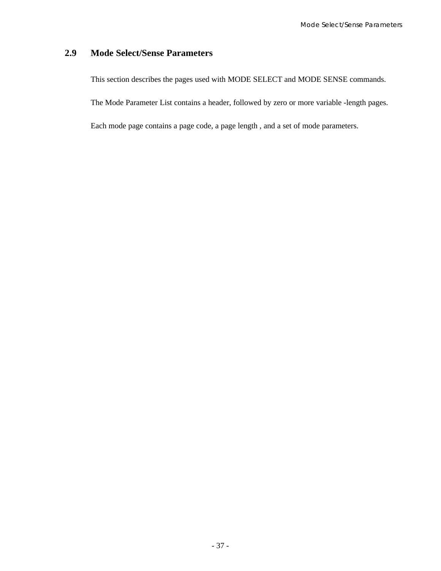# **2.9 Mode Select/Sense Parameters**

This section describes the pages used with MODE SELECT and MODE SENSE commands.

The Mode Parameter List contains a header, followed by zero or more variable -length pages.

Each mode page contains a page code, a page length , and a set of mode parameters.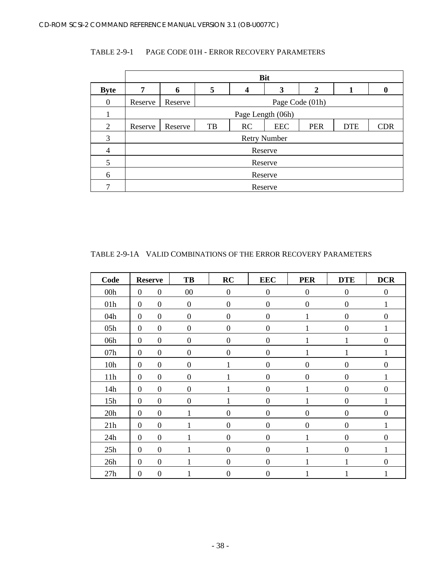|                  |         |                     |    |    | <b>Bit</b>        |                 |            |            |
|------------------|---------|---------------------|----|----|-------------------|-----------------|------------|------------|
| <b>Byte</b>      | 7       | 6                   | 5  | 4  | 3                 | 2               |            |            |
| $\boldsymbol{0}$ | Reserve | Reserve             |    |    |                   | Page Code (01h) |            |            |
|                  |         |                     |    |    | Page Length (06h) |                 |            |            |
| 2                | Reserve | Reserve             | TB | RC | <b>EEC</b>        | <b>PER</b>      | <b>DTE</b> | <b>CDR</b> |
| 3                |         | <b>Retry Number</b> |    |    |                   |                 |            |            |
| $\overline{4}$   |         | Reserve             |    |    |                   |                 |            |            |
| 5                | Reserve |                     |    |    |                   |                 |            |            |
| 6                |         | Reserve             |    |    |                   |                 |            |            |
| 7                |         |                     |    |    | Reserve           |                 |            |            |

### TABLE 2-9-1 PAGE CODE 01H - ERROR RECOVERY PARAMETERS

TABLE 2-9-1A VALID COMBINATIONS OF THE ERROR RECOVERY PARAMETERS

| Code            |                  | <b>Reserve</b>   | TB               | RC               | <b>EEC</b>       | <b>PER</b>       | <b>DTE</b>       | <b>DCR</b>       |
|-----------------|------------------|------------------|------------------|------------------|------------------|------------------|------------------|------------------|
| 00h             | $\boldsymbol{0}$ | $\boldsymbol{0}$ | $00\,$           | $\boldsymbol{0}$ | $\boldsymbol{0}$ | $\boldsymbol{0}$ | $\boldsymbol{0}$ | $\boldsymbol{0}$ |
| 01h             | $\boldsymbol{0}$ | $\boldsymbol{0}$ | $\boldsymbol{0}$ | $\mathbf{0}$     | $\boldsymbol{0}$ | $\boldsymbol{0}$ | $\boldsymbol{0}$ | 1                |
| 04h             | $\boldsymbol{0}$ | $\boldsymbol{0}$ | $\mathbf{0}$     | $\overline{0}$   | $\mathbf{0}$     | 1                | $\mathbf{0}$     | $\boldsymbol{0}$ |
| 05h             | $\mathbf{0}$     | $\boldsymbol{0}$ | $\mathbf{0}$     | $\overline{0}$   | $\mathbf{0}$     | 1                | $\mathbf{0}$     |                  |
| 06h             | $\boldsymbol{0}$ | $\boldsymbol{0}$ | $\mathbf{0}$     | $\mathbf{0}$     | $\overline{0}$   |                  |                  | 0                |
| 07h             | $\boldsymbol{0}$ | $\boldsymbol{0}$ | $\boldsymbol{0}$ | $\overline{0}$   | $\boldsymbol{0}$ | 1                |                  | 1                |
| 10 <sub>h</sub> | $\boldsymbol{0}$ | $\boldsymbol{0}$ | $\boldsymbol{0}$ |                  | $\boldsymbol{0}$ | $\boldsymbol{0}$ | $\overline{0}$   | $\boldsymbol{0}$ |
| 11h             | $\boldsymbol{0}$ | $\boldsymbol{0}$ | $\mathbf{0}$     | 1                | $\boldsymbol{0}$ | $\mathbf{0}$     | $\boldsymbol{0}$ |                  |
| 14h             | $\boldsymbol{0}$ | $\boldsymbol{0}$ | $\mathbf{0}$     | 1                | $\mathbf{0}$     | 1                | $\mathbf{0}$     | $\theta$         |
| 15h             | $\boldsymbol{0}$ | $\boldsymbol{0}$ | $\mathbf{0}$     |                  | $\overline{0}$   |                  | $\overline{0}$   |                  |
| 20h             | $\boldsymbol{0}$ | $\boldsymbol{0}$ |                  | $\overline{0}$   | $\boldsymbol{0}$ | $\mathbf{0}$     | $\mathbf{0}$     | $\boldsymbol{0}$ |
| 21h             | $\boldsymbol{0}$ | $\boldsymbol{0}$ | 1                | $\boldsymbol{0}$ | $\boldsymbol{0}$ | $\boldsymbol{0}$ | $\boldsymbol{0}$ | 1                |
| 24h             | $\boldsymbol{0}$ | $\boldsymbol{0}$ | $\mathbf{1}$     | $\mathbf{0}$     | $\boldsymbol{0}$ | 1                | $\mathbf{0}$     | $\boldsymbol{0}$ |
| 25h             | $\boldsymbol{0}$ | $\boldsymbol{0}$ | 1                | $\overline{0}$   | $\mathbf{0}$     | 1                | $\overline{0}$   |                  |
| 26h             | $\boldsymbol{0}$ | $\boldsymbol{0}$ | 1                | $\overline{0}$   | $\overline{0}$   | 1                | 1                | $\theta$         |
| 27h             | $\boldsymbol{0}$ | $\boldsymbol{0}$ |                  | 0                | 0                |                  |                  |                  |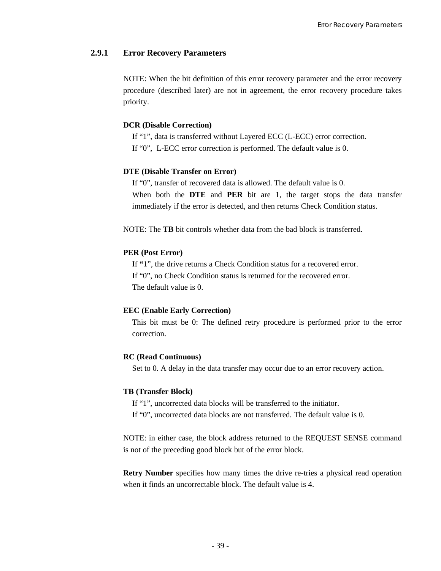### **2.9.1 Error Recovery Parameters**

NOTE: When the bit definition of this error recovery parameter and the error recovery procedure (described later) are not in agreement, the error recovery procedure takes priority.

#### **DCR (Disable Correction)**

If "1", data is transferred without Layered ECC (L-ECC) error correction. If "0", L-ECC error correction is performed. The default value is 0.

#### **DTE (Disable Transfer on Error)**

If "0", transfer of recovered data is allowed. The default value is 0.

When both the **DTE** and **PER** bit are 1, the target stops the data transfer immediately if the error is detected, and then returns Check Condition status.

NOTE: The **TB** bit controls whether data from the bad block is transferred.

#### **PER (Post Error)**

If **"**1", the drive returns a Check Condition status for a recovered error. If "0", no Check Condition status is returned for the recovered error. The default value is 0.

#### **EEC (Enable Early Correction)**

This bit must be 0: The defined retry procedure is performed prior to the error correction.

#### **RC (Read Continuous)**

Set to 0. A delay in the data transfer may occur due to an error recovery action.

#### **TB (Transfer Block)**

If "1", uncorrected data blocks will be transferred to the initiator.

If "0", uncorrected data blocks are not transferred. The default value is 0.

NOTE: in either case, the block address returned to the REQUEST SENSE command is not of the preceding good block but of the error block.

**Retry Number** specifies how many times the drive re-tries a physical read operation when it finds an uncorrectable block. The default value is 4.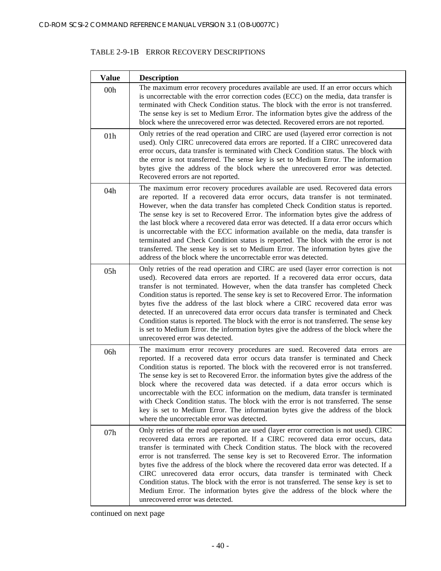## TABLE 2-9-1B ERROR RECOVERY DESCRIPTIONS

| <b>Value</b>    | <b>Description</b>                                                                                                                                                                                                                                                                                                                                                                                                                                                                                                                                                                                                                                                                                                                                                            |
|-----------------|-------------------------------------------------------------------------------------------------------------------------------------------------------------------------------------------------------------------------------------------------------------------------------------------------------------------------------------------------------------------------------------------------------------------------------------------------------------------------------------------------------------------------------------------------------------------------------------------------------------------------------------------------------------------------------------------------------------------------------------------------------------------------------|
| 00h             | The maximum error recovery procedures available are used. If an error occurs which<br>is uncorrectable with the error correction codes (ECC) on the media, data transfer is<br>terminated with Check Condition status. The block with the error is not transferred.<br>The sense key is set to Medium Error. The information bytes give the address of the<br>block where the unrecovered error was detected. Recovered errors are not reported.                                                                                                                                                                                                                                                                                                                              |
| 01 <sub>h</sub> | Only retries of the read operation and CIRC are used (layered error correction is not<br>used). Only CIRC unrecovered data errors are reported. If a CIRC unrecovered data<br>error occurs, data transfer is terminated with Check Condition status. The block with<br>the error is not transferred. The sense key is set to Medium Error. The information<br>bytes give the address of the block where the unrecovered error was detected.<br>Recovered errors are not reported.                                                                                                                                                                                                                                                                                             |
| 04h             | The maximum error recovery procedures available are used. Recovered data errors<br>are reported. If a recovered data error occurs, data transfer is not terminated.<br>However, when the data transfer has completed Check Condition status is reported.<br>The sense key is set to Recovered Error. The information bytes give the address of<br>the last block where a recovered data error was detected. If a data error occurs which<br>is uncorrectable with the ECC information available on the media, data transfer is<br>terminated and Check Condition status is reported. The block with the error is not<br>transferred. The sense key is set to Medium Error. The information bytes give the<br>address of the block where the uncorrectable error was detected. |
| 05h             | Only retries of the read operation and CIRC are used (layer error correction is not<br>used). Recovered data errors are reported. If a recovered data error occurs, data<br>transfer is not terminated. However, when the data transfer has completed Check<br>Condition status is reported. The sense key is set to Recovered Error. The information<br>bytes five the address of the last block where a CIRC recovered data error was<br>detected. If an unrecovered data error occurs data transfer is terminated and Check<br>Condition status is reported. The block with the error is not transferred. The sense key<br>is set to Medium Error. the information bytes give the address of the block where the<br>unrecovered error was detected.                        |
| 06h             | The maximum error recovery procedures are sued. Recovered data errors are<br>reported. If a recovered data error occurs data transfer is terminated and Check<br>Condition status is reported. The block with the recovered error is not transferred.<br>The sense key is set to Recovered Error. the information bytes give the address of the<br>block where the recovered data was detected. if a data error occurs which is<br>uncorrectable with the ECC information on the medium, data transfer is terminated<br>with Check Condition status. The block with the error is not transferred. The sense<br>key is set to Medium Error. The information bytes give the address of the block<br>where the uncorrectable error was detected.                                 |
| 07h             | Only retries of the read operation are used (layer error correction is not used). CIRC<br>recovered data errors are reported. If a CIRC recovered data error occurs, data<br>transfer is terminated with Check Condition status. The block with the recovered<br>error is not transferred. The sense key is set to Recovered Error. The information<br>bytes five the address of the block where the recovered data error was detected. If a<br>CIRC unrecovered data error occurs, data transfer is terminated with Check<br>Condition status. The block with the error is not transferred. The sense key is set to<br>Medium Error. The information bytes give the address of the block where the<br>unrecovered error was detected.                                        |

continued on next page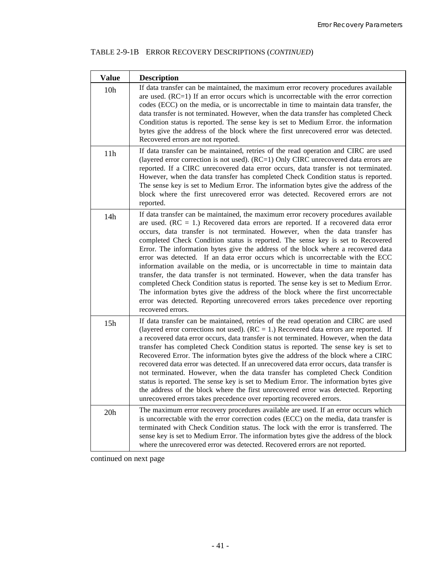| <b>Value</b>    | <b>Description</b>                                                                                                                                                                                                                                                                                                                                                                                                                                                                                                                                                                                                                                                                                                                                                                                                                                                                                                                                                                     |
|-----------------|----------------------------------------------------------------------------------------------------------------------------------------------------------------------------------------------------------------------------------------------------------------------------------------------------------------------------------------------------------------------------------------------------------------------------------------------------------------------------------------------------------------------------------------------------------------------------------------------------------------------------------------------------------------------------------------------------------------------------------------------------------------------------------------------------------------------------------------------------------------------------------------------------------------------------------------------------------------------------------------|
| 10 <sub>h</sub> | If data transfer can be maintained, the maximum error recovery procedures available<br>are used. (RC=1) If an error occurs which is uncorrectable with the error correction<br>codes (ECC) on the media, or is uncorrectable in time to maintain data transfer, the<br>data transfer is not terminated. However, when the data transfer has completed Check<br>Condition status is reported. The sense key is set to Medium Error. the information<br>bytes give the address of the block where the first unrecovered error was detected.<br>Recovered errors are not reported.                                                                                                                                                                                                                                                                                                                                                                                                        |
| 11h             | If data transfer can be maintained, retries of the read operation and CIRC are used<br>(layered error correction is not used). (RC=1) Only CIRC unrecovered data errors are<br>reported. If a CIRC unrecovered data error occurs, data transfer is not terminated.<br>However, when the data transfer has completed Check Condition status is reported.<br>The sense key is set to Medium Error. The information bytes give the address of the<br>block where the first unrecovered error was detected. Recovered errors are not<br>reported.                                                                                                                                                                                                                                                                                                                                                                                                                                          |
| 14h             | If data transfer can be maintained, the maximum error recovery procedures available<br>are used. ( $RC = 1$ .) Recovered data errors are reported. If a recovered data error<br>occurs, data transfer is not terminated. However, when the data transfer has<br>completed Check Condition status is reported. The sense key is set to Recovered<br>Error. The information bytes give the address of the block where a recovered data<br>error was detected. If an data error occurs which is uncorrectable with the ECC<br>information available on the media, or is uncorrectable in time to maintain data<br>transfer, the data transfer is not terminated. However, when the data transfer has<br>completed Check Condition status is reported. The sense key is set to Medium Error.<br>The information bytes give the address of the block where the first uncorrectable<br>error was detected. Reporting unrecovered errors takes precedence over reporting<br>recovered errors. |
| 15h             | If data transfer can be maintained, retries of the read operation and CIRC are used<br>(layered error corrections not used). ( $RC = 1$ .) Recovered data errors are reported. If<br>a recovered data error occurs, data transfer is not terminated. However, when the data<br>transfer has completed Check Condition status is reported. The sense key is set to<br>Recovered Error. The information bytes give the address of the block where a CIRC<br>recovered data error was detected. If an unrecovered data error occurs, data transfer is<br>not terminated. However, when the data transfer has completed Check Condition<br>status is reported. The sense key is set to Medium Error. The information bytes give<br>the address of the block where the first unrecovered error was detected. Reporting<br>unrecovered errors takes precedence over reporting recovered errors.                                                                                              |
| 20h             | The maximum error recovery procedures available are used. If an error occurs which<br>is uncorrectable with the error correction codes (ECC) on the media, data transfer is<br>terminated with Check Condition status. The lock with the error is transferred. The<br>sense key is set to Medium Error. The information bytes give the address of the block<br>where the unrecovered error was detected. Recovered errors are not reported.                                                                                                                                                                                                                                                                                                                                                                                                                                                                                                                                            |

continued on next page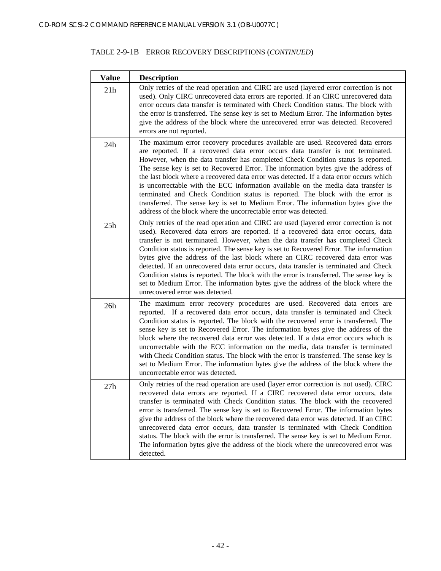|  | TABLE 2-9-1B ERROR RECOVERY DESCRIPTIONS (CONTINUED) |
|--|------------------------------------------------------|
|--|------------------------------------------------------|

| <b>Value</b> | <b>Description</b>                                                                                                                                                                                                                                                                                                                                                                                                                                                                                                                                                                                                                                                                                                                                                      |
|--------------|-------------------------------------------------------------------------------------------------------------------------------------------------------------------------------------------------------------------------------------------------------------------------------------------------------------------------------------------------------------------------------------------------------------------------------------------------------------------------------------------------------------------------------------------------------------------------------------------------------------------------------------------------------------------------------------------------------------------------------------------------------------------------|
| 21h          | Only retries of the read operation and CIRC are used (layered error correction is not<br>used). Only CIRC unrecovered data errors are reported. If an CIRC unrecovered data<br>error occurs data transfer is terminated with Check Condition status. The block with<br>the error is transferred. The sense key is set to Medium Error. The information bytes<br>give the address of the block where the unrecovered error was detected. Recovered<br>errors are not reported.                                                                                                                                                                                                                                                                                           |
| 24h          | The maximum error recovery procedures available are used. Recovered data errors<br>are reported. If a recovered data error occurs data transfer is not terminated.<br>However, when the data transfer has completed Check Condition status is reported.<br>The sense key is set to Recovered Error. The information bytes give the address of<br>the last block where a recovered data error was detected. If a data error occurs which<br>is uncorrectable with the ECC information available on the media data transfer is<br>terminated and Check Condition status is reported. The block with the error is<br>transferred. The sense key is set to Medium Error. The information bytes give the<br>address of the block where the uncorrectable error was detected. |
| 25h          | Only retries of the read operation and CIRC are used (layered error correction is not<br>used). Recovered data errors are reported. If a recovered data error occurs, data<br>transfer is not terminated. However, when the data transfer has completed Check<br>Condition status is reported. The sense key is set to Recovered Error. The information<br>bytes give the address of the last block where an CIRC recovered data error was<br>detected. If an unrecovered data error occurs, data transfer is terminated and Check<br>Condition status is reported. The block with the error is transferred. The sense key is<br>set to Medium Error. The information bytes give the address of the block where the<br>unrecovered error was detected.                  |
| 26h          | The maximum error recovery procedures are used. Recovered data errors are<br>reported. If a recovered data error occurs, data transfer is terminated and Check<br>Condition status is reported. The block with the recovered error is transferred. The<br>sense key is set to Recovered Error. The information bytes give the address of the<br>block where the recovered data error was detected. If a data error occurs which is<br>uncorrectable with the ECC information on the media, data transfer is terminated<br>with Check Condition status. The block with the error is transferred. The sense key is<br>set to Medium Error. The information bytes give the address of the block where the<br>uncorrectable error was detected.                             |
| 27h          | Only retries of the read operation are used (layer error correction is not used). CIRC<br>recovered data errors are reported. If a CIRC recovered data error occurs, data<br>transfer is terminated with Check Condition status. The block with the recovered<br>error is transferred. The sense key is set to Recovered Error. The information bytes<br>give the address of the block where the recovered data error was detected. If an CIRC<br>unrecovered data error occurs, data transfer is terminated with Check Condition<br>status. The block with the error is transferred. The sense key is set to Medium Error.<br>The information bytes give the address of the block where the unrecovered error was<br>detected.                                         |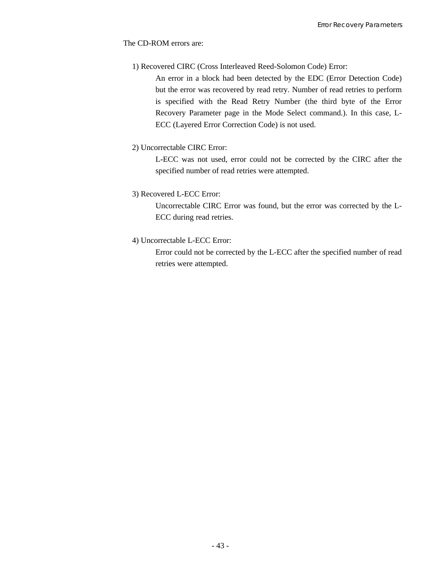The CD-ROM errors are:

1) Recovered CIRC (Cross Interleaved Reed-Solomon Code) Error:

An error in a block had been detected by the EDC (Error Detection Code) but the error was recovered by read retry. Number of read retries to perform is specified with the Read Retry Number (the third byte of the Error Recovery Parameter page in the Mode Select command.). In this case, L-ECC (Layered Error Correction Code) is not used.

2) Uncorrectable CIRC Error:

L-ECC was not used, error could not be corrected by the CIRC after the specified number of read retries were attempted.

## 3) Recovered L-ECC Error:

Uncorrectable CIRC Error was found, but the error was corrected by the L-ECC during read retries.

## 4) Uncorrectable L-ECC Error:

Error could not be corrected by the L-ECC after the specified number of read retries were attempted.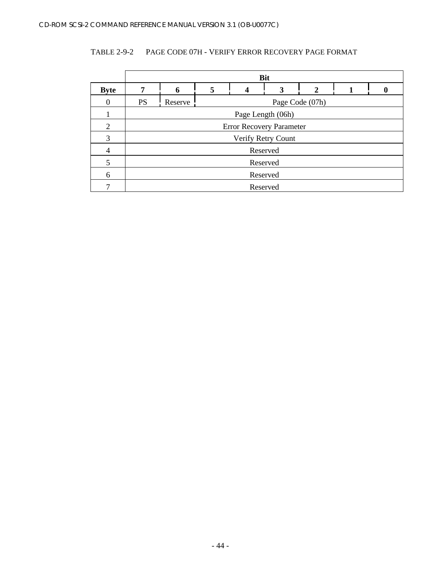| TABLE 2-9-2 PAGE CODE 07H - VERIFY ERROR RECOVERY PAGE FORMAT |
|---------------------------------------------------------------|
|                                                               |

|             | <b>Bit</b>                      |          |                  |                 |  |  |  |  |  |
|-------------|---------------------------------|----------|------------------|-----------------|--|--|--|--|--|
| <b>Byte</b> | 7                               | 6        | 3<br>5<br>2<br>O |                 |  |  |  |  |  |
| 0           | <b>PS</b>                       | Reserve  |                  | Page Code (07h) |  |  |  |  |  |
|             | Page Length (06h)               |          |                  |                 |  |  |  |  |  |
| 2           | <b>Error Recovery Parameter</b> |          |                  |                 |  |  |  |  |  |
| 3           | Verify Retry Count              |          |                  |                 |  |  |  |  |  |
| 4           | Reserved                        |          |                  |                 |  |  |  |  |  |
| 5           | Reserved                        |          |                  |                 |  |  |  |  |  |
| 6           | Reserved                        |          |                  |                 |  |  |  |  |  |
|             |                                 | Reserved |                  |                 |  |  |  |  |  |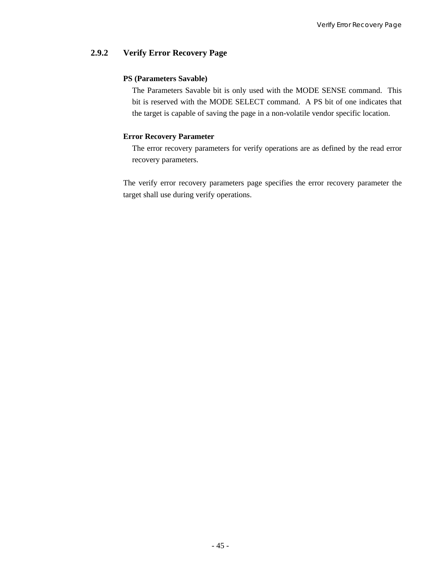# **2.9.2 Verify Error Recovery Page**

### **PS (Parameters Savable)**

The Parameters Savable bit is only used with the MODE SENSE command. This bit is reserved with the MODE SELECT command. A PS bit of one indicates that the target is capable of saving the page in a non-volatile vendor specific location.

### **Error Recovery Parameter**

The error recovery parameters for verify operations are as defined by the read error recovery parameters.

The verify error recovery parameters page specifies the error recovery parameter the target shall use during verify operations.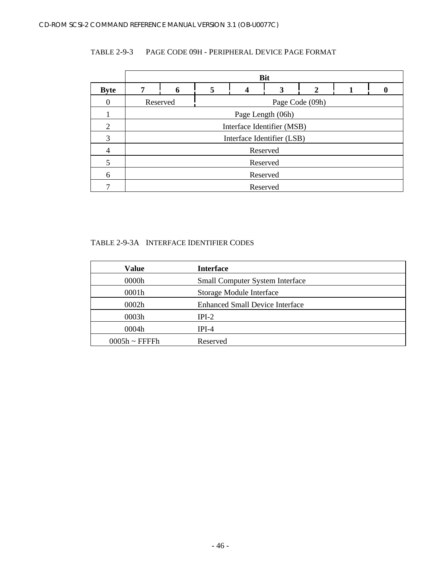| <b>TABLE 2-9-3</b> | PAGE CODE 09H - PERIPHERAL DEVICE PAGE FORMAT |
|--------------------|-----------------------------------------------|
|--------------------|-----------------------------------------------|

|             | <b>Bit</b>                 |                             |   |  |   |   |  |  |
|-------------|----------------------------|-----------------------------|---|--|---|---|--|--|
| <b>Byte</b> | 7                          |                             | 5 |  | 3 | 7 |  |  |
| 0           |                            | Page Code (09h)<br>Reserved |   |  |   |   |  |  |
|             |                            | Page Length (06h)           |   |  |   |   |  |  |
| 2           | Interface Identifier (MSB) |                             |   |  |   |   |  |  |
| 3           | Interface Identifier (LSB) |                             |   |  |   |   |  |  |
| 4           | Reserved                   |                             |   |  |   |   |  |  |
| 5           | Reserved                   |                             |   |  |   |   |  |  |
| 6           | Reserved                   |                             |   |  |   |   |  |  |
|             | Reserved                   |                             |   |  |   |   |  |  |

TABLE 2-9-3A INTERFACE IDENTIFIER CODES

| Value              | <b>Interface</b>                       |  |  |  |
|--------------------|----------------------------------------|--|--|--|
| 0000h              | <b>Small Computer System Interface</b> |  |  |  |
| 0001h              | Storage Module Interface               |  |  |  |
| 0002h              | <b>Enhanced Small Device Interface</b> |  |  |  |
| 0003h              | $IPI-2$                                |  |  |  |
| 0004h              | $IPI-4$                                |  |  |  |
| $0005h \sim FFFFh$ | Reserved                               |  |  |  |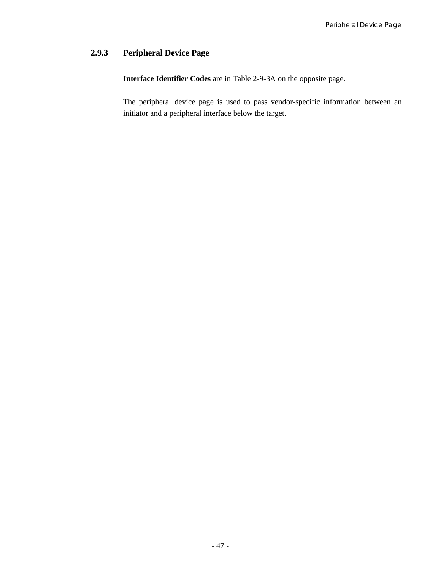# **2.9.3 Peripheral Device Page**

**Interface Identifier Codes** are in Table 2-9-3A on the opposite page.

The peripheral device page is used to pass vendor-specific information between an initiator and a peripheral interface below the target.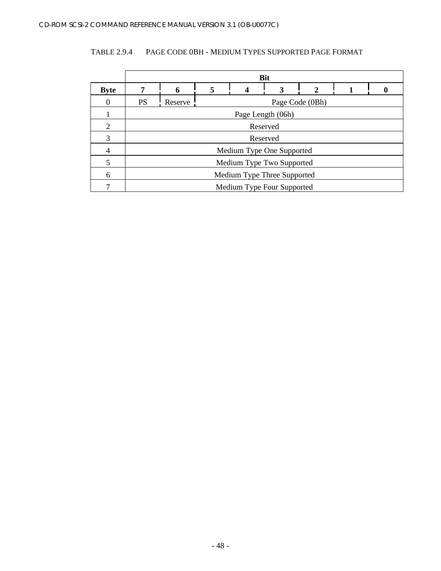|                |                           | <b>Bit</b>                  |   |                 |   |   |  |  |  |  |
|----------------|---------------------------|-----------------------------|---|-----------------|---|---|--|--|--|--|
| <b>Byte</b>    |                           | 6                           | 5 |                 | 3 | 2 |  |  |  |  |
| $\theta$       | <b>PS</b>                 | Reserve                     |   | Page Code (0Bh) |   |   |  |  |  |  |
|                |                           | Page Length (06h)           |   |                 |   |   |  |  |  |  |
| 2              | Reserved                  |                             |   |                 |   |   |  |  |  |  |
| 3              | Reserved                  |                             |   |                 |   |   |  |  |  |  |
| $\overline{4}$ | Medium Type One Supported |                             |   |                 |   |   |  |  |  |  |
| 5              | Medium Type Two Supported |                             |   |                 |   |   |  |  |  |  |
| 6              |                           | Medium Type Three Supported |   |                 |   |   |  |  |  |  |
| 7              |                           | Medium Type Four Supported  |   |                 |   |   |  |  |  |  |

# TABLE 2.9.4 PAGE CODE 0BH - MEDIUM TYPES SUPPORTED PAGE FORMAT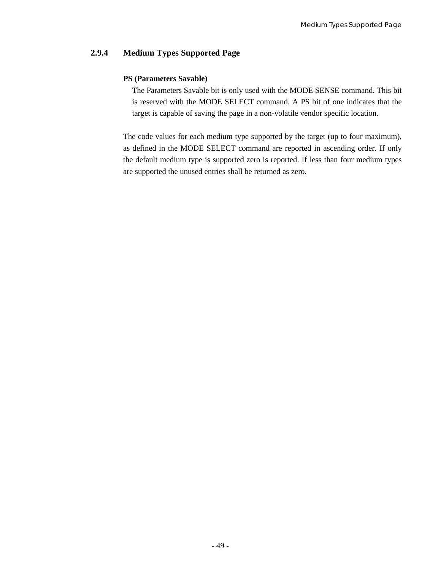# **2.9.4 Medium Types Supported Page**

## **PS (Parameters Savable)**

The Parameters Savable bit is only used with the MODE SENSE command. This bit is reserved with the MODE SELECT command. A PS bit of one indicates that the target is capable of saving the page in a non-volatile vendor specific location.

The code values for each medium type supported by the target (up to four maximum), as defined in the MODE SELECT command are reported in ascending order. If only the default medium type is supported zero is reported. If less than four medium types are supported the unused entries shall be returned as zero.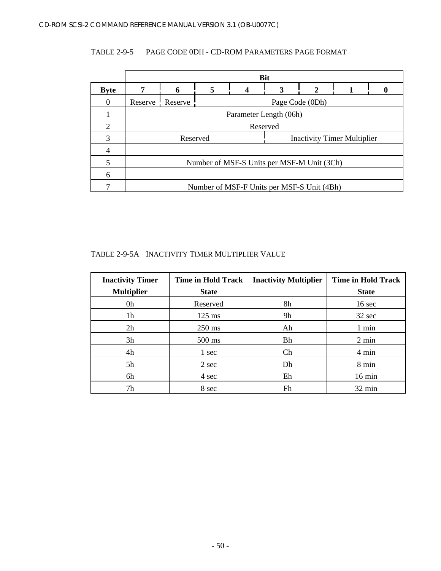# TABLE 2-9-5 PAGE CODE 0DH - CD-ROM PARAMETERS PAGE FORMAT

|                |                                                | <b>Bit</b>                                 |                         |                 |  |  |  |  |  |
|----------------|------------------------------------------------|--------------------------------------------|-------------------------|-----------------|--|--|--|--|--|
| <b>Byte</b>    |                                                | 6                                          | 5<br>3<br>$\mathcal{L}$ |                 |  |  |  |  |  |
| $\Omega$       | Reserve                                        | Reserve                                    |                         | Page Code (0Dh) |  |  |  |  |  |
|                |                                                | Parameter Length (06h)                     |                         |                 |  |  |  |  |  |
| 2              | Reserved                                       |                                            |                         |                 |  |  |  |  |  |
| 3              | Reserved<br><b>Inactivity Timer Multiplier</b> |                                            |                         |                 |  |  |  |  |  |
| $\overline{4}$ |                                                |                                            |                         |                 |  |  |  |  |  |
| 5              | Number of MSF-S Units per MSF-M Unit (3Ch)     |                                            |                         |                 |  |  |  |  |  |
| 6              |                                                |                                            |                         |                 |  |  |  |  |  |
| 7              |                                                | Number of MSF-F Units per MSF-S Unit (4Bh) |                         |                 |  |  |  |  |  |

# TABLE 2-9-5A INACTIVITY TIMER MULTIPLIER VALUE

| <b>Inactivity Timer</b><br><b>Multiplier</b> | <b>Time in Hold Track</b><br><b>State</b> | <b>Inactivity Multiplier</b> | <b>Time in Hold Track</b><br><b>State</b> |
|----------------------------------------------|-------------------------------------------|------------------------------|-------------------------------------------|
| 0h                                           | Reserved                                  | 8h                           | $16 \text{ sec}$                          |
| 1 <sub>h</sub>                               | $125$ ms                                  | 9h                           | $32 \text{ sec}$                          |
| 2 <sub>h</sub>                               | $250 \text{ ms}$                          | Ah                           | 1 min                                     |
| 3h                                           | $500$ ms                                  | <b>Bh</b>                    | $2 \text{ min}$                           |
| 4h                                           | 1 sec                                     | Ch                           | 4 min                                     |
| 5h                                           | 2 sec                                     | Dh                           | 8 min                                     |
| 6h                                           | 4 sec                                     | Eh                           | $16 \text{ min}$                          |
| 7h                                           | 8 sec                                     | Fh                           | 32 min                                    |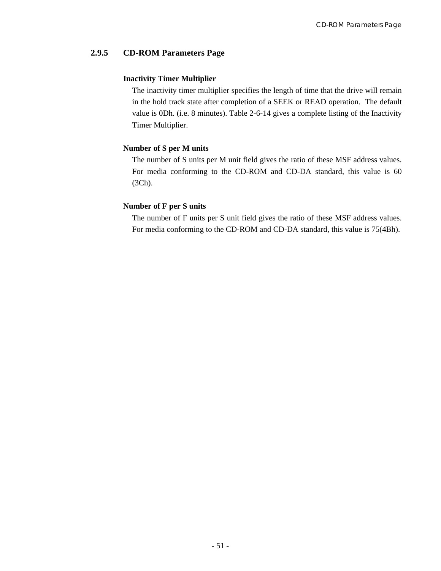## **2.9.5 CD-ROM Parameters Page**

### **Inactivity Timer Multiplier**

The inactivity timer multiplier specifies the length of time that the drive will remain in the hold track state after completion of a SEEK or READ operation. The default value is 0Dh. (i.e. 8 minutes). Table 2-6-14 gives a complete listing of the Inactivity Timer Multiplier.

## **Number of S per M units**

The number of S units per M unit field gives the ratio of these MSF address values. For media conforming to the CD-ROM and CD-DA standard, this value is 60 (3Ch).

## **Number of F per S units**

The number of F units per S unit field gives the ratio of these MSF address values. For media conforming to the CD-ROM and CD-DA standard, this value is 75(4Bh).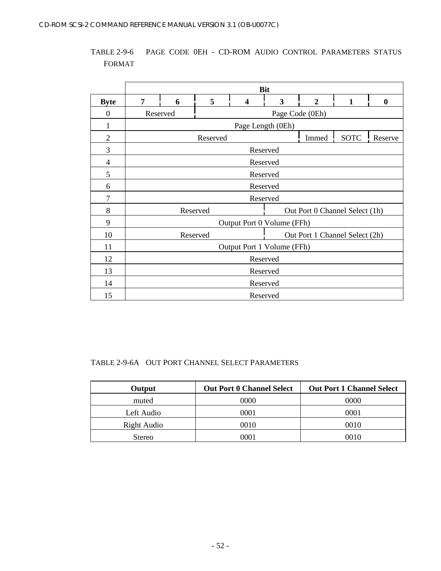# TABLE 2-9-6 PAGE CODE 0EH - CD-ROM AUDIO CONTROL PARAMETERS STATUS FORMAT

|                |   | <b>Bit</b>                                 |          |                            |                   |                                |              |                  |  |
|----------------|---|--------------------------------------------|----------|----------------------------|-------------------|--------------------------------|--------------|------------------|--|
| <b>Byte</b>    | 7 | 6                                          | 5        | $\overline{\mathbf{4}}$    | 3                 | $\overline{2}$                 | $\mathbf{1}$ | $\boldsymbol{0}$ |  |
| $\overline{0}$ |   | Reserved                                   |          |                            |                   | Page Code (0Eh)                |              |                  |  |
| 1              |   |                                            |          |                            | Page Length (0Eh) |                                |              |                  |  |
| $\overline{2}$ |   |                                            | Reserved |                            |                   | Immed                          | <b>SOTC</b>  | Reserve          |  |
| 3              |   |                                            |          |                            | Reserved          |                                |              |                  |  |
| 4              |   |                                            |          |                            | Reserved          |                                |              |                  |  |
| 5              |   |                                            |          |                            | Reserved          |                                |              |                  |  |
| 6              |   |                                            |          |                            | Reserved          |                                |              |                  |  |
| 7              |   |                                            |          |                            | Reserved          |                                |              |                  |  |
| 8              |   |                                            | Reserved |                            |                   | Out Port 0 Channel Select (1h) |              |                  |  |
| 9              |   |                                            |          | Output Port 0 Volume (FFh) |                   |                                |              |                  |  |
| 10             |   | Reserved<br>Out Port 1 Channel Select (2h) |          |                            |                   |                                |              |                  |  |
| 11             |   | Output Port 1 Volume (FFh)                 |          |                            |                   |                                |              |                  |  |
| 12             |   | Reserved                                   |          |                            |                   |                                |              |                  |  |
| 13             |   | Reserved                                   |          |                            |                   |                                |              |                  |  |
| 14             |   |                                            |          |                            | Reserved          |                                |              |                  |  |
| 15             |   |                                            |          |                            | Reserved          |                                |              |                  |  |

## TABLE 2-9-6A OUT PORT CHANNEL SELECT PARAMETERS

| Output        | <b>Out Port 0 Channel Select</b> | <b>Out Port 1 Channel Select</b> |  |  |
|---------------|----------------------------------|----------------------------------|--|--|
| muted         | 0000                             | 0000                             |  |  |
| Left Audio    | 0001                             | 0001                             |  |  |
| Right Audio   | 0010                             | 0010                             |  |  |
| <b>Stereo</b> | 0001                             | 0010                             |  |  |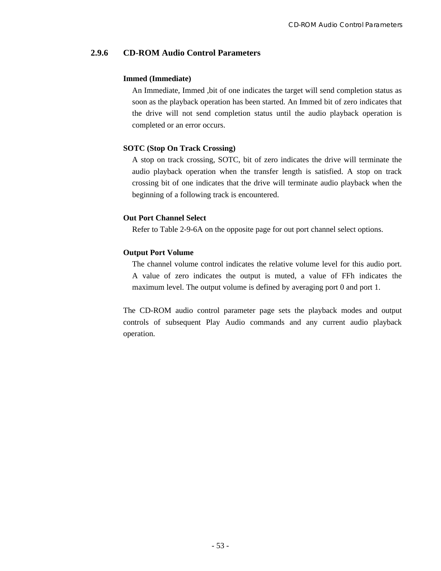## **2.9.6 CD-ROM Audio Control Parameters**

### **Immed (Immediate)**

An Immediate, Immed ,bit of one indicates the target will send completion status as soon as the playback operation has been started. An Immed bit of zero indicates that the drive will not send completion status until the audio playback operation is completed or an error occurs.

### **SOTC (Stop On Track Crossing)**

A stop on track crossing, SOTC, bit of zero indicates the drive will terminate the audio playback operation when the transfer length is satisfied. A stop on track crossing bit of one indicates that the drive will terminate audio playback when the beginning of a following track is encountered.

### **Out Port Channel Select**

Refer to Table 2-9-6A on the opposite page for out port channel select options.

### **Output Port Volume**

The channel volume control indicates the relative volume level for this audio port. A value of zero indicates the output is muted, a value of FFh indicates the maximum level. The output volume is defined by averaging port 0 and port 1.

The CD-ROM audio control parameter page sets the playback modes and output controls of subsequent Play Audio commands and any current audio playback operation.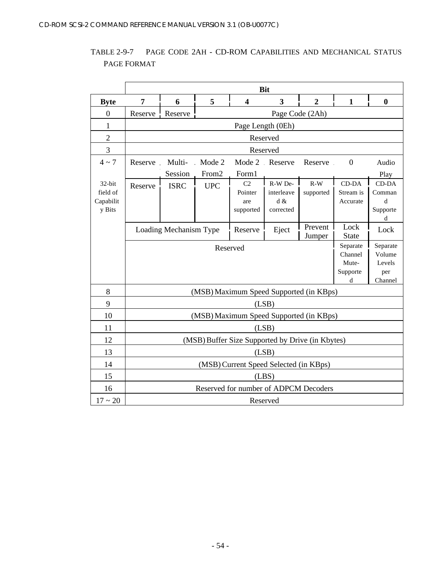# TABLE 2-9-7 PAGE CODE 2AH - CD-ROM CAPABILITIES AND MECHANICAL STATUS PAGE FORMAT

|                                              | <b>Bit</b>                                                |                                        |                   |                                               |                                              |                    |                                                |                                       |
|----------------------------------------------|-----------------------------------------------------------|----------------------------------------|-------------------|-----------------------------------------------|----------------------------------------------|--------------------|------------------------------------------------|---------------------------------------|
| <b>Byte</b>                                  | 7                                                         | 6                                      | 5                 | $\overline{\mathbf{4}}$                       | 3                                            | $\overline{2}$     | $\mathbf{1}$                                   | $\boldsymbol{0}$                      |
| $\boldsymbol{0}$                             | Reserve                                                   | Reserve                                |                   | Page Code (2Ah)                               |                                              |                    |                                                |                                       |
| 1                                            | Page Length (0Eh)                                         |                                        |                   |                                               |                                              |                    |                                                |                                       |
| $\mathfrak{2}$                               | Reserved                                                  |                                        |                   |                                               |                                              |                    |                                                |                                       |
| 3                                            | Reserved                                                  |                                        |                   |                                               |                                              |                    |                                                |                                       |
| $4 \sim 7$                                   | Reserve                                                   | Multi-                                 | Mode 2            |                                               | Mode 2 Reserve                               | Reserve.           | $\overline{0}$                                 | Audio                                 |
|                                              |                                                           | Session                                | From <sub>2</sub> | Form1                                         |                                              |                    |                                                | Play                                  |
| $32$ -bit<br>field of<br>Capabilit<br>y Bits | Reserve                                                   | <b>ISRC</b>                            | <b>UPC</b>        | C <sub>2</sub><br>Pointer<br>are<br>supported | R-W De-<br>interleave<br>$d \&$<br>corrected | $R-W$<br>supported | <b>CD-DA</b><br>Stream is<br>Accurate          | CD-DA<br>Comman<br>d<br>Supporte<br>d |
|                                              | Loading Mechanism Type                                    |                                        |                   | Reserve                                       | Eject                                        | Prevent<br>Jumper  | Lock<br><b>State</b>                           | Lock                                  |
|                                              | Separate<br>Reserved<br>Channel<br>Mute-<br>Supporte<br>d |                                        |                   |                                               |                                              |                    | Separate<br>Volume<br>Levels<br>per<br>Channel |                                       |
| 8                                            | (MSB) Maximum Speed Supported (in KBps)                   |                                        |                   |                                               |                                              |                    |                                                |                                       |
| 9                                            | (LSB)                                                     |                                        |                   |                                               |                                              |                    |                                                |                                       |
| 10                                           | (MSB) Maximum Speed Supported (in KBps)                   |                                        |                   |                                               |                                              |                    |                                                |                                       |
| 11                                           | (LSB)                                                     |                                        |                   |                                               |                                              |                    |                                                |                                       |
| 12                                           | (MSB) Buffer Size Supported by Drive (in Kbytes)          |                                        |                   |                                               |                                              |                    |                                                |                                       |
| 13                                           | (LSB)                                                     |                                        |                   |                                               |                                              |                    |                                                |                                       |
| 14                                           |                                                           | (MSB) Current Speed Selected (in KBps) |                   |                                               |                                              |                    |                                                |                                       |
| 15                                           | (LBS)                                                     |                                        |                   |                                               |                                              |                    |                                                |                                       |
| 16                                           | Reserved for number of ADPCM Decoders                     |                                        |                   |                                               |                                              |                    |                                                |                                       |
| $17 - 20$                                    | Reserved                                                  |                                        |                   |                                               |                                              |                    |                                                |                                       |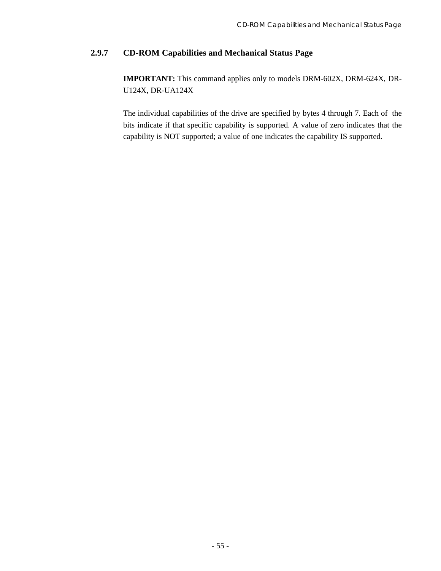## **2.9.7 CD-ROM Capabilities and Mechanical Status Page**

**IMPORTANT:** This command applies only to models DRM-602X, DRM-624X, DR-U124X, DR-UA124X

The individual capabilities of the drive are specified by bytes 4 through 7. Each of the bits indicate if that specific capability is supported. A value of zero indicates that the capability is NOT supported; a value of one indicates the capability IS supported.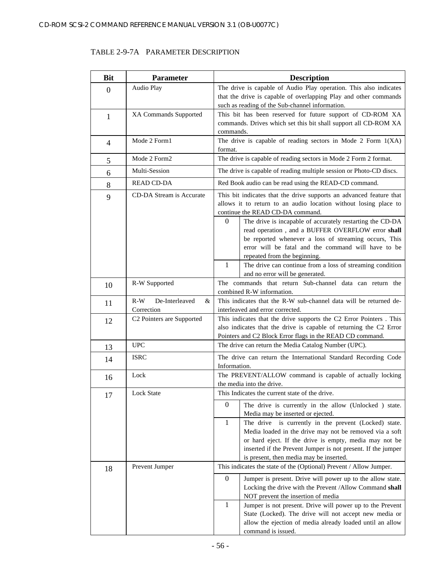# TABLE 2-9-7A PARAMETER DESCRIPTION

| <b>Bit</b>                                            | <b>Parameter</b>                           | <b>Description</b>                                                                                                                       |                                                                                                            |  |  |  |  |
|-------------------------------------------------------|--------------------------------------------|------------------------------------------------------------------------------------------------------------------------------------------|------------------------------------------------------------------------------------------------------------|--|--|--|--|
| $\overline{0}$                                        | Audio Play                                 | The drive is capable of Audio Play operation. This also indicates                                                                        |                                                                                                            |  |  |  |  |
|                                                       |                                            |                                                                                                                                          | that the drive is capable of overlapping Play and other commands                                           |  |  |  |  |
|                                                       |                                            |                                                                                                                                          | such as reading of the Sub-channel information.                                                            |  |  |  |  |
| XA Commands Supported<br>$\mathbf{1}$<br>Mode 2 Form1 |                                            | This bit has been reserved for future support of CD-ROM XA                                                                               |                                                                                                            |  |  |  |  |
|                                                       |                                            | commands. Drives which set this bit shall support all CD-ROM XA<br>commands.                                                             |                                                                                                            |  |  |  |  |
|                                                       |                                            | The drive is capable of reading sectors in Mode 2 Form $1(XA)$                                                                           |                                                                                                            |  |  |  |  |
| $\overline{4}$                                        |                                            | format.                                                                                                                                  |                                                                                                            |  |  |  |  |
| 5                                                     | Mode 2 Form2                               | The drive is capable of reading sectors in Mode 2 Form 2 format.                                                                         |                                                                                                            |  |  |  |  |
| 6                                                     | Multi-Session                              | The drive is capable of reading multiple session or Photo-CD discs.                                                                      |                                                                                                            |  |  |  |  |
| 8                                                     | <b>READ CD-DA</b>                          |                                                                                                                                          | Red Book audio can be read using the READ-CD command.                                                      |  |  |  |  |
| 9                                                     | CD-DA Stream is Accurate                   | This bit indicates that the drive supports an advanced feature that                                                                      |                                                                                                            |  |  |  |  |
|                                                       |                                            | allows it to return to an audio location without losing place to                                                                         |                                                                                                            |  |  |  |  |
|                                                       |                                            |                                                                                                                                          | continue the READ CD-DA command.                                                                           |  |  |  |  |
|                                                       |                                            | 0                                                                                                                                        | The drive is incapable of accurately restarting the CD-DA                                                  |  |  |  |  |
|                                                       |                                            |                                                                                                                                          | read operation, and a BUFFER OVERFLOW error shall<br>be reported whenever a loss of streaming occurs, This |  |  |  |  |
|                                                       |                                            |                                                                                                                                          | error will be fatal and the command will have to be                                                        |  |  |  |  |
|                                                       |                                            |                                                                                                                                          | repeated from the beginning.                                                                               |  |  |  |  |
|                                                       |                                            | 1                                                                                                                                        | The drive can continue from a loss of streaming condition                                                  |  |  |  |  |
|                                                       |                                            |                                                                                                                                          | and no error will be generated.                                                                            |  |  |  |  |
| 10                                                    | R-W Supported                              | The commands that return Sub-channel data can return the                                                                                 |                                                                                                            |  |  |  |  |
|                                                       |                                            | combined R-W information.                                                                                                                |                                                                                                            |  |  |  |  |
| 11                                                    | De-Interleaved<br>$R-W$<br>&<br>Correction | This indicates that the R-W sub-channel data will be returned de-<br>interleaved and error corrected.                                    |                                                                                                            |  |  |  |  |
|                                                       | C2 Pointers are Supported                  | This indicates that the drive supports the C2 Error Pointers. This<br>also indicates that the drive is capable of returning the C2 Error |                                                                                                            |  |  |  |  |
| 12                                                    |                                            |                                                                                                                                          |                                                                                                            |  |  |  |  |
|                                                       |                                            |                                                                                                                                          | Pointers and C2 Block Error flags in the READ CD command.                                                  |  |  |  |  |
| 13                                                    | <b>UPC</b>                                 |                                                                                                                                          | The drive can return the Media Catalog Number (UPC).                                                       |  |  |  |  |
| 14                                                    | <b>ISRC</b>                                |                                                                                                                                          | The drive can return the International Standard Recording Code                                             |  |  |  |  |
|                                                       |                                            | Information.                                                                                                                             |                                                                                                            |  |  |  |  |
| 16                                                    | Lock                                       |                                                                                                                                          | The PREVENT/ALLOW command is capable of actually locking                                                   |  |  |  |  |
|                                                       | Lock State                                 |                                                                                                                                          | the media into the drive.<br>This Indicates the current state of the drive.                                |  |  |  |  |
| 17                                                    |                                            |                                                                                                                                          |                                                                                                            |  |  |  |  |
|                                                       |                                            | 0                                                                                                                                        | The drive is currently in the allow (Unlocked) state.<br>Media may be inserted or ejected.                 |  |  |  |  |
|                                                       |                                            | $\mathbf{1}$                                                                                                                             | The drive is currently in the prevent (Locked) state.                                                      |  |  |  |  |
|                                                       |                                            |                                                                                                                                          | Media loaded in the drive may not be removed via a soft                                                    |  |  |  |  |
|                                                       |                                            |                                                                                                                                          | or hard eject. If the drive is empty, media may not be                                                     |  |  |  |  |
|                                                       |                                            |                                                                                                                                          | inserted if the Prevent Jumper is not present. If the jumper                                               |  |  |  |  |
|                                                       |                                            | is present, then media may be inserted.                                                                                                  |                                                                                                            |  |  |  |  |
| 18                                                    | Prevent Jumper                             |                                                                                                                                          | This indicates the state of the (Optional) Prevent / Allow Jumper.                                         |  |  |  |  |
|                                                       |                                            | $\boldsymbol{0}$                                                                                                                         | Jumper is present. Drive will power up to the allow state.                                                 |  |  |  |  |
|                                                       |                                            |                                                                                                                                          | Locking the drive with the Prevent /Allow Command shall                                                    |  |  |  |  |
|                                                       |                                            | 1                                                                                                                                        | NOT prevent the insertion of media<br>Jumper is not present. Drive will power up to the Prevent            |  |  |  |  |
|                                                       |                                            |                                                                                                                                          | State (Locked). The drive will not accept new media or                                                     |  |  |  |  |
|                                                       |                                            |                                                                                                                                          | allow the ejection of media already loaded until an allow                                                  |  |  |  |  |
|                                                       |                                            |                                                                                                                                          | command is issued.                                                                                         |  |  |  |  |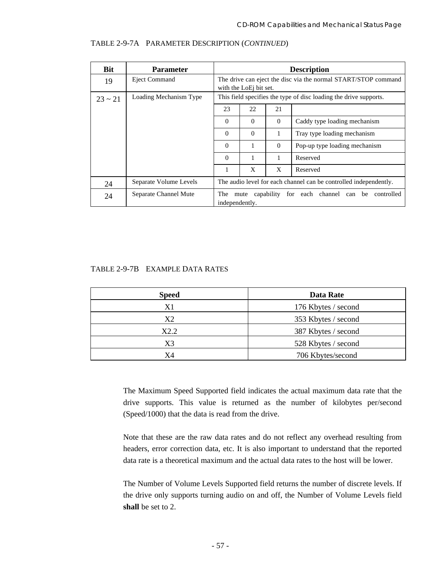| <b>Bit</b>   | <b>Parameter</b>       | <b>Description</b>                                                                       |             |          |                               |
|--------------|------------------------|------------------------------------------------------------------------------------------|-------------|----------|-------------------------------|
| 19           | Eject Command          | The drive can eject the disc via the normal START/STOP command<br>with the LoEj bit set. |             |          |                               |
| $23 \sim 21$ | Loading Mechanism Type | This field specifies the type of disc loading the drive supports.                        |             |          |                               |
|              |                        | 23                                                                                       | 22          | 21       |                               |
|              |                        | $\Omega$                                                                                 | $\Omega$    | $\theta$ | Caddy type loading mechanism  |
|              |                        | $\Omega$                                                                                 | $\Omega$    | 1        | Tray type loading mechanism   |
|              |                        | $\Omega$                                                                                 | 1           | $\theta$ | Pop-up type loading mechanism |
|              |                        | $\theta$                                                                                 | 1           | 1        | Reserved                      |
|              |                        | 1                                                                                        | $\mathbf x$ | X        | Reserved                      |
| 24           | Separate Volume Levels | The audio level for each channel can be controlled independently.                        |             |          |                               |
| 24           | Separate Channel Mute  | capability for each channel can be controlled<br>The<br>mute<br>independently.           |             |          |                               |

### TABLE 2-9-7A PARAMETER DESCRIPTION (*CONTINUED*)

#### TABLE 2-9-7B EXAMPLE DATA RATES

| <b>Speed</b>   | Data Rate           |
|----------------|---------------------|
| X1             | 176 Kbytes / second |
| X <sub>2</sub> | 353 Kbytes / second |
| X2.2           | 387 Kbytes / second |
| X3             | 528 Kbytes / second |
| X4             | 706 Kbytes/second   |

The Maximum Speed Supported field indicates the actual maximum data rate that the drive supports. This value is returned as the number of kilobytes per/second (Speed/1000) that the data is read from the drive.

Note that these are the raw data rates and do not reflect any overhead resulting from headers, error correction data, etc. It is also important to understand that the reported data rate is a theoretical maximum and the actual data rates to the host will be lower.

The Number of Volume Levels Supported field returns the number of discrete levels. If the drive only supports turning audio on and off, the Number of Volume Levels field **shall** be set to 2.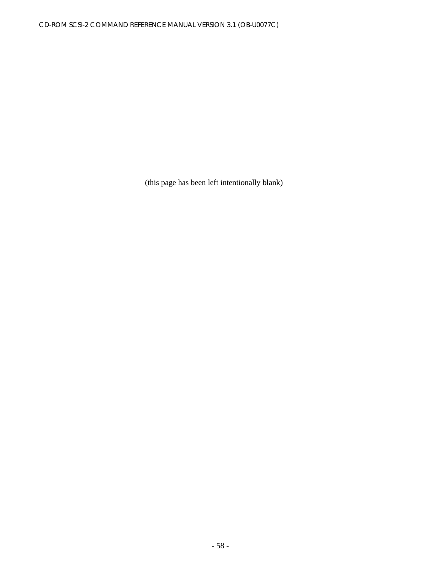(this page has been left intentionally blank)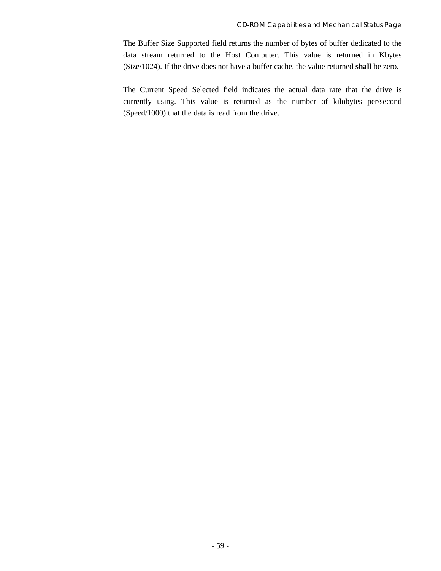The Buffer Size Supported field returns the number of bytes of buffer dedicated to the data stream returned to the Host Computer. This value is returned in Kbytes (Size/1024). If the drive does not have a buffer cache, the value returned **shall** be zero.

The Current Speed Selected field indicates the actual data rate that the drive is currently using. This value is returned as the number of kilobytes per/second (Speed/1000) that the data is read from the drive.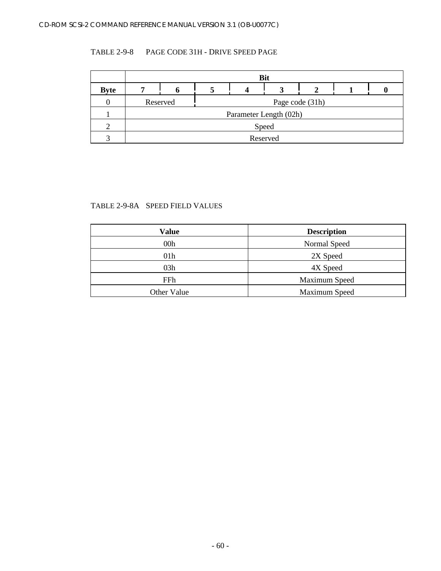## TABLE 2-9-8 PAGE CODE 31H - DRIVE SPEED PAGE

|             |                             |  |  | <b>Bit</b> |  |  |  |  |  |
|-------------|-----------------------------|--|--|------------|--|--|--|--|--|
| <b>Byte</b> |                             |  |  |            |  |  |  |  |  |
|             | Page code (31h)<br>Reserved |  |  |            |  |  |  |  |  |
|             | Parameter Length (02h)      |  |  |            |  |  |  |  |  |
| ∍           | Speed                       |  |  |            |  |  |  |  |  |
| ⌒           |                             |  |  | Reserved   |  |  |  |  |  |

## TABLE 2-9-8A SPEED FIELD VALUES

| Value           | <b>Description</b> |
|-----------------|--------------------|
| 00 <sub>h</sub> | Normal Speed       |
| 01 <sub>h</sub> | 2X Speed           |
| 03h             | 4X Speed           |
| FFh             | Maximum Speed      |
| Other Value     | Maximum Speed      |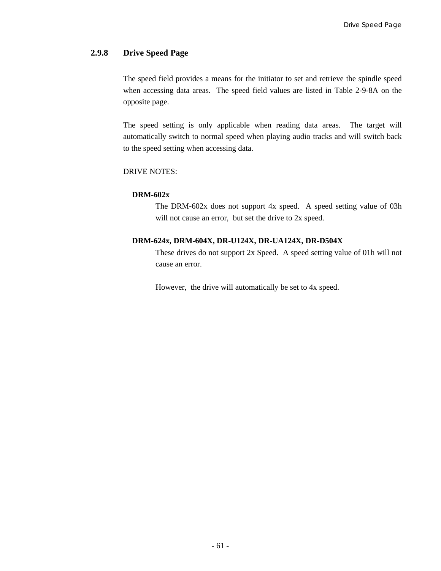## **2.9.8 Drive Speed Page**

The speed field provides a means for the initiator to set and retrieve the spindle speed when accessing data areas. The speed field values are listed in Table 2-9-8A on the opposite page.

The speed setting is only applicable when reading data areas. The target will automatically switch to normal speed when playing audio tracks and will switch back to the speed setting when accessing data.

#### DRIVE NOTES:

#### **DRM-602x**

The DRM-602x does not support 4x speed. A speed setting value of 03h will not cause an error, but set the drive to 2x speed.

#### **DRM-624x, DRM-604X, DR-U124X, DR-UA124X, DR-D504X**

These drives do not support 2x Speed. A speed setting value of 01h will not cause an error.

However, the drive will automatically be set to 4x speed.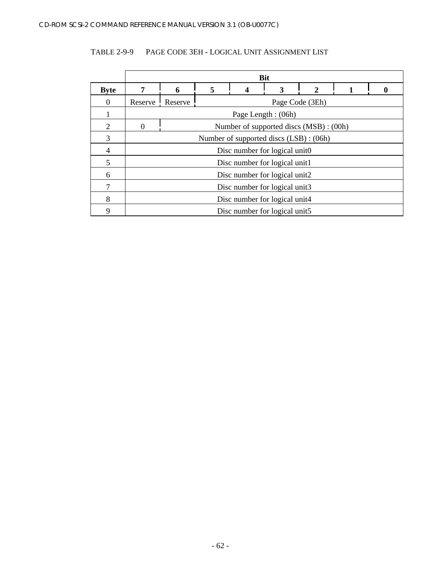|                |          |                                        |   |                                        | <b>Bit</b>      |   |  |   |  |
|----------------|----------|----------------------------------------|---|----------------------------------------|-----------------|---|--|---|--|
| <b>Byte</b>    | 7        | 6                                      | 5 |                                        | 3               | 2 |  | 0 |  |
| $\Omega$       | Reserve  | Reserve                                |   |                                        | Page Code (3Eh) |   |  |   |  |
|                |          | Page Length : (06h)                    |   |                                        |                 |   |  |   |  |
| 2              | $\theta$ |                                        |   | Number of supported discs (MSB): (00h) |                 |   |  |   |  |
| 3              |          | Number of supported discs (LSB): (06h) |   |                                        |                 |   |  |   |  |
| $\overline{4}$ |          | Disc number for logical unit 0         |   |                                        |                 |   |  |   |  |
| 5              |          |                                        |   | Disc number for logical unit1          |                 |   |  |   |  |
| 6              |          |                                        |   | Disc number for logical unit2          |                 |   |  |   |  |
| 7              |          | Disc number for logical unit3          |   |                                        |                 |   |  |   |  |
| 8              |          | Disc number for logical unit4          |   |                                        |                 |   |  |   |  |
| 9              |          |                                        |   | Disc number for logical unit5          |                 |   |  |   |  |

## TABLE 2-9-9 PAGE CODE 3EH - LOGICAL UNIT ASSIGNMENT LIST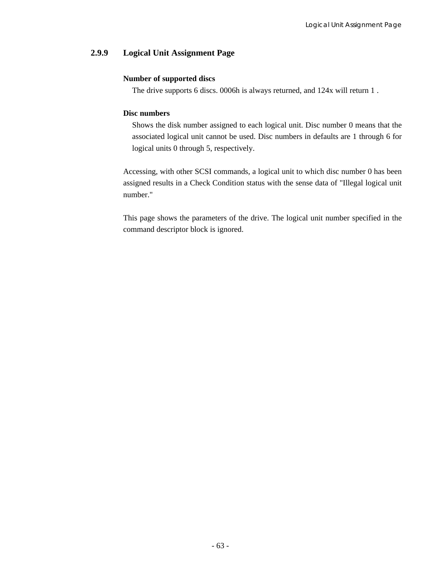## **2.9.9 Logical Unit Assignment Page**

## **Number of supported discs**

The drive supports 6 discs. 0006h is always returned, and 124x will return 1 .

## **Disc numbers**

Shows the disk number assigned to each logical unit. Disc number 0 means that the associated logical unit cannot be used. Disc numbers in defaults are 1 through 6 for logical units 0 through 5, respectively.

Accessing, with other SCSI commands, a logical unit to which disc number 0 has been assigned results in a Check Condition status with the sense data of "Illegal logical unit number."

This page shows the parameters of the drive. The logical unit number specified in the command descriptor block is ignored.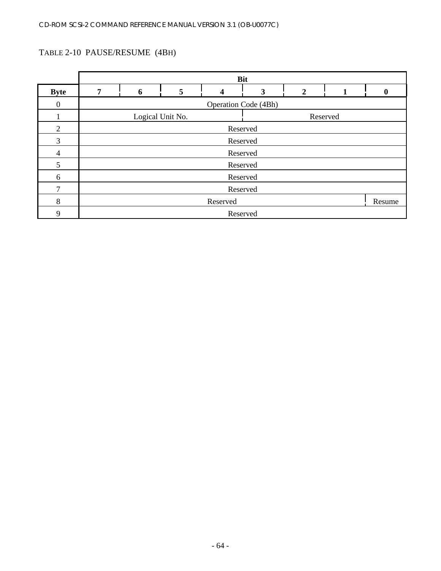# TABLE 2-10 PAUSE/RESUME (4BH)

|                |   |                    |                  |  | <b>Bit</b>                  |   |          |                  |  |  |  |
|----------------|---|--------------------|------------------|--|-----------------------------|---|----------|------------------|--|--|--|
| <b>Byte</b>    | 7 | 6                  | 5                |  | 3                           | 2 |          | $\boldsymbol{0}$ |  |  |  |
| $\mathbf{0}$   |   |                    |                  |  | <b>Operation Code (4Bh)</b> |   |          |                  |  |  |  |
|                |   |                    | Logical Unit No. |  |                             |   | Reserved |                  |  |  |  |
| $\overline{2}$ |   | Reserved           |                  |  |                             |   |          |                  |  |  |  |
| 3              |   | Reserved           |                  |  |                             |   |          |                  |  |  |  |
| $\overline{4}$ |   |                    |                  |  | Reserved                    |   |          |                  |  |  |  |
| 5              |   |                    |                  |  | Reserved                    |   |          |                  |  |  |  |
| 6              |   |                    |                  |  | Reserved                    |   |          |                  |  |  |  |
| 7              |   | Reserved           |                  |  |                             |   |          |                  |  |  |  |
| 8              |   | Reserved<br>Resume |                  |  |                             |   |          |                  |  |  |  |
| 9              |   |                    |                  |  | Reserved                    |   |          |                  |  |  |  |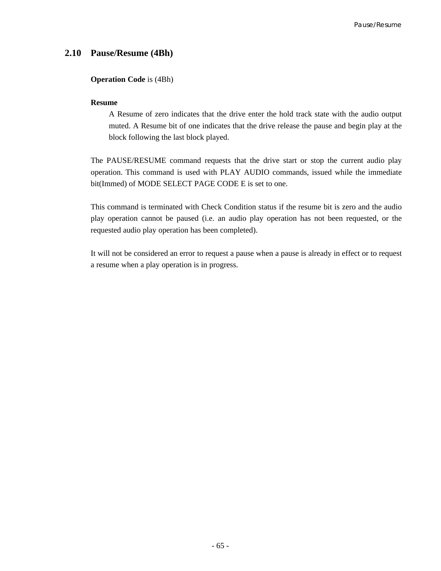## **2.10 Pause/Resume (4Bh)**

### **Operation Code** is (4Bh)

#### **Resume**

A Resume of zero indicates that the drive enter the hold track state with the audio output muted. A Resume bit of one indicates that the drive release the pause and begin play at the block following the last block played.

The PAUSE/RESUME command requests that the drive start or stop the current audio play operation. This command is used with PLAY AUDIO commands, issued while the immediate bit(Immed) of MODE SELECT PAGE CODE E is set to one.

This command is terminated with Check Condition status if the resume bit is zero and the audio play operation cannot be paused (i.e. an audio play operation has not been requested, or the requested audio play operation has been completed).

It will not be considered an error to request a pause when a pause is already in effect or to request a resume when a play operation is in progress.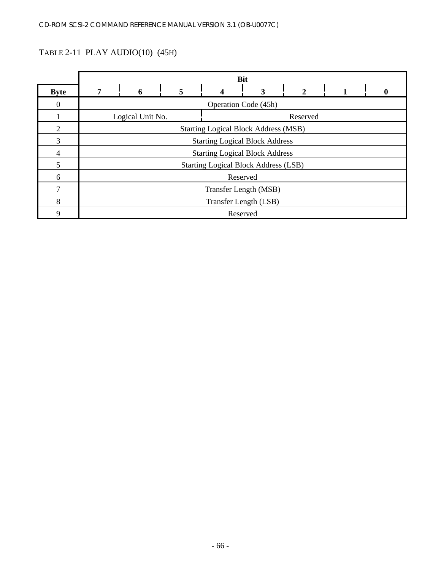# TABLE 2-11 PLAY AUDIO(10) (45H)

|                |   |                                             |  |                                             | <b>Bit</b>           |   |  |  |  |  |  |
|----------------|---|---------------------------------------------|--|---------------------------------------------|----------------------|---|--|--|--|--|--|
| <b>Byte</b>    | 7 | 6                                           |  | Δ                                           | 3                    | 2 |  |  |  |  |  |
| 0              |   |                                             |  |                                             | Operation Code (45h) |   |  |  |  |  |  |
|                |   | Logical Unit No.<br>Reserved                |  |                                             |                      |   |  |  |  |  |  |
| 2              |   | <b>Starting Logical Block Address (MSB)</b> |  |                                             |                      |   |  |  |  |  |  |
| 3              |   | <b>Starting Logical Block Address</b>       |  |                                             |                      |   |  |  |  |  |  |
| $\overline{4}$ |   | <b>Starting Logical Block Address</b>       |  |                                             |                      |   |  |  |  |  |  |
| 5              |   |                                             |  | <b>Starting Logical Block Address (LSB)</b> |                      |   |  |  |  |  |  |
| 6              |   |                                             |  |                                             | Reserved             |   |  |  |  |  |  |
| 7              |   | Transfer Length (MSB)                       |  |                                             |                      |   |  |  |  |  |  |
| 8              |   | Transfer Length (LSB)                       |  |                                             |                      |   |  |  |  |  |  |
| 9              |   |                                             |  |                                             | Reserved             |   |  |  |  |  |  |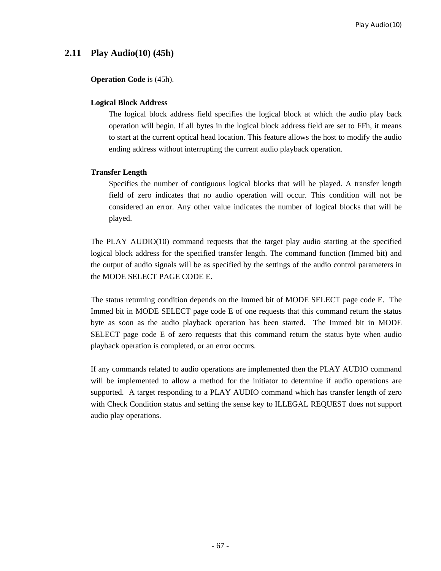## **2.11 Play Audio(10) (45h)**

#### **Operation Code** is (45h).

#### **Logical Block Address**

The logical block address field specifies the logical block at which the audio play back operation will begin. If all bytes in the logical block address field are set to FFh, it means to start at the current optical head location. This feature allows the host to modify the audio ending address without interrupting the current audio playback operation.

### **Transfer Length**

Specifies the number of contiguous logical blocks that will be played. A transfer length field of zero indicates that no audio operation will occur. This condition will not be considered an error. Any other value indicates the number of logical blocks that will be played.

The PLAY AUDIO(10) command requests that the target play audio starting at the specified logical block address for the specified transfer length. The command function (Immed bit) and the output of audio signals will be as specified by the settings of the audio control parameters in the MODE SELECT PAGE CODE E.

The status returning condition depends on the Immed bit of MODE SELECT page code E. The Immed bit in MODE SELECT page code E of one requests that this command return the status byte as soon as the audio playback operation has been started. The Immed bit in MODE SELECT page code E of zero requests that this command return the status byte when audio playback operation is completed, or an error occurs.

If any commands related to audio operations are implemented then the PLAY AUDIO command will be implemented to allow a method for the initiator to determine if audio operations are supported. A target responding to a PLAY AUDIO command which has transfer length of zero with Check Condition status and setting the sense key to ILLEGAL REQUEST does not support audio play operations.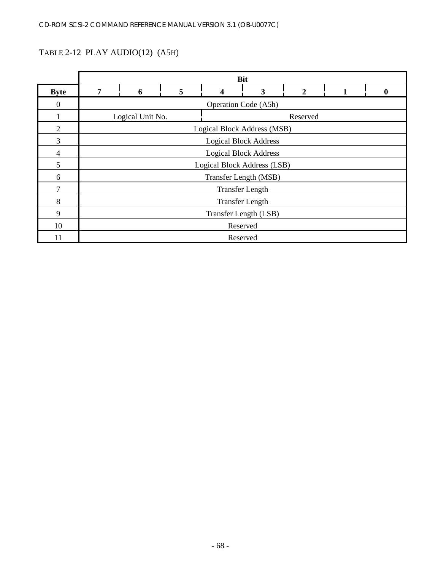# TABLE 2-12 PLAY AUDIO(12) (A5H)

|                  |   |                              |   | <b>Bit</b>             |   |              |  |          |  |  |  |
|------------------|---|------------------------------|---|------------------------|---|--------------|--|----------|--|--|--|
| <b>Byte</b>      | 7 | 6                            | 5 | 4                      | 3 | $\mathbf{2}$ |  | $\bf{0}$ |  |  |  |
| $\boldsymbol{0}$ |   |                              |   | Operation Code (A5h)   |   |              |  |          |  |  |  |
|                  |   | Logical Unit No.<br>Reserved |   |                        |   |              |  |          |  |  |  |
| $\overline{2}$   |   | Logical Block Address (MSB)  |   |                        |   |              |  |          |  |  |  |
| 3                |   | <b>Logical Block Address</b> |   |                        |   |              |  |          |  |  |  |
| $\overline{4}$   |   | <b>Logical Block Address</b> |   |                        |   |              |  |          |  |  |  |
| 5                |   | Logical Block Address (LSB)  |   |                        |   |              |  |          |  |  |  |
| 6                |   |                              |   | Transfer Length (MSB)  |   |              |  |          |  |  |  |
| 7                |   |                              |   | <b>Transfer Length</b> |   |              |  |          |  |  |  |
| 8                |   | <b>Transfer Length</b>       |   |                        |   |              |  |          |  |  |  |
| 9                |   | Transfer Length (LSB)        |   |                        |   |              |  |          |  |  |  |
| 10               |   | Reserved                     |   |                        |   |              |  |          |  |  |  |
| 11               |   |                              |   | Reserved               |   |              |  |          |  |  |  |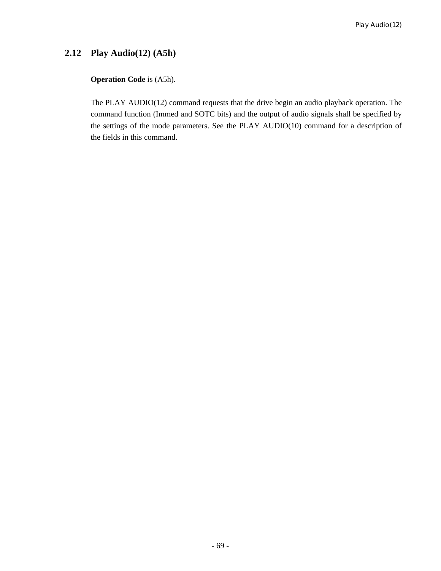# **2.12 Play Audio(12) (A5h)**

## **Operation Code** is (A5h).

The PLAY AUDIO(12) command requests that the drive begin an audio playback operation. The command function (Immed and SOTC bits) and the output of audio signals shall be specified by the settings of the mode parameters. See the PLAY AUDIO(10) command for a description of the fields in this command.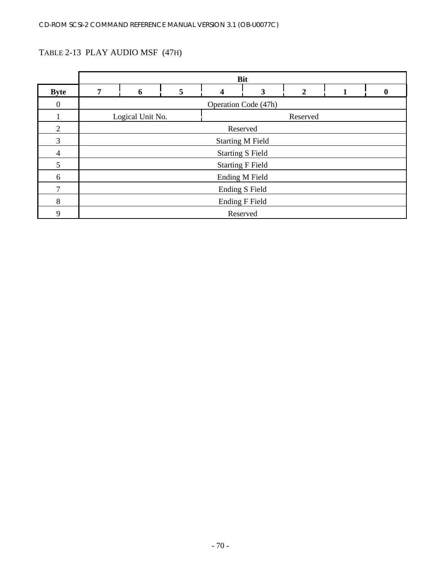# TABLE 2-13 PLAY AUDIO MSF (47H)

|                |   |                         |  |  | <b>Bit</b>              |          |  |  |  |  |  |
|----------------|---|-------------------------|--|--|-------------------------|----------|--|--|--|--|--|
| <b>Byte</b>    | 7 | 6                       |  |  | 3                       |          |  |  |  |  |  |
| 0              |   |                         |  |  | Operation Code (47h)    |          |  |  |  |  |  |
|                |   | Logical Unit No.        |  |  |                         | Reserved |  |  |  |  |  |
| $\overline{2}$ |   | Reserved                |  |  |                         |          |  |  |  |  |  |
| 3              |   | <b>Starting M Field</b> |  |  |                         |          |  |  |  |  |  |
| $\overline{4}$ |   |                         |  |  | <b>Starting S Field</b> |          |  |  |  |  |  |
| 5              |   |                         |  |  | <b>Starting F Field</b> |          |  |  |  |  |  |
| 6              |   |                         |  |  | Ending M Field          |          |  |  |  |  |  |
| 7              |   | <b>Ending S Field</b>   |  |  |                         |          |  |  |  |  |  |
| 8              |   | <b>Ending F Field</b>   |  |  |                         |          |  |  |  |  |  |
| 9              |   |                         |  |  | Reserved                |          |  |  |  |  |  |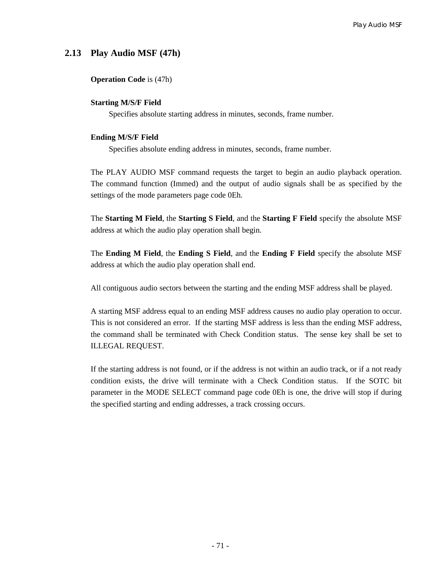# **2.13 Play Audio MSF (47h)**

### **Operation Code** is (47h)

#### **Starting M/S/F Field**

Specifies absolute starting address in minutes, seconds, frame number.

### **Ending M/S/F Field**

Specifies absolute ending address in minutes, seconds, frame number.

The PLAY AUDIO MSF command requests the target to begin an audio playback operation. The command function (Immed) and the output of audio signals shall be as specified by the settings of the mode parameters page code 0Eh.

The **Starting M Field**, the **Starting S Field**, and the **Starting F Field** specify the absolute MSF address at which the audio play operation shall begin.

The **Ending M Field**, the **Ending S Field**, and the **Ending F Field** specify the absolute MSF address at which the audio play operation shall end.

All contiguous audio sectors between the starting and the ending MSF address shall be played.

A starting MSF address equal to an ending MSF address causes no audio play operation to occur. This is not considered an error. If the starting MSF address is less than the ending MSF address, the command shall be terminated with Check Condition status. The sense key shall be set to ILLEGAL REQUEST.

If the starting address is not found, or if the address is not within an audio track, or if a not ready condition exists, the drive will terminate with a Check Condition status. If the SOTC bit parameter in the MODE SELECT command page code 0Eh is one, the drive will stop if during the specified starting and ending addresses, a track crossing occurs.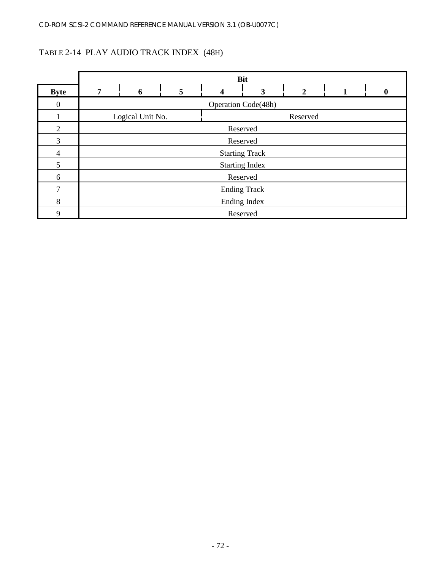# TABLE 2-14 PLAY AUDIO TRACK INDEX (48H)

|                |   |                       |  |  | <b>Bit</b>                 |          |  |  |  |  |  |
|----------------|---|-----------------------|--|--|----------------------------|----------|--|--|--|--|--|
| <b>Byte</b>    | 7 | 6                     |  |  | 3                          | 2        |  |  |  |  |  |
| 0              |   |                       |  |  | <b>Operation Code(48h)</b> |          |  |  |  |  |  |
|                |   | Logical Unit No.      |  |  |                            | Reserved |  |  |  |  |  |
| $\overline{2}$ |   | Reserved              |  |  |                            |          |  |  |  |  |  |
| 3              |   | Reserved              |  |  |                            |          |  |  |  |  |  |
| $\overline{4}$ |   | <b>Starting Track</b> |  |  |                            |          |  |  |  |  |  |
| 5              |   |                       |  |  | <b>Starting Index</b>      |          |  |  |  |  |  |
| 6              |   |                       |  |  | Reserved                   |          |  |  |  |  |  |
| 7              |   | <b>Ending Track</b>   |  |  |                            |          |  |  |  |  |  |
| 8              |   | Ending Index          |  |  |                            |          |  |  |  |  |  |
| 9              |   |                       |  |  | Reserved                   |          |  |  |  |  |  |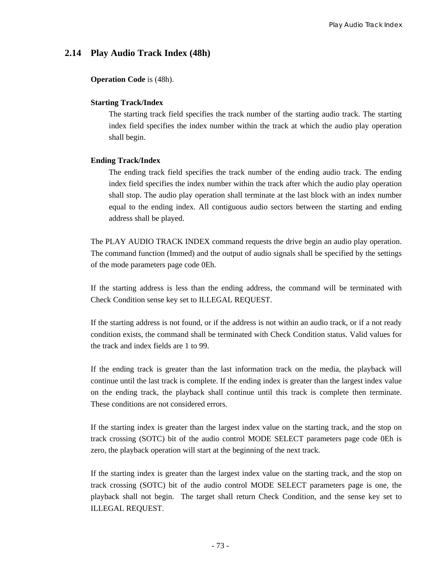## **2.14 Play Audio Track Index (48h)**

**Operation Code** is (48h).

#### **Starting Track/Index**

The starting track field specifies the track number of the starting audio track. The starting index field specifies the index number within the track at which the audio play operation shall begin.

#### **Ending Track/Index**

The ending track field specifies the track number of the ending audio track. The ending index field specifies the index number within the track after which the audio play operation shall stop. The audio play operation shall terminate at the last block with an index number equal to the ending index. All contiguous audio sectors between the starting and ending address shall be played.

The PLAY AUDIO TRACK INDEX command requests the drive begin an audio play operation. The command function (Immed) and the output of audio signals shall be specified by the settings of the mode parameters page code 0Eh.

If the starting address is less than the ending address, the command will be terminated with Check Condition sense key set to ILLEGAL REQUEST.

If the starting address is not found, or if the address is not within an audio track, or if a not ready condition exists, the command shall be terminated with Check Condition status. Valid values for the track and index fields are 1 to 99.

If the ending track is greater than the last information track on the media, the playback will continue until the last track is complete. If the ending index is greater than the largest index value on the ending track, the playback shall continue until this track is complete then terminate. These conditions are not considered errors.

If the starting index is greater than the largest index value on the starting track, and the stop on track crossing (SOTC) bit of the audio control MODE SELECT parameters page code 0Eh is zero, the playback operation will start at the beginning of the next track.

If the starting index is greater than the largest index value on the starting track, and the stop on track crossing (SOTC) bit of the audio control MODE SELECT parameters page is one, the playback shall not begin. The target shall return Check Condition, and the sense key set to ILLEGAL REQUEST.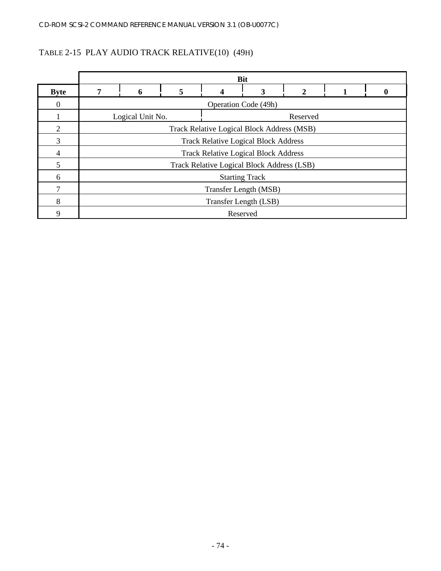|             |   |                                             |  |                                            | <b>Bit</b>                  |  |  |  |  |  |  |  |
|-------------|---|---------------------------------------------|--|--------------------------------------------|-----------------------------|--|--|--|--|--|--|--|
| <b>Byte</b> | 7 | 6                                           |  |                                            |                             |  |  |  |  |  |  |  |
| 0           |   |                                             |  |                                            | <b>Operation Code (49h)</b> |  |  |  |  |  |  |  |
|             |   | Logical Unit No.<br>Reserved                |  |                                            |                             |  |  |  |  |  |  |  |
| 2           |   | Track Relative Logical Block Address (MSB)  |  |                                            |                             |  |  |  |  |  |  |  |
| 3           |   | <b>Track Relative Logical Block Address</b> |  |                                            |                             |  |  |  |  |  |  |  |
| 4           |   | <b>Track Relative Logical Block Address</b> |  |                                            |                             |  |  |  |  |  |  |  |
| 5           |   |                                             |  | Track Relative Logical Block Address (LSB) |                             |  |  |  |  |  |  |  |
| 6           |   |                                             |  |                                            | <b>Starting Track</b>       |  |  |  |  |  |  |  |
| 7           |   | <b>Transfer Length (MSB)</b>                |  |                                            |                             |  |  |  |  |  |  |  |
| 8           |   |                                             |  |                                            | Transfer Length (LSB)       |  |  |  |  |  |  |  |
| 9           |   |                                             |  |                                            | Reserved                    |  |  |  |  |  |  |  |

# TABLE 2-15 PLAY AUDIO TRACK RELATIVE(10) (49H)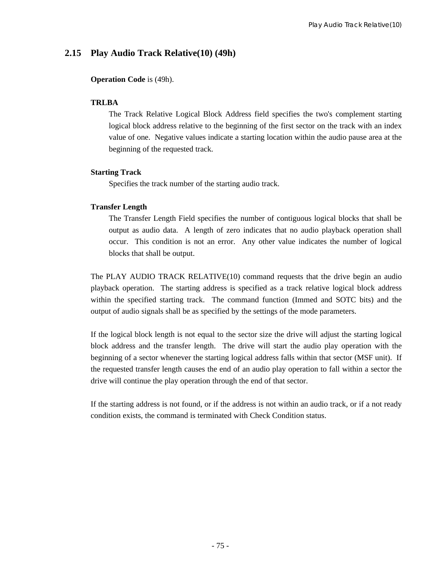## **2.15 Play Audio Track Relative(10) (49h)**

**Operation Code** is (49h).

## **TRLBA**

The Track Relative Logical Block Address field specifies the two's complement starting logical block address relative to the beginning of the first sector on the track with an index value of one. Negative values indicate a starting location within the audio pause area at the beginning of the requested track.

## **Starting Track**

Specifies the track number of the starting audio track.

## **Transfer Length**

The Transfer Length Field specifies the number of contiguous logical blocks that shall be output as audio data. A length of zero indicates that no audio playback operation shall occur. This condition is not an error. Any other value indicates the number of logical blocks that shall be output.

The PLAY AUDIO TRACK RELATIVE(10) command requests that the drive begin an audio playback operation. The starting address is specified as a track relative logical block address within the specified starting track. The command function (Immed and SOTC bits) and the output of audio signals shall be as specified by the settings of the mode parameters.

If the logical block length is not equal to the sector size the drive will adjust the starting logical block address and the transfer length. The drive will start the audio play operation with the beginning of a sector whenever the starting logical address falls within that sector (MSF unit). If the requested transfer length causes the end of an audio play operation to fall within a sector the drive will continue the play operation through the end of that sector.

If the starting address is not found, or if the address is not within an audio track, or if a not ready condition exists, the command is terminated with Check Condition status.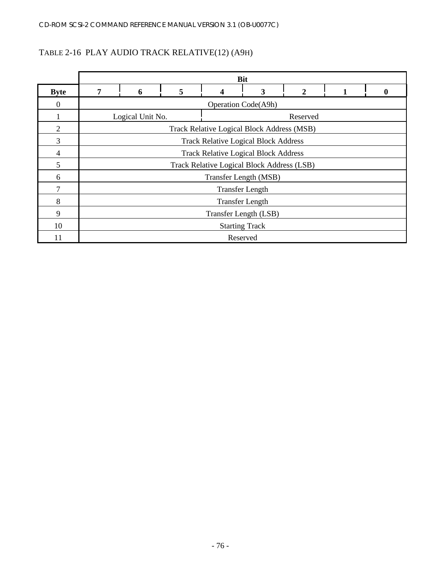|                |   |                                             |   | <b>Bit</b>                   |   |                |  |          |  |  |  |
|----------------|---|---------------------------------------------|---|------------------------------|---|----------------|--|----------|--|--|--|
| <b>Byte</b>    | 7 | 6                                           | 5 |                              | 3 | $\overline{2}$ |  | $\bf{0}$ |  |  |  |
| $\Omega$       |   |                                             |   | <b>Operation Code(A9h)</b>   |   |                |  |          |  |  |  |
|                |   | Logical Unit No.<br>Reserved                |   |                              |   |                |  |          |  |  |  |
| $\overline{2}$ |   | Track Relative Logical Block Address (MSB)  |   |                              |   |                |  |          |  |  |  |
| 3              |   | <b>Track Relative Logical Block Address</b> |   |                              |   |                |  |          |  |  |  |
| 4              |   | <b>Track Relative Logical Block Address</b> |   |                              |   |                |  |          |  |  |  |
| 5              |   | Track Relative Logical Block Address (LSB)  |   |                              |   |                |  |          |  |  |  |
| 6              |   |                                             |   | <b>Transfer Length (MSB)</b> |   |                |  |          |  |  |  |
| 7              |   |                                             |   | <b>Transfer Length</b>       |   |                |  |          |  |  |  |
| 8              |   | <b>Transfer Length</b>                      |   |                              |   |                |  |          |  |  |  |
| 9              |   | Transfer Length (LSB)                       |   |                              |   |                |  |          |  |  |  |
| 10             |   |                                             |   | <b>Starting Track</b>        |   |                |  |          |  |  |  |
| 11             |   |                                             |   | Reserved                     |   |                |  |          |  |  |  |

# TABLE 2-16 PLAY AUDIO TRACK RELATIVE(12) (A9H)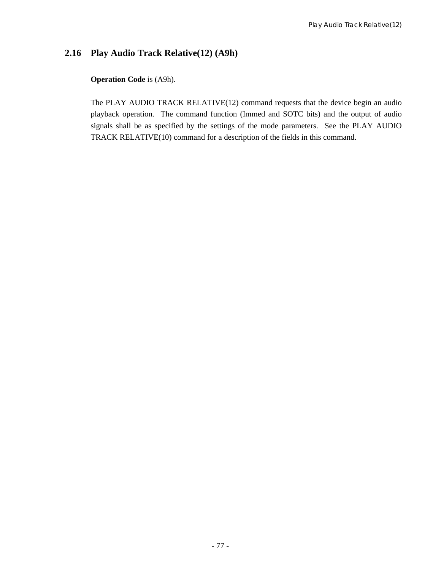## **2.16 Play Audio Track Relative(12) (A9h)**

**Operation Code** is (A9h).

The PLAY AUDIO TRACK RELATIVE(12) command requests that the device begin an audio playback operation. The command function (Immed and SOTC bits) and the output of audio signals shall be as specified by the settings of the mode parameters. See the PLAY AUDIO TRACK RELATIVE(10) command for a description of the fields in this command.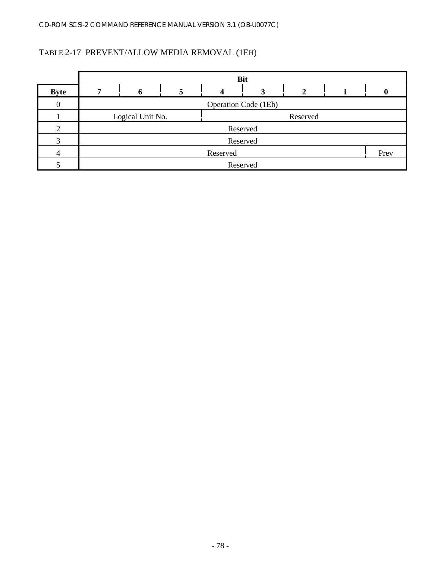# TABLE 2-17 PREVENT/ALLOW MEDIA REMOVAL (1EH)

|             |   |                              |  | <b>Bit</b>           |  |  |  |  |  |  |
|-------------|---|------------------------------|--|----------------------|--|--|--|--|--|--|
| <b>Byte</b> | − |                              |  |                      |  |  |  |  |  |  |
|             |   |                              |  | Operation Code (1Eh) |  |  |  |  |  |  |
|             |   | Logical Unit No.<br>Reserved |  |                      |  |  |  |  |  |  |
| 2           |   | Reserved                     |  |                      |  |  |  |  |  |  |
| 3           |   | Reserved                     |  |                      |  |  |  |  |  |  |
| 4           |   | Reserved<br>Prev             |  |                      |  |  |  |  |  |  |
|             |   |                              |  | Reserved             |  |  |  |  |  |  |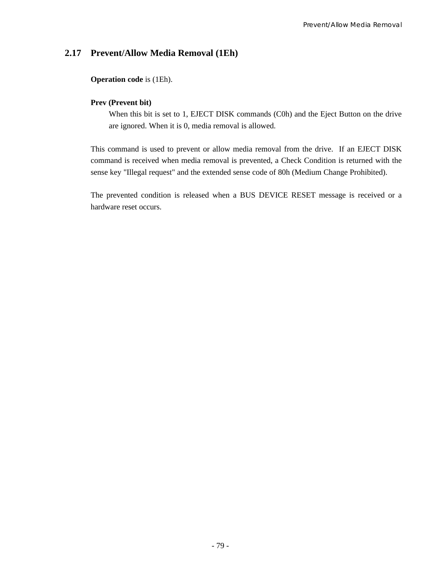# **2.17 Prevent/Allow Media Removal (1Eh)**

**Operation code** is (1Eh).

## **Prev (Prevent bit)**

When this bit is set to 1, EJECT DISK commands (C0h) and the Eject Button on the drive are ignored. When it is 0, media removal is allowed.

This command is used to prevent or allow media removal from the drive. If an EJECT DISK command is received when media removal is prevented, a Check Condition is returned with the sense key "Illegal request" and the extended sense code of 80h (Medium Change Prohibited).

The prevented condition is released when a BUS DEVICE RESET message is received or a hardware reset occurs.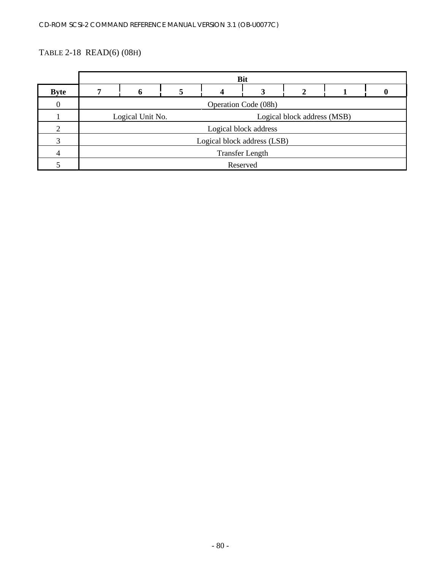# TABLE 2-18 READ(6) (08H)

|             |                                                 |  |  | <b>Bit</b> |  |  |  |  |  |  |
|-------------|-------------------------------------------------|--|--|------------|--|--|--|--|--|--|
| <b>Byte</b> |                                                 |  |  |            |  |  |  |  |  |  |
| $\theta$    | Operation Code (08h)                            |  |  |            |  |  |  |  |  |  |
|             | Logical block address (MSB)<br>Logical Unit No. |  |  |            |  |  |  |  |  |  |
| 2           | Logical block address                           |  |  |            |  |  |  |  |  |  |
|             | Logical block address (LSB)                     |  |  |            |  |  |  |  |  |  |
| 4           | <b>Transfer Length</b>                          |  |  |            |  |  |  |  |  |  |
|             |                                                 |  |  | Reserved   |  |  |  |  |  |  |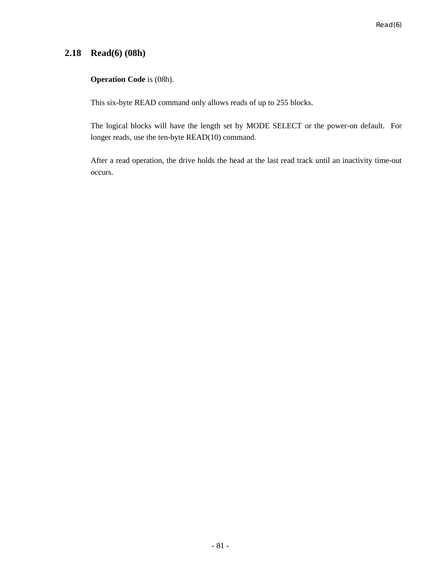## **2.18 Read(6) (08h)**

### **Operation Code** is (08h).

This six-byte READ command only allows reads of up to 255 blocks.

The logical blocks will have the length set by MODE SELECT or the power-on default. For longer reads, use the ten-byte READ(10) command.

After a read operation, the drive holds the head at the last read track until an inactivity time-out occurs.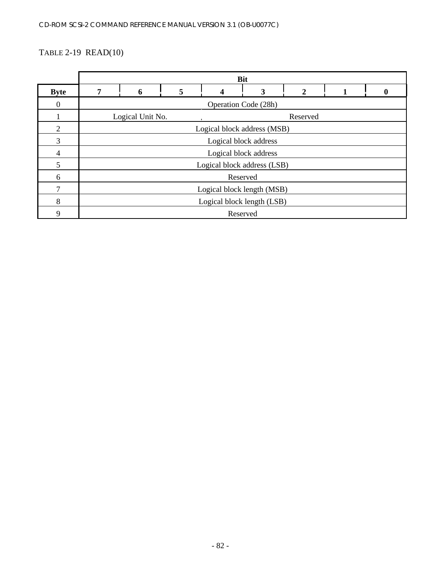# TABLE 2-19 READ(10)

|                |   | <b>Bit</b>                 |   |                             |                      |          |  |   |  |  |  |
|----------------|---|----------------------------|---|-----------------------------|----------------------|----------|--|---|--|--|--|
| <b>Byte</b>    | 7 | 6                          | 5 | 4                           | 3                    | 2        |  | 0 |  |  |  |
| $\Omega$       |   |                            |   |                             | Operation Code (28h) |          |  |   |  |  |  |
|                |   | Logical Unit No.           |   |                             |                      | Reserved |  |   |  |  |  |
| $\overline{2}$ |   |                            |   | Logical block address (MSB) |                      |          |  |   |  |  |  |
| 3              |   | Logical block address      |   |                             |                      |          |  |   |  |  |  |
| $\overline{4}$ |   |                            |   | Logical block address       |                      |          |  |   |  |  |  |
| 5              |   |                            |   | Logical block address (LSB) |                      |          |  |   |  |  |  |
| 6              |   |                            |   | Reserved                    |                      |          |  |   |  |  |  |
| $\overline{7}$ |   | Logical block length (MSB) |   |                             |                      |          |  |   |  |  |  |
| 8              |   | Logical block length (LSB) |   |                             |                      |          |  |   |  |  |  |
| 9              |   |                            |   |                             | Reserved             |          |  |   |  |  |  |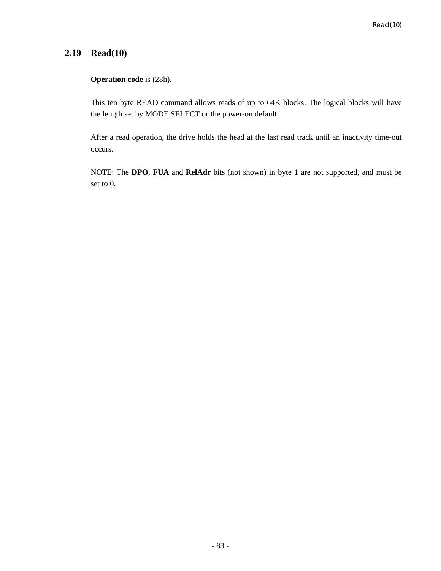# **2.19 Read(10)**

**Operation code** is (28h).

This ten byte READ command allows reads of up to 64K blocks. The logical blocks will have the length set by MODE SELECT or the power-on default.

After a read operation, the drive holds the head at the last read track until an inactivity time-out occurs.

NOTE: The **DPO**, **FUA** and **RelAdr** bits (not shown) in byte 1 are not supported, and must be set to 0.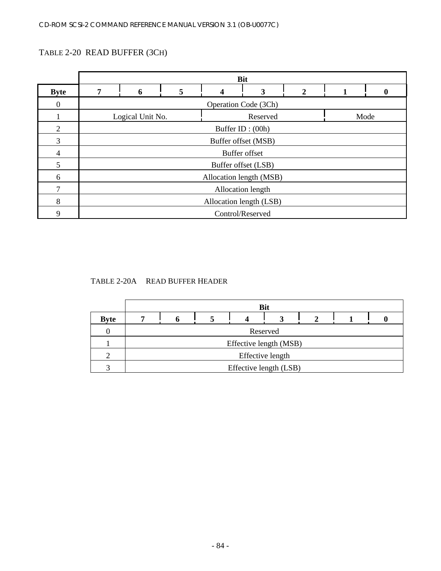# TABLE 2-20 READ BUFFER (3CH)

|                |   | <b>Bit</b>              |   |  |                         |   |  |      |  |  |  |  |
|----------------|---|-------------------------|---|--|-------------------------|---|--|------|--|--|--|--|
| <b>Byte</b>    | 7 | 6                       | 5 |  | 3                       | 2 |  |      |  |  |  |  |
| 0              |   | Operation Code (3Ch)    |   |  |                         |   |  |      |  |  |  |  |
|                |   | Logical Unit No.        |   |  | Reserved                |   |  | Mode |  |  |  |  |
| $\overline{2}$ |   | Buffer $ID: (00h)$      |   |  |                         |   |  |      |  |  |  |  |
| 3              |   | Buffer offset (MSB)     |   |  |                         |   |  |      |  |  |  |  |
| 4              |   |                         |   |  | Buffer offset           |   |  |      |  |  |  |  |
| 5              |   |                         |   |  | Buffer offset (LSB)     |   |  |      |  |  |  |  |
| 6              |   |                         |   |  | Allocation length (MSB) |   |  |      |  |  |  |  |
| 7              |   | Allocation length       |   |  |                         |   |  |      |  |  |  |  |
| 8              |   | Allocation length (LSB) |   |  |                         |   |  |      |  |  |  |  |
| 9              |   |                         |   |  | Control/Reserved        |   |  |      |  |  |  |  |

## TABLE 2-20A READ BUFFER HEADER

|             | <b>Bit</b> |                  |  |                        |  |  |  |  |  |  |  |  |
|-------------|------------|------------------|--|------------------------|--|--|--|--|--|--|--|--|
| <b>Byte</b> |            |                  |  |                        |  |  |  |  |  |  |  |  |
|             |            | Reserved         |  |                        |  |  |  |  |  |  |  |  |
|             |            |                  |  | Effective length (MSB) |  |  |  |  |  |  |  |  |
|             |            | Effective length |  |                        |  |  |  |  |  |  |  |  |
|             |            |                  |  | Effective length (LSB) |  |  |  |  |  |  |  |  |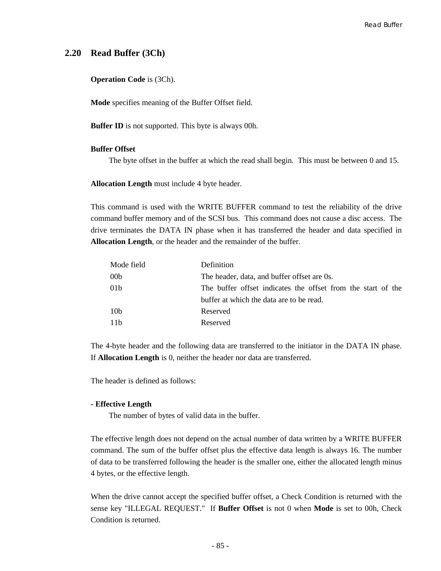## **2.20 Read Buffer (3Ch)**

**Operation Code** is (3Ch).

**Mode** specifies meaning of the Buffer Offset field.

**Buffer ID** is not supported. This byte is always 00h.

#### **Buffer Offset**

The byte offset in the buffer at which the read shall begin. This must be between 0 and 15.

**Allocation Length** must include 4 byte header.

This command is used with the WRITE BUFFER command to test the reliability of the drive command buffer memory and of the SCSI bus. This command does not cause a disc access. The drive terminates the DATA IN phase when it has transferred the header and data specified in **Allocation Length**, or the header and the remainder of the buffer.

| Mode field      | Definition                                                   |
|-----------------|--------------------------------------------------------------|
| 00 <sub>b</sub> | The header, data, and buffer offset are 0s.                  |
| 01 <sub>b</sub> | The buffer offset indicates the offset from the start of the |
|                 | buffer at which the data are to be read.                     |
| 10 <sub>b</sub> | Reserved                                                     |
| 11 <sub>b</sub> | Reserved                                                     |

The 4-byte header and the following data are transferred to the initiator in the DATA IN phase. If **Allocation Length** is 0, neither the header nor data are transferred.

The header is defined as follows:

#### **- Effective Length**

The number of bytes of valid data in the buffer.

The effective length does not depend on the actual number of data written by a WRITE BUFFER command. The sum of the buffer offset plus the effective data length is always 16. The number of data to be transferred following the header is the smaller one, either the allocated length minus 4 bytes, or the effective length.

When the drive cannot accept the specified buffer offset, a Check Condition is returned with the sense key "ILLEGAL REQUEST." If **Buffer Offset** is not 0 when **Mode** is set to 00h, Check Condition is returned.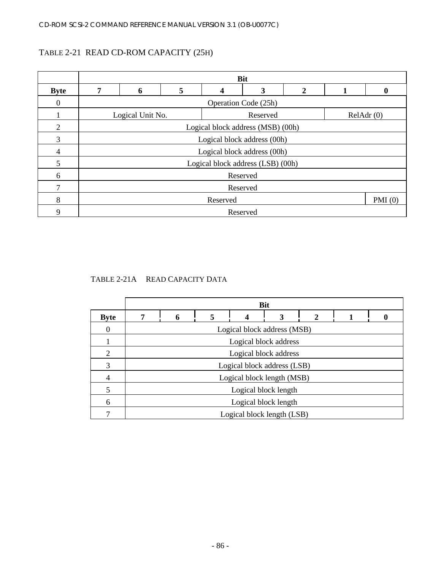# TABLE 2-21 READ CD-ROM CAPACITY (25H)

|                |   | <b>Bit</b>                        |   |                                   |                      |                |           |                  |  |  |  |
|----------------|---|-----------------------------------|---|-----------------------------------|----------------------|----------------|-----------|------------------|--|--|--|
| <b>Byte</b>    | 7 | 6                                 | 5 | 4                                 | 3                    | $\overline{2}$ | 1         | $\boldsymbol{0}$ |  |  |  |
| 0              |   |                                   |   |                                   | Operation Code (25h) |                |           |                  |  |  |  |
|                |   | Logical Unit No.                  |   |                                   | Reserved             |                | RelAdr(0) |                  |  |  |  |
| $\overline{2}$ |   | Logical block address (MSB) (00h) |   |                                   |                      |                |           |                  |  |  |  |
| 3              |   | Logical block address (00h)       |   |                                   |                      |                |           |                  |  |  |  |
| $\overline{4}$ |   |                                   |   | Logical block address (00h)       |                      |                |           |                  |  |  |  |
| 5              |   |                                   |   | Logical block address (LSB) (00h) |                      |                |           |                  |  |  |  |
| 6              |   |                                   |   |                                   | Reserved             |                |           |                  |  |  |  |
|                |   | Reserved                          |   |                                   |                      |                |           |                  |  |  |  |
| 8              |   | PMI(0)<br>Reserved                |   |                                   |                      |                |           |                  |  |  |  |
| 9              |   |                                   |   |                                   | Reserved             |                |           |                  |  |  |  |

TABLE 2-21A READ CAPACITY DATA

|             |   | <b>Bit</b>                  |  |                             |  |  |  |  |  |  |  |  |
|-------------|---|-----------------------------|--|-----------------------------|--|--|--|--|--|--|--|--|
| <b>Byte</b> | 7 | 3<br>5<br>2<br>6            |  |                             |  |  |  |  |  |  |  |  |
| $\theta$    |   | Logical block address (MSB) |  |                             |  |  |  |  |  |  |  |  |
|             |   |                             |  | Logical block address       |  |  |  |  |  |  |  |  |
| 2           |   | Logical block address       |  |                             |  |  |  |  |  |  |  |  |
| 3           |   |                             |  | Logical block address (LSB) |  |  |  |  |  |  |  |  |
| 4           |   |                             |  | Logical block length (MSB)  |  |  |  |  |  |  |  |  |
| 5           |   | Logical block length        |  |                             |  |  |  |  |  |  |  |  |
| 6           |   | Logical block length        |  |                             |  |  |  |  |  |  |  |  |
|             |   |                             |  | Logical block length (LSB)  |  |  |  |  |  |  |  |  |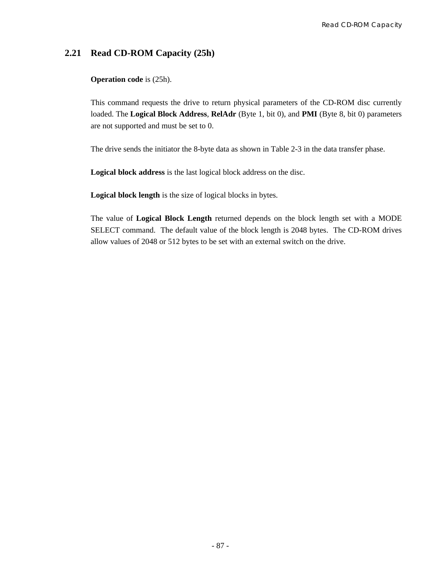## **2.21 Read CD-ROM Capacity (25h)**

**Operation code** is (25h).

This command requests the drive to return physical parameters of the CD-ROM disc currently loaded. The **Logical Block Address**, **RelAdr** (Byte 1, bit 0), and **PMI** (Byte 8, bit 0) parameters are not supported and must be set to 0.

The drive sends the initiator the 8-byte data as shown in Table 2-3 in the data transfer phase.

**Logical block address** is the last logical block address on the disc.

**Logical block length** is the size of logical blocks in bytes.

The value of **Logical Block Length** returned depends on the block length set with a MODE SELECT command. The default value of the block length is 2048 bytes. The CD-ROM drives allow values of 2048 or 512 bytes to be set with an external switch on the drive.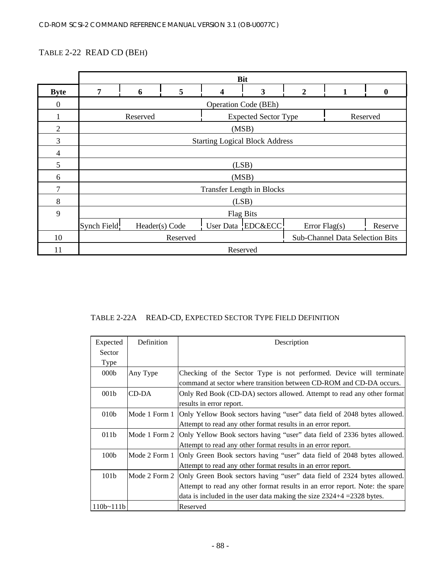# TABLE 2-22 READ CD (BEH)

|                  |             |                                                    |                |   | <b>Bit</b>                            |              |               |             |  |  |
|------------------|-------------|----------------------------------------------------|----------------|---|---------------------------------------|--------------|---------------|-------------|--|--|
| <b>Byte</b>      | 7           | 6                                                  | 5              | 4 | 3                                     | $\mathbf{2}$ |               | $\mathbf 0$ |  |  |
| $\boldsymbol{0}$ |             | <b>Operation Code (BEh)</b>                        |                |   |                                       |              |               |             |  |  |
|                  |             | Reserved                                           |                |   | <b>Expected Sector Type</b>           |              |               | Reserved    |  |  |
| $\overline{2}$   |             |                                                    |                |   | (MSB)                                 |              |               |             |  |  |
| 3                |             |                                                    |                |   | <b>Starting Logical Block Address</b> |              |               |             |  |  |
| $\overline{4}$   |             |                                                    |                |   |                                       |              |               |             |  |  |
| 5                |             |                                                    |                |   | (LSB)                                 |              |               |             |  |  |
| 6                |             |                                                    |                |   | (MSB)                                 |              |               |             |  |  |
| 7                |             |                                                    |                |   | <b>Transfer Length in Blocks</b>      |              |               |             |  |  |
| 8                |             |                                                    |                |   | (LSB)                                 |              |               |             |  |  |
| 9                |             |                                                    |                |   | Flag Bits                             |              |               |             |  |  |
|                  | Synch Field |                                                    | Header(s) Code |   | User Data EDC&ECC                     |              | Error Flag(s) | Reserve     |  |  |
| 10               |             | <b>Sub-Channel Data Selection Bits</b><br>Reserved |                |   |                                       |              |               |             |  |  |
| 11               |             |                                                    |                |   | Reserved                              |              |               |             |  |  |

## TABLE 2-22A READ-CD, EXPECTED SECTOR TYPE FIELD DEFINITION

| Expected         | Definition    | Description                                                                                                                                                                                                                                       |
|------------------|---------------|---------------------------------------------------------------------------------------------------------------------------------------------------------------------------------------------------------------------------------------------------|
| Sector           |               |                                                                                                                                                                                                                                                   |
| Type             |               |                                                                                                                                                                                                                                                   |
| 000 <sub>b</sub> | Any Type      | Checking of the Sector Type is not performed. Device will terminate<br>command at sector where transition between CD-ROM and CD-DA occurs.                                                                                                        |
| 001 <sub>b</sub> | $CD-DA$       | Only Red Book (CD-DA) sectors allowed. Attempt to read any other format<br>results in error report.                                                                                                                                               |
| 010 <sub>b</sub> | Mode 1 Form 1 | Only Yellow Book sectors having "user" data field of 2048 bytes allowed.<br>Attempt to read any other format results in an error report.                                                                                                          |
| 011 <sub>b</sub> |               | Mode 1 Form 2   Only Yellow Book sectors having "user" data field of 2336 bytes allowed.<br>Attempt to read any other format results in an error report.                                                                                          |
| 100 <sub>b</sub> | Mode 2 Form 1 | Only Green Book sectors having "user" data field of 2048 bytes allowed.<br>Attempt to read any other format results in an error report.                                                                                                           |
| 101 <sub>b</sub> |               | Mode 2 Form 2 Only Green Book sectors having "user" data field of 2324 bytes allowed.<br>Attempt to read any other format results in an error report. Note: the spare<br>data is included in the user data making the size $2324+4 = 2328$ bytes. |
| $110b - 111b$    |               | Reserved                                                                                                                                                                                                                                          |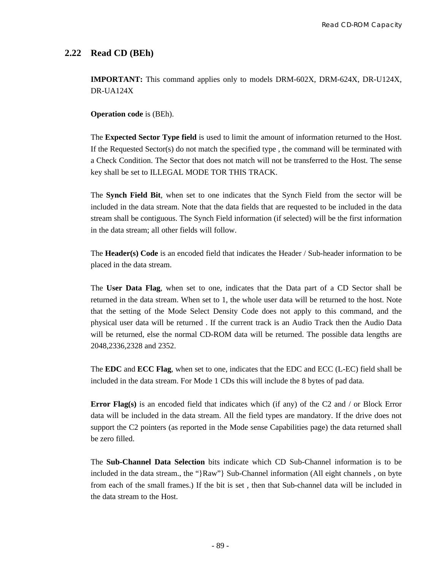## **2.22 Read CD (BEh)**

**IMPORTANT:** This command applies only to models DRM-602X, DRM-624X, DR-U124X, DR-UA124X

**Operation code** is (BEh).

The **Expected Sector Type field** is used to limit the amount of information returned to the Host. If the Requested Sector(s) do not match the specified type, the command will be terminated with a Check Condition. The Sector that does not match will not be transferred to the Host. The sense key shall be set to ILLEGAL MODE TOR THIS TRACK.

The **Synch Field Bit**, when set to one indicates that the Synch Field from the sector will be included in the data stream. Note that the data fields that are requested to be included in the data stream shall be contiguous. The Synch Field information (if selected) will be the first information in the data stream; all other fields will follow.

The **Header(s) Code** is an encoded field that indicates the Header / Sub-header information to be placed in the data stream.

The **User Data Flag**, when set to one, indicates that the Data part of a CD Sector shall be returned in the data stream. When set to 1, the whole user data will be returned to the host. Note that the setting of the Mode Select Density Code does not apply to this command, and the physical user data will be returned . If the current track is an Audio Track then the Audio Data will be returned, else the normal CD-ROM data will be returned. The possible data lengths are 2048,2336,2328 and 2352.

The **EDC** and **ECC Flag**, when set to one, indicates that the EDC and ECC (L-EC) field shall be included in the data stream. For Mode 1 CDs this will include the 8 bytes of pad data.

**Error Flag(s)** is an encoded field that indicates which (if any) of the C2 and / or Block Error data will be included in the data stream. All the field types are mandatory. If the drive does not support the C2 pointers (as reported in the Mode sense Capabilities page) the data returned shall be zero filled.

The **Sub-Channel Data Selection** bits indicate which CD Sub-Channel information is to be included in the data stream., the "}Raw"} Sub-Channel information (All eight channels , on byte from each of the small frames.) If the bit is set , then that Sub-channel data will be included in the data stream to the Host.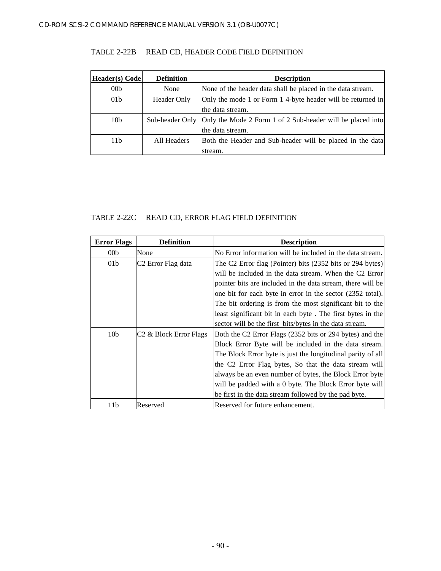| Header(s) Code  | <b>Definition</b> | <b>Description</b>                                          |
|-----------------|-------------------|-------------------------------------------------------------|
| 00 <sub>b</sub> | None              | None of the header data shall be placed in the data stream. |
| 01 <sub>b</sub> | Header Only       | Only the mode 1 or Form 1 4-byte header will be returned in |
|                 |                   | the data stream.                                            |
| 10 <sub>b</sub> | Sub-header Only   | Only the Mode 2 Form 1 of 2 Sub-header will be placed into  |
|                 |                   | the data stream.                                            |
| 11 <sub>b</sub> | All Headers       | Both the Header and Sub-header will be placed in the data   |
|                 |                   | stream.                                                     |

#### TABLE 2-22B READ CD, HEADER CODE FIELD DEFINITION

## TABLE 2-22C READ CD, ERROR FLAG FIELD DEFINITION

| <b>Error Flags</b> | <b>Definition</b>                  | <b>Description</b>                                                                                                                                                                                                                                                                                                                                                                                                                    |
|--------------------|------------------------------------|---------------------------------------------------------------------------------------------------------------------------------------------------------------------------------------------------------------------------------------------------------------------------------------------------------------------------------------------------------------------------------------------------------------------------------------|
| 00 <sub>b</sub>    | None                               | No Error information will be included in the data stream.                                                                                                                                                                                                                                                                                                                                                                             |
| 01 <sub>b</sub>    | C <sub>2</sub> Error Flag data     | The C2 Error flag (Pointer) bits (2352 bits or 294 bytes)<br>will be included in the data stream. When the C2 Error<br>pointer bits are included in the data stream, there will be<br>one bit for each byte in error in the sector (2352 total).<br>The bit ordering is from the most significant bit to the<br>least significant bit in each byte. The first bytes in the<br>sector will be the first bits/bytes in the data stream. |
| 10 <sub>b</sub>    | C <sub>2</sub> & Block Error Flags | Both the C2 Error Flags (2352 bits or 294 bytes) and the<br>Block Error Byte will be included in the data stream.<br>The Block Error byte is just the longitudinal parity of all<br>the C <sub>2</sub> Error Flag bytes, So that the data stream will<br>always be an even number of bytes, the Block Error byte<br>will be padded with a 0 byte. The Block Error byte will<br>be first in the data stream followed by the pad byte.  |
| 11b                | Reserved                           | Reserved for future enhancement.                                                                                                                                                                                                                                                                                                                                                                                                      |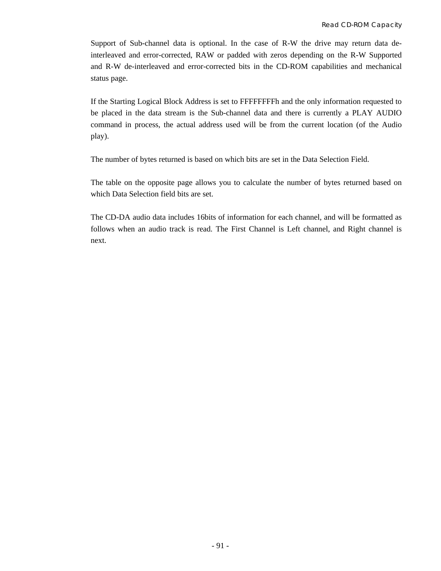Support of Sub-channel data is optional. In the case of R-W the drive may return data deinterleaved and error-corrected, RAW or padded with zeros depending on the R-W Supported and R-W de-interleaved and error-corrected bits in the CD-ROM capabilities and mechanical status page.

If the Starting Logical Block Address is set to FFFFFFFFh and the only information requested to be placed in the data stream is the Sub-channel data and there is currently a PLAY AUDIO command in process, the actual address used will be from the current location (of the Audio play).

The number of bytes returned is based on which bits are set in the Data Selection Field.

The table on the opposite page allows you to calculate the number of bytes returned based on which Data Selection field bits are set.

The CD-DA audio data includes 16bits of information for each channel, and will be formatted as follows when an audio track is read. The First Channel is Left channel, and Right channel is next.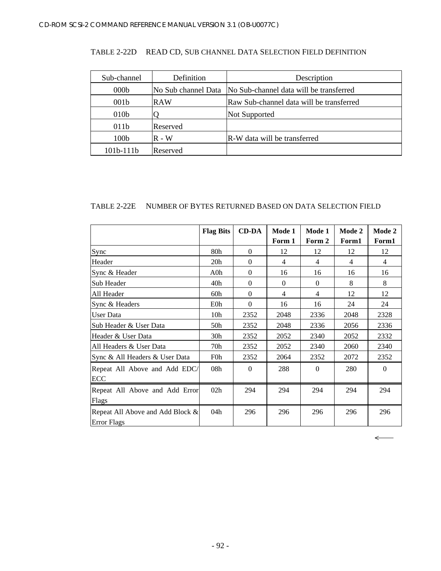| Sub-channel      | Definition          | Description                              |
|------------------|---------------------|------------------------------------------|
| 000b             | No Sub channel Data | No Sub-channel data will be transferred  |
| 001b             | <b>RAW</b>          | Raw Sub-channel data will be transferred |
| 010 <sub>b</sub> |                     | Not Supported                            |
| 011 <sub>b</sub> | Reserved            |                                          |
| 100 <sub>b</sub> | $R - W$             | <b>R</b> -W data will be transferred     |
| $101b-111b$      | Reserved            |                                          |

## TABLE 2-22D READ CD, SUB CHANNEL DATA SELECTION FIELD DEFINITION

## TABLE 2-22E NUMBER OF BYTES RETURNED BASED ON DATA SELECTION FIELD

|                                                        | <b>Flag Bits</b> | <b>CD-DA</b>   | Mode 1         | Mode 1       | Mode 2 | Mode 2         |
|--------------------------------------------------------|------------------|----------------|----------------|--------------|--------|----------------|
|                                                        |                  |                | Form 1         | Form 2       | Form1  | Form1          |
| Sync                                                   | 80h              | $\theta$       | 12             | 12           | 12     | 12             |
| Header                                                 | 20 <sub>h</sub>  | $\theta$       | $\overline{4}$ | 4            | 4      | $\overline{4}$ |
| Sync & Header                                          | A0h              | $\theta$       | 16             | 16           | 16     | 16             |
| <b>Sub Header</b>                                      | 40h              | $\Omega$       | $\Omega$       | $\Omega$     | 8      | 8              |
| All Header                                             | 60h              | $\theta$       | 4              | 4            | 12     | 12             |
| Sync & Headers                                         | E0h              | $\Omega$       | 16             | 16           | 24     | 24             |
| User Data                                              | 10 <sub>h</sub>  | 2352           | 2048           | 2336         | 2048   | 2328           |
| Sub Header & User Data                                 | 50h              | 2352           | 2048           | 2336         | 2056   | 2336           |
| Header & User Data                                     | 30h              | 2352           | 2052           | 2340         | 2052   | 2332           |
| All Headers & User Data                                | 70h              | 2352           | 2052           | 2340         | 2060   | 2340           |
| Sync & All Headers & User Data                         | F0h              | 2352           | 2064           | 2352         | 2072   | 2352           |
| Repeat All Above and Add EDC/<br>ECC                   | 08h              | $\overline{0}$ | 288            | $\mathbf{0}$ | 280    | $\Omega$       |
| Repeat All Above and Add Error<br>Flags                | 02h              | 294            | 294            | 294          | 294    | 294            |
| Repeat All Above and Add Block &<br><b>Error Flags</b> | 04h              | 296            | 296            | 296          | 296    | 296            |

 $\longleftarrow$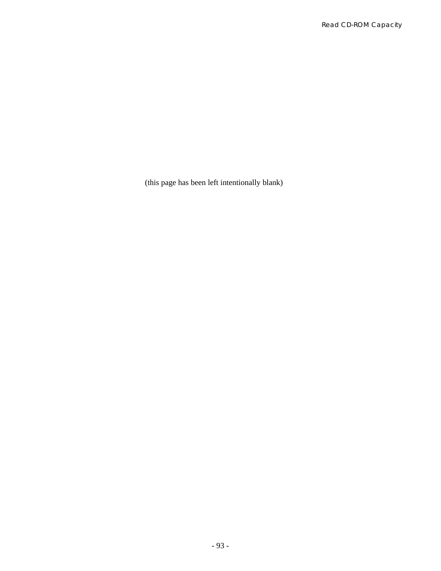(this page has been left intentionally blank)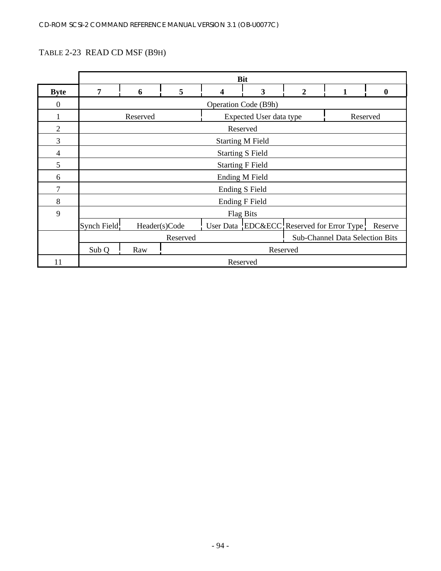# TABLE 2-23 READ CD MSF (B9H)

|                  | <b>Bit</b>                          |   |               |                         |   |                                        |                                           |                  |
|------------------|-------------------------------------|---|---------------|-------------------------|---|----------------------------------------|-------------------------------------------|------------------|
| <b>Byte</b>      | 7                                   | 6 | 5             | 4                       | 3 | $\overline{2}$                         | 1                                         | $\boldsymbol{0}$ |
| $\boldsymbol{0}$ | <b>Operation Code (B9h)</b>         |   |               |                         |   |                                        |                                           |                  |
|                  | Reserved                            |   |               | Expected User data type |   |                                        | Reserved                                  |                  |
| $\overline{2}$   | Reserved                            |   |               |                         |   |                                        |                                           |                  |
| 3                | <b>Starting M Field</b>             |   |               |                         |   |                                        |                                           |                  |
| $\overline{4}$   | <b>Starting S Field</b>             |   |               |                         |   |                                        |                                           |                  |
| 5                | <b>Starting F Field</b>             |   |               |                         |   |                                        |                                           |                  |
| 6                | Ending M Field                      |   |               |                         |   |                                        |                                           |                  |
| 7                | <b>Ending S Field</b>               |   |               |                         |   |                                        |                                           |                  |
| 8                | <b>Ending F Field</b>               |   |               |                         |   |                                        |                                           |                  |
| 9                | Flag Bits                           |   |               |                         |   |                                        |                                           |                  |
|                  | Synch Field                         |   | Header(s)Code |                         |   |                                        | User Data EDC&ECC Reserved for Error Type | Reserve          |
|                  | Reserved                            |   |               |                         |   | <b>Sub-Channel Data Selection Bits</b> |                                           |                  |
|                  | Sub <sub>Q</sub><br>Raw<br>Reserved |   |               |                         |   |                                        |                                           |                  |
| 11               | Reserved                            |   |               |                         |   |                                        |                                           |                  |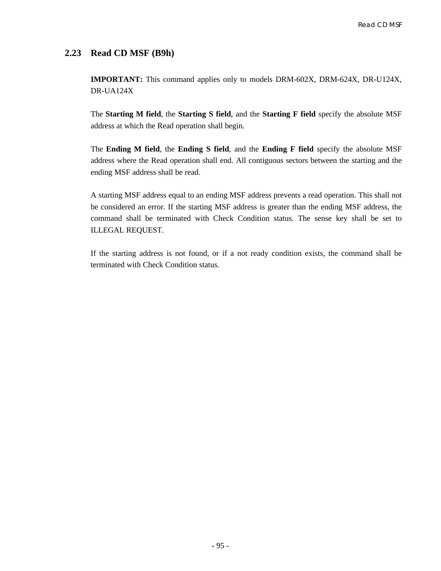## **2.23 Read CD MSF (B9h)**

**IMPORTANT:** This command applies only to models DRM-602X, DRM-624X, DR-U124X, DR-UA124X

The **Starting M field**, the **Starting S field**, and the **Starting F field** specify the absolute MSF address at which the Read operation shall begin.

The **Ending M field**, the **Ending S field**, and the **Ending F field** specify the absolute MSF address where the Read operation shall end. All contiguous sectors between the starting and the ending MSF address shall be read.

A starting MSF address equal to an ending MSF address prevents a read operation. This shall not be considered an error. If the starting MSF address is greater than the ending MSF address, the command shall be terminated with Check Condition status. The sense key shall be set to ILLEGAL REQUEST.

If the starting address is not found, or if a not ready condition exists, the command shall be terminated with Check Condition status.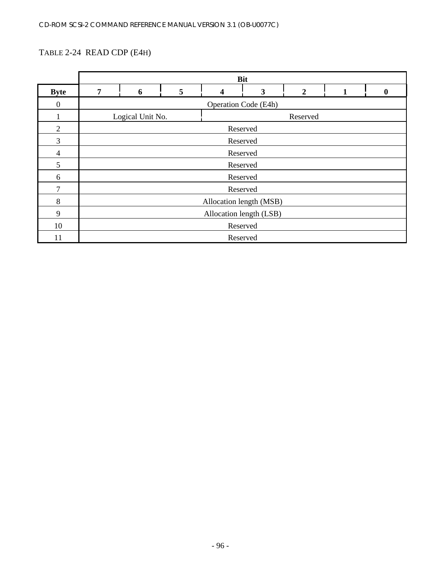# TABLE 2-24 READ CDP (E4H)

|                |   | <b>Bit</b>              |   |                             |   |          |  |                  |
|----------------|---|-------------------------|---|-----------------------------|---|----------|--|------------------|
| <b>Byte</b>    | 7 | 6                       | 5 | 4                           | 3 | 2        |  | $\boldsymbol{0}$ |
| $\mathbf{0}$   |   |                         |   | <b>Operation Code (E4h)</b> |   |          |  |                  |
|                |   | Logical Unit No.        |   |                             |   | Reserved |  |                  |
| $\overline{2}$ |   |                         |   | Reserved                    |   |          |  |                  |
| 3              |   |                         |   | Reserved                    |   |          |  |                  |
| $\overline{4}$ |   | Reserved                |   |                             |   |          |  |                  |
| 5              |   | Reserved                |   |                             |   |          |  |                  |
| 6              |   |                         |   | Reserved                    |   |          |  |                  |
| 7              |   |                         |   | Reserved                    |   |          |  |                  |
| 8              |   | Allocation length (MSB) |   |                             |   |          |  |                  |
| 9              |   | Allocation length (LSB) |   |                             |   |          |  |                  |
| 10             |   | Reserved                |   |                             |   |          |  |                  |
| 11             |   |                         |   | Reserved                    |   |          |  |                  |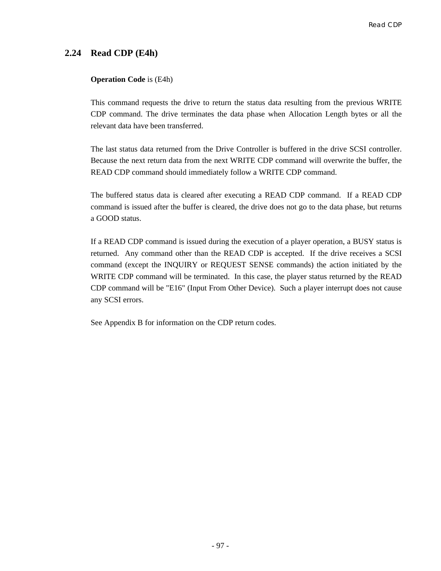# **2.24 Read CDP (E4h)**

### **Operation Code** is (E4h)

This command requests the drive to return the status data resulting from the previous WRITE CDP command. The drive terminates the data phase when Allocation Length bytes or all the relevant data have been transferred.

The last status data returned from the Drive Controller is buffered in the drive SCSI controller. Because the next return data from the next WRITE CDP command will overwrite the buffer, the READ CDP command should immediately follow a WRITE CDP command.

The buffered status data is cleared after executing a READ CDP command. If a READ CDP command is issued after the buffer is cleared, the drive does not go to the data phase, but returns a GOOD status.

If a READ CDP command is issued during the execution of a player operation, a BUSY status is returned. Any command other than the READ CDP is accepted. If the drive receives a SCSI command (except the INQUIRY or REQUEST SENSE commands) the action initiated by the WRITE CDP command will be terminated. In this case, the player status returned by the READ CDP command will be "E16" (Input From Other Device). Such a player interrupt does not cause any SCSI errors.

See Appendix B for information on the CDP return codes.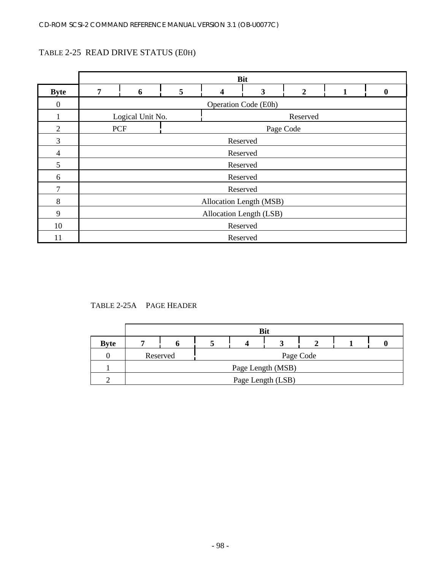|                |   | <b>Bit</b>              |   |                             |           |          |  |          |
|----------------|---|-------------------------|---|-----------------------------|-----------|----------|--|----------|
| <b>Byte</b>    | 7 | 6                       | 5 | 4                           | 3         | 2        |  | $\bf{0}$ |
| $\Omega$       |   |                         |   | <b>Operation Code (E0h)</b> |           |          |  |          |
|                |   | Logical Unit No.        |   |                             |           | Reserved |  |          |
| $\overline{2}$ |   | PCF                     |   |                             | Page Code |          |  |          |
| 3              |   | Reserved                |   |                             |           |          |  |          |
| $\overline{4}$ |   | Reserved                |   |                             |           |          |  |          |
| 5              |   |                         |   | Reserved                    |           |          |  |          |
| 6              |   |                         |   | Reserved                    |           |          |  |          |
| 7              |   |                         |   | Reserved                    |           |          |  |          |
| 8              |   | Allocation Length (MSB) |   |                             |           |          |  |          |
| 9              |   | Allocation Length (LSB) |   |                             |           |          |  |          |
| 10             |   | Reserved                |   |                             |           |          |  |          |
| 11             |   |                         |   | Reserved                    |           |          |  |          |

# TABLE 2-25 READ DRIVE STATUS (E0H)

## TABLE 2-25A PAGE HEADER

|             | <b>Bit</b> |                   |           |  |  |  |  |  |
|-------------|------------|-------------------|-----------|--|--|--|--|--|
| <b>Byte</b> |            |                   |           |  |  |  |  |  |
|             |            | Reserved          | Page Code |  |  |  |  |  |
|             |            | Page Length (MSB) |           |  |  |  |  |  |
|             |            | Page Length (LSB) |           |  |  |  |  |  |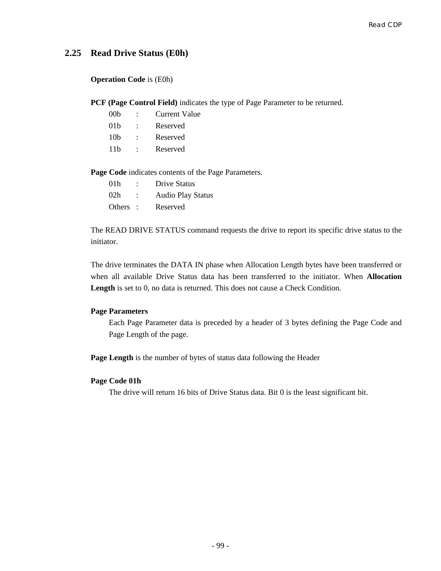# **2.25 Read Drive Status (E0h)**

**Operation Code** is (E0h)

**PCF (Page Control Field)** indicates the type of Page Parameter to be returned.

| 00b             | Current Value |
|-----------------|---------------|
| 01b             | Reserved      |
| 10 <sub>b</sub> | Reserved      |
| 11 <sub>b</sub> | Reserved      |

**Page Code** indicates contents of the Page Parameters.

| 01 <sub>h</sub> | Drive Status             |
|-----------------|--------------------------|
| 02 <sub>h</sub> | <b>Audio Play Status</b> |
| Others :        | Reserved                 |

The READ DRIVE STATUS command requests the drive to report its specific drive status to the initiator.

The drive terminates the DATA IN phase when Allocation Length bytes have been transferred or when all available Drive Status data has been transferred to the initiator. When **Allocation Length** is set to 0, no data is returned. This does not cause a Check Condition.

## **Page Parameters**

Each Page Parameter data is preceded by a header of 3 bytes defining the Page Code and Page Length of the page.

**Page Length** is the number of bytes of status data following the Header

## **Page Code 01h**

The drive will return 16 bits of Drive Status data. Bit 0 is the least significant bit.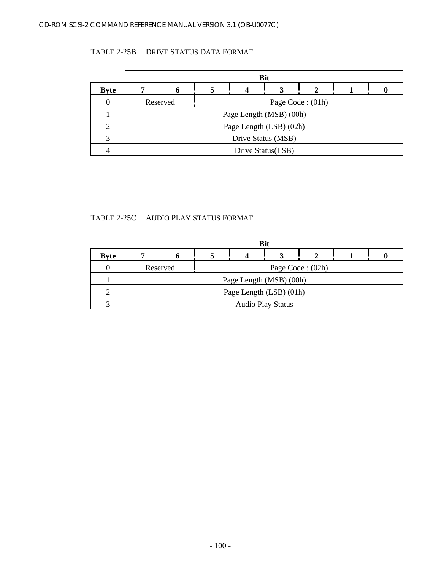## TABLE 2-25B DRIVE STATUS DATA FORMAT

|             | <b>Bit</b>         |                              |  |  |  |  |  |  |
|-------------|--------------------|------------------------------|--|--|--|--|--|--|
| <b>Byte</b> |                    | $\mathcal{D}$                |  |  |  |  |  |  |
| 0           |                    | Page Code: (01h)<br>Reserved |  |  |  |  |  |  |
|             |                    | Page Length (MSB) (00h)      |  |  |  |  |  |  |
| 2           |                    | Page Length (LSB) (02h)      |  |  |  |  |  |  |
| 3           | Drive Status (MSB) |                              |  |  |  |  |  |  |
| 4           |                    | Drive Status(LSB)            |  |  |  |  |  |  |

## TABLE 2-25C AUDIO PLAY STATUS FORMAT

|                   | <b>Bit</b> |                         |                  |  |                          |  |  |  |
|-------------------|------------|-------------------------|------------------|--|--------------------------|--|--|--|
| <b>Byte</b>       |            |                         |                  |  |                          |  |  |  |
|                   |            | Reserved                | Page Code: (02h) |  |                          |  |  |  |
|                   |            | Page Length (MSB) (00h) |                  |  |                          |  |  |  |
| 2                 |            | Page Length (LSB) (01h) |                  |  |                          |  |  |  |
| $\mathbf{\Omega}$ |            |                         |                  |  | <b>Audio Play Status</b> |  |  |  |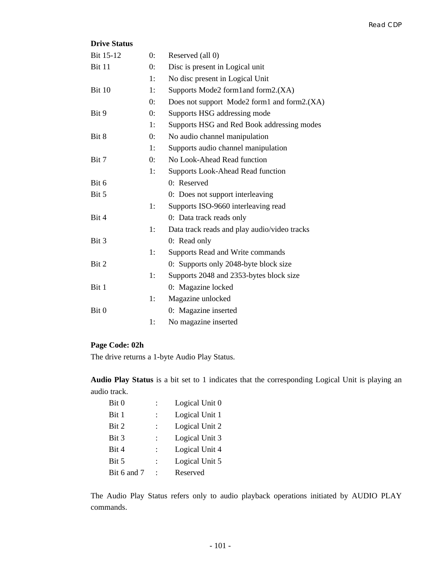### **Drive Status**

| Bit 15-12     | 0: | Reserved (all 0)                             |
|---------------|----|----------------------------------------------|
| <b>Bit 11</b> | 0: | Disc is present in Logical unit              |
|               | 1: | No disc present in Logical Unit              |
| <b>Bit 10</b> | 1: | Supports Mode2 form1 and form2.(XA)          |
|               | 0: | Does not support Mode2 form1 and form2.(XA)  |
| Bit 9         | 0: | Supports HSG addressing mode                 |
|               | 1: | Supports HSG and Red Book addressing modes   |
| Bit 8         | 0: | No audio channel manipulation                |
|               | 1: | Supports audio channel manipulation          |
| Bit 7         | 0: | No Look-Ahead Read function                  |
|               | 1: | Supports Look-Ahead Read function            |
| Bit 6         |    | 0: Reserved                                  |
| Bit 5         |    | 0: Does not support interleaving             |
|               | 1: | Supports ISO-9660 interleaving read          |
| Bit 4         |    | 0: Data track reads only                     |
|               | 1: | Data track reads and play audio/video tracks |
| Bit 3         |    | 0: Read only                                 |
|               | 1: | Supports Read and Write commands             |
| Bit 2         |    | 0: Supports only 2048-byte block size        |
|               | 1: | Supports 2048 and 2353-bytes block size      |
| Bit 1         |    | 0: Magazine locked                           |
|               | 1: | Magazine unlocked                            |
| Bit 0         |    | 0: Magazine inserted                         |
|               | 1: | No magazine inserted                         |

## **Page Code: 02h**

The drive returns a 1-byte Audio Play Status.

**Audio Play Status** is a bit set to 1 indicates that the corresponding Logical Unit is playing an audio track.

| Bit 0       |                      | Logical Unit 0 |
|-------------|----------------------|----------------|
| Bit 1       |                      | Logical Unit 1 |
| Bit 2       | $\ddot{\cdot}$       | Logical Unit 2 |
| Bit 3       | $\ddot{\phantom{a}}$ | Logical Unit 3 |
| Bit 4       | $\ddot{\cdot}$       | Logical Unit 4 |
| Bit 5       | $\ddot{\cdot}$       | Logical Unit 5 |
| Bit 6 and 7 | ٠                    | Reserved       |

The Audio Play Status refers only to audio playback operations initiated by AUDIO PLAY commands.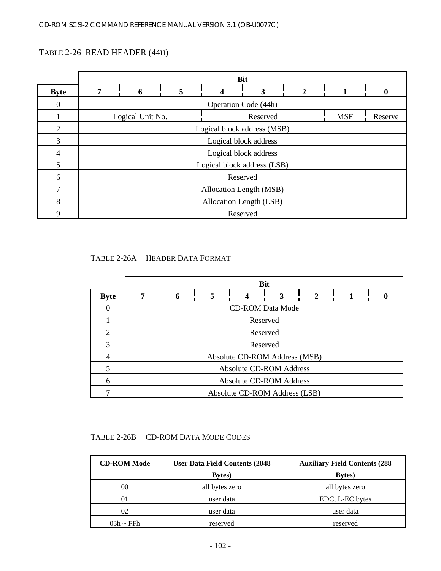# TABLE 2-26 READ HEADER (44H)

|                |   | <b>Bit</b>                  |   |                                   |                             |   |  |  |
|----------------|---|-----------------------------|---|-----------------------------------|-----------------------------|---|--|--|
| <b>Byte</b>    | 7 | 6                           | 5 | Δ                                 | 3                           | 2 |  |  |
| 0              |   |                             |   |                                   | <b>Operation Code</b> (44h) |   |  |  |
|                |   | Logical Unit No.            |   | <b>MSF</b><br>Reserved<br>Reserve |                             |   |  |  |
| 2              |   | Logical block address (MSB) |   |                                   |                             |   |  |  |
| 3              |   | Logical block address       |   |                                   |                             |   |  |  |
| $\overline{4}$ |   |                             |   | Logical block address             |                             |   |  |  |
| 5              |   |                             |   | Logical block address (LSB)       |                             |   |  |  |
| 6              |   |                             |   |                                   | Reserved                    |   |  |  |
| 7              |   | Allocation Length (MSB)     |   |                                   |                             |   |  |  |
| 8              |   | Allocation Length (LSB)     |   |                                   |                             |   |  |  |
| 9              |   |                             |   |                                   | Reserved                    |   |  |  |

## TABLE 2-26A HEADER DATA FORMAT

|                |   | <b>Bit</b>                     |   |                         |          |   |  |  |
|----------------|---|--------------------------------|---|-------------------------|----------|---|--|--|
| <b>Byte</b>    | 7 | 6                              | 5 |                         | 3        | 2 |  |  |
|                |   |                                |   | <b>CD-ROM Data Mode</b> |          |   |  |  |
|                |   |                                |   |                         | Reserved |   |  |  |
| $\overline{2}$ |   | Reserved                       |   |                         |          |   |  |  |
| 3              |   | Reserved                       |   |                         |          |   |  |  |
| 4              |   | Absolute CD-ROM Address (MSB)  |   |                         |          |   |  |  |
| 5              |   | <b>Absolute CD-ROM Address</b> |   |                         |          |   |  |  |
| 6              |   | <b>Absolute CD-ROM Address</b> |   |                         |          |   |  |  |
|                |   | Absolute CD-ROM Address (LSB)  |   |                         |          |   |  |  |

## TABLE 2-26B CD-ROM DATA MODE CODES

| <b>CD-ROM Mode</b> | <b>User Data Field Contents (2048)</b> | <b>Auxiliary Field Contents (288)</b> |  |  |
|--------------------|----------------------------------------|---------------------------------------|--|--|
|                    | <b>Bytes</b> )                         | <b>Bytes</b> )                        |  |  |
| 00                 | all bytes zero                         | all bytes zero                        |  |  |
| 01                 | user data                              | EDC, L-EC bytes                       |  |  |
| 02                 | user data                              | user data                             |  |  |
| $03h \sim FFh$     | reserved                               | reserved                              |  |  |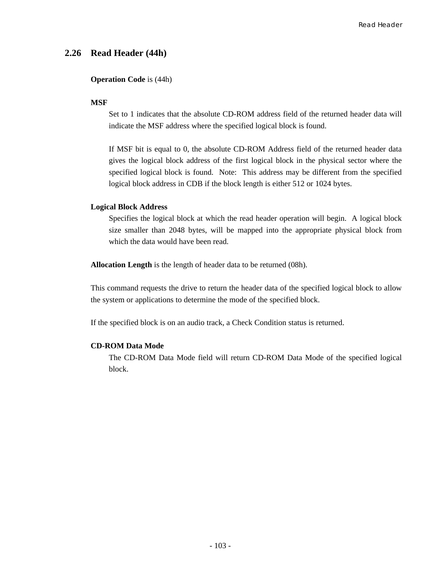Read Header

## **2.26 Read Header (44h)**

### **Operation Code** is (44h)

### **MSF**

Set to 1 indicates that the absolute CD-ROM address field of the returned header data will indicate the MSF address where the specified logical block is found.

If MSF bit is equal to 0, the absolute CD-ROM Address field of the returned header data gives the logical block address of the first logical block in the physical sector where the specified logical block is found. Note: This address may be different from the specified logical block address in CDB if the block length is either 512 or 1024 bytes.

#### **Logical Block Address**

Specifies the logical block at which the read header operation will begin. A logical block size smaller than 2048 bytes, will be mapped into the appropriate physical block from which the data would have been read.

**Allocation Length** is the length of header data to be returned (08h).

This command requests the drive to return the header data of the specified logical block to allow the system or applications to determine the mode of the specified block.

If the specified block is on an audio track, a Check Condition status is returned.

### **CD-ROM Data Mode**

The CD-ROM Data Mode field will return CD-ROM Data Mode of the specified logical block.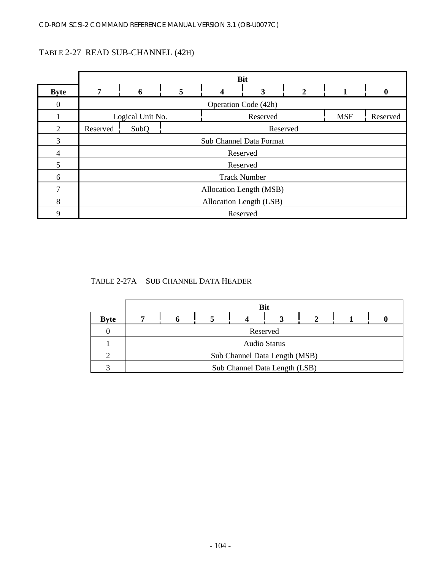|                |                         | <b>Bit</b>                                 |   |                     |   |   |  |          |  |  |  |
|----------------|-------------------------|--------------------------------------------|---|---------------------|---|---|--|----------|--|--|--|
| <b>Byte</b>    | 7                       | 6                                          | 5 |                     | 3 | 2 |  | 0        |  |  |  |
| $\Omega$       |                         | Operation Code (42h)                       |   |                     |   |   |  |          |  |  |  |
|                |                         | <b>MSF</b><br>Logical Unit No.<br>Reserved |   |                     |   |   |  | Reserved |  |  |  |
| $\overline{2}$ | Reserved                | SubQ<br>Reserved                           |   |                     |   |   |  |          |  |  |  |
| 3              | Sub Channel Data Format |                                            |   |                     |   |   |  |          |  |  |  |
| $\overline{4}$ |                         | Reserved                                   |   |                     |   |   |  |          |  |  |  |
| 5              |                         |                                            |   | Reserved            |   |   |  |          |  |  |  |
| 6              |                         |                                            |   | <b>Track Number</b> |   |   |  |          |  |  |  |
| 7              |                         | Allocation Length (MSB)                    |   |                     |   |   |  |          |  |  |  |
| 8              |                         | Allocation Length (LSB)                    |   |                     |   |   |  |          |  |  |  |
| 9              |                         |                                            |   | Reserved            |   |   |  |          |  |  |  |

# TABLE 2-27 READ SUB-CHANNEL (42H)

## TABLE 2-27A SUB CHANNEL DATA HEADER

|             | <b>Bit</b>                    |  |                               |  |  |  |  |  |  |  |
|-------------|-------------------------------|--|-------------------------------|--|--|--|--|--|--|--|
| <b>Byte</b> |                               |  |                               |  |  |  |  |  |  |  |
|             | Reserved                      |  |                               |  |  |  |  |  |  |  |
|             | <b>Audio Status</b>           |  |                               |  |  |  |  |  |  |  |
|             | Sub Channel Data Length (MSB) |  |                               |  |  |  |  |  |  |  |
|             |                               |  | Sub Channel Data Length (LSB) |  |  |  |  |  |  |  |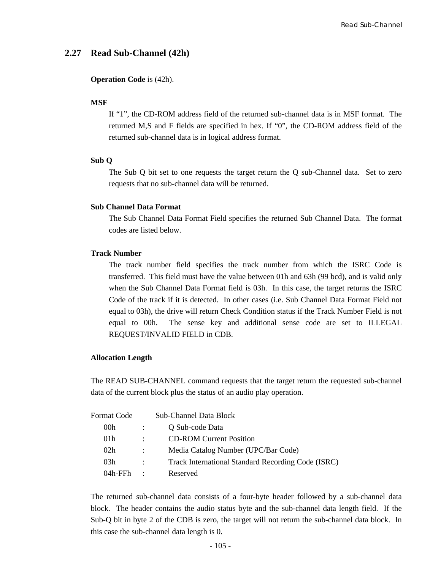## **2.27 Read Sub-Channel (42h)**

**Operation Code** is (42h).

#### **MSF**

If "1", the CD-ROM address field of the returned sub-channel data is in MSF format. The returned M,S and F fields are specified in hex. If "0", the CD-ROM address field of the returned sub-channel data is in logical address format.

#### **Sub Q**

The Sub Q bit set to one requests the target return the Q sub-Channel data. Set to zero requests that no sub-channel data will be returned.

#### **Sub Channel Data Format**

The Sub Channel Data Format Field specifies the returned Sub Channel Data. The format codes are listed below.

#### **Track Number**

The track number field specifies the track number from which the ISRC Code is transferred. This field must have the value between 01h and 63h (99 bcd), and is valid only when the Sub Channel Data Format field is 03h. In this case, the target returns the ISRC Code of the track if it is detected. In other cases (i.e. Sub Channel Data Format Field not equal to 03h), the drive will return Check Condition status if the Track Number Field is not equal to 00h. The sense key and additional sense code are set to ILLEGAL REQUEST/INVALID FIELD in CDB.

#### **Allocation Length**

The READ SUB-CHANNEL command requests that the target return the requested sub-channel data of the current block plus the status of an audio play operation.

| Format Code     |                           | Sub-Channel Data Block                             |
|-----------------|---------------------------|----------------------------------------------------|
| 00 <sub>h</sub> |                           | Q Sub-code Data                                    |
| 01 <sub>h</sub> | $\ddot{\phantom{0}}$      | <b>CD-ROM Current Position</b>                     |
| 02 <sub>h</sub> |                           | Media Catalog Number (UPC/Bar Code)                |
| 03h             | $\mathbb{R}^{\mathbb{Z}}$ | Track International Standard Recording Code (ISRC) |
| $04h$ -FFh      | $\sim$ 1.1                | Reserved                                           |

The returned sub-channel data consists of a four-byte header followed by a sub-channel data block. The header contains the audio status byte and the sub-channel data length field. If the Sub-Q bit in byte 2 of the CDB is zero, the target will not return the sub-channel data block. In this case the sub-channel data length is 0.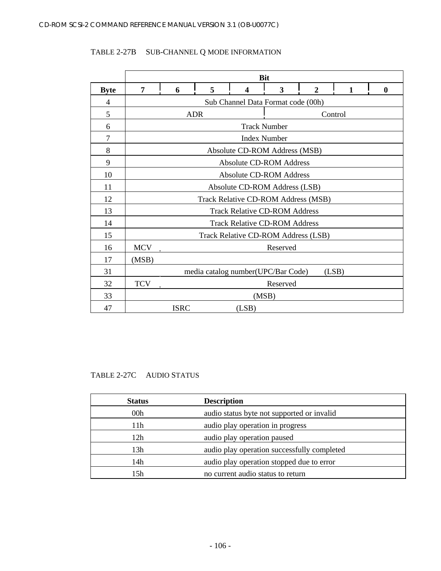|             |            |                                      |                                    |       | <b>Bit</b>                           |                |         |              |  |  |
|-------------|------------|--------------------------------------|------------------------------------|-------|--------------------------------------|----------------|---------|--------------|--|--|
| <b>Byte</b> | 7          | 6                                    | 5                                  | 4     | $\overline{\mathbf{3}}$              | $\overline{2}$ | 1       | $\mathbf{0}$ |  |  |
| 4           |            | Sub Channel Data Format code (00h)   |                                    |       |                                      |                |         |              |  |  |
| 5           |            |                                      | <b>ADR</b>                         |       |                                      |                | Control |              |  |  |
| 6           |            | <b>Track Number</b>                  |                                    |       |                                      |                |         |              |  |  |
| 7           |            | <b>Index Number</b>                  |                                    |       |                                      |                |         |              |  |  |
| 8           |            | Absolute CD-ROM Address (MSB)        |                                    |       |                                      |                |         |              |  |  |
| 9           |            |                                      |                                    |       | <b>Absolute CD-ROM Address</b>       |                |         |              |  |  |
| 10          |            |                                      |                                    |       | <b>Absolute CD-ROM Address</b>       |                |         |              |  |  |
| 11          |            | Absolute CD-ROM Address (LSB)        |                                    |       |                                      |                |         |              |  |  |
| 12          |            | Track Relative CD-ROM Address (MSB)  |                                    |       |                                      |                |         |              |  |  |
| 13          |            | <b>Track Relative CD-ROM Address</b> |                                    |       |                                      |                |         |              |  |  |
| 14          |            |                                      |                                    |       | <b>Track Relative CD-ROM Address</b> |                |         |              |  |  |
| 15          |            |                                      |                                    |       | Track Relative CD-ROM Address (LSB)  |                |         |              |  |  |
| 16          | <b>MCV</b> |                                      |                                    |       | Reserved                             |                |         |              |  |  |
| 17          | (MSB)      |                                      |                                    |       |                                      |                |         |              |  |  |
| 31          |            |                                      | media catalog number(UPC/Bar Code) |       |                                      |                | (LSB)   |              |  |  |
| 32          | <b>TCV</b> |                                      |                                    |       | Reserved                             |                |         |              |  |  |
| 33          |            |                                      |                                    |       | (MSB)                                |                |         |              |  |  |
| 47          |            | <b>ISRC</b>                          |                                    | (LSB) |                                      |                |         |              |  |  |

### TABLE 2-27B SUB-CHANNEL Q MODE INFORMATION

TABLE 2-27C AUDIO STATUS

| <b>Status</b> | <b>Description</b>                          |
|---------------|---------------------------------------------|
| 00h           | audio status byte not supported or invalid  |
| 11h           | audio play operation in progress            |
| 12h           | audio play operation paused                 |
| 13h           | audio play operation successfully completed |
| 14h           | audio play operation stopped due to error   |
| 15h           | no current audio status to return           |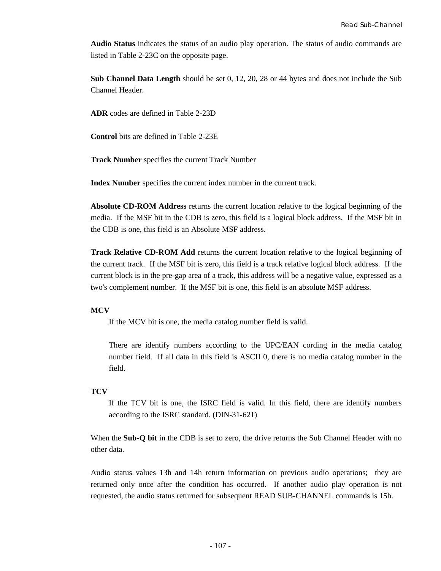**Audio Status** indicates the status of an audio play operation. The status of audio commands are listed in Table 2-23C on the opposite page.

**Sub Channel Data Length** should be set 0, 12, 20, 28 or 44 bytes and does not include the Sub Channel Header.

**ADR** codes are defined in Table 2-23D

**Control** bits are defined in Table 2-23E

**Track Number** specifies the current Track Number

**Index Number** specifies the current index number in the current track.

**Absolute CD-ROM Address** returns the current location relative to the logical beginning of the media. If the MSF bit in the CDB is zero, this field is a logical block address. If the MSF bit in the CDB is one, this field is an Absolute MSF address.

**Track Relative CD-ROM Add** returns the current location relative to the logical beginning of the current track. If the MSF bit is zero, this field is a track relative logical block address. If the current block is in the pre-gap area of a track, this address will be a negative value, expressed as a two's complement number. If the MSF bit is one, this field is an absolute MSF address.

#### **MCV**

If the MCV bit is one, the media catalog number field is valid.

There are identify numbers according to the UPC/EAN cording in the media catalog number field. If all data in this field is ASCII 0, there is no media catalog number in the field.

### **TCV**

If the TCV bit is one, the ISRC field is valid. In this field, there are identify numbers according to the ISRC standard. (DIN-31-621)

When the **Sub-Q bit** in the CDB is set to zero, the drive returns the Sub Channel Header with no other data.

Audio status values 13h and 14h return information on previous audio operations; they are returned only once after the condition has occurred. If another audio play operation is not requested, the audio status returned for subsequent READ SUB-CHANNEL commands is 15h.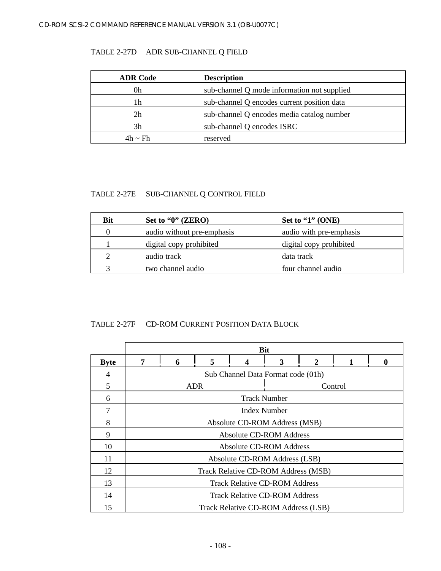## TABLE 2-27D ADR SUB-CHANNEL Q FIELD

| <b>ADR Code</b> | <b>Description</b>                          |
|-----------------|---------------------------------------------|
| 0h              | sub-channel Q mode information not supplied |
| 1h              | sub-channel Q encodes current position data |
| 2 <sub>h</sub>  | sub-channel Q encodes media catalog number  |
| 3h              | sub-channel Q encodes ISRC                  |
| $4h \sim Fh$    | reserved                                    |

# TABLE 2-27E SUB-CHANNEL Q CONTROL FIELD

| Bit                    | Set to " $0$ " (ZERO)      | Set to $"1"$ (ONE)      |
|------------------------|----------------------------|-------------------------|
| $\Omega$               | audio without pre-emphasis | audio with pre-emphasis |
|                        | digital copy prohibited    | digital copy prohibited |
| $\gamma$               | audio track                | data track              |
| $\mathbf{\mathcal{R}}$ | two channel audio          | four channel audio      |

## TABLE 2-27F CD-ROM CURRENT POSITION DATA BLOCK

|             |   |                                      |            |                                      | <b>Bit</b> |   |   |   |  |
|-------------|---|--------------------------------------|------------|--------------------------------------|------------|---|---|---|--|
| <b>Byte</b> | 7 | 6                                    | 5          | 4                                    | 3          | 2 | 1 | 0 |  |
| 4           |   |                                      |            | Sub Channel Data Format code (01h)   |            |   |   |   |  |
| 5           |   |                                      | <b>ADR</b> |                                      | Control    |   |   |   |  |
| 6           |   | <b>Track Number</b>                  |            |                                      |            |   |   |   |  |
| 7           |   | <b>Index Number</b>                  |            |                                      |            |   |   |   |  |
| 8           |   | Absolute CD-ROM Address (MSB)        |            |                                      |            |   |   |   |  |
| 9           |   | <b>Absolute CD-ROM Address</b>       |            |                                      |            |   |   |   |  |
| 10          |   | <b>Absolute CD-ROM Address</b>       |            |                                      |            |   |   |   |  |
| 11          |   |                                      |            | Absolute CD-ROM Address (LSB)        |            |   |   |   |  |
| 12          |   |                                      |            | Track Relative CD-ROM Address (MSB)  |            |   |   |   |  |
| 13          |   | <b>Track Relative CD-ROM Address</b> |            |                                      |            |   |   |   |  |
| 14          |   |                                      |            | <b>Track Relative CD-ROM Address</b> |            |   |   |   |  |
| 15          |   |                                      |            | Track Relative CD-ROM Address (LSB)  |            |   |   |   |  |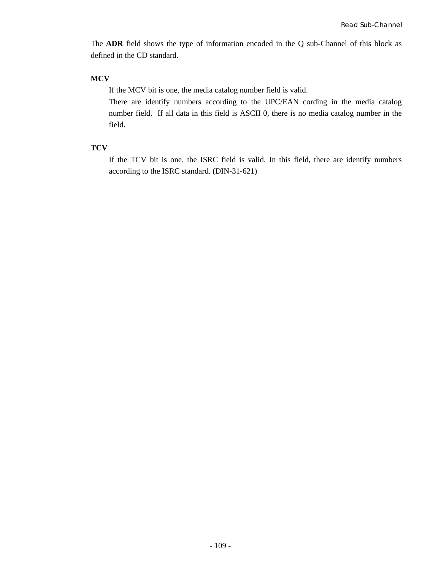The **ADR** field shows the type of information encoded in the Q sub-Channel of this block as defined in the CD standard.

### **MCV**

If the MCV bit is one, the media catalog number field is valid.

There are identify numbers according to the UPC/EAN cording in the media catalog number field. If all data in this field is ASCII 0, there is no media catalog number in the field.

### **TCV**

If the TCV bit is one, the ISRC field is valid. In this field, there are identify numbers according to the ISRC standard. (DIN-31-621)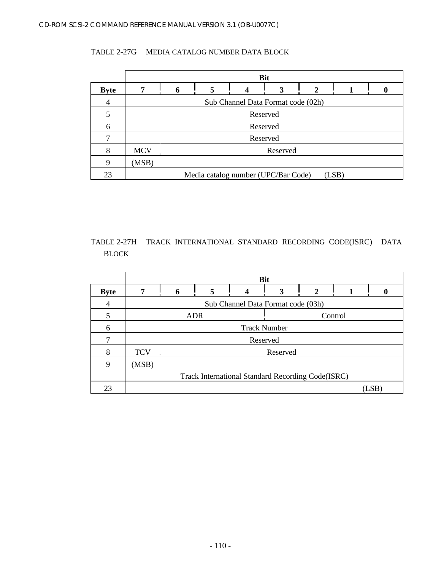|                |            | <b>Bit</b>                         |                                     |  |   |   |       |  |  |  |  |
|----------------|------------|------------------------------------|-------------------------------------|--|---|---|-------|--|--|--|--|
| <b>Byte</b>    | 7          | 6                                  | 5                                   |  | 3 | 2 |       |  |  |  |  |
| $\overline{4}$ |            | Sub Channel Data Format code (02h) |                                     |  |   |   |       |  |  |  |  |
| 5              |            | Reserved                           |                                     |  |   |   |       |  |  |  |  |
| 6              |            | Reserved                           |                                     |  |   |   |       |  |  |  |  |
|                |            | Reserved                           |                                     |  |   |   |       |  |  |  |  |
| 8              | <b>MCV</b> | Reserved                           |                                     |  |   |   |       |  |  |  |  |
| 9              | (MSB)      |                                    |                                     |  |   |   |       |  |  |  |  |
| 23             |            |                                    | Media catalog number (UPC/Bar Code) |  |   |   | (LSB) |  |  |  |  |

## TABLE 2-27G MEDIA CATALOG NUMBER DATA BLOCK

# TABLE 2-27H TRACK INTERNATIONAL STANDARD RECORDING CODE(ISRC) DATA BLOCK

|                |            | <b>Bit</b>                         |   |                                                   |          |   |  |       |  |  |
|----------------|------------|------------------------------------|---|---------------------------------------------------|----------|---|--|-------|--|--|
| <b>Byte</b>    | 7          | 6                                  | 5 |                                                   | 3        | 2 |  |       |  |  |
| $\overline{4}$ |            | Sub Channel Data Format code (03h) |   |                                                   |          |   |  |       |  |  |
| 5              |            | Control<br><b>ADR</b>              |   |                                                   |          |   |  |       |  |  |
| 6              |            | <b>Track Number</b>                |   |                                                   |          |   |  |       |  |  |
|                |            | Reserved                           |   |                                                   |          |   |  |       |  |  |
| 8              | <b>TCV</b> |                                    |   |                                                   | Reserved |   |  |       |  |  |
| 9              | (MSB)      |                                    |   |                                                   |          |   |  |       |  |  |
|                |            |                                    |   | Track International Standard Recording Code(ISRC) |          |   |  |       |  |  |
| 23             |            |                                    |   |                                                   |          |   |  | (LSB) |  |  |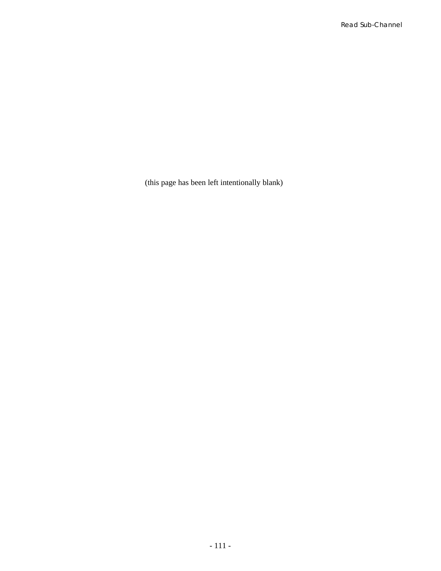(this page has been left intentionally blank)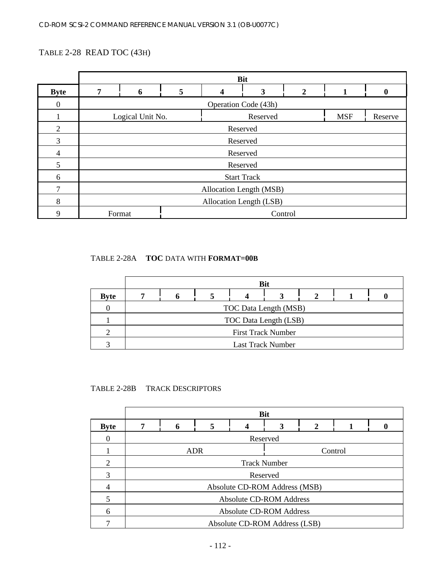# TABLE 2-28 READ TOC (43H)

|                |        | <b>Bit</b>                                            |   |   |                    |   |  |  |  |  |  |  |
|----------------|--------|-------------------------------------------------------|---|---|--------------------|---|--|--|--|--|--|--|
| <b>Byte</b>    | 7      | 6                                                     | 5 | 4 | 3                  | 2 |  |  |  |  |  |  |
| $\Omega$       |        | Operation Code (43h)                                  |   |   |                    |   |  |  |  |  |  |  |
|                |        | Logical Unit No.<br><b>MSF</b><br>Reserved<br>Reserve |   |   |                    |   |  |  |  |  |  |  |
| $\overline{2}$ |        | Reserved                                              |   |   |                    |   |  |  |  |  |  |  |
| 3              |        | Reserved                                              |   |   |                    |   |  |  |  |  |  |  |
| 4              |        | Reserved                                              |   |   |                    |   |  |  |  |  |  |  |
| 5              |        |                                                       |   |   | Reserved           |   |  |  |  |  |  |  |
| 6              |        |                                                       |   |   | <b>Start Track</b> |   |  |  |  |  |  |  |
| 7              |        | Allocation Length (MSB)                               |   |   |                    |   |  |  |  |  |  |  |
| 8              |        | Allocation Length (LSB)                               |   |   |                    |   |  |  |  |  |  |  |
| 9              | Format |                                                       |   |   | Control            |   |  |  |  |  |  |  |

## TABLE 2-28A **TOC** DATA WITH **FORMAT=00B**

|             | <b>Bit</b>            |                           |  |  |                          |  |  |  |  |  |  |  |
|-------------|-----------------------|---------------------------|--|--|--------------------------|--|--|--|--|--|--|--|
| <b>Byte</b> |                       |                           |  |  |                          |  |  |  |  |  |  |  |
|             | TOC Data Length (MSB) |                           |  |  |                          |  |  |  |  |  |  |  |
|             | TOC Data Length (LSB) |                           |  |  |                          |  |  |  |  |  |  |  |
|             |                       | <b>First Track Number</b> |  |  |                          |  |  |  |  |  |  |  |
|             |                       |                           |  |  | <b>Last Track Number</b> |  |  |  |  |  |  |  |

### TABLE 2-28B TRACK DESCRIPTORS

|                |   | <b>Bit</b>                     |            |                               |          |  |         |  |  |
|----------------|---|--------------------------------|------------|-------------------------------|----------|--|---------|--|--|
| <b>Byte</b>    | 7 | 5<br>3<br>2<br>6               |            |                               |          |  |         |  |  |
| $\overline{0}$ |   |                                |            |                               | Reserved |  |         |  |  |
|                |   |                                | <b>ADR</b> |                               |          |  | Control |  |  |
| $\overline{2}$ |   | <b>Track Number</b>            |            |                               |          |  |         |  |  |
| 3              |   | Reserved                       |            |                               |          |  |         |  |  |
| 4              |   |                                |            | Absolute CD-ROM Address (MSB) |          |  |         |  |  |
| 5              |   | <b>Absolute CD-ROM Address</b> |            |                               |          |  |         |  |  |
| 6              |   | <b>Absolute CD-ROM Address</b> |            |                               |          |  |         |  |  |
| ┑              |   |                                |            | Absolute CD-ROM Address (LSB) |          |  |         |  |  |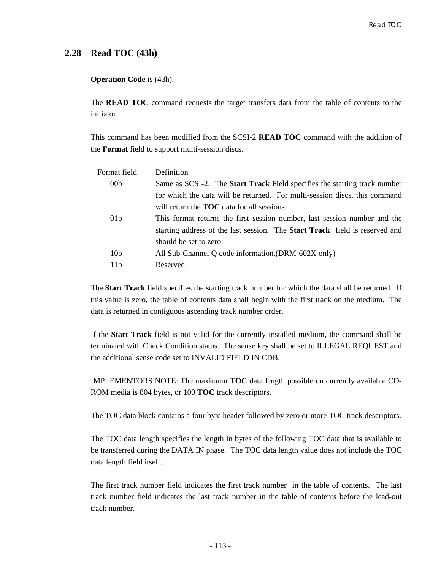## **2.28 Read TOC (43h)**

#### **Operation Code** is (43h).

The **READ TOC** command requests the target transfers data from the table of contents to the initiator.

This command has been modified from the SCSI-2 **READ TOC** command with the addition of the **Format** field to support multi-session discs.

| Definition                                                                         |
|------------------------------------------------------------------------------------|
| Same as SCSI-2. The <b>Start Track</b> Field specifies the starting track number   |
| for which the data will be returned. For multi-session discs, this command         |
| will return the $TOC$ data for all sessions.                                       |
| This format returns the first session number, last session number and the          |
| starting address of the last session. The <b>Start Track</b> field is reserved and |
| should be set to zero.                                                             |
| All Sub-Channel Q code information. (DRM-602X only)                                |
| Reserved.                                                                          |
|                                                                                    |

The **Start Track** field specifies the starting track number for which the data shall be returned. If this value is zero, the table of contents data shall begin with the first track on the medium. The data is returned in contiguous ascending track number order.

If the **Start Track** field is not valid for the currently installed medium, the command shall be terminated with Check Condition status. The sense key shall be set to ILLEGAL REQUEST and the additional sense code set to INVALID FIELD IN CDB.

IMPLEMENTORS NOTE: The maximum **TOC** data length possible on currently available CD-ROM media is 804 bytes, or 100 **TOC** track descriptors.

The TOC data block contains a four byte header followed by zero or more TOC track descriptors.

The TOC data length specifies the length in bytes of the following TOC data that is available to be transferred during the DATA IN phase. The TOC data length value does not include the TOC data length field itself.

The first track number field indicates the first track number in the table of contents. The last track number field indicates the last track number in the table of contents before the lead-out track number.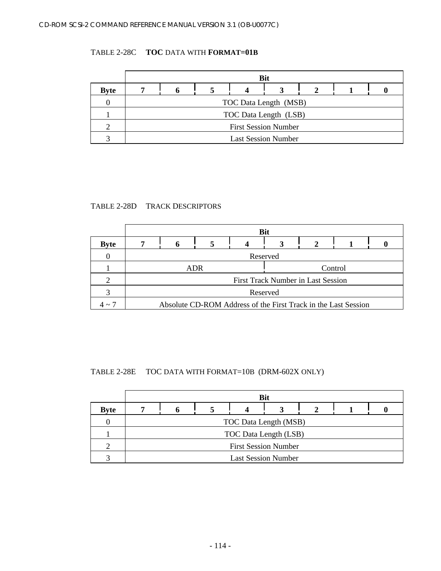## TABLE 2-28C **TOC** DATA WITH **FORMAT=01B**

|             | Bit                         |  |                            |  |  |  |  |  |
|-------------|-----------------------------|--|----------------------------|--|--|--|--|--|
| <b>Byte</b> |                             |  |                            |  |  |  |  |  |
|             | TOC Data Length (MSB)       |  |                            |  |  |  |  |  |
|             | TOC Data Length (LSB)       |  |                            |  |  |  |  |  |
|             | <b>First Session Number</b> |  |                            |  |  |  |  |  |
| っ           |                             |  | <b>Last Session Number</b> |  |  |  |  |  |

### TABLE 2-28D TRACK DESCRIPTORS

|             | <b>Bit</b>                                |  |  |  |                                                                |  |  |  |
|-------------|-------------------------------------------|--|--|--|----------------------------------------------------------------|--|--|--|
| <b>Byte</b> | 7                                         |  |  |  |                                                                |  |  |  |
|             | Reserved                                  |  |  |  |                                                                |  |  |  |
|             | Control<br>ADR                            |  |  |  |                                                                |  |  |  |
| 2           | <b>First Track Number in Last Session</b> |  |  |  |                                                                |  |  |  |
|             | Reserved                                  |  |  |  |                                                                |  |  |  |
|             |                                           |  |  |  | Absolute CD-ROM Address of the First Track in the Last Session |  |  |  |

### TABLE 2-28E TOC DATA WITH FORMAT=10B (DRM-602X ONLY)

|             | <b>Bit</b> |                             |  |                            |  |  |  |  |  |
|-------------|------------|-----------------------------|--|----------------------------|--|--|--|--|--|
| <b>Byte</b> |            |                             |  |                            |  |  |  |  |  |
|             |            | TOC Data Length (MSB)       |  |                            |  |  |  |  |  |
|             |            | TOC Data Length (LSB)       |  |                            |  |  |  |  |  |
|             |            | <b>First Session Number</b> |  |                            |  |  |  |  |  |
| ⌒           |            |                             |  | <b>Last Session Number</b> |  |  |  |  |  |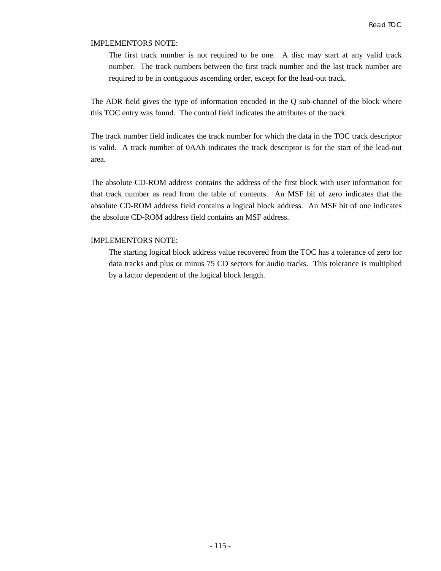### IMPLEMENTORS NOTE:

The first track number is not required to be one. A disc may start at any valid track number. The track numbers between the first track number and the last track number are required to be in contiguous ascending order, except for the lead-out track.

The ADR field gives the type of information encoded in the Q sub-channel of the block where this TOC entry was found. The control field indicates the attributes of the track.

The track number field indicates the track number for which the data in the TOC track descriptor is valid. A track number of 0AAh indicates the track descriptor is for the start of the lead-out area.

The absolute CD-ROM address contains the address of the first block with user information for that track number as read from the table of contents. An MSF bit of zero indicates that the absolute CD-ROM address field contains a logical block address. An MSF bit of one indicates the absolute CD-ROM address field contains an MSF address.

### IMPLEMENTORS NOTE:

The starting logical block address value recovered from the TOC has a tolerance of zero for data tracks and plus or minus 75 CD sectors for audio tracks. This tolerance is multiplied by a factor dependent of the logical block length.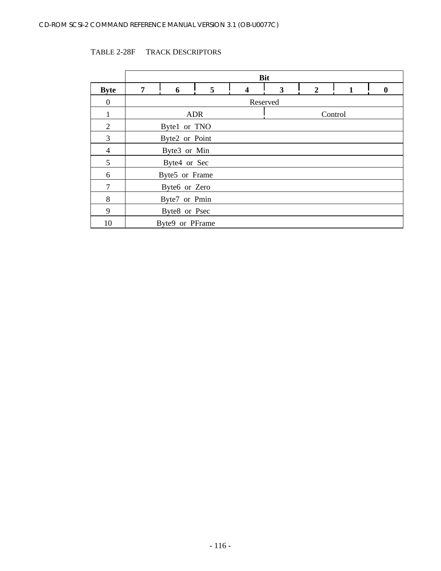|                  |   | <b>Bit</b>            |   |          |   |                |   |                  |  |
|------------------|---|-----------------------|---|----------|---|----------------|---|------------------|--|
| <b>Byte</b>      | 7 | 6                     | 5 | 4        | 3 | $\overline{2}$ | 1 | $\boldsymbol{0}$ |  |
| $\boldsymbol{0}$ |   |                       |   | Reserved |   |                |   |                  |  |
| 1                |   | <b>ADR</b><br>Control |   |          |   |                |   |                  |  |
| $\overline{2}$   |   | Byte1 or TNO          |   |          |   |                |   |                  |  |
| 3                |   | Byte2 or Point        |   |          |   |                |   |                  |  |
| 4                |   | Byte3 or Min          |   |          |   |                |   |                  |  |
| 5                |   | Byte4 or Sec          |   |          |   |                |   |                  |  |
| 6                |   | Byte5 or Frame        |   |          |   |                |   |                  |  |
| 7                |   | Byte6 or Zero         |   |          |   |                |   |                  |  |
| 8                |   | Byte7 or Pmin         |   |          |   |                |   |                  |  |
| 9                |   | Byte8 or Psec         |   |          |   |                |   |                  |  |
| 10               |   | Byte9 or PFrame       |   |          |   |                |   |                  |  |

## TABLE 2-28F TRACK DESCRIPTORS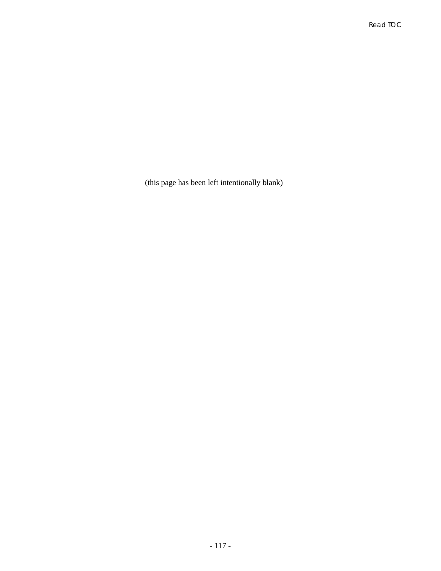(this page has been left intentionally blank)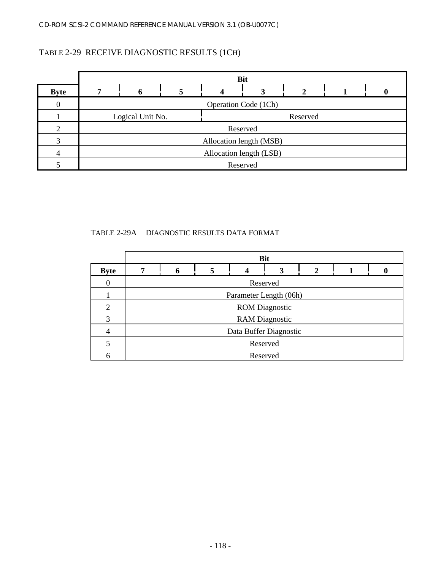# TABLE 2-29 RECEIVE DIAGNOSTIC RESULTS (1CH)

|             |                         | <b>Bit</b>           |  |                         |          |  |  |  |  |  |
|-------------|-------------------------|----------------------|--|-------------------------|----------|--|--|--|--|--|
| <b>Byte</b> |                         |                      |  |                         |          |  |  |  |  |  |
| 0           |                         | Operation Code (1Ch) |  |                         |          |  |  |  |  |  |
|             |                         | Logical Unit No.     |  | Reserved                |          |  |  |  |  |  |
| 2           | Reserved                |                      |  |                         |          |  |  |  |  |  |
| 3           |                         |                      |  | Allocation length (MSB) |          |  |  |  |  |  |
|             | Allocation length (LSB) |                      |  |                         |          |  |  |  |  |  |
|             |                         |                      |  |                         | Reserved |  |  |  |  |  |

## TABLE 2-29A DIAGNOSTIC RESULTS DATA FORMAT

|                |   | <b>Bit</b>             |  |                        |                       |  |  |  |  |  |
|----------------|---|------------------------|--|------------------------|-----------------------|--|--|--|--|--|
| <b>Byte</b>    | 7 | 3<br>2<br>6            |  |                        |                       |  |  |  |  |  |
|                |   |                        |  |                        | Reserved              |  |  |  |  |  |
|                |   | Parameter Length (06h) |  |                        |                       |  |  |  |  |  |
| $\overline{2}$ |   | <b>ROM</b> Diagnostic  |  |                        |                       |  |  |  |  |  |
| 3              |   |                        |  |                        | <b>RAM Diagnostic</b> |  |  |  |  |  |
| $\overline{4}$ |   |                        |  | Data Buffer Diagnostic |                       |  |  |  |  |  |
|                |   | Reserved               |  |                        |                       |  |  |  |  |  |
| 6              |   |                        |  |                        | Reserved              |  |  |  |  |  |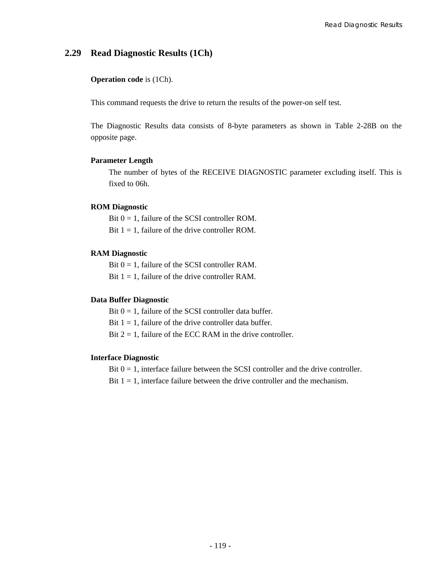## **2.29 Read Diagnostic Results (1Ch)**

### **Operation code** is (1Ch).

This command requests the drive to return the results of the power-on self test.

The Diagnostic Results data consists of 8-byte parameters as shown in Table 2-28B on the opposite page.

### **Parameter Length**

The number of bytes of the RECEIVE DIAGNOSTIC parameter excluding itself. This is fixed to 06h.

### **ROM Diagnostic**

Bit  $0 = 1$ , failure of the SCSI controller ROM. Bit  $1 = 1$ , failure of the drive controller ROM.

### **RAM Diagnostic**

Bit  $0 = 1$ , failure of the SCSI controller RAM.

Bit  $1 = 1$ , failure of the drive controller RAM.

### **Data Buffer Diagnostic**

Bit  $0 = 1$ , failure of the SCSI controller data buffer.

Bit  $1 = 1$ , failure of the drive controller data buffer.

Bit  $2 = 1$ , failure of the ECC RAM in the drive controller.

### **Interface Diagnostic**

Bit  $0 = 1$ , interface failure between the SCSI controller and the drive controller.

Bit  $1 = 1$ , interface failure between the drive controller and the mechanism.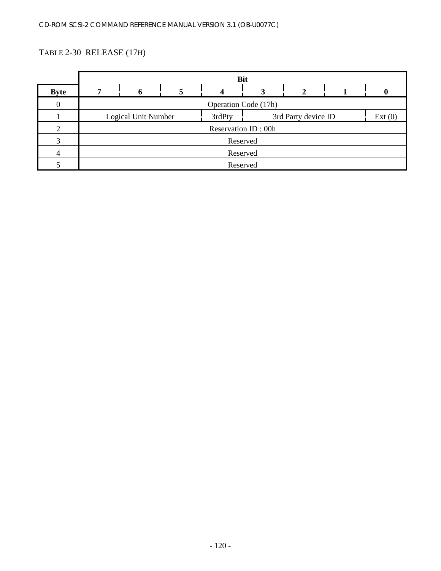# TABLE 2-30 RELEASE (17H)

|             | <b>Bit</b>           |  |          |                               |  |  |  |  |
|-------------|----------------------|--|----------|-------------------------------|--|--|--|--|
| <b>Byte</b> |                      |  |          |                               |  |  |  |  |
| $\theta$    | Operation Code (17h) |  |          |                               |  |  |  |  |
|             | Logical Unit Number  |  | 3rdPty   | 3rd Party device ID<br>Ext(0) |  |  |  |  |
| 2           | Reservation ID: 00h  |  |          |                               |  |  |  |  |
|             |                      |  | Reserved |                               |  |  |  |  |
| 4           | Reserved             |  |          |                               |  |  |  |  |
|             |                      |  | Reserved |                               |  |  |  |  |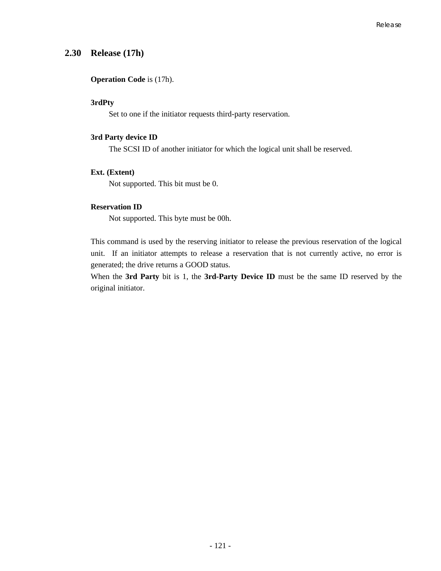# **2.30 Release (17h)**

### **Operation Code** is (17h).

### **3rdPty**

Set to one if the initiator requests third-party reservation.

### **3rd Party device ID**

The SCSI ID of another initiator for which the logical unit shall be reserved.

## **Ext. (Extent)**

Not supported. This bit must be 0.

### **Reservation ID**

Not supported. This byte must be 00h.

This command is used by the reserving initiator to release the previous reservation of the logical unit. If an initiator attempts to release a reservation that is not currently active, no error is generated; the drive returns a GOOD status.

When the **3rd Party** bit is 1, the **3rd-Party Device ID** must be the same ID reserved by the original initiator.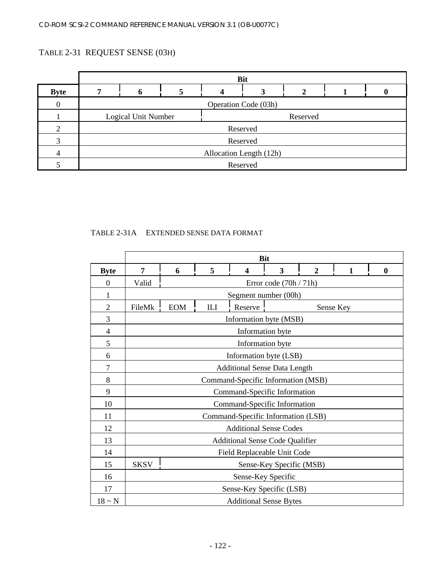# TABLE 2-31 REQUEST SENSE (03H)

|             | <b>Bit</b>                      |  |  |          |  |  |  |  |
|-------------|---------------------------------|--|--|----------|--|--|--|--|
| <b>Byte</b> |                                 |  |  |          |  |  |  |  |
| 0           | Operation Code (03h)            |  |  |          |  |  |  |  |
|             | Logical Unit Number<br>Reserved |  |  |          |  |  |  |  |
| 2           | Reserved                        |  |  |          |  |  |  |  |
| 3           |                                 |  |  | Reserved |  |  |  |  |
|             | Allocation Length (12h)         |  |  |          |  |  |  |  |
|             |                                 |  |  | Reserved |  |  |  |  |

## TABLE 2-31A EXTENDED SENSE DATA FORMAT

|                |             |                                                  |   | <b>Bit</b>                             |                         |                |   |                  |  |
|----------------|-------------|--------------------------------------------------|---|----------------------------------------|-------------------------|----------------|---|------------------|--|
| <b>Byte</b>    | 7           | 6                                                | 5 | 4                                      | $\overline{\mathbf{3}}$ | $\overline{2}$ | 1 | $\boldsymbol{0}$ |  |
| 0              | Valid       | Error code (70h / 71h)                           |   |                                        |                         |                |   |                  |  |
| 1              |             | Segment number (00h)                             |   |                                        |                         |                |   |                  |  |
| $\overline{2}$ | FileMk      | <b>EOM</b><br><b>ILI</b><br>Reserve<br>Sense Key |   |                                        |                         |                |   |                  |  |
| 3              |             |                                                  |   | Information byte (MSB)                 |                         |                |   |                  |  |
| 4              |             |                                                  |   |                                        | Information byte        |                |   |                  |  |
| 5              |             |                                                  |   |                                        | Information byte        |                |   |                  |  |
| 6              |             |                                                  |   | Information byte (LSB)                 |                         |                |   |                  |  |
| 7              |             |                                                  |   | <b>Additional Sense Data Length</b>    |                         |                |   |                  |  |
| 8              |             |                                                  |   | Command-Specific Information (MSB)     |                         |                |   |                  |  |
| 9              |             |                                                  |   | Command-Specific Information           |                         |                |   |                  |  |
| 10             |             |                                                  |   | Command-Specific Information           |                         |                |   |                  |  |
| 11             |             |                                                  |   | Command-Specific Information (LSB)     |                         |                |   |                  |  |
| 12             |             |                                                  |   | <b>Additional Sense Codes</b>          |                         |                |   |                  |  |
| 13             |             |                                                  |   | <b>Additional Sense Code Qualifier</b> |                         |                |   |                  |  |
| 14             |             |                                                  |   | Field Replaceable Unit Code            |                         |                |   |                  |  |
| 15             | <b>SKSV</b> | Sense-Key Specific (MSB)                         |   |                                        |                         |                |   |                  |  |
| 16             |             | Sense-Key Specific                               |   |                                        |                         |                |   |                  |  |
| 17             |             | Sense-Key Specific (LSB)                         |   |                                        |                         |                |   |                  |  |
| $18 \sim N$    |             |                                                  |   | <b>Additional Sense Bytes</b>          |                         |                |   |                  |  |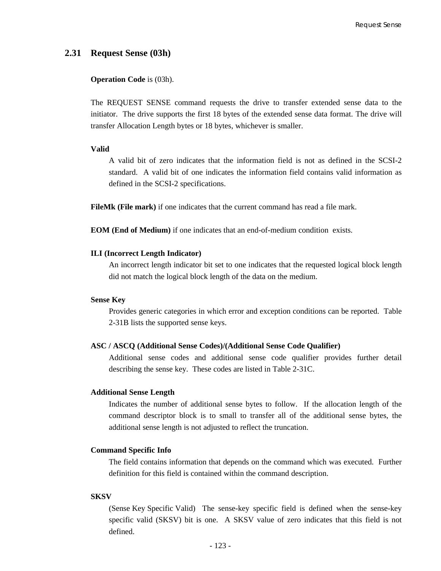### **2.31 Request Sense (03h)**

#### **Operation Code** is (03h).

The REQUEST SENSE command requests the drive to transfer extended sense data to the initiator. The drive supports the first 18 bytes of the extended sense data format. The drive will transfer Allocation Length bytes or 18 bytes, whichever is smaller.

#### **Valid**

A valid bit of zero indicates that the information field is not as defined in the SCSI-2 standard. A valid bit of one indicates the information field contains valid information as defined in the SCSI-2 specifications.

**FileMk (File mark)** if one indicates that the current command has read a file mark.

**EOM (End of Medium)** if one indicates that an end-of-medium condition exists.

#### **ILI (Incorrect Length Indicator)**

An incorrect length indicator bit set to one indicates that the requested logical block length did not match the logical block length of the data on the medium.

#### **Sense Key**

Provides generic categories in which error and exception conditions can be reported. Table 2-31B lists the supported sense keys.

#### **ASC / ASCQ (Additional Sense Codes)/(Additional Sense Code Qualifier)**

Additional sense codes and additional sense code qualifier provides further detail describing the sense key. These codes are listed in Table 2-31C.

#### **Additional Sense Length**

Indicates the number of additional sense bytes to follow. If the allocation length of the command descriptor block is to small to transfer all of the additional sense bytes, the additional sense length is not adjusted to reflect the truncation.

#### **Command Specific Info**

The field contains information that depends on the command which was executed. Further definition for this field is contained within the command description.

#### **SKSV**

(Sense Key Specific Valid) The sense-key specific field is defined when the sense-key specific valid (SKSV) bit is one. A SKSV value of zero indicates that this field is not defined.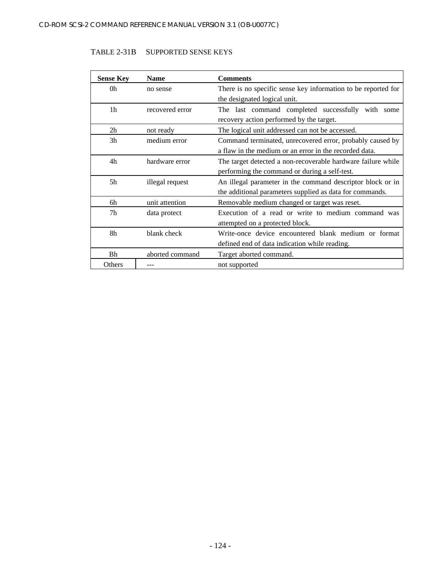## TABLE 2-31B SUPPORTED SENSE KEYS

| <b>Sense Key</b> | <b>Name</b>     | <b>Comments</b>                                                                                  |
|------------------|-----------------|--------------------------------------------------------------------------------------------------|
| 0 <sup>h</sup>   | no sense        | There is no specific sense key information to be reported for<br>the designated logical unit.    |
| 1 <sub>h</sub>   | recovered error | The last command completed successfully with<br>some<br>recovery action performed by the target. |
| 2 <sub>h</sub>   | not ready       | The logical unit addressed can not be accessed.                                                  |
| 3h               | medium error    | Command terminated, unrecovered error, probably caused by                                        |
|                  |                 | a flaw in the medium or an error in the recorded data.                                           |
| 4h               | hardware error  | The target detected a non-recoverable hardware failure while                                     |
|                  |                 | performing the command or during a self-test.                                                    |
| 5h               | illegal request | An illegal parameter in the command descriptor block or in                                       |
|                  |                 | the additional parameters supplied as data for commands.                                         |
| 6h               | unit attention  | Removable medium changed or target was reset.                                                    |
| 7h               | data protect    | Execution of a read or write to medium command was                                               |
|                  |                 | attempted on a protected block.                                                                  |
| 8h               | blank check     | Write-once device encountered blank medium or format                                             |
|                  |                 | defined end of data indication while reading.                                                    |
| <b>Bh</b>        | aborted command | Target aborted command.                                                                          |
| <b>Others</b>    |                 | not supported                                                                                    |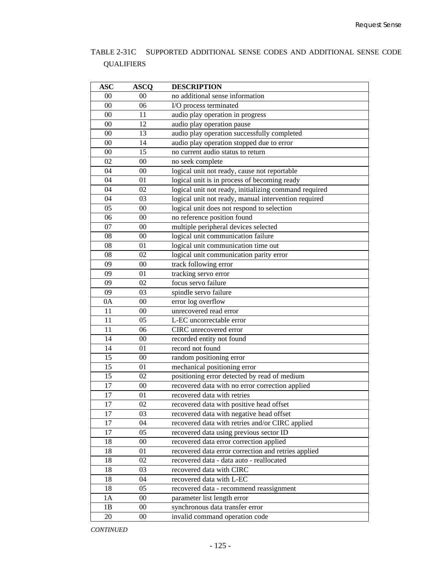# TABLE 2-31C SUPPORTED ADDITIONAL SENSE CODES AND ADDITIONAL SENSE CODE QUALIFIERS

| <b>ASC</b> | <b>ASCQ</b> | <b>DESCRIPTION</b>                                    |  |  |  |  |  |
|------------|-------------|-------------------------------------------------------|--|--|--|--|--|
| 00         | 00          | no additional sense information                       |  |  |  |  |  |
| $00\,$     | 06          | I/O process terminated                                |  |  |  |  |  |
| $00\,$     | 11          | audio play operation in progress                      |  |  |  |  |  |
| 00         | 12          | audio play operation pause                            |  |  |  |  |  |
| 00         | 13          | audio play operation successfully completed           |  |  |  |  |  |
| 00         | 14          | audio play operation stopped due to error             |  |  |  |  |  |
| $00\,$     | 15          | no current audio status to return                     |  |  |  |  |  |
| 02         | $00\,$      | no seek complete                                      |  |  |  |  |  |
| 04         | 00          | logical unit not ready, cause not reportable          |  |  |  |  |  |
| 04         | 01          | logical unit is in process of becoming ready          |  |  |  |  |  |
| 04         | 02          | logical unit not ready, initializing command required |  |  |  |  |  |
| 04         | 03          | logical unit not ready, manual intervention required  |  |  |  |  |  |
| 05         | $00\,$      | logical unit does not respond to selection            |  |  |  |  |  |
| 06         | $00\,$      | no reference position found                           |  |  |  |  |  |
| 07         | $00\,$      | multiple peripheral devices selected                  |  |  |  |  |  |
| 08         | 00          | logical unit communication failure                    |  |  |  |  |  |
| 08         | 01          | logical unit communication time out                   |  |  |  |  |  |
| 08         | 02          | logical unit communication parity error               |  |  |  |  |  |
| 09         | 00          | track following error                                 |  |  |  |  |  |
| 09         | 01          | tracking servo error                                  |  |  |  |  |  |
| 09         | 02          | focus servo failure                                   |  |  |  |  |  |
| 09         | 03          | spindle servo failure                                 |  |  |  |  |  |
| 0A         | $00\,$      | error log overflow                                    |  |  |  |  |  |
| 11         | $00\,$      | unrecovered read error                                |  |  |  |  |  |
| 11         | 05          | L-EC uncorrectable error                              |  |  |  |  |  |
| 11         | 06          | CIRC unrecovered error                                |  |  |  |  |  |
| 14         | $00\,$      | recorded entity not found                             |  |  |  |  |  |
| 14         | 01          | record not found                                      |  |  |  |  |  |
| 15         | 00          | random positioning error                              |  |  |  |  |  |
| 15         | 01          | mechanical positioning error                          |  |  |  |  |  |
| 15         | 02          | positioning error detected by read of medium          |  |  |  |  |  |
| 17         | $00\,$      | recovered data with no error correction applied       |  |  |  |  |  |
| 17         | 01          | recovered data with retries                           |  |  |  |  |  |
| 17         | 02          | recovered data with positive head offset              |  |  |  |  |  |
| 17         | 03          | recovered data with negative head offset              |  |  |  |  |  |
| 17         | 04          | recovered data with retries and/or CIRC applied       |  |  |  |  |  |
| 17         | 05          | recovered data using previous sector ID               |  |  |  |  |  |
| 18         | $00\,$      | recovered data error correction applied               |  |  |  |  |  |
| 18         | 01          | recovered data error correction and retries applied   |  |  |  |  |  |
| 18         | 02          | recovered data - data auto - reallocated              |  |  |  |  |  |
| 18         | 03          | recovered data with CIRC                              |  |  |  |  |  |
| 18         | 04          | recovered data with L-EC                              |  |  |  |  |  |
| 18         | 05          | recovered data - recommend reassignment               |  |  |  |  |  |
| 1A         | $00\,$      | parameter list length error                           |  |  |  |  |  |
| 1B         | $00\,$      | synchronous data transfer error                       |  |  |  |  |  |
| 20         | $00\,$      | invalid command operation code                        |  |  |  |  |  |

*CONTINUED*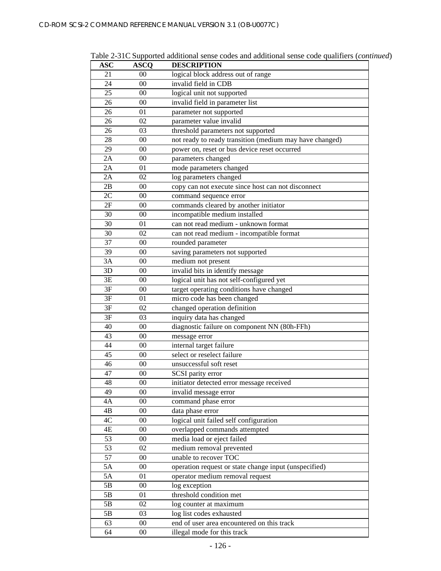| <b>ASC</b> | <b>ASCQ</b><br><b>DESCRIPTION</b> |                                                         |  |  |  |  |  |  |
|------------|-----------------------------------|---------------------------------------------------------|--|--|--|--|--|--|
| 21         | 00                                | logical block address out of range                      |  |  |  |  |  |  |
| 24         | 00                                | invalid field in CDB                                    |  |  |  |  |  |  |
| 25         | $00\,$                            | logical unit not supported                              |  |  |  |  |  |  |
| 26         | 00                                | invalid field in parameter list                         |  |  |  |  |  |  |
| 26         | 01                                | parameter not supported                                 |  |  |  |  |  |  |
| 26         | 02                                | parameter value invalid                                 |  |  |  |  |  |  |
| 26         | 03                                | threshold parameters not supported                      |  |  |  |  |  |  |
| 28         | $00\,$                            | not ready to ready transition (medium may have changed) |  |  |  |  |  |  |
| 29         | 00                                | power on, reset or bus device reset occurred            |  |  |  |  |  |  |
| 2A         | $00\,$                            |                                                         |  |  |  |  |  |  |
| 2A         |                                   | parameters changed                                      |  |  |  |  |  |  |
|            | 01                                | mode parameters changed                                 |  |  |  |  |  |  |
| 2A         | 02                                | log parameters changed                                  |  |  |  |  |  |  |
| 2B         | $00\,$                            | copy can not execute since host can not disconnect      |  |  |  |  |  |  |
| 2C         | $00\,$                            | command sequence error                                  |  |  |  |  |  |  |
| 2F         | 00                                | commands cleared by another initiator                   |  |  |  |  |  |  |
| 30         | $00\,$                            | incompatible medium installed                           |  |  |  |  |  |  |
| 30         | 01                                | can not read medium - unknown format                    |  |  |  |  |  |  |
| 30         | 02                                | can not read medium - incompatible format               |  |  |  |  |  |  |
| 37         | $00\,$                            | rounded parameter                                       |  |  |  |  |  |  |
| 39         | $00\,$                            | saving parameters not supported                         |  |  |  |  |  |  |
| 3A         | 00                                | medium not present                                      |  |  |  |  |  |  |
| 3D         | $00\,$                            | invalid bits in identify message                        |  |  |  |  |  |  |
| 3E         | $00\,$                            | logical unit has not self-configured yet                |  |  |  |  |  |  |
| 3F         | 00                                | target operating conditions have changed                |  |  |  |  |  |  |
| 3F         | 01                                | micro code has been changed                             |  |  |  |  |  |  |
| 3F         | 02                                | changed operation definition                            |  |  |  |  |  |  |
| 3F         | 03                                | inquiry data has changed                                |  |  |  |  |  |  |
| 40         | $00\,$                            | diagnostic failure on component NN (80h-FFh)            |  |  |  |  |  |  |
| 43         | 00                                |                                                         |  |  |  |  |  |  |
| 44         | 00                                | message error<br>internal target failure                |  |  |  |  |  |  |
| 45         |                                   | select or reselect failure                              |  |  |  |  |  |  |
|            | 00                                | unsuccessful soft reset                                 |  |  |  |  |  |  |
| 46         | 00                                |                                                         |  |  |  |  |  |  |
| 47         | 00                                | SCSI parity error                                       |  |  |  |  |  |  |
| 48         | $00\,$                            | initiator detected error message received               |  |  |  |  |  |  |
| 49         | $00\,$                            | invalid message error                                   |  |  |  |  |  |  |
| 4A         | $00\,$                            | command phase error                                     |  |  |  |  |  |  |
| 4B         | $00\,$                            | data phase error                                        |  |  |  |  |  |  |
| 4C         | $00\,$                            | logical unit failed self configuration                  |  |  |  |  |  |  |
| 4E         | $00\,$                            | overlapped commands attempted                           |  |  |  |  |  |  |
| 53         | $00\,$                            | media load or eject failed                              |  |  |  |  |  |  |
| 53         | 02                                | medium removal prevented                                |  |  |  |  |  |  |
| 57         | $00\,$                            | unable to recover TOC                                   |  |  |  |  |  |  |
| 5A         | $00\,$                            | operation request or state change input (unspecified)   |  |  |  |  |  |  |
| $5A$       | 01                                | operator medium removal request                         |  |  |  |  |  |  |
| 5B         | $00\,$                            | log exception                                           |  |  |  |  |  |  |
| 5B         | 01                                | threshold condition met                                 |  |  |  |  |  |  |
| 5B         | 02                                | log counter at maximum                                  |  |  |  |  |  |  |
| 5B         | 03                                | log list codes exhausted                                |  |  |  |  |  |  |
| 63         | $00\,$                            | end of user area encountered on this track              |  |  |  |  |  |  |
|            |                                   |                                                         |  |  |  |  |  |  |
| 64         | $00\,$                            | illegal mode for this track                             |  |  |  |  |  |  |

Table 2-31C Supported additional sense codes and additional sense code qualifiers (*continued*)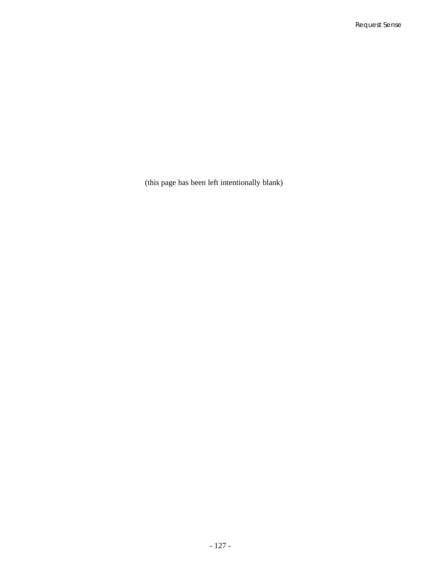(this page has been left intentionally blank)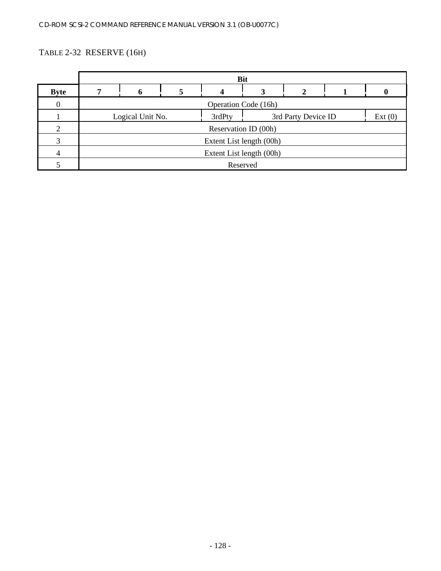# TABLE 2-32 RESERVE (16H)

|             | <b>Bit</b>               |  |  |        |                     |  |  |        |  |
|-------------|--------------------------|--|--|--------|---------------------|--|--|--------|--|
| <b>Byte</b> |                          |  |  |        |                     |  |  |        |  |
| $\Omega$    | Operation Code (16h)     |  |  |        |                     |  |  |        |  |
|             | Logical Unit No.         |  |  | 3rdPty | 3rd Party Device ID |  |  | Ext(0) |  |
| 2           | Reservation ID (00h)     |  |  |        |                     |  |  |        |  |
|             | Extent List length (00h) |  |  |        |                     |  |  |        |  |
| 4           | Extent List length (00h) |  |  |        |                     |  |  |        |  |
|             | Reserved                 |  |  |        |                     |  |  |        |  |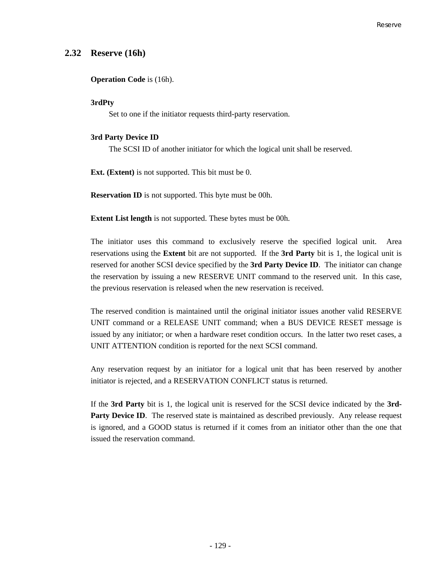## **2.32 Reserve (16h)**

**Operation Code** is (16h).

### **3rdPty**

Set to one if the initiator requests third-party reservation.

### **3rd Party Device ID**

The SCSI ID of another initiator for which the logical unit shall be reserved.

**Ext. (Extent)** is not supported. This bit must be 0.

**Reservation ID** is not supported. This byte must be 00h.

**Extent List length** is not supported. These bytes must be 00h.

The initiator uses this command to exclusively reserve the specified logical unit. Area reservations using the **Extent** bit are not supported. If the **3rd Party** bit is 1, the logical unit is reserved for another SCSI device specified by the **3rd Party Device ID**. The initiator can change the reservation by issuing a new RESERVE UNIT command to the reserved unit. In this case, the previous reservation is released when the new reservation is received.

The reserved condition is maintained until the original initiator issues another valid RESERVE UNIT command or a RELEASE UNIT command; when a BUS DEVICE RESET message is issued by any initiator; or when a hardware reset condition occurs. In the latter two reset cases, a UNIT ATTENTION condition is reported for the next SCSI command.

Any reservation request by an initiator for a logical unit that has been reserved by another initiator is rejected, and a RESERVATION CONFLICT status is returned.

If the **3rd Party** bit is 1, the logical unit is reserved for the SCSI device indicated by the **3rd-Party Device ID.** The reserved state is maintained as described previously. Any release request is ignored, and a GOOD status is returned if it comes from an initiator other than the one that issued the reservation command.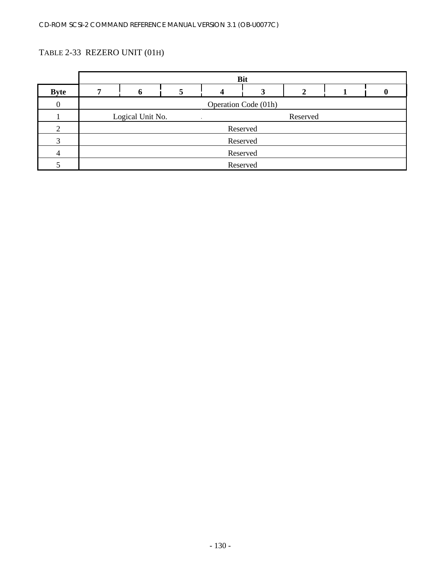# TABLE 2-33 REZERO UNIT (01H)

|                | <b>Bit</b>           |                  |  |                    |  |  |  |  |  |
|----------------|----------------------|------------------|--|--------------------|--|--|--|--|--|
| <b>Byte</b>    |                      |                  |  |                    |  |  |  |  |  |
| 0              | Operation Code (01h) |                  |  |                    |  |  |  |  |  |
|                |                      | Logical Unit No. |  | Reserved<br>$\sim$ |  |  |  |  |  |
| $\overline{2}$ | Reserved             |                  |  |                    |  |  |  |  |  |
|                | Reserved             |                  |  |                    |  |  |  |  |  |
|                | Reserved             |                  |  |                    |  |  |  |  |  |
|                | Reserved             |                  |  |                    |  |  |  |  |  |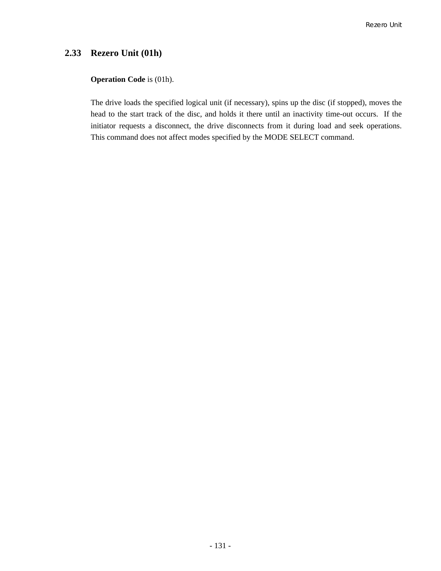# **2.33 Rezero Unit (01h)**

## **Operation Code** is (01h).

The drive loads the specified logical unit (if necessary), spins up the disc (if stopped), moves the head to the start track of the disc, and holds it there until an inactivity time-out occurs. If the initiator requests a disconnect, the drive disconnects from it during load and seek operations. This command does not affect modes specified by the MODE SELECT command.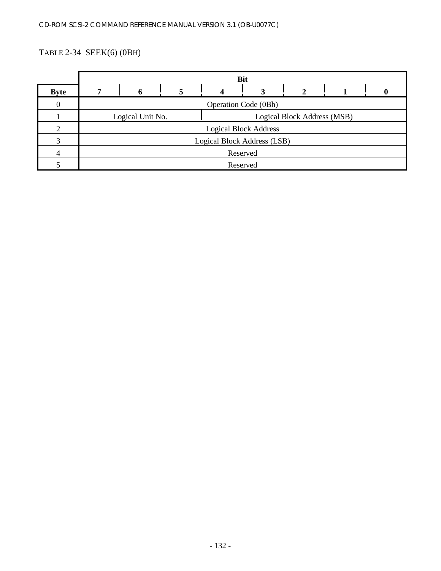# TABLE 2-34 SEEK(6) (0BH)

|                       |                                                 |  |                             | <b>Bit</b> |  |  |  |  |  |  |  |
|-----------------------|-------------------------------------------------|--|-----------------------------|------------|--|--|--|--|--|--|--|
| <b>Byte</b>           |                                                 |  |                             |            |  |  |  |  |  |  |  |
| $_{0}$                | <b>Operation Code (0Bh)</b>                     |  |                             |            |  |  |  |  |  |  |  |
|                       | Logical Block Address (MSB)<br>Logical Unit No. |  |                             |            |  |  |  |  |  |  |  |
| $\mathcal{D}_{\cdot}$ | <b>Logical Block Address</b>                    |  |                             |            |  |  |  |  |  |  |  |
|                       |                                                 |  | Logical Block Address (LSB) |            |  |  |  |  |  |  |  |
| 4                     | Reserved                                        |  |                             |            |  |  |  |  |  |  |  |
|                       |                                                 |  |                             | Reserved   |  |  |  |  |  |  |  |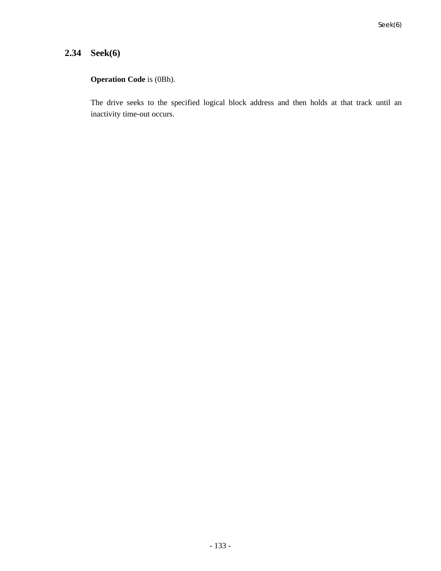# **2.34 Seek(6)**

### **Operation Code** is (0Bh).

The drive seeks to the specified logical block address and then holds at that track until an inactivity time-out occurs.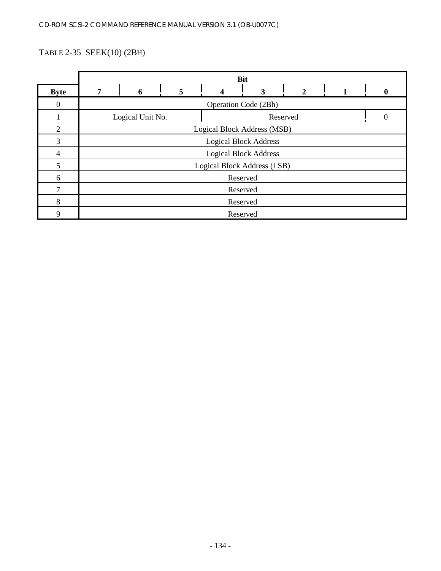# TABLE 2-35 SEEK(10) (2BH)

|                |   |                                          |   | <b>Bit</b>                   |   |   |  |   |  |  |  |  |
|----------------|---|------------------------------------------|---|------------------------------|---|---|--|---|--|--|--|--|
| <b>Byte</b>    | 7 | 6                                        | 5 |                              | 3 | 2 |  | 0 |  |  |  |  |
| $\theta$       |   |                                          |   | <b>Operation Code (2Bh)</b>  |   |   |  |   |  |  |  |  |
|                |   | Logical Unit No.<br>Reserved<br>$\theta$ |   |                              |   |   |  |   |  |  |  |  |
| $\overline{2}$ |   | Logical Block Address (MSB)              |   |                              |   |   |  |   |  |  |  |  |
| 3              |   | <b>Logical Block Address</b>             |   |                              |   |   |  |   |  |  |  |  |
| $\overline{4}$ |   |                                          |   | <b>Logical Block Address</b> |   |   |  |   |  |  |  |  |
| 5              |   |                                          |   | Logical Block Address (LSB)  |   |   |  |   |  |  |  |  |
| 6              |   |                                          |   | Reserved                     |   |   |  |   |  |  |  |  |
| 7              |   | Reserved                                 |   |                              |   |   |  |   |  |  |  |  |
| 8              |   |                                          |   | Reserved                     |   |   |  |   |  |  |  |  |
| 9              |   |                                          |   | Reserved                     |   |   |  |   |  |  |  |  |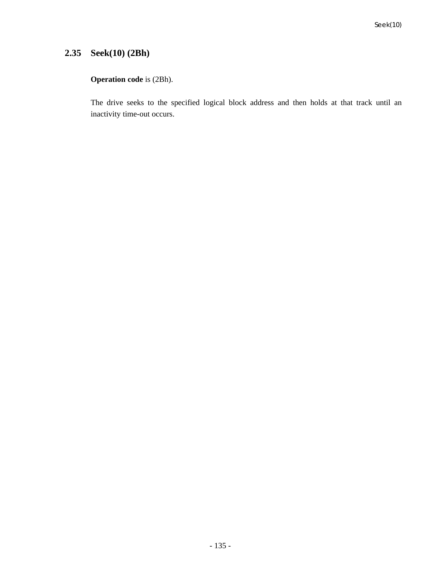# **2.35 Seek(10) (2Bh)**

### **Operation code** is (2Bh).

The drive seeks to the specified logical block address and then holds at that track until an inactivity time-out occurs.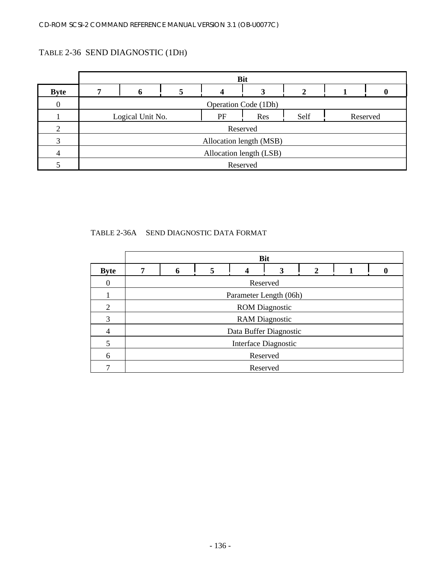### TABLE 2-36 SEND DIAGNOSTIC (1DH)

|                |    |                                                   |  |  | <b>Bit</b>              |  |  |  |  |  |  |
|----------------|----|---------------------------------------------------|--|--|-------------------------|--|--|--|--|--|--|
| <b>Byte</b>    | Η, | D                                                 |  |  |                         |  |  |  |  |  |  |
| $\overline{0}$ |    | Operation Code (1Dh)                              |  |  |                         |  |  |  |  |  |  |
|                |    | Self<br>Logical Unit No.<br>PF<br>Res<br>Reserved |  |  |                         |  |  |  |  |  |  |
| 2              |    | Reserved                                          |  |  |                         |  |  |  |  |  |  |
| 3              |    |                                                   |  |  | Allocation length (MSB) |  |  |  |  |  |  |
| 4              |    | Allocation length (LSB)                           |  |  |                         |  |  |  |  |  |  |
|                |    |                                                   |  |  | Reserved                |  |  |  |  |  |  |

### TABLE 2-36A SEND DIAGNOSTIC DATA FORMAT

|             |   |                       |  |  | <b>Bit</b>             |  |  |  |  |  |  |  |
|-------------|---|-----------------------|--|--|------------------------|--|--|--|--|--|--|--|
| <b>Byte</b> | 7 | 3<br>5<br>2<br>6      |  |  |                        |  |  |  |  |  |  |  |
| 0           |   |                       |  |  | Reserved               |  |  |  |  |  |  |  |
|             |   |                       |  |  | Parameter Length (06h) |  |  |  |  |  |  |  |
| 2           |   | <b>ROM Diagnostic</b> |  |  |                        |  |  |  |  |  |  |  |
| 3           |   |                       |  |  | <b>RAM Diagnostic</b>  |  |  |  |  |  |  |  |
| 4           |   |                       |  |  | Data Buffer Diagnostic |  |  |  |  |  |  |  |
| 5           |   |                       |  |  | Interface Diagnostic   |  |  |  |  |  |  |  |
| 6           |   |                       |  |  | Reserved               |  |  |  |  |  |  |  |
| ⇁           |   |                       |  |  | Reserved               |  |  |  |  |  |  |  |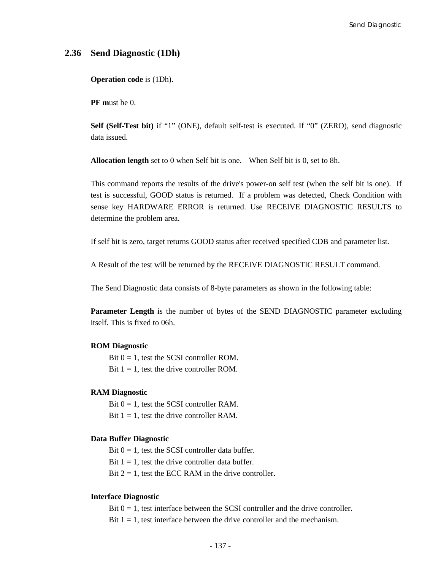#### **2.36 Send Diagnostic (1Dh)**

**Operation code** is (1Dh).

**PF m**ust be 0.

**Self (Self-Test bit)** if "1" (ONE), default self-test is executed. If "0" (ZERO), send diagnostic data issued.

**Allocation length** set to 0 when Self bit is one. When Self bit is 0, set to 8h.

This command reports the results of the drive's power-on self test (when the self bit is one). If test is successful, GOOD status is returned. If a problem was detected, Check Condition with sense key HARDWARE ERROR is returned. Use RECEIVE DIAGNOSTIC RESULTS to determine the problem area.

If self bit is zero, target returns GOOD status after received specified CDB and parameter list.

A Result of the test will be returned by the RECEIVE DIAGNOSTIC RESULT command.

The Send Diagnostic data consists of 8-byte parameters as shown in the following table:

**Parameter Length** is the number of bytes of the SEND DIAGNOSTIC parameter excluding itself. This is fixed to 06h.

#### **ROM Diagnostic**

Bit  $0 = 1$ , test the SCSI controller ROM.

Bit  $1 = 1$ , test the drive controller ROM.

#### **RAM Diagnostic**

Bit  $0 = 1$ , test the SCSI controller RAM.

Bit  $1 = 1$ , test the drive controller RAM.

#### **Data Buffer Diagnostic**

Bit  $0 = 1$ , test the SCSI controller data buffer.

Bit  $1 = 1$ , test the drive controller data buffer.

Bit  $2 = 1$ , test the ECC RAM in the drive controller.

#### **Interface Diagnostic**

Bit  $0 = 1$ , test interface between the SCSI controller and the drive controller.

Bit  $1 = 1$ , test interface between the drive controller and the mechanism.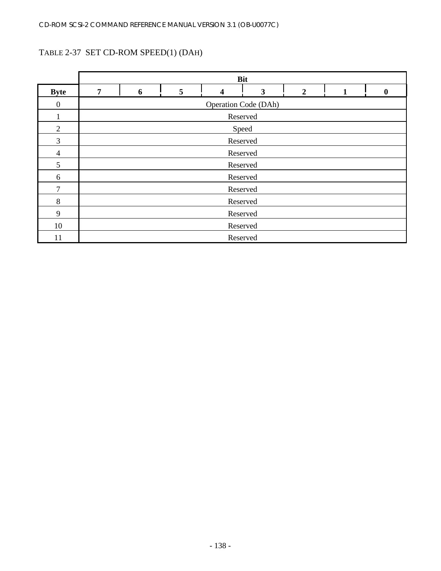|                  |   |          |   | <b>Bit</b>                  |   |                |  |                  |  |  |  |
|------------------|---|----------|---|-----------------------------|---|----------------|--|------------------|--|--|--|
| <b>Byte</b>      | 7 | 6        | 5 | 4                           | 3 | $\overline{2}$ |  | $\boldsymbol{0}$ |  |  |  |
| $\boldsymbol{0}$ |   |          |   | <b>Operation Code (DAh)</b> |   |                |  |                  |  |  |  |
|                  |   | Reserved |   |                             |   |                |  |                  |  |  |  |
| $\overline{2}$   |   |          |   | Speed                       |   |                |  |                  |  |  |  |
| 3                |   |          |   | Reserved                    |   |                |  |                  |  |  |  |
| $\overline{4}$   |   |          |   | Reserved                    |   |                |  |                  |  |  |  |
| 5                |   |          |   | Reserved                    |   |                |  |                  |  |  |  |
| 6                |   |          |   | Reserved                    |   |                |  |                  |  |  |  |
| 7                |   |          |   | Reserved                    |   |                |  |                  |  |  |  |
| 8                |   |          |   | Reserved                    |   |                |  |                  |  |  |  |
| 9                |   |          |   | Reserved                    |   |                |  |                  |  |  |  |
| 10               |   |          |   | Reserved                    |   |                |  |                  |  |  |  |
| 11               |   |          |   | Reserved                    |   |                |  |                  |  |  |  |

# TABLE 2-37 SET CD-ROM SPEED(1) (DAH)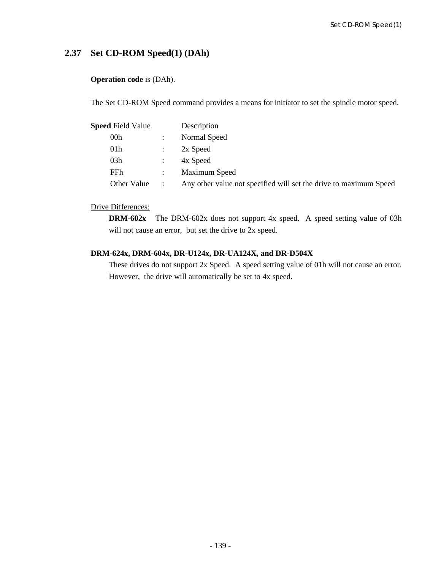### **2.37 Set CD-ROM Speed(1) (DAh)**

### **Operation code** is (DAh).

The Set CD-ROM Speed command provides a means for initiator to set the spindle motor speed.

| <b>Speed Field Value</b> |                      | Description                                                       |
|--------------------------|----------------------|-------------------------------------------------------------------|
| 00 <sub>h</sub>          |                      | Normal Speed                                                      |
| 01 <sub>h</sub>          |                      | 2x Speed                                                          |
| 03h                      | ÷                    | 4x Speed                                                          |
| FFh                      | $\ddot{\phantom{a}}$ | Maximum Speed                                                     |
| Other Value              | $\mathcal{L}$        | Any other value not specified will set the drive to maximum Speed |

#### Drive Differences:

**DRM-602x** The DRM-602x does not support 4x speed. A speed setting value of 03h will not cause an error, but set the drive to 2x speed.

#### **DRM-624x, DRM-604x, DR-U124x, DR-UA124X, and DR-D504X**

These drives do not support 2x Speed. A speed setting value of 01h will not cause an error. However, the drive will automatically be set to 4x speed.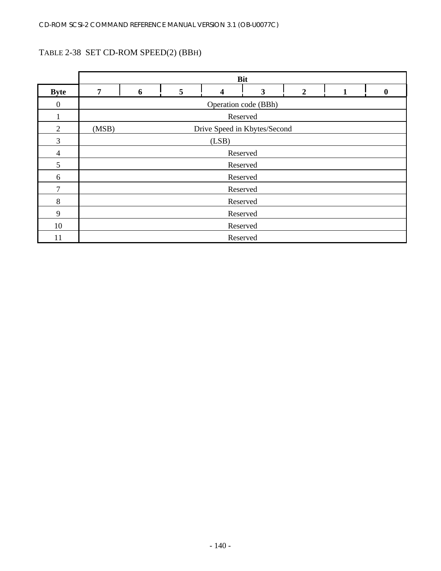|                |       |   |   |                              | <b>Bit</b> |                |   |                  |
|----------------|-------|---|---|------------------------------|------------|----------------|---|------------------|
| <b>Byte</b>    | 7     | 6 | 5 | $\overline{\mathbf{4}}$      | 3          | $\overline{2}$ | 1 | $\boldsymbol{0}$ |
| $\overline{0}$ |       |   |   | Operation code (BBh)         |            |                |   |                  |
|                |       |   |   | Reserved                     |            |                |   |                  |
| 2              | (MSB) |   |   | Drive Speed in Kbytes/Second |            |                |   |                  |
| 3              |       |   |   | (LSB)                        |            |                |   |                  |
| $\overline{4}$ |       |   |   |                              | Reserved   |                |   |                  |
| 5              |       |   |   |                              | Reserved   |                |   |                  |
| 6              |       |   |   |                              | Reserved   |                |   |                  |
| 7              |       |   |   |                              | Reserved   |                |   |                  |
| 8              |       |   |   |                              | Reserved   |                |   |                  |
| 9              |       |   |   |                              | Reserved   |                |   |                  |
| 10             |       |   |   |                              | Reserved   |                |   |                  |
| 11             |       |   |   |                              | Reserved   |                |   |                  |

# TABLE 2-38 SET CD-ROM SPEED(2) (BBH)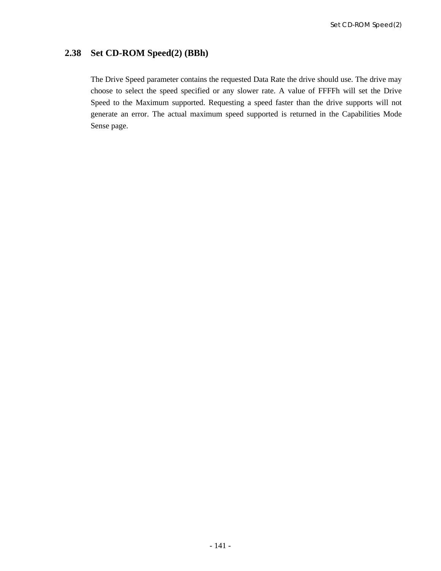# **2.38 Set CD-ROM Speed(2) (BBh)**

The Drive Speed parameter contains the requested Data Rate the drive should use. The drive may choose to select the speed specified or any slower rate. A value of FFFFh will set the Drive Speed to the Maximum supported. Requesting a speed faster than the drive supports will not generate an error. The actual maximum speed supported is returned in the Capabilities Mode Sense page.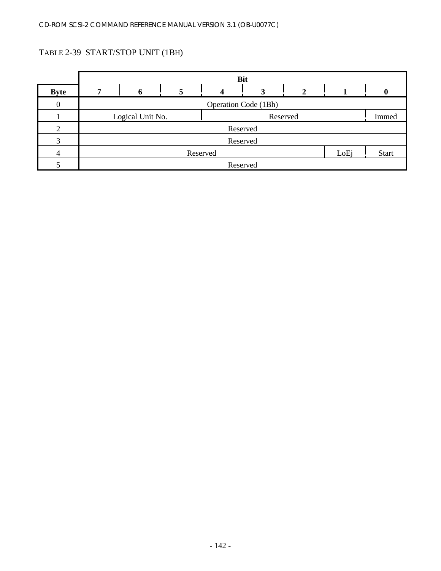# TABLE 2-39 START/STOP UNIT (1BH)

|             |   |                                       |  |  | <b>Bit</b> |  |  |  |  |  |  |
|-------------|---|---------------------------------------|--|--|------------|--|--|--|--|--|--|
| <b>Byte</b> | 7 | 'n                                    |  |  |            |  |  |  |  |  |  |
| 0           |   | Operation Code (1Bh)                  |  |  |            |  |  |  |  |  |  |
|             |   | Logical Unit No.<br>Reserved<br>Immed |  |  |            |  |  |  |  |  |  |
| 2           |   | Reserved                              |  |  |            |  |  |  |  |  |  |
|             |   |                                       |  |  | Reserved   |  |  |  |  |  |  |
|             |   | <b>Start</b><br>Reserved<br>LoEj      |  |  |            |  |  |  |  |  |  |
|             |   |                                       |  |  | Reserved   |  |  |  |  |  |  |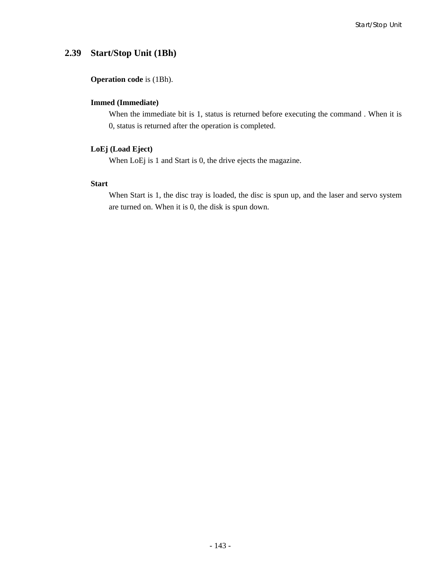### **2.39 Start/Stop Unit (1Bh)**

### **Operation code** is (1Bh).

#### **Immed (Immediate)**

When the immediate bit is 1, status is returned before executing the command . When it is 0, status is returned after the operation is completed.

### **LoEj (Load Eject)**

When LoEj is 1 and Start is 0, the drive ejects the magazine.

#### **Start**

When Start is 1, the disc tray is loaded, the disc is spun up, and the laser and servo system are turned on. When it is 0, the disk is spun down.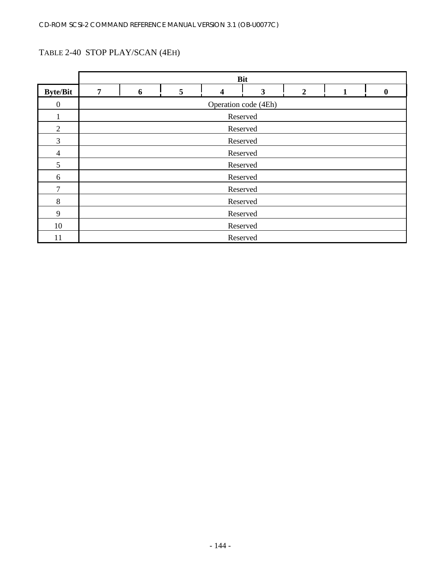|                 |   |   |   | <b>Bit</b>           |   |                |                  |
|-----------------|---|---|---|----------------------|---|----------------|------------------|
| <b>Byte/Bit</b> | 7 | 6 | 5 | 4                    | 3 | $\overline{2}$ | $\boldsymbol{0}$ |
| $\theta$        |   |   |   | Operation code (4Eh) |   |                |                  |
|                 |   |   |   | Reserved             |   |                |                  |
| $\overline{2}$  |   |   |   | Reserved             |   |                |                  |
| 3               |   |   |   | Reserved             |   |                |                  |
| $\overline{4}$  |   |   |   | Reserved             |   |                |                  |
| 5               |   |   |   | Reserved             |   |                |                  |
| 6               |   |   |   | Reserved             |   |                |                  |
| 7               |   |   |   | Reserved             |   |                |                  |
| 8               |   |   |   | Reserved             |   |                |                  |
| 9               |   |   |   | Reserved             |   |                |                  |
| 10              |   |   |   | Reserved             |   |                |                  |
| 11              |   |   |   | Reserved             |   |                |                  |

# TABLE 2-40 STOP PLAY/SCAN (4EH)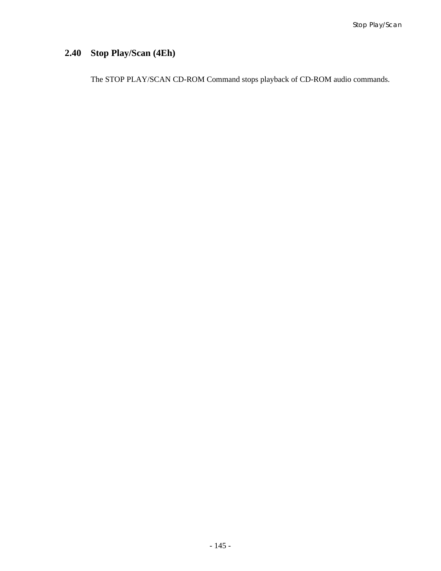# **2.40 Stop Play/Scan (4Eh)**

The STOP PLAY/SCAN CD-ROM Command stops playback of CD-ROM audio commands.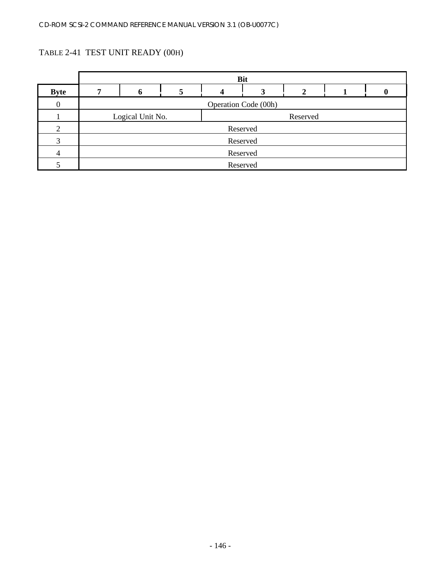# TABLE 2-41 TEST UNIT READY (00H)

|             |                              |  |  | <b>Bit</b>           |  |  |  |  |  |
|-------------|------------------------------|--|--|----------------------|--|--|--|--|--|
| <b>Byte</b> |                              |  |  |                      |  |  |  |  |  |
|             |                              |  |  | Operation Code (00h) |  |  |  |  |  |
|             | Logical Unit No.<br>Reserved |  |  |                      |  |  |  |  |  |
| 2           | Reserved                     |  |  |                      |  |  |  |  |  |
|             |                              |  |  | Reserved             |  |  |  |  |  |
|             | Reserved                     |  |  |                      |  |  |  |  |  |
|             |                              |  |  | Reserved             |  |  |  |  |  |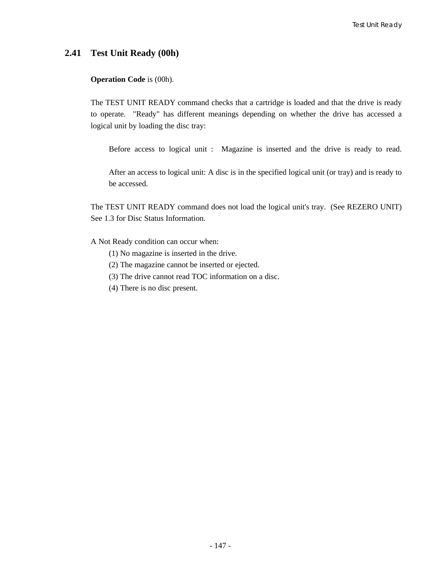### **2.41 Test Unit Ready (00h)**

### **Operation Code** is (00h).

The TEST UNIT READY command checks that a cartridge is loaded and that the drive is ready to operate. "Ready" has different meanings depending on whether the drive has accessed a logical unit by loading the disc tray:

Before access to logical unit : Magazine is inserted and the drive is ready to read.

After an access to logical unit: A disc is in the specified logical unit (or tray) and is ready to be accessed.

The TEST UNIT READY command does not load the logical unit's tray. (See REZERO UNIT) See 1.3 for Disc Status Information.

A Not Ready condition can occur when:

- (1) No magazine is inserted in the drive.
- (2) The magazine cannot be inserted or ejected.
- (3) The drive cannot read TOC information on a disc.
- (4) There is no disc present.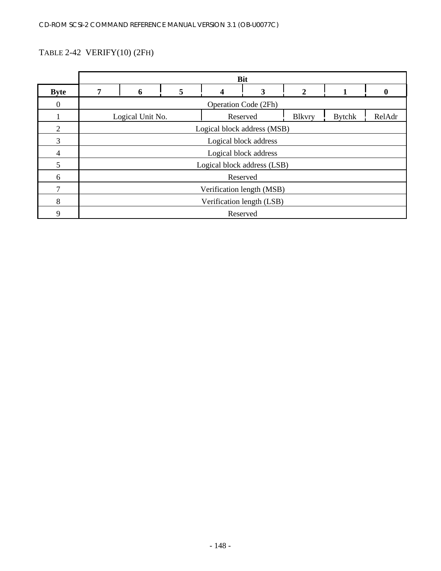# TABLE 2-42 VERIFY(10) (2FH)

|                |   |                             |   |                             | <b>Bit</b> |               |               |        |  |  |  |
|----------------|---|-----------------------------|---|-----------------------------|------------|---------------|---------------|--------|--|--|--|
| <b>Byte</b>    | 7 | 6                           | 5 | 4                           | 3          | 2             |               |        |  |  |  |
| $\theta$       |   | Operation Code (2Fh)        |   |                             |            |               |               |        |  |  |  |
|                |   | Logical Unit No.            |   | Reserved                    |            | <b>Blkvry</b> | <b>Bytchk</b> | RelAdr |  |  |  |
| $\overline{2}$ |   | Logical block address (MSB) |   |                             |            |               |               |        |  |  |  |
| 3              |   | Logical block address       |   |                             |            |               |               |        |  |  |  |
| $\overline{4}$ |   | Logical block address       |   |                             |            |               |               |        |  |  |  |
| 5              |   |                             |   | Logical block address (LSB) |            |               |               |        |  |  |  |
| 6              |   |                             |   | Reserved                    |            |               |               |        |  |  |  |
| 7              |   | Verification length (MSB)   |   |                             |            |               |               |        |  |  |  |
| 8              |   |                             |   | Verification length (LSB)   |            |               |               |        |  |  |  |
| 9              |   |                             |   | Reserved                    |            |               |               |        |  |  |  |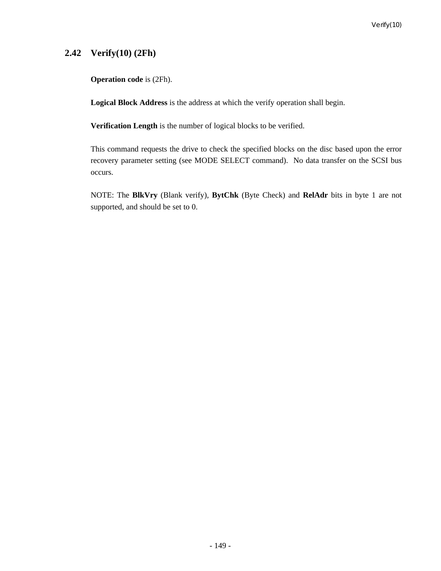### **2.42 Verify(10) (2Fh)**

**Operation code** is (2Fh).

**Logical Block Address** is the address at which the verify operation shall begin.

**Verification Length** is the number of logical blocks to be verified.

This command requests the drive to check the specified blocks on the disc based upon the error recovery parameter setting (see MODE SELECT command). No data transfer on the SCSI bus occurs.

NOTE: The **BlkVry** (Blank verify), **BytChk** (Byte Check) and **RelAdr** bits in byte 1 are not supported, and should be set to 0.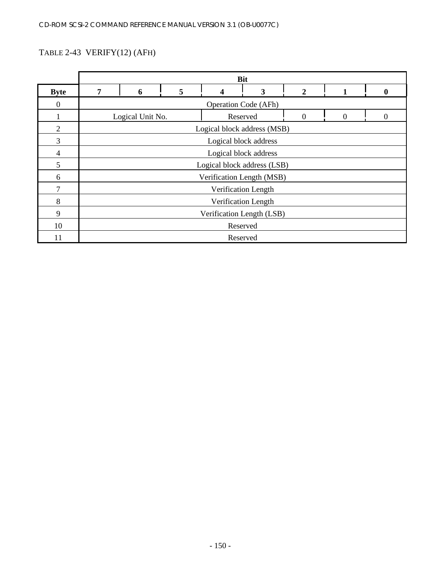# TABLE 2-43 VERIFY(12) (AFH)

|                |   |                                                                              |   |                             | <b>Bit</b>          |                |              |                  |  |  |  |  |
|----------------|---|------------------------------------------------------------------------------|---|-----------------------------|---------------------|----------------|--------------|------------------|--|--|--|--|
| <b>Byte</b>    | 7 | 6                                                                            | 5 | 4                           | 3                   | $\overline{2}$ | $\mathbf{1}$ | $\boldsymbol{0}$ |  |  |  |  |
| $\mathbf{0}$   |   | <b>Operation Code (AFh)</b>                                                  |   |                             |                     |                |              |                  |  |  |  |  |
|                |   | Logical Unit No.<br>$\overline{0}$<br>$\overline{0}$<br>$\theta$<br>Reserved |   |                             |                     |                |              |                  |  |  |  |  |
| $\overline{2}$ |   |                                                                              |   | Logical block address (MSB) |                     |                |              |                  |  |  |  |  |
| 3              |   |                                                                              |   | Logical block address       |                     |                |              |                  |  |  |  |  |
| $\overline{4}$ |   | Logical block address                                                        |   |                             |                     |                |              |                  |  |  |  |  |
| 5              |   |                                                                              |   | Logical block address (LSB) |                     |                |              |                  |  |  |  |  |
| 6              |   |                                                                              |   | Verification Length (MSB)   |                     |                |              |                  |  |  |  |  |
| 7              |   |                                                                              |   |                             | Verification Length |                |              |                  |  |  |  |  |
| 8              |   |                                                                              |   |                             | Verification Length |                |              |                  |  |  |  |  |
| 9              |   | Verification Length (LSB)                                                    |   |                             |                     |                |              |                  |  |  |  |  |
| 10             |   | Reserved                                                                     |   |                             |                     |                |              |                  |  |  |  |  |
| 11             |   |                                                                              |   |                             | Reserved            |                |              |                  |  |  |  |  |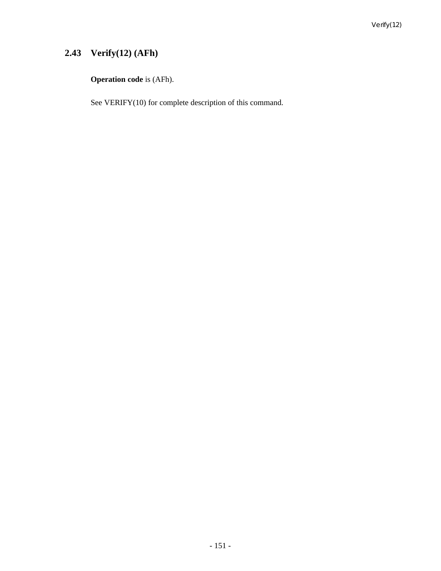# **2.43 Verify(12) (AFh)**

**Operation code** is (AFh).

See VERIFY(10) for complete description of this command.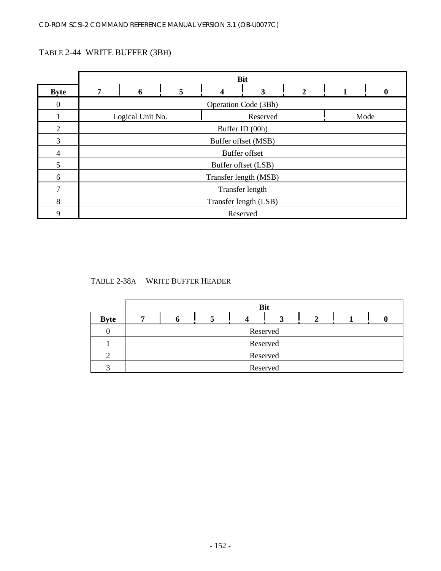### TABLE 2-44 WRITE BUFFER (3BH)

|                |   | <b>Bit</b>            |   |                  |                             |   |  |  |  |
|----------------|---|-----------------------|---|------------------|-----------------------------|---|--|--|--|
| <b>Byte</b>    | 7 | 6                     | 5 |                  | 3                           | 2 |  |  |  |
| 0              |   |                       |   |                  | <b>Operation Code</b> (3Bh) |   |  |  |  |
|                |   | Logical Unit No.      |   | Mode<br>Reserved |                             |   |  |  |  |
| $\overline{2}$ |   |                       |   |                  | Buffer ID (00h)             |   |  |  |  |
| 3              |   | Buffer offset (MSB)   |   |                  |                             |   |  |  |  |
| 4              |   |                       |   |                  | Buffer offset               |   |  |  |  |
| 5              |   |                       |   |                  | Buffer offset (LSB)         |   |  |  |  |
| 6              |   |                       |   |                  | Transfer length (MSB)       |   |  |  |  |
| 7              |   | Transfer length       |   |                  |                             |   |  |  |  |
| 8              |   | Transfer length (LSB) |   |                  |                             |   |  |  |  |
| 9              |   |                       |   |                  | Reserved                    |   |  |  |  |

### TABLE 2-38A WRITE BUFFER HEADER

|             | <b>Bit</b> |          |  |  |          |  |  |  |
|-------------|------------|----------|--|--|----------|--|--|--|
| <b>Byte</b> |            |          |  |  |          |  |  |  |
|             |            | Reserved |  |  |          |  |  |  |
|             |            |          |  |  | Reserved |  |  |  |
|             |            | Reserved |  |  |          |  |  |  |
|             |            | Reserved |  |  |          |  |  |  |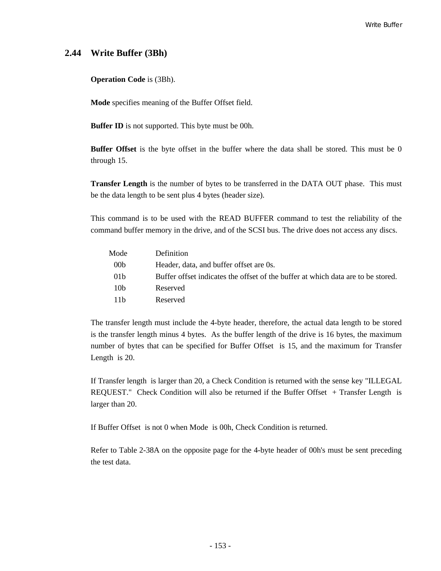### **2.44 Write Buffer (3Bh)**

**Operation Code** is (3Bh).

**Mode** specifies meaning of the Buffer Offset field.

**Buffer ID** is not supported. This byte must be 00h.

**Buffer Offset** is the byte offset in the buffer where the data shall be stored. This must be 0 through 15.

**Transfer Length** is the number of bytes to be transferred in the DATA OUT phase. This must be the data length to be sent plus 4 bytes (header size).

This command is to be used with the READ BUFFER command to test the reliability of the command buffer memory in the drive, and of the SCSI bus. The drive does not access any discs.

| Mode            | <b>Definition</b>                                                                |
|-----------------|----------------------------------------------------------------------------------|
| 00 <sub>b</sub> | Header, data, and buffer offset are 0s.                                          |
| 01 <sub>b</sub> | Buffer offset indicates the offset of the buffer at which data are to be stored. |
| 10 <sub>b</sub> | Reserved                                                                         |
| 11 <sub>b</sub> | Reserved                                                                         |
|                 |                                                                                  |

The transfer length must include the 4-byte header, therefore, the actual data length to be stored is the transfer length minus 4 bytes. As the buffer length of the drive is 16 bytes, the maximum number of bytes that can be specified for Buffer Offset is 15, and the maximum for Transfer Length is 20.

If Transfer length is larger than 20, a Check Condition is returned with the sense key "ILLEGAL REQUEST." Check Condition will also be returned if the Buffer Offset + Transfer Length is larger than 20.

If Buffer Offset is not 0 when Mode is 00h, Check Condition is returned.

Refer to Table 2-38A on the opposite page for the 4-byte header of 00h's must be sent preceding the test data.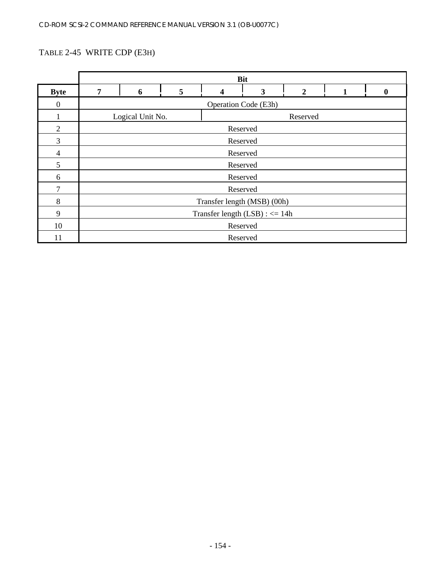# TABLE 2-45 WRITE CDP (E3H)

|                |   | <b>Bit</b>                       |   |                             |                             |                |   |                  |  |  |
|----------------|---|----------------------------------|---|-----------------------------|-----------------------------|----------------|---|------------------|--|--|
| <b>Byte</b>    | 7 | 6                                | 5 | 4                           | 3                           | $\overline{2}$ | 1 | $\boldsymbol{0}$ |  |  |
| $\mathbf{0}$   |   |                                  |   |                             | <b>Operation Code (E3h)</b> |                |   |                  |  |  |
|                |   | Logical Unit No.                 |   | Reserved                    |                             |                |   |                  |  |  |
| $\overline{2}$ |   |                                  |   |                             | Reserved                    |                |   |                  |  |  |
| 3              |   |                                  |   |                             | Reserved                    |                |   |                  |  |  |
| $\overline{4}$ |   | Reserved                         |   |                             |                             |                |   |                  |  |  |
| 5              |   |                                  |   |                             | Reserved                    |                |   |                  |  |  |
| 6              |   |                                  |   | Reserved                    |                             |                |   |                  |  |  |
| 7              |   |                                  |   |                             | Reserved                    |                |   |                  |  |  |
| 8              |   |                                  |   | Transfer length (MSB) (00h) |                             |                |   |                  |  |  |
| 9              |   | Transfer length $(LSB)$ : <= 14h |   |                             |                             |                |   |                  |  |  |
| 10             |   | Reserved                         |   |                             |                             |                |   |                  |  |  |
| 11             |   |                                  |   | Reserved                    |                             |                |   |                  |  |  |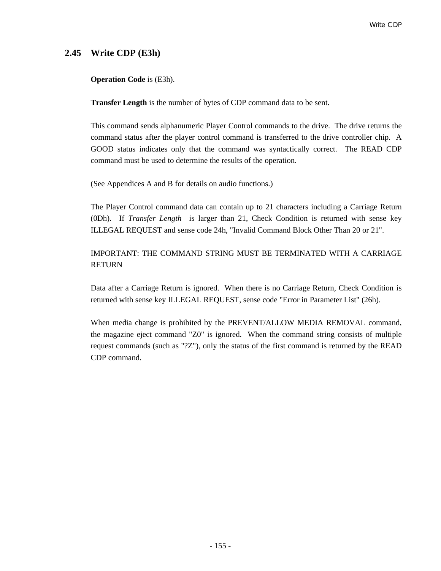### **2.45 Write CDP (E3h)**

**Operation Code** is (E3h).

**Transfer Length** is the number of bytes of CDP command data to be sent.

This command sends alphanumeric Player Control commands to the drive. The drive returns the command status after the player control command is transferred to the drive controller chip. A GOOD status indicates only that the command was syntactically correct. The READ CDP command must be used to determine the results of the operation.

(See Appendices A and B for details on audio functions.)

The Player Control command data can contain up to 21 characters including a Carriage Return (0Dh). If *Transfer Length* is larger than 21, Check Condition is returned with sense key ILLEGAL REQUEST and sense code 24h, "Invalid Command Block Other Than 20 or 21".

### IMPORTANT: THE COMMAND STRING MUST BE TERMINATED WITH A CARRIAGE RETURN

Data after a Carriage Return is ignored. When there is no Carriage Return, Check Condition is returned with sense key ILLEGAL REQUEST, sense code "Error in Parameter List" (26h).

When media change is prohibited by the PREVENT/ALLOW MEDIA REMOVAL command, the magazine eject command "Z0" is ignored. When the command string consists of multiple request commands (such as "?Z"), only the status of the first command is returned by the READ CDP command.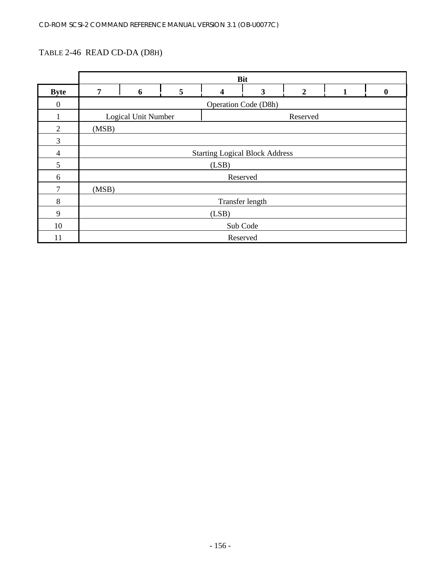# TABLE 2-46 READ CD-DA (D8H)

|                  |       |                                       |   | <b>Bit</b>                  |   |                |   |                  |
|------------------|-------|---------------------------------------|---|-----------------------------|---|----------------|---|------------------|
| <b>Byte</b>      | 7     | 6                                     | 5 | 4                           | 3 | $\overline{2}$ | 1 | $\boldsymbol{0}$ |
| $\boldsymbol{0}$ |       |                                       |   | <b>Operation Code (D8h)</b> |   |                |   |                  |
|                  |       | <b>Logical Unit Number</b>            |   |                             |   | Reserved       |   |                  |
| $\overline{2}$   | (MSB) |                                       |   |                             |   |                |   |                  |
| 3                |       |                                       |   |                             |   |                |   |                  |
| $\overline{4}$   |       | <b>Starting Logical Block Address</b> |   |                             |   |                |   |                  |
| 5                |       |                                       |   | (LSB)                       |   |                |   |                  |
| 6                |       |                                       |   | Reserved                    |   |                |   |                  |
| 7                | (MSB) |                                       |   |                             |   |                |   |                  |
| 8                |       | Transfer length                       |   |                             |   |                |   |                  |
| 9                |       | (LSB)                                 |   |                             |   |                |   |                  |
| 10               |       | Sub Code                              |   |                             |   |                |   |                  |
| 11               |       |                                       |   | Reserved                    |   |                |   |                  |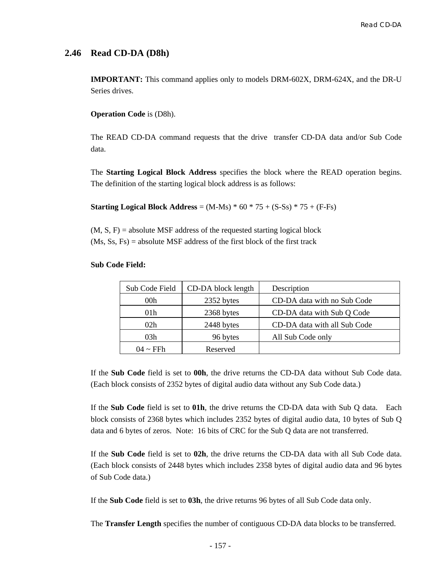#### **2.46 Read CD-DA (D8h)**

**IMPORTANT:** This command applies only to models DRM-602X, DRM-624X, and the DR-U Series drives.

**Operation Code** is (D8h).

The READ CD-DA command requests that the drive transfer CD-DA data and/or Sub Code data.

The **Starting Logical Block Address** specifies the block where the READ operation begins. The definition of the starting logical block address is as follows:

**Starting Logical Block Address** =  $(M-Ms)*60*75 + (S-Ss)*75 + (F-Fs)$ 

 $(M, S, F)$  = absolute MSF address of the requested starting logical block  $(Ms, Ss, Fs) = absolute MSF address of the first block of the first track$ 

#### **Sub Code Field:**

| Sub Code Field  | CD-DA block length | Description                  |
|-----------------|--------------------|------------------------------|
| 00h             | 2352 bytes         | CD-DA data with no Sub Code  |
| 01 <sub>h</sub> | 2368 bytes         | CD-DA data with Sub Q Code   |
| 02h             | 2448 bytes         | CD-DA data with all Sub Code |
| 03h             | 96 bytes           | All Sub Code only            |
| $04 \sim$ FFh   | Reserved           |                              |

If the **Sub Code** field is set to **00h**, the drive returns the CD-DA data without Sub Code data. (Each block consists of 2352 bytes of digital audio data without any Sub Code data.)

If the **Sub Code** field is set to **01h**, the drive returns the CD-DA data with Sub Q data. Each block consists of 2368 bytes which includes 2352 bytes of digital audio data, 10 bytes of Sub Q data and 6 bytes of zeros. Note: 16 bits of CRC for the Sub Q data are not transferred.

If the **Sub Code** field is set to **02h**, the drive returns the CD-DA data with all Sub Code data. (Each block consists of 2448 bytes which includes 2358 bytes of digital audio data and 96 bytes of Sub Code data.)

If the **Sub Code** field is set to **03h**, the drive returns 96 bytes of all Sub Code data only.

The **Transfer Length** specifies the number of contiguous CD-DA data blocks to be transferred.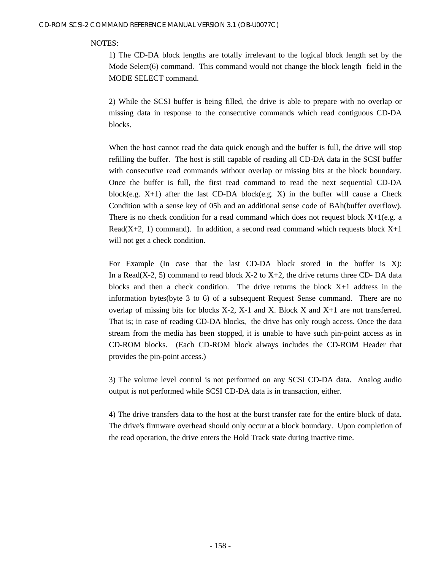#### NOTES:

1) The CD-DA block lengths are totally irrelevant to the logical block length set by the Mode Select(6) command. This command would not change the block length field in the MODE SELECT command.

2) While the SCSI buffer is being filled, the drive is able to prepare with no overlap or missing data in response to the consecutive commands which read contiguous CD-DA blocks.

When the host cannot read the data quick enough and the buffer is full, the drive will stop refilling the buffer. The host is still capable of reading all CD-DA data in the SCSI buffer with consecutive read commands without overlap or missing bits at the block boundary. Once the buffer is full, the first read command to read the next sequential CD-DA block(e.g.  $X+1$ ) after the last CD-DA block(e.g. X) in the buffer will cause a Check Condition with a sense key of 05h and an additional sense code of BAh(buffer overflow). There is no check condition for a read command which does not request block  $X+1$  (e.g. a Read( $X+2$ , 1) command). In addition, a second read command which requests block  $X+1$ will not get a check condition.

For Example (In case that the last CD-DA block stored in the buffer is X): In a Read(X-2, 5) command to read block  $X-2$  to  $X+2$ , the drive returns three CD-DA data blocks and then a check condition. The drive returns the block  $X+1$  address in the information bytes(byte 3 to 6) of a subsequent Request Sense command. There are no overlap of missing bits for blocks  $X-2$ ,  $X-1$  and  $X$ . Block  $X$  and  $X+1$  are not transferred. That is; in case of reading CD-DA blocks, the drive has only rough access. Once the data stream from the media has been stopped, it is unable to have such pin-point access as in CD-ROM blocks. (Each CD-ROM block always includes the CD-ROM Header that provides the pin-point access.)

3) The volume level control is not performed on any SCSI CD-DA data. Analog audio output is not performed while SCSI CD-DA data is in transaction, either.

4) The drive transfers data to the host at the burst transfer rate for the entire block of data. The drive's firmware overhead should only occur at a block boundary. Upon completion of the read operation, the drive enters the Hold Track state during inactive time.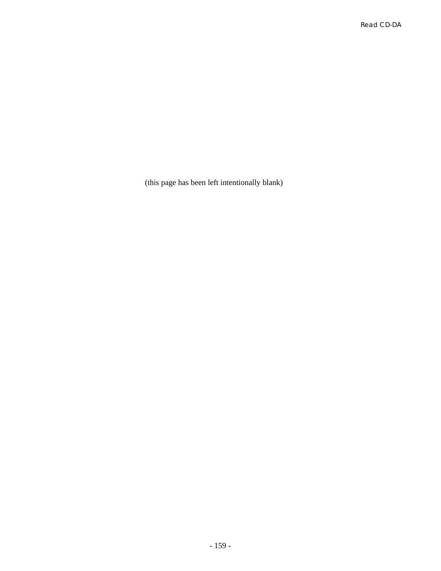(this page has been left intentionally blank)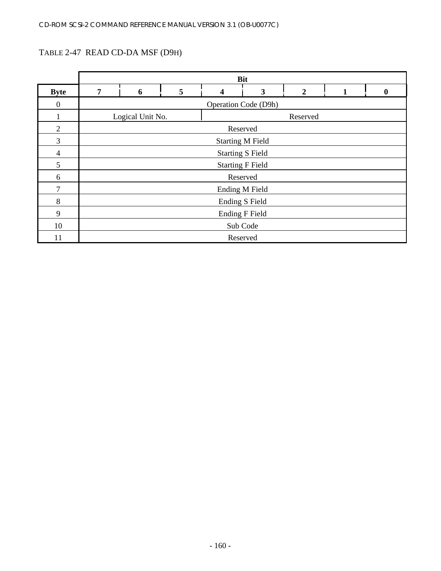|                |   | <b>Bit</b>            |   |   |                             |                |   |          |
|----------------|---|-----------------------|---|---|-----------------------------|----------------|---|----------|
| <b>Byte</b>    | 7 | 6                     | 5 | 4 | 3                           | $\overline{2}$ | 1 | $\bf{0}$ |
| $\overline{0}$ |   |                       |   |   | <b>Operation Code (D9h)</b> |                |   |          |
|                |   | Logical Unit No.      |   |   |                             | Reserved       |   |          |
| 2              |   |                       |   |   | Reserved                    |                |   |          |
| 3              |   |                       |   |   | <b>Starting M Field</b>     |                |   |          |
| $\overline{4}$ |   |                       |   |   | <b>Starting S Field</b>     |                |   |          |
| 5              |   |                       |   |   | <b>Starting F Field</b>     |                |   |          |
| 6              |   |                       |   |   | Reserved                    |                |   |          |
| 7              |   |                       |   |   | Ending M Field              |                |   |          |
| 8              |   |                       |   |   | <b>Ending S Field</b>       |                |   |          |
| 9              |   | <b>Ending F Field</b> |   |   |                             |                |   |          |
| 10             |   | Sub Code              |   |   |                             |                |   |          |
| 11             |   |                       |   |   | Reserved                    |                |   |          |

# TABLE 2-47 READ CD-DA MSF (D9H)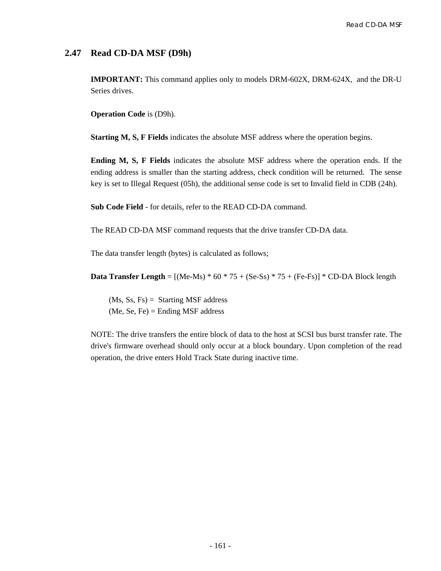Read CD-DA MSF

### **2.47 Read CD-DA MSF (D9h)**

**IMPORTANT:** This command applies only to models DRM-602X, DRM-624X, and the DR-U Series drives.

**Operation Code** is (D9h).

**Starting M, S, F Fields** indicates the absolute MSF address where the operation begins.

**Ending M, S, F Fields** indicates the absolute MSF address where the operation ends. If the ending address is smaller than the starting address, check condition will be returned. The sense key is set to Illegal Request (05h), the additional sense code is set to Invalid field in CDB (24h).

**Sub Code Field** - for details, refer to the READ CD-DA command.

The READ CD-DA MSF command requests that the drive transfer CD-DA data.

The data transfer length (bytes) is calculated as follows;

**Data Transfer Length** =  $[(Me-Ms)*60*75 + (Se-SS)*75 + (Fe-Fs)] * CD-DA Block length$ 

 $(Ms, Ss, Fs) = Starting MSF address$  $(Me, Se, Fe) = Ending MSF address$ 

NOTE: The drive transfers the entire block of data to the host at SCSI bus burst transfer rate. The drive's firmware overhead should only occur at a block boundary. Upon completion of the read operation, the drive enters Hold Track State during inactive time.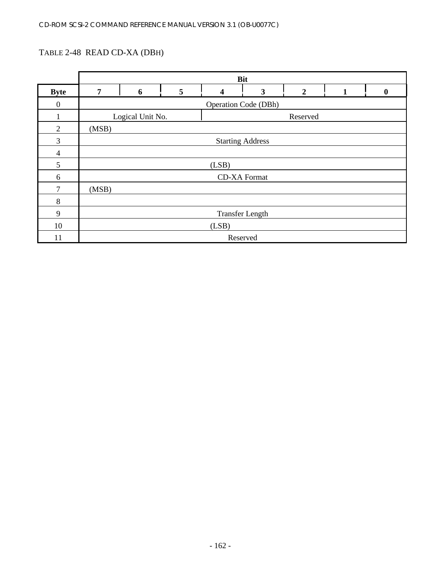# TABLE 2-48 READ CD-XA (DBH)

|                  |                |                        |   |       | <b>Bit</b>                  |                  |              |          |
|------------------|----------------|------------------------|---|-------|-----------------------------|------------------|--------------|----------|
| <b>Byte</b>      | $\overline{7}$ | 6                      | 5 | 4     | $\mathbf{3}$                | $\boldsymbol{2}$ | $\mathbf{1}$ | $\bf{0}$ |
| $\boldsymbol{0}$ |                |                        |   |       | <b>Operation Code (DBh)</b> |                  |              |          |
|                  |                | Logical Unit No.       |   |       |                             | Reserved         |              |          |
| $\overline{2}$   | (MSB)          |                        |   |       |                             |                  |              |          |
| 3                |                |                        |   |       | <b>Starting Address</b>     |                  |              |          |
| $\overline{4}$   |                |                        |   |       |                             |                  |              |          |
| 5                |                |                        |   | (LSB) |                             |                  |              |          |
| 6                |                |                        |   |       | <b>CD-XA Format</b>         |                  |              |          |
| 7                | (MSB)          |                        |   |       |                             |                  |              |          |
| 8                |                |                        |   |       |                             |                  |              |          |
| 9                |                | <b>Transfer Length</b> |   |       |                             |                  |              |          |
| 10               |                | (LSB)                  |   |       |                             |                  |              |          |
| 11               |                |                        |   |       | Reserved                    |                  |              |          |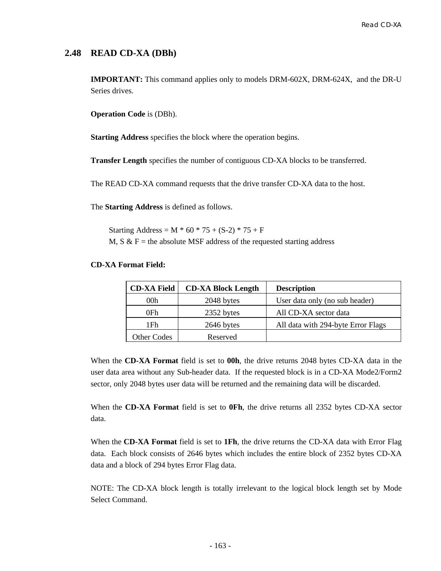#### **2.48 READ CD-XA (DBh)**

**IMPORTANT:** This command applies only to models DRM-602X, DRM-624X, and the DR-U Series drives.

**Operation Code** is (DBh).

**Starting Address** specifies the block where the operation begins.

**Transfer Length** specifies the number of contiguous CD-XA blocks to be transferred.

The READ CD-XA command requests that the drive transfer CD-XA data to the host.

The **Starting Address** is defined as follows.

Starting Address =  $M * 60 * 75 + (S-2) * 75 + F$ M, S  $&$  F = the absolute MSF address of the requested starting address

#### **CD-XA Format Field:**

| <b>CD-XA Field</b> | <b>CD-XA Block Length</b> | <b>Description</b>                 |
|--------------------|---------------------------|------------------------------------|
| 00h                | 2048 bytes                | User data only (no sub header)     |
| 0Fh                | 2352 bytes                | All CD-XA sector data              |
| 1Fh                | 2646 bytes                | All data with 294-byte Error Flags |
| Other Codes        | Reserved                  |                                    |

When the **CD-XA Format** field is set to **00h**, the drive returns 2048 bytes CD-XA data in the user data area without any Sub-header data. If the requested block is in a CD-XA Mode2/Form2 sector, only 2048 bytes user data will be returned and the remaining data will be discarded.

When the **CD-XA Format** field is set to **0Fh**, the drive returns all 2352 bytes CD-XA sector data.

When the **CD-XA Format** field is set to **1Fh**, the drive returns the CD-XA data with Error Flag data. Each block consists of 2646 bytes which includes the entire block of 2352 bytes CD-XA data and a block of 294 bytes Error Flag data.

NOTE: The CD-XA block length is totally irrelevant to the logical block length set by Mode Select Command.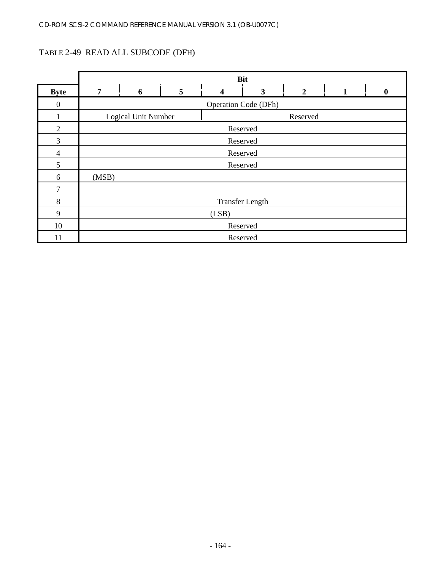|                  |       |                        |   | <b>Bit</b>                  |              |                |   |                  |
|------------------|-------|------------------------|---|-----------------------------|--------------|----------------|---|------------------|
| <b>Byte</b>      | 7     | 6                      | 5 | 4                           | $\mathbf{3}$ | $\overline{2}$ | 1 | $\boldsymbol{0}$ |
| $\boldsymbol{0}$ |       |                        |   | <b>Operation Code (DFh)</b> |              |                |   |                  |
|                  |       | Logical Unit Number    |   |                             |              | Reserved       |   |                  |
| $\overline{2}$   |       |                        |   | Reserved                    |              |                |   |                  |
| 3                |       |                        |   | Reserved                    |              |                |   |                  |
| $\overline{4}$   |       |                        |   | Reserved                    |              |                |   |                  |
| 5                |       |                        |   | Reserved                    |              |                |   |                  |
| 6                | (MSB) |                        |   |                             |              |                |   |                  |
| 7                |       |                        |   |                             |              |                |   |                  |
| 8                |       | <b>Transfer Length</b> |   |                             |              |                |   |                  |
| 9                |       | (LSB)                  |   |                             |              |                |   |                  |
| 10               |       | Reserved               |   |                             |              |                |   |                  |
| 11               |       |                        |   | Reserved                    |              |                |   |                  |

# TABLE 2-49 READ ALL SUBCODE (DFH)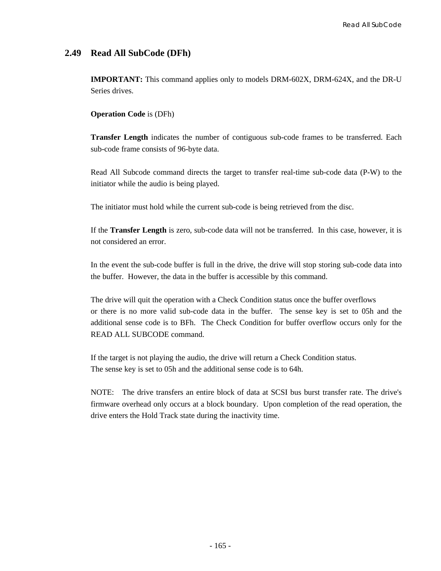### **2.49 Read All SubCode (DFh)**

**IMPORTANT:** This command applies only to models DRM-602X, DRM-624X, and the DR-U Series drives.

**Operation Code** is (DFh)

**Transfer Length** indicates the number of contiguous sub-code frames to be transferred. Each sub-code frame consists of 96-byte data.

Read All Subcode command directs the target to transfer real-time sub-code data (P-W) to the initiator while the audio is being played.

The initiator must hold while the current sub-code is being retrieved from the disc.

If the **Transfer Length** is zero, sub-code data will not be transferred. In this case, however, it is not considered an error.

In the event the sub-code buffer is full in the drive, the drive will stop storing sub-code data into the buffer. However, the data in the buffer is accessible by this command.

The drive will quit the operation with a Check Condition status once the buffer overflows or there is no more valid sub-code data in the buffer. The sense key is set to 05h and the additional sense code is to BFh. The Check Condition for buffer overflow occurs only for the READ ALL SUBCODE command.

If the target is not playing the audio, the drive will return a Check Condition status. The sense key is set to 05h and the additional sense code is to 64h.

NOTE: The drive transfers an entire block of data at SCSI bus burst transfer rate. The drive's firmware overhead only occurs at a block boundary. Upon completion of the read operation, the drive enters the Hold Track state during the inactivity time.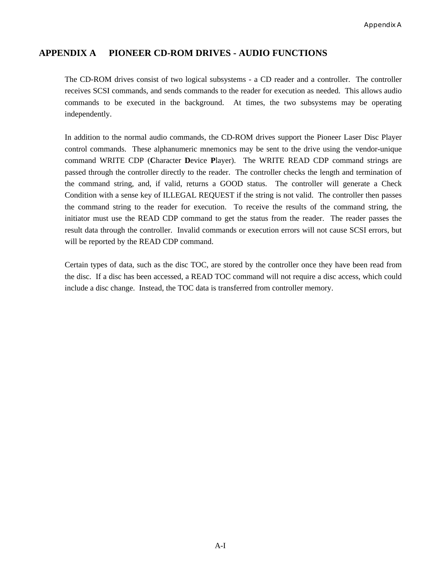### **APPENDIX A PIONEER CD-ROM DRIVES - AUDIO FUNCTIONS**

The CD-ROM drives consist of two logical subsystems - a CD reader and a controller. The controller receives SCSI commands, and sends commands to the reader for execution as needed. This allows audio commands to be executed in the background. At times, the two subsystems may be operating independently.

In addition to the normal audio commands, the CD-ROM drives support the Pioneer Laser Disc Player control commands. These alphanumeric mnemonics may be sent to the drive using the vendor-unique command WRITE CDP (**C**haracter **D**evice **P**layer). The WRITE READ CDP command strings are passed through the controller directly to the reader. The controller checks the length and termination of the command string, and, if valid, returns a GOOD status. The controller will generate a Check Condition with a sense key of ILLEGAL REQUEST if the string is not valid. The controller then passes the command string to the reader for execution. To receive the results of the command string, the initiator must use the READ CDP command to get the status from the reader. The reader passes the result data through the controller. Invalid commands or execution errors will not cause SCSI errors, but will be reported by the READ CDP command.

Certain types of data, such as the disc TOC, are stored by the controller once they have been read from the disc. If a disc has been accessed, a READ TOC command will not require a disc access, which could include a disc change. Instead, the TOC data is transferred from controller memory.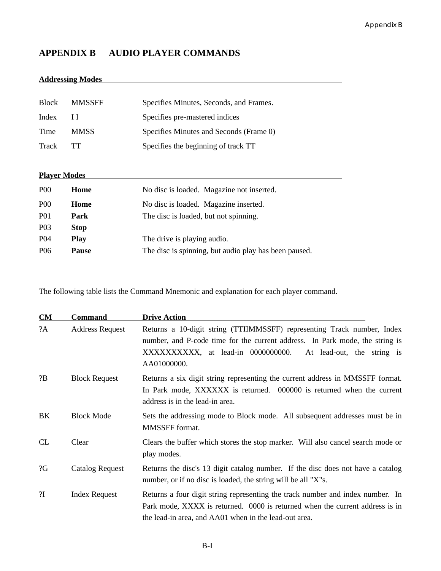# **APPENDIX B AUDIO PLAYER COMMANDS**

### **Addressing Modes**

| <b>Block</b> | <b>MMSSFF</b> | Specifies Minutes, Seconds, and Frames. |
|--------------|---------------|-----------------------------------------|
| Index        | $\mathbf{I}$  | Specifies pre-mastered indices          |
| Time         | <b>MMSS</b>   | Specifies Minutes and Seconds (Frame 0) |
| Track        | - T T         | Specifies the beginning of track TT     |

### **Player Modes**

| <b>P00</b>       | Home         | No disc is loaded. Magazine not inserted.             |
|------------------|--------------|-------------------------------------------------------|
| P <sub>0</sub>   | Home         | No disc is loaded. Magazine inserted.                 |
| <b>P01</b>       | Park         | The disc is loaded, but not spinning.                 |
| P <sub>0</sub> 3 | <b>Stop</b>  |                                                       |
| <b>P04</b>       | <b>Play</b>  | The drive is playing audio.                           |
| P <sub>06</sub>  | <b>Pause</b> | The disc is spinning, but audio play has been paused. |

The following table lists the Command Mnemonic and explanation for each player command.

| CM | <b>Command</b>         | <b>Drive Action</b>                                                                                                                                                                                                                        |
|----|------------------------|--------------------------------------------------------------------------------------------------------------------------------------------------------------------------------------------------------------------------------------------|
| ?A | <b>Address Request</b> | Returns a 10-digit string (TTIIMMSSFF) representing Track number, Index<br>number, and P-code time for the current address. In Park mode, the string is<br>XXXXXXXXXX, at lead-in 0000000000.<br>At lead-out, the string is<br>AA01000000. |
| 2B | <b>Block Request</b>   | Returns a six digit string representing the current address in MMSSFF format.<br>In Park mode, XXXXXX is returned. 000000 is returned when the current<br>address is in the lead-in area.                                                  |
| BK | <b>Block Mode</b>      | Sets the addressing mode to Block mode. All subsequent addresses must be in<br>MMSSFF format.                                                                                                                                              |
| CL | Clear                  | Clears the buffer which stores the stop marker. Will also cancel search mode or<br>play modes.                                                                                                                                             |
| 2G | <b>Catalog Request</b> | Returns the disc's 13 digit catalog number. If the disc does not have a catalog<br>number, or if no disc is loaded, the string will be all "X"s.                                                                                           |
| 2I | <b>Index Request</b>   | Returns a four digit string representing the track number and index number. In<br>Park mode, XXXX is returned. 0000 is returned when the current address is in<br>the lead-in area, and AA01 when in the lead-out area.                    |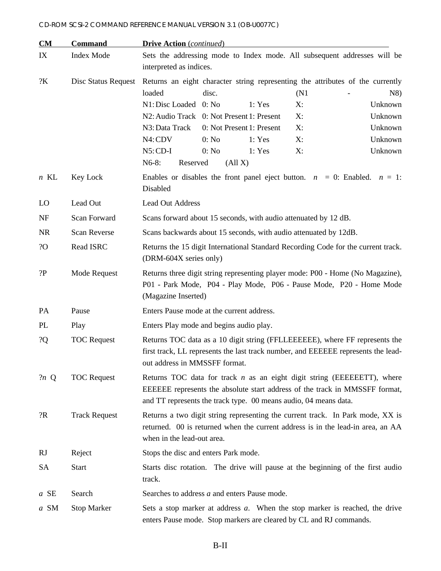## CD-ROM SCSI-2 COMMAND REFERENCE MANUAL VERSION 3.1 (OB-U0077C)

| CM          | <b>Command</b>       | <b>Drive Action</b> (continued)                                                                                                                                                                                              |  |  |  |  |  |  |  |  |
|-------------|----------------------|------------------------------------------------------------------------------------------------------------------------------------------------------------------------------------------------------------------------------|--|--|--|--|--|--|--|--|
| IX          | <b>Index Mode</b>    | Sets the addressing mode to Index mode. All subsequent addresses will be                                                                                                                                                     |  |  |  |  |  |  |  |  |
|             |                      | interpreted as indices.                                                                                                                                                                                                      |  |  |  |  |  |  |  |  |
| ?K          | Disc Status Request  | Returns an eight character string representing the attributes of the currently                                                                                                                                               |  |  |  |  |  |  |  |  |
|             |                      | loaded<br>disc.<br>(N1)<br>N8                                                                                                                                                                                                |  |  |  |  |  |  |  |  |
|             |                      | N1: Disc Loaded 0: No<br>1: Yes<br>X:<br>Unknown<br>N2: Audio Track 0: Not Present 1: Present<br>X:<br>Unknown                                                                                                               |  |  |  |  |  |  |  |  |
|             |                      | N3: Data Track<br>0: Not Present 1: Present<br>X:<br>Unknown                                                                                                                                                                 |  |  |  |  |  |  |  |  |
|             |                      | N <sub>4</sub> : CDV<br>0: No<br>X:<br>Unknown<br>1: Yes                                                                                                                                                                     |  |  |  |  |  |  |  |  |
|             |                      | $N5:CD-I$<br>0: No<br>X:<br>Unknown<br>1: Yes                                                                                                                                                                                |  |  |  |  |  |  |  |  |
|             |                      | $N6-8:$<br>Reserved<br>(All X)                                                                                                                                                                                               |  |  |  |  |  |  |  |  |
| $n$ KL      | Key Lock             | Enables or disables the front panel eject button. $n = 0$ : Enabled. $n = 1$ :<br>Disabled                                                                                                                                   |  |  |  |  |  |  |  |  |
| LO          | Lead Out             | <b>Lead Out Address</b>                                                                                                                                                                                                      |  |  |  |  |  |  |  |  |
| NF          | Scan Forward         | Scans forward about 15 seconds, with audio attenuated by 12 dB.                                                                                                                                                              |  |  |  |  |  |  |  |  |
| <b>NR</b>   | <b>Scan Reverse</b>  | Scans backwards about 15 seconds, with audio attenuated by 12dB.                                                                                                                                                             |  |  |  |  |  |  |  |  |
| $2^{\circ}$ | Read ISRC            | Returns the 15 digit International Standard Recording Code for the current track.<br>(DRM-604X series only)                                                                                                                  |  |  |  |  |  |  |  |  |
| ?P          | Mode Request         | Returns three digit string representing player mode: P00 - Home (No Magazine),<br>P01 - Park Mode, P04 - Play Mode, P06 - Pause Mode, P20 - Home Mode<br>(Magazine Inserted)                                                 |  |  |  |  |  |  |  |  |
| PA          | Pause                | Enters Pause mode at the current address.                                                                                                                                                                                    |  |  |  |  |  |  |  |  |
| PL          | Play                 | Enters Play mode and begins audio play.                                                                                                                                                                                      |  |  |  |  |  |  |  |  |
| 2Q          | <b>TOC</b> Request   | Returns TOC data as a 10 digit string (FFLLEEEEEE), where FF represents the<br>first track, LL represents the last track number, and EEEEEE represents the lead-<br>out address in MMSSFF format.                            |  |  |  |  |  |  |  |  |
| $?n$ Q      | <b>TOC</b> Request   | Returns TOC data for track $n$ as an eight digit string (EEEEEETT), where<br>EEEEEE represents the absolute start address of the track in MMSSFF format,<br>and TT represents the track type. 00 means audio, 04 means data. |  |  |  |  |  |  |  |  |
| ?R          | <b>Track Request</b> | Returns a two digit string representing the current track. In Park mode, XX is<br>returned. 00 is returned when the current address is in the lead-in area, an AA<br>when in the lead-out area.                              |  |  |  |  |  |  |  |  |
| RJ          | Reject               | Stops the disc and enters Park mode.                                                                                                                                                                                         |  |  |  |  |  |  |  |  |
| SA          | <b>Start</b>         | Starts disc rotation. The drive will pause at the beginning of the first audio<br>track.                                                                                                                                     |  |  |  |  |  |  |  |  |
| a SE        | Search               | Searches to address a and enters Pause mode.                                                                                                                                                                                 |  |  |  |  |  |  |  |  |
| a SM        | <b>Stop Marker</b>   | Sets a stop marker at address a. When the stop marker is reached, the drive<br>enters Pause mode. Stop markers are cleared by CL and RJ commands.                                                                            |  |  |  |  |  |  |  |  |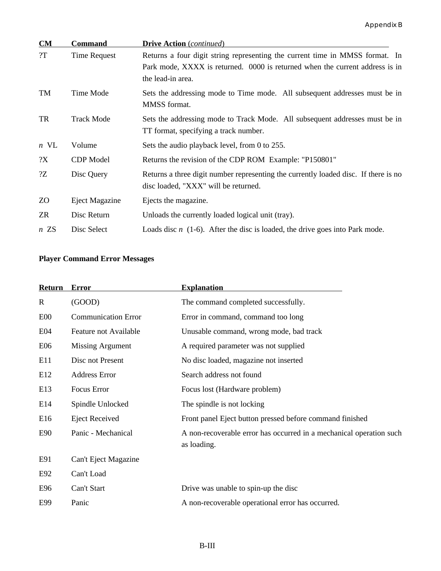| CM               | Command           | <b>Drive Action</b> (continued)                                                                                                                                                   |
|------------------|-------------------|-----------------------------------------------------------------------------------------------------------------------------------------------------------------------------------|
| 2T               | Time Request      | Returns a four digit string representing the current time in MMSS format. In<br>Park mode, XXXX is returned. 0000 is returned when the current address is in<br>the lead-in area. |
| TM               | Time Mode         | Sets the addressing mode to Time mode. All subsequent addresses must be in<br>MMSS format.                                                                                        |
| TR               | <b>Track Mode</b> | Sets the addressing mode to Track Mode. All subsequent addresses must be in<br>TT format, specifying a track number.                                                              |
| $n$ VL           | Volume            | Sets the audio playback level, from 0 to 255.                                                                                                                                     |
| ?X               | CDP Model         | Returns the revision of the CDP ROM Example: "P150801"                                                                                                                            |
| ?Z               | Disc Query        | Returns a three digit number representing the currently loaded disc. If there is no<br>disc loaded, "XXX" will be returned.                                                       |
| ZO               | Eject Magazine    | Ejects the magazine.                                                                                                                                                              |
| ZR               | Disc Return       | Unloads the currently loaded logical unit (tray).                                                                                                                                 |
| $n \, \text{ZS}$ | Disc Select       | Loads disc $n$ (1-6). After the disc is loaded, the drive goes into Park mode.                                                                                                    |

## **Player Command Error Messages**

| <b>Return</b>  | <b>Error</b>               | <b>Explanation</b>                                                                 |
|----------------|----------------------------|------------------------------------------------------------------------------------|
| $\mathbf R$    | (GOOD)                     | The command completed successfully.                                                |
| E <sub>0</sub> | <b>Communication Error</b> | Error in command, command too long                                                 |
| E04            | Feature not Available      | Unusable command, wrong mode, bad track                                            |
| E06            | Missing Argument           | A required parameter was not supplied                                              |
| E11            | Disc not Present           | No disc loaded, magazine not inserted                                              |
| E12            | <b>Address Error</b>       | Search address not found                                                           |
| E13            | Focus Error                | Focus lost (Hardware problem)                                                      |
| E14            | Spindle Unlocked           | The spindle is not locking                                                         |
| E16            | <b>Eject Received</b>      | Front panel Eject button pressed before command finished                           |
| E90            | Panic - Mechanical         | A non-recoverable error has occurred in a mechanical operation such<br>as loading. |
| E91            | Can't Eject Magazine       |                                                                                    |
| E92            | Can't Load                 |                                                                                    |
| E96            | Can't Start                | Drive was unable to spin-up the disc                                               |
| E99            | Panic                      | A non-recoverable operational error has occurred.                                  |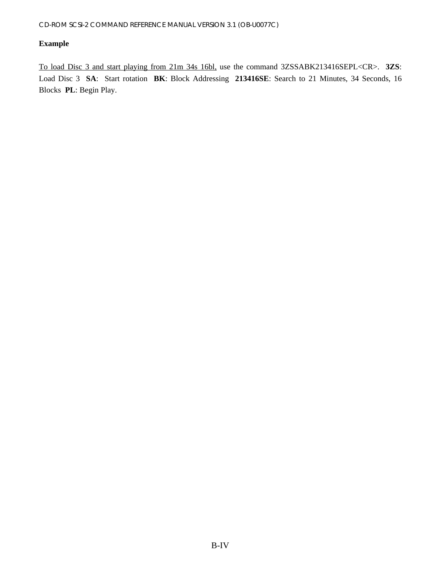#### **Example**

To load Disc 3 and start playing from 21m 34s 16bl, use the command 3ZSSABK213416SEPL<CR>. **3ZS**: Load Disc 3 **SA**: Start rotation **BK**: Block Addressing **213416SE**: Search to 21 Minutes, 34 Seconds, 16 Blocks **PL**: Begin Play.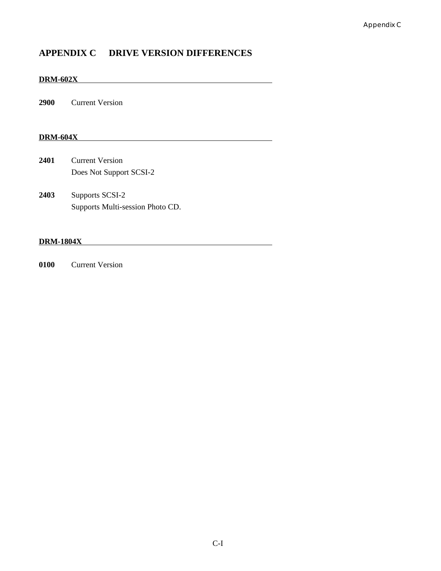## **APPENDIX C DRIVE VERSION DIFFERENCES**

<u> 1980 - Johann Barn, mars ann an t-Amhain Aonaich an t-Aonaich an t-Aonaich ann an t-Aonaich ann an t-Aonaich</u>

#### **DRM-602X**

**2900** Current Version

#### **DRM-604X**

**2401** Current Version Does Not Support SCSI-2

**2403** Supports SCSI-2 Supports Multi-session Photo CD.

#### **DRM-1804X**

**0100** Current Version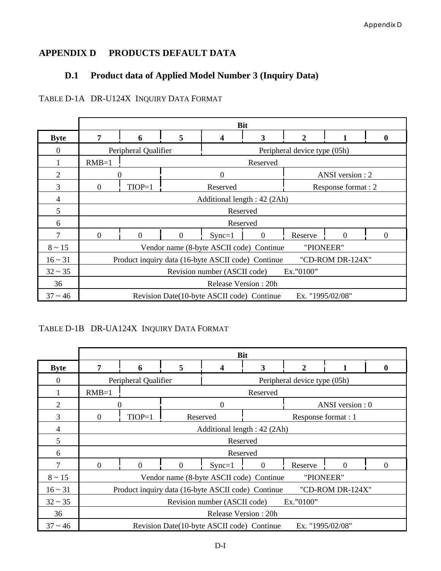## **APPENDIX D PRODUCTS DEFAULT DATA**

## **D.1 Product data of Applied Model Number 3 (Inquiry Data)**

TABLE D-1A DR-U124X INQUIRY DATA FORMAT

|                | <b>Bit</b>                                                             |                                                      |          |                                             |          |                  |                     |                |  |
|----------------|------------------------------------------------------------------------|------------------------------------------------------|----------|---------------------------------------------|----------|------------------|---------------------|----------------|--|
| <b>Byte</b>    | 7                                                                      | 6                                                    | 5        | 4                                           | 3        | 2                | 1                   | $\bf{0}$       |  |
| $\overline{0}$ |                                                                        | Peripheral device type (05h)<br>Peripheral Qualifier |          |                                             |          |                  |                     |                |  |
| 1              | $RMB=1$                                                                |                                                      |          |                                             | Reserved |                  |                     |                |  |
| $\overline{2}$ | 0                                                                      |                                                      |          | $\theta$                                    |          |                  | ANSI version : 2    |                |  |
| 3              | $\overline{0}$                                                         | $TIOP=1$                                             |          | Reserved                                    |          |                  | Response format : 2 |                |  |
| 4              | Additional length : 42 (2Ah)                                           |                                                      |          |                                             |          |                  |                     |                |  |
| 5              | Reserved                                                               |                                                      |          |                                             |          |                  |                     |                |  |
| 6              |                                                                        |                                                      |          | Reserved                                    |          |                  |                     |                |  |
| 7              | $\overline{0}$                                                         | $\Omega$                                             | $\Omega$ | $Sync=1$                                    | $\theta$ | Reserve          | $\Omega$            | $\overline{0}$ |  |
| $8 \sim 15$    | "PIONEER"<br>Vendor name (8-byte ASCII code) Continue                  |                                                      |          |                                             |          |                  |                     |                |  |
| $16 \sim 31$   | "CD-ROM DR-124X"<br>Product inquiry data (16-byte ASCII code) Continue |                                                      |          |                                             |          |                  |                     |                |  |
| $32 \sim 35$   | Revision number (ASCII code)<br>Ex."0100"                              |                                                      |          |                                             |          |                  |                     |                |  |
| 36             | Release Version : 20h                                                  |                                                      |          |                                             |          |                  |                     |                |  |
| $37 - 46$      |                                                                        |                                                      |          | Revision Date (10-byte ASCII code) Continue |          | Ex. "1995/02/08" |                     |                |  |

# TABLE D-1B DR-UA124X INQUIRY DATA FORMAT

|              | <b>Bit</b>                                                             |          |                                 |                                             |          |                    |                    |                |  |
|--------------|------------------------------------------------------------------------|----------|---------------------------------|---------------------------------------------|----------|--------------------|--------------------|----------------|--|
| <b>Byte</b>  | 7                                                                      | 6        | 5                               | 4                                           | 3        | $\mathbf{2}$       |                    | $\bf{0}$       |  |
| $\Omega$     | Peripheral Qualifier<br>Peripheral device type (05h)                   |          |                                 |                                             |          |                    |                    |                |  |
|              | $RMB=1$                                                                |          |                                 |                                             | Reserved |                    |                    |                |  |
| 2            | 0                                                                      |          |                                 | $\theta$                                    |          |                    | ANSI version : $0$ |                |  |
| 3            | $\boldsymbol{0}$                                                       | $TIOP=1$ | Reserved<br>Response format : 1 |                                             |          |                    |                    |                |  |
| 4            | Additional length : 42 (2Ah)                                           |          |                                 |                                             |          |                    |                    |                |  |
| 5            | Reserved                                                               |          |                                 |                                             |          |                    |                    |                |  |
| 6            |                                                                        |          |                                 | Reserved                                    |          |                    |                    |                |  |
| 7            | $\overline{0}$                                                         | $\Omega$ | $\Omega$                        | $Sync=1$                                    | $\theta$ | Reserve            | $\Omega$           | $\overline{0}$ |  |
| $8 \sim 15$  |                                                                        |          |                                 | Vendor name (8-byte ASCII code) Continue    |          | "PIONEER"          |                    |                |  |
| $16 \sim 31$ | "CD-ROM DR-124X"<br>Product inquiry data (16-byte ASCII code) Continue |          |                                 |                                             |          |                    |                    |                |  |
| $32 \sim 35$ | Revision number (ASCII code)<br>Ex."0100"                              |          |                                 |                                             |          |                    |                    |                |  |
| 36           | Release Version : 20h                                                  |          |                                 |                                             |          |                    |                    |                |  |
| $37 \sim 46$ |                                                                        |          |                                 | Revision Date (10-byte ASCII code) Continue |          | Ex. $"1995/02/08"$ |                    |                |  |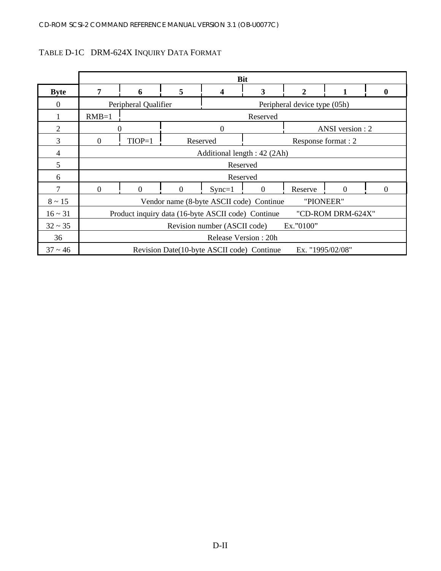|                | <b>Bit</b>                                                              |                                                      |          |                                             |                |                     |                  |          |  |  |
|----------------|-------------------------------------------------------------------------|------------------------------------------------------|----------|---------------------------------------------|----------------|---------------------|------------------|----------|--|--|
| <b>Byte</b>    | 7                                                                       | 6                                                    | 5        | $\boldsymbol{4}$                            | 3              | 2                   |                  | $\bf{0}$ |  |  |
| $\Omega$       |                                                                         | Peripheral Qualifier<br>Peripheral device type (05h) |          |                                             |                |                     |                  |          |  |  |
|                | $RMB=1$                                                                 |                                                      |          |                                             | Reserved       |                     |                  |          |  |  |
| 2              | 0                                                                       |                                                      |          | $\overline{0}$                              |                |                     | ANSI version : 2 |          |  |  |
| 3              | $\boldsymbol{0}$                                                        | $TIOP=1$                                             |          | Reserved                                    |                | Response format : 2 |                  |          |  |  |
| $\overline{4}$ | Additional length : 42 (2Ah)                                            |                                                      |          |                                             |                |                     |                  |          |  |  |
| 5              | Reserved                                                                |                                                      |          |                                             |                |                     |                  |          |  |  |
| 6              |                                                                         |                                                      |          | Reserved                                    |                |                     |                  |          |  |  |
| 7              | $\overline{0}$                                                          | $\overline{0}$                                       | $\Omega$ | $Sync=1$                                    | $\overline{0}$ | Reserve             | $\overline{0}$   | $\theta$ |  |  |
| $8 \sim 15$    | Vendor name (8-byte ASCII code) Continue<br>"PIONEER"                   |                                                      |          |                                             |                |                     |                  |          |  |  |
| $16 \sim 31$   | "CD-ROM DRM-624X"<br>Product inquiry data (16-byte ASCII code) Continue |                                                      |          |                                             |                |                     |                  |          |  |  |
| $32 \sim 35$   | Revision number (ASCII code)<br>Ex."0100"                               |                                                      |          |                                             |                |                     |                  |          |  |  |
| 36             | Release Version: 20h                                                    |                                                      |          |                                             |                |                     |                  |          |  |  |
| $37 \sim 46$   |                                                                         |                                                      |          | Revision Date (10-byte ASCII code) Continue |                | Ex. "1995/02/08"    |                  |          |  |  |

# TABLE D-1C DRM-624X INQUIRY DATA FORMAT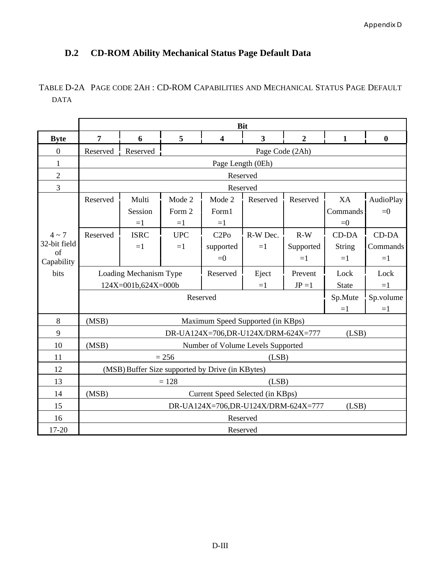# **D.2 CD-ROM Ability Mechanical Status Page Default Data**

TABLE D-2A PAGE CODE 2AH : CD-ROM CAPABILITIES AND MECHANICAL STATUS PAGE DEFAULT DATA

|                  | <b>Bit</b>                                       |                        |            |                                     |                         |                |               |           |  |  |  |
|------------------|--------------------------------------------------|------------------------|------------|-------------------------------------|-------------------------|----------------|---------------|-----------|--|--|--|
| <b>Byte</b>      | 7                                                | 6                      | 5          | $\overline{\mathbf{4}}$             | $\overline{\mathbf{3}}$ | $\overline{2}$ | $\mathbf{1}$  | $\bf{0}$  |  |  |  |
| $\boldsymbol{0}$ | Reserved                                         | Reserved               |            | Page Code (2Ah)                     |                         |                |               |           |  |  |  |
| 1                |                                                  |                        |            | Page Length (0Eh)                   |                         |                |               |           |  |  |  |
| $\overline{2}$   |                                                  |                        |            | Reserved                            |                         |                |               |           |  |  |  |
| $\overline{3}$   |                                                  |                        |            | Reserved                            |                         |                |               |           |  |  |  |
|                  | Reserved                                         | Multi                  | Mode 2     | Mode 2                              | Reserved                | Reserved       | XA            | AudioPlay |  |  |  |
|                  |                                                  | Session                | Form 2     | Form1                               |                         |                | Commands      | $=0$      |  |  |  |
|                  |                                                  | $=1$                   | $=1$       | $=1$                                |                         |                | $=0$          |           |  |  |  |
| $4 \sim 7$       | Reserved                                         | <b>ISRC</b>            | <b>UPC</b> | C2Po                                | R-W Dec.                | $R-W$          | <b>CD-DA</b>  | CD-DA     |  |  |  |
| 32-bit field     |                                                  | $=1$                   | $=1$       | supported                           | $=1$                    | Supported      | <b>String</b> | Commands  |  |  |  |
| of<br>Capability |                                                  |                        |            | $= 0$                               |                         | $=1$           | $=1$          | $=1$      |  |  |  |
| bits             |                                                  | Loading Mechanism Type |            | Reserved                            | Eject                   | Prevent        | Lock          | Lock      |  |  |  |
|                  |                                                  | 124X=001b,624X=000b    |            |                                     | $=1$                    | $JP = 1$       | <b>State</b>  | $=1$      |  |  |  |
|                  | Reserved<br>Sp.Mute                              |                        |            |                                     |                         |                |               |           |  |  |  |
|                  |                                                  | $=1$                   | $=1$       |                                     |                         |                |               |           |  |  |  |
| 8                | (MSB)                                            |                        |            | Maximum Speed Supported (in KBps)   |                         |                |               |           |  |  |  |
| 9                |                                                  |                        |            | DR-UA124X=706,DR-U124X/DRM-624X=777 |                         |                | (LSB)         |           |  |  |  |
| 10               | (MSB)                                            |                        |            | Number of Volume Levels Supported   |                         |                |               |           |  |  |  |
| 11               | $= 256$<br>(LSB)                                 |                        |            |                                     |                         |                |               |           |  |  |  |
| 12               | (MSB) Buffer Size supported by Drive (in KBytes) |                        |            |                                     |                         |                |               |           |  |  |  |
| 13               | $= 128$<br>(LSB)                                 |                        |            |                                     |                         |                |               |           |  |  |  |
| 14               | (MSB)<br>Current Speed Selected (in KBps)        |                        |            |                                     |                         |                |               |           |  |  |  |
| 15               | DR-UA124X=706,DR-U124X/DRM-624X=777<br>(LSB)     |                        |            |                                     |                         |                |               |           |  |  |  |
| 16               |                                                  |                        |            | Reserved                            |                         |                |               |           |  |  |  |
| 17-20            | Reserved                                         |                        |            |                                     |                         |                |               |           |  |  |  |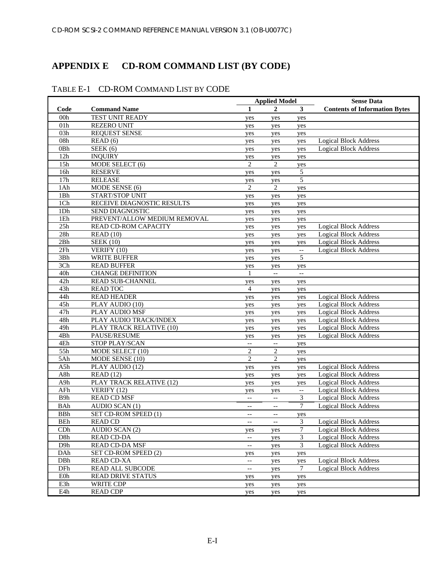# **APPENDIX E CD-ROM COMMAND LIST (BY CODE)**

|                  |                              |                                                     | <b>Applied Model</b>     |                          | <b>Sense Data</b>                    |
|------------------|------------------------------|-----------------------------------------------------|--------------------------|--------------------------|--------------------------------------|
| Code             | <b>Command Name</b>          | $\mathbf{1}$                                        | $\overline{2}$           | $\mathbf{3}$             | <b>Contents of Information Bytes</b> |
| 00h              | TEST UNIT READY              | yes                                                 | yes                      | yes                      |                                      |
| 01h              | <b>REZERO UNIT</b>           | yes                                                 | yes                      | yes                      |                                      |
| 03h              | <b>REQUEST SENSE</b>         | yes                                                 | yes                      | yes                      |                                      |
| 08h              | READ(6)                      | yes                                                 | yes                      | yes                      | <b>Logical Block Address</b>         |
| 0Bh              | SEEK $(6)$                   | yes                                                 | yes                      | yes                      | <b>Logical Block Address</b>         |
| 12h              | <b>INQUIRY</b>               | yes                                                 | yes                      | yes                      |                                      |
| 15h              | MODE SELECT (6)              | 2                                                   | 2                        | yes                      |                                      |
| 16h              | <b>RESERVE</b>               | yes                                                 | yes                      | 5                        |                                      |
| 17h              | <b>RELEASE</b>               | yes                                                 | yes                      | 5                        |                                      |
| 1Ah              | MODE SENSE (6)               | 2                                                   | $\overline{2}$           | yes                      |                                      |
| 1Bh              | <b>START/STOP UNIT</b>       | yes                                                 | yes                      | yes                      |                                      |
| 1Ch              | RECEIVE DIAGNOSTIC RESULTS   | yes                                                 | yes                      | yes                      |                                      |
| 1Dh              | SEND DIAGNOSTIC              | yes                                                 | yes                      | yes                      |                                      |
| 1Eh              | PREVENT/ALLOW MEDIUM REMOVAL | yes                                                 | yes                      | yes                      |                                      |
| 25h              | READ CD-ROM CAPACITY         | yes                                                 | yes                      | yes                      | <b>Logical Block Address</b>         |
| 28h              | READ(10)                     | yes                                                 | yes                      | yes                      | <b>Logical Block Address</b>         |
| 2Bh              | <b>SEEK (10)</b>             | yes                                                 | yes                      | yes                      | <b>Logical Block Address</b>         |
| 2Fh              | VERIFY (10)                  | yes                                                 | yes                      | $\overline{\phantom{a}}$ | <b>Logical Block Address</b>         |
| 3Bh              | WRITE BUFFER                 | yes                                                 | yes                      | 5                        |                                      |
| 3Ch              | <b>READ BUFFER</b>           | yes                                                 | yes                      | yes                      |                                      |
| 40h              | <b>CHANGE DEFINITION</b>     | $\mathbf{1}$                                        | $- -$                    | $\overline{\phantom{a}}$ |                                      |
| 42h              | <b>READ SUB-CHANNEL</b>      | yes                                                 | yes                      | yes                      |                                      |
| 43h              | READ TOC                     | $\overline{4}$                                      | yes                      | yes                      |                                      |
| 44h              | <b>READ HEADER</b>           | yes                                                 | yes                      | yes                      | <b>Logical Block Address</b>         |
| 45h              | PLAY AUDIO (10)              | yes                                                 | yes                      | yes                      | <b>Logical Block Address</b>         |
| 47h              | PLAY AUDIO MSF               | yes                                                 | yes                      | yes                      | <b>Logical Block Address</b>         |
| 48h              | PLAY AUDIO TRACK/INDEX       | yes                                                 | yes                      | yes                      | <b>Logical Block Address</b>         |
| 49h              | PLAY TRACK RELATIVE (10)     | yes                                                 | yes                      | yes                      | <b>Logical Block Address</b>         |
| 4Bh              | PAUSE/RESUME                 | yes                                                 | yes                      | yes                      | <b>Logical Block Address</b>         |
| 4Eh              | STOP PLAY/SCAN               | $-\, -$                                             |                          | yes                      |                                      |
| 55h              | MODE SELECT (10)             | $\overline{c}$                                      | $\mathbf{2}$             | yes                      |                                      |
| 5Ah              | MODE SENSE (10)              | $\mathbf{2}$                                        | 2                        | yes                      |                                      |
| A5h              | PLAY AUDIO $(12)$            | yes                                                 | yes                      | yes                      | <b>Logical Block Address</b>         |
| A8h              | READ(12)                     | yes                                                 | yes                      | yes                      | Logical Block Address                |
| A9h              | PLAY TRACK RELATIVE (12)     | yes                                                 | yes                      | yes                      | <b>Logical Block Address</b>         |
| AFh              | VERIFY (12)                  | yes                                                 | yes                      | $\overline{\phantom{a}}$ | <b>Logical Block Address</b>         |
| B <sub>9</sub> h | <b>READ CD MSF</b>           | $\hspace{0.05cm} -\hspace{0.05cm} -\hspace{0.05cm}$ | $\overline{\phantom{a}}$ | 3                        | <b>Logical Block Address</b>         |
| BAh              | AUDIO SCAN (1)               | $-\, -$                                             | $-\, -$                  | $\tau$                   | <b>Logical Block Address</b>         |
| <b>BBh</b>       | SET CD-ROM SPEED (1)         | $\overline{\phantom{a}}$                            | $\overline{\phantom{m}}$ | yes                      |                                      |
| BEh              | READ CD                      | $\overline{\phantom{m}}$                            | $--$                     | 3                        | <b>Logical Block Address</b>         |
| CDh              | AUDIO SCAN (2)               | yes                                                 | yes                      | $\overline{7}$           | <b>Logical Block Address</b>         |
| ${\rm D8h}$      | <b>READ CD-DA</b>            | $\overline{\phantom{a}}$                            | yes                      | 3                        | <b>Logical Block Address</b>         |
| D9h              | <b>READ CD-DA MSF</b>        | $\overline{\phantom{a}}$                            | yes                      | 3                        | <b>Logical Block Address</b>         |
| DAh              | SET CD-ROM SPEED (2)         | yes                                                 | yes                      | yes                      |                                      |
| DBh              | <b>READ CD-XA</b>            | $\overline{\phantom{m}}$                            | yes                      | yes                      | <b>Logical Block Address</b>         |
| DFh              | READ ALL SUBCODE             | $\overline{\phantom{a}}$                            | yes                      | $\overline{7}$           | <b>Logical Block Address</b>         |
| E0h              | <b>READ DRIVE STATUS</b>     | yes                                                 | yes                      | yes                      |                                      |
| E3h              | WRITE CDP                    | yes                                                 | yes                      | yes                      |                                      |
| E4h              | <b>READ CDP</b>              | yes                                                 | yes                      | yes                      |                                      |

#### TABLE E-1 CD-ROM COMMAND LIST BY CODE